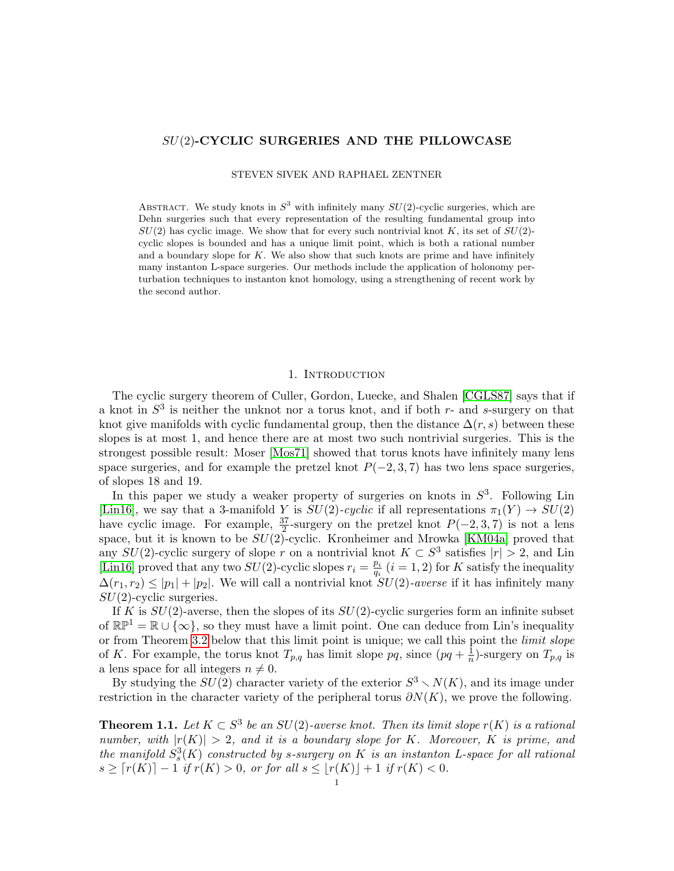# SU(2)-CYCLIC SURGERIES AND THE PILLOWCASE

STEVEN SIVEK AND RAPHAEL ZENTNER

ABSTRACT. We study knots in  $S^3$  with infinitely many  $SU(2)$ -cyclic surgeries, which are Dehn surgeries such that every representation of the resulting fundamental group into  $SU(2)$  has cyclic image. We show that for every such nontrivial knot K, its set of  $SU(2)$ cyclic slopes is bounded and has a unique limit point, which is both a rational number and a boundary slope for  $K$ . We also show that such knots are prime and have infinitely many instanton L-space surgeries. Our methods include the application of holonomy perturbation techniques to instanton knot homology, using a strengthening of recent work by the second author.

## 1. INTRODUCTION

The cyclic surgery theorem of Culler, Gordon, Luecke, and Shalen [\[CGLS87\]](#page-64-0) says that if a knot in  $S^3$  is neither the unknot nor a torus knot, and if both r- and s-surgery on that knot give manifolds with cyclic fundamental group, then the distance  $\Delta(r, s)$  between these slopes is at most 1, and hence there are at most two such nontrivial surgeries. This is the strongest possible result: Moser [\[Mos71\]](#page-65-0) showed that torus knots have infinitely many lens space surgeries, and for example the pretzel knot  $P(-2, 3, 7)$  has two lens space surgeries, of slopes 18 and 19.

In this paper we study a weaker property of surgeries on knots in  $S<sup>3</sup>$ . Following Lin [\[Lin16\]](#page-65-1), we say that a 3-manifold Y is  $SU(2)$ -cyclic if all representations  $\pi_1(Y) \to SU(2)$ have cyclic image. For example,  $\frac{37}{2}$ -surgery on the pretzel knot  $P(-2,3,7)$  is not a lens space, but it is known to be  $SU(2)$ -cyclic. Kronheimer and Mrowka [\[KM04a\]](#page-64-1) proved that any  $SU(2)$ -cyclic surgery of slope r on a nontrivial knot  $K \subset S^3$  satisfies  $|r| > 2$ , and Lin [\[Lin16\]](#page-65-1) proved that any two  $SU(2)$ -cyclic slopes  $r_i = \frac{p_i}{q_i}$  $\frac{p_i}{q_i}$   $(i = 1, 2)$  for K satisfy the inequality  $\Delta(r_1, r_2) \leq |p_1| + |p_2|$ . We will call a nontrivial knot  $SU(2)$ -averse if it has infinitely many  $SU(2)$ -cyclic surgeries.

If K is  $SU(2)$ -averse, then the slopes of its  $SU(2)$ -cyclic surgeries form an infinite subset of  $\mathbb{RP}^1 = \mathbb{R} \cup {\infty}$ , so they must have a limit point. One can deduce from Lin's inequality or from Theorem [3.2](#page-9-0) below that this limit point is unique; we call this point the *limit slope* of K. For example, the torus knot  $T_{p,q}$  has limit slope  $pq$ , since  $(pq + \frac{1}{n})$  $\frac{1}{n}$ )-surgery on  $T_{p,q}$  is a lens space for all integers  $n \neq 0$ .

By studying the  $SU(2)$  character variety of the exterior  $S^3 \setminus N(K)$ , and its image under restriction in the character variety of the peripheral torus  $\partial N(K)$ , we prove the following.

<span id="page-0-0"></span>**Theorem 1.1.** Let  $K \subset S^3$  be an  $SU(2)$ -averse knot. Then its limit slope  $r(K)$  is a rational number, with  $|r(K)| > 2$ , and it is a boundary slope for K. Moreover, K is prime, and the manifold  $S_s^3(K)$  constructed by s-surgery on K is an instanton L-space for all rational  $s \geq \lceil r(K) \rceil - 1$  if  $r(K) > 0$ , or for all  $s \leq \lfloor r(K) \rfloor + 1$  if  $r(K) < 0$ .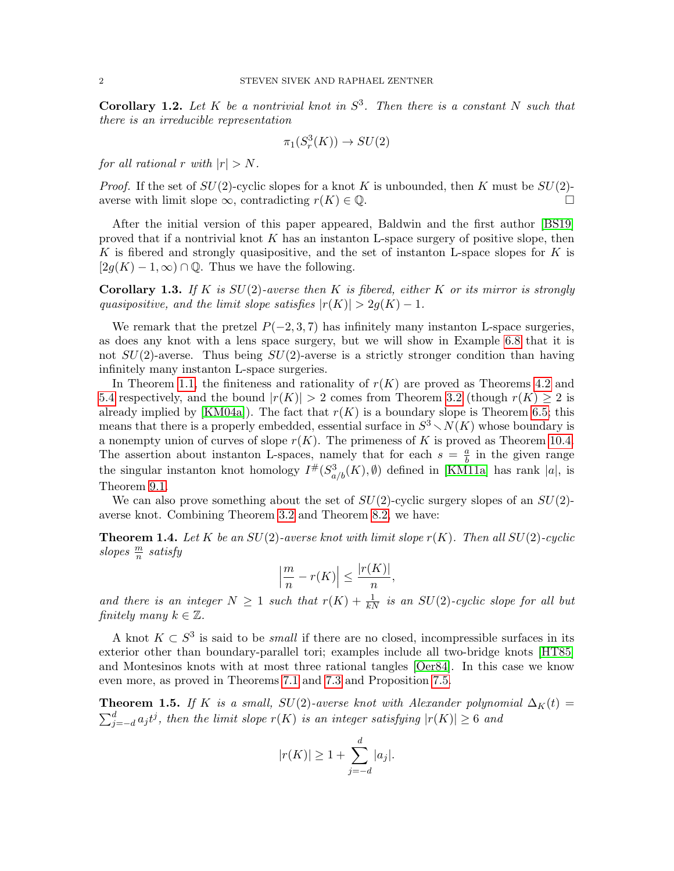**Corollary 1.2.** Let K be a nontrivial knot in  $S^3$ . Then there is a constant N such that there is an irreducible representation

$$
\pi_1(S^3_r(K)) \to SU(2)
$$

for all rational r with  $|r| > N$ .

*Proof.* If the set of  $SU(2)$ -cyclic slopes for a knot K is unbounded, then K must be  $SU(2)$ averse with limit slope  $\infty$ , contradicting  $r(K) \in \mathbb{Q}$ .

After the initial version of this paper appeared, Baldwin and the first author [\[BS19\]](#page-63-0) proved that if a nontrivial knot K has an instanton L-space surgery of positive slope, then K is fibered and strongly quasipositive, and the set of instanton L-space slopes for  $K$  is  $[2g(K) - 1, \infty) \cap \mathbb{Q}$ . Thus we have the following.

<span id="page-1-1"></span>**Corollary 1.3.** If K is  $SU(2)$ -averse then K is fibered, either K or its mirror is strongly quasipositive, and the limit slope satisfies  $|r(K)| > 2q(K) - 1$ .

We remark that the pretzel  $P(-2, 3, 7)$  has infinitely many instanton L-space surgeries, as does any knot with a lens space surgery, but we will show in Example [6.8](#page-29-0) that it is not  $SU(2)$ -averse. Thus being  $SU(2)$ -averse is a strictly stronger condition than having infinitely many instanton L-space surgeries.

In Theorem [1.1,](#page-0-0) the finiteness and rationality of  $r(K)$  are proved as Theorems [4.2](#page-11-0) and [5.4](#page-23-0) respectively, and the bound  $|r(K)| > 2$  comes from Theorem [3.2](#page-9-0) (though  $r(K) \geq 2$  is already implied by [\[KM04a\]](#page-64-1)). The fact that  $r(K)$  is a boundary slope is Theorem [6.5;](#page-27-0) this means that there is a properly embedded, essential surface in  $S^3 \setminus N(K)$  whose boundary is a nonempty union of curves of slope  $r(K)$ . The primeness of K is proved as Theorem [10.4.](#page-40-0) The assertion about instanton L-spaces, namely that for each  $s = \frac{a}{b}$  $\frac{a}{b}$  in the given range the singular instanton knot homology  $I^{\#}(S^3_{a/b}(K), \emptyset)$  defined in [\[KM11a\]](#page-65-2) has rank |a|, is Theorem [9.1.](#page-35-0)

We can also prove something about the set of  $SU(2)$ -cyclic surgery slopes of an  $SU(2)$ averse knot. Combining Theorem [3.2](#page-9-0) and Theorem [8.2,](#page-34-0) we have:

**Theorem 1.4.** Let K be an  $SU(2)$ -averse knot with limit slope  $r(K)$ . Then all  $SU(2)$ -cyclic slopes  $\frac{m}{n}$  satisfy

$$
\left|\frac{m}{n} - r(K)\right| \le \frac{|r(K)|}{n},
$$

and there is an integer  $N \geq 1$  such that  $r(K) + \frac{1}{kN}$  is an  $SU(2)$ -cyclic slope for all but finitely many  $k \in \mathbb{Z}$ .

A knot  $K \subset S^3$  is said to be *small* if there are no closed, incompressible surfaces in its exterior other than boundary-parallel tori; examples include all two-bridge knots [\[HT85\]](#page-64-2) and Montesinos knots with at most three rational tangles [\[Oer84\]](#page-65-3). In this case we know even more, as proved in Theorems [7.1](#page-29-1) and [7.3](#page-31-0) and Proposition [7.5.](#page-33-0)

<span id="page-1-0"></span>**Theorem 1.5.** If K is a small,  $SU(2)$ -averse knot with Alexander polynomial  $\Delta_K(t)$  =  $\sum_{j=-d}^{d} a_j t^j$ , then the limit slope  $r(K)$  is an integer satisfying  $|r(K)| \geq 6$  and

$$
|r(K)| \ge 1 + \sum_{j=-d}^{d} |a_j|.
$$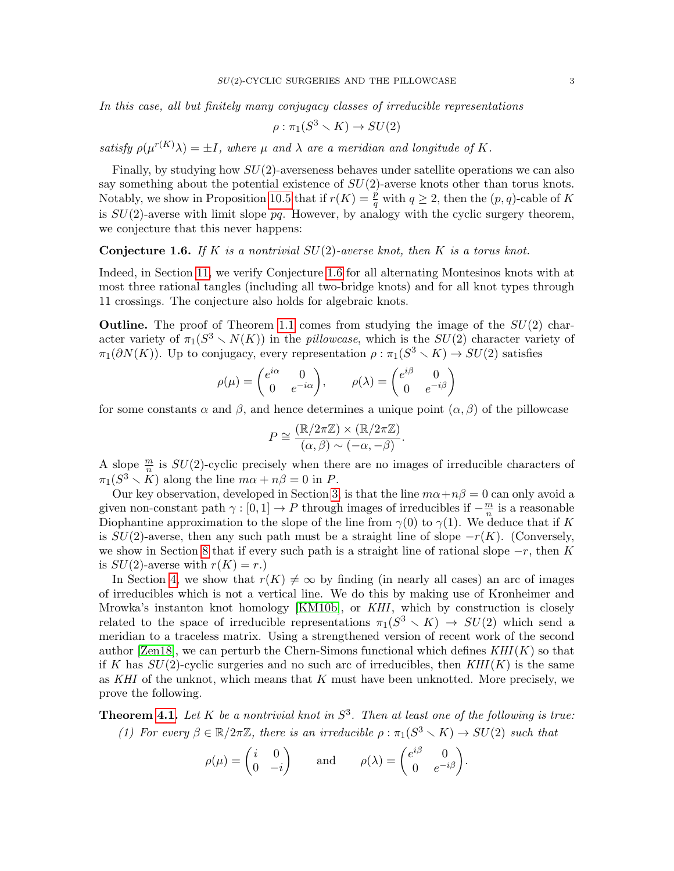In this case, all but finitely many conjugacy classes of irreducible representations

$$
\rho : \pi_1(S^3 \smallsetminus K) \to SU(2)
$$

satisfy  $\rho(\mu^{r(K)}\lambda) = \pm I$ , where  $\mu$  and  $\lambda$  are a meridian and longitude of K.

Finally, by studying how  $SU(2)$ -averseness behaves under satellite operations we can also say something about the potential existence of  $SU(2)$ -averse knots other than torus knots. Notably, we show in Proposition [10.5](#page-41-0) that if  $r(K) = \frac{p}{q}$  with  $q \ge 2$ , then the  $(p, q)$ -cable of K is  $SU(2)$ -averse with limit slope  $pq$ . However, by analogy with the cyclic surgery theorem, we conjecture that this never happens:

<span id="page-2-0"></span>**Conjecture 1.6.** If K is a nontrivial  $SU(2)$ -averse knot, then K is a torus knot.

Indeed, in Section [11,](#page-43-0) we verify Conjecture [1.6](#page-2-0) for all alternating Montesinos knots with at most three rational tangles (including all two-bridge knots) and for all knot types through 11 crossings. The conjecture also holds for algebraic knots.

**Outline.** The proof of Theorem [1.1](#page-0-0) comes from studying the image of the  $SU(2)$  character variety of  $\pi_1(S^3 \setminus N(K))$  in the *pillowcase*, which is the  $SU(2)$  character variety of  $\pi_1(\partial N(K))$ . Up to conjugacy, every representation  $\rho : \pi_1(S^3 \setminus K) \to SU(2)$  satisfies

$$
\rho(\mu) = \begin{pmatrix} e^{i\alpha} & 0 \\ 0 & e^{-i\alpha} \end{pmatrix}, \qquad \rho(\lambda) = \begin{pmatrix} e^{i\beta} & 0 \\ 0 & e^{-i\beta} \end{pmatrix}
$$

for some constants  $\alpha$  and  $\beta$ , and hence determines a unique point  $(\alpha, \beta)$  of the pillowcase

$$
P \cong \frac{(\mathbb{R}/2\pi\mathbb{Z}) \times (\mathbb{R}/2\pi\mathbb{Z})}{(\alpha, \beta) \sim (-\alpha, -\beta)}.
$$

A slope  $\frac{m}{n}$  is  $SU(2)$ -cyclic precisely when there are no images of irreducible characters of  $\pi_1(S^3 \setminus \overset{\circ}{K})$  along the line  $m\alpha + n\beta = 0$  in P.

Our key observation, developed in Section [3,](#page-8-0) is that the line  $m\alpha + n\beta = 0$  can only avoid a given non-constant path  $\gamma : [0, 1] \to P$  through images of irreducibles if  $-\frac{m}{n}$  $\frac{m}{n}$  is a reasonable Diophantine approximation to the slope of the line from  $\gamma(0)$  to  $\gamma(1)$ . We deduce that if K is  $SU(2)$ -averse, then any such path must be a straight line of slope  $-r(K)$ . (Conversely, we show in Section [8](#page-33-1) that if every such path is a straight line of rational slope  $-r$ , then K is  $SU(2)$ -averse with  $r(K) = r$ .)

In Section [4,](#page-11-1) we show that  $r(K) \neq \infty$  by finding (in nearly all cases) an arc of images of irreducibles which is not a vertical line. We do this by making use of Kronheimer and Mrowka's instanton knot homology [\[KM10b\]](#page-65-4), or KHI, which by construction is closely related to the space of irreducible representations  $\pi_1(S^3 \setminus K) \to SU(2)$  which send a meridian to a traceless matrix. Using a strengthened version of recent work of the second author [\[Zen18\]](#page-65-5), we can perturb the Chern-Simons functional which defines  $KHI(K)$  so that if K has  $SU(2)$ -cyclic surgeries and no such arc of irreducibles, then  $KHI(K)$  is the same as KHI of the unknot, which means that  $K$  must have been unknotted. More precisely, we prove the following.

**Theorem [4.1.](#page-11-2)** Let K be a nontrivial knot in  $S^3$ . Then at least one of the following is true:

(1) For every  $\beta \in \mathbb{R}/2\pi\mathbb{Z}$ , there is an irreducible  $\rho : \pi_1(S^3 \setminus K) \to SU(2)$  such that

$$
\rho(\mu) = \begin{pmatrix} i & 0 \\ 0 & -i \end{pmatrix} \quad \text{and} \quad \rho(\lambda) = \begin{pmatrix} e^{i\beta} & 0 \\ 0 & e^{-i\beta} \end{pmatrix}.
$$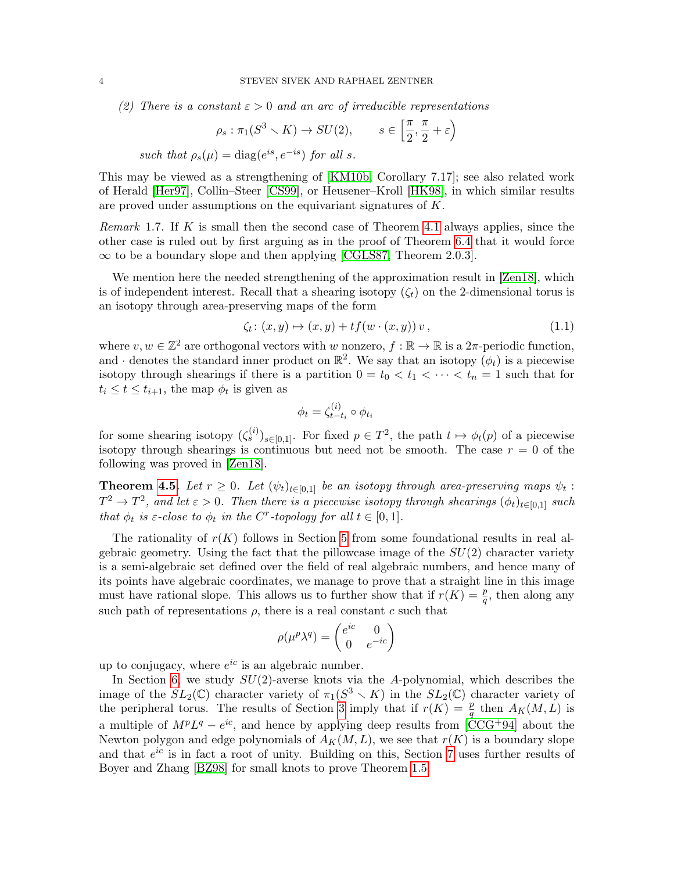(2) There is a constant  $\varepsilon > 0$  and an arc of irreducible representations

$$
\rho_s: \pi_1(S^3 \setminus K) \to SU(2), \qquad s \in \left[\frac{\pi}{2}, \frac{\pi}{2} + \varepsilon\right)
$$
  
such that  $\rho_s(\mu) = \text{diag}(e^{is}, e^{-is})$  for all s.

This may be viewed as a strengthening of [\[KM10b,](#page-65-4) Corollary 7.17]; see also related work of Herald [\[Her97\]](#page-64-3), Collin–Steer [\[CS99\]](#page-64-4), or Heusener–Kroll [\[HK98\]](#page-64-5), in which similar results are proved under assumptions on the equivariant signatures of K.

Remark 1.7. If K is small then the second case of Theorem [4.1](#page-11-2) always applies, since the other case is ruled out by first arguing as in the proof of Theorem [6.4](#page-27-1) that it would force  $\infty$  to be a boundary slope and then applying [\[CGLS87,](#page-64-0) Theorem 2.0.3].

We mention here the needed strengthening of the approximation result in [\[Zen18\]](#page-65-5), which is of independent interest. Recall that a shearing isotopy  $(\zeta_t)$  on the 2-dimensional torus is an isotopy through area-preserving maps of the form

<span id="page-3-0"></span>
$$
\zeta_t \colon (x, y) \mapsto (x, y) + tf(w \cdot (x, y)) v, \tag{1.1}
$$

where  $v, w \in \mathbb{Z}^2$  are orthogonal vectors with w nonzero,  $f : \mathbb{R} \to \mathbb{R}$  is a  $2\pi$ -periodic function, and  $\cdot$  denotes the standard inner product on  $\mathbb{R}^2$ . We say that an isotopy  $(\phi_t)$  is a piecewise isotopy through shearings if there is a partition  $0 = t_0 < t_1 < \cdots < t_n = 1$  such that for  $t_i \leq t \leq t_{i+1}$ , the map  $\phi_t$  is given as

$$
\phi_t = \zeta_{t-t_i}^{(i)} \circ \phi_{t_i}
$$

for some shearing isotopy  $({\zeta_s^{(i)}})_{s \in [0,1]}$ . For fixed  $p \in T^2$ , the path  $t \mapsto \phi_t(p)$  of a piecewise isotopy through shearings is continuous but need not be smooth. The case  $r = 0$  of the following was proved in [\[Zen18\]](#page-65-5).

**Theorem [4.5.](#page-15-0)** Let  $r \geq 0$ . Let  $(\psi_t)_{t \in [0,1]}$  be an isotopy through area-preserving maps  $\psi_t$ :  $T^2 \to T^2$ , and let  $\varepsilon > 0$ . Then there is a piecewise isotopy through shearings  $(\phi_t)_{t \in [0,1]}$  such that  $\phi_t$  is  $\varepsilon$ -close to  $\phi_t$  in the C<sup>r</sup>-topology for all  $t \in [0,1]$ .

The rationality of  $r(K)$  follows in Section [5](#page-21-0) from some foundational results in real algebraic geometry. Using the fact that the pillowcase image of the  $SU(2)$  character variety is a semi-algebraic set defined over the field of real algebraic numbers, and hence many of its points have algebraic coordinates, we manage to prove that a straight line in this image must have rational slope. This allows us to further show that if  $r(K) = \frac{p}{q}$ , then along any such path of representations  $\rho$ , there is a real constant c such that

$$
\rho(\mu^p \lambda^q) = \begin{pmatrix} e^{ic} & 0 \\ 0 & e^{-ic} \end{pmatrix}
$$

up to conjugacy, where  $e^{ic}$  is an algebraic number.

In Section [6,](#page-25-0) we study  $SU(2)$ -averse knots via the A-polynomial, which describes the image of the  $SL_2(\mathbb{C})$  character variety of  $\pi_1(S^3 \setminus K)$  in the  $SL_2(\mathbb{C})$  character variety of the peripheral torus. The results of Section [3](#page-8-0) imply that if  $r(K) = \frac{p}{q}$  then  $A_K(M, L)$  is a multiple of  $M^pL^q - e^{ic}$ , and hence by applying deep results from [\[CCG](#page-63-1)+94] about the Newton polygon and edge polynomials of  $A_K(M, L)$ , we see that  $r(K)$  is a boundary slope and that  $e^{ic}$  is in fact a root of unity. Building on this, Section [7](#page-29-2) uses further results of Boyer and Zhang [\[BZ98\]](#page-63-2) for small knots to prove Theorem [1.5.](#page-1-0)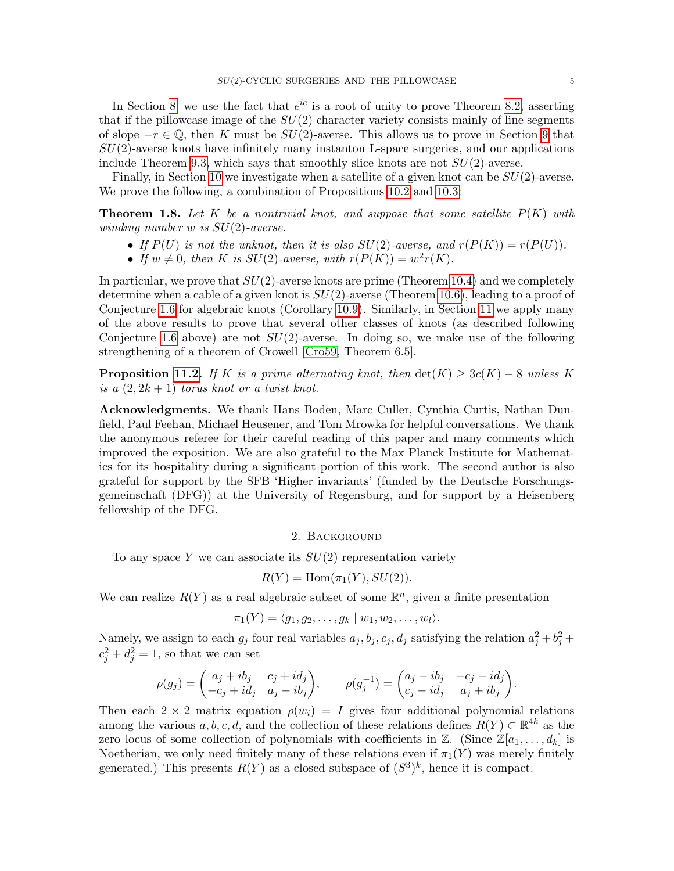In Section [8,](#page-33-1) we use the fact that  $e^{ic}$  is a root of unity to prove Theorem [8.2,](#page-34-0) asserting that if the pillowcase image of the  $SU(2)$  character variety consists mainly of line segments of slope  $-r \in \mathbb{Q}$ , then K must be  $SU(2)$ -averse. This allows us to prove in Section [9](#page-35-1) that  $SU(2)$ -averse knots have infinitely many instanton L-space surgeries, and our applications include Theorem [9.3,](#page-36-0) which says that smoothly slice knots are not  $SU(2)$ -averse.

Finally, in Section [10](#page-38-0) we investigate when a satellite of a given knot can be  $SU(2)$ -averse. We prove the following, a combination of Propositions [10.2](#page-39-0) and [10.3:](#page-39-1)

**Theorem 1.8.** Let K be a nontrivial knot, and suppose that some satellite  $P(K)$  with winding number  $w$  is  $SU(2)$ -averse.

- If  $P(U)$  is not the unknot, then it is also  $SU(2)$ -averse, and  $r(P(K)) = r(P(U))$ .
- If  $w \neq 0$ , then K is  $SU(2)$ -averse, with  $r(P(K)) = w^2r(K)$ .

In particular, we prove that  $SU(2)$ -averse knots are prime (Theorem [10.4\)](#page-40-0) and we completely determine when a cable of a given knot is  $SU(2)$ -averse (Theorem [10.6\)](#page-41-1), leading to a proof of Conjecture [1.6](#page-2-0) for algebraic knots (Corollary [10.9\)](#page-43-1). Similarly, in Section [11](#page-43-0) we apply many of the above results to prove that several other classes of knots (as described following Conjecture [1.6](#page-2-0) above) are not  $SU(2)$ -averse. In doing so, we make use of the following strengthening of a theorem of Crowell [\[Cro59,](#page-64-6) Theorem 6.5].

**Proposition [11.2.](#page-43-2)** If K is a prime alternating knot, then  $\det(K) \geq 3c(K) - 8$  unless K is a  $(2, 2k + 1)$  torus knot or a twist knot.

Acknowledgments. We thank Hans Boden, Marc Culler, Cynthia Curtis, Nathan Dunfield, Paul Feehan, Michael Heusener, and Tom Mrowka for helpful conversations. We thank the anonymous referee for their careful reading of this paper and many comments which improved the exposition. We are also grateful to the Max Planck Institute for Mathematics for its hospitality during a significant portion of this work. The second author is also grateful for support by the SFB 'Higher invariants' (funded by the Deutsche Forschungsgemeinschaft (DFG)) at the University of Regensburg, and for support by a Heisenberg fellowship of the DFG.

### 2. Background

To any space Y we can associate its  $SU(2)$  representation variety

$$
R(Y) = \text{Hom}(\pi_1(Y), SU(2)).
$$

We can realize  $R(Y)$  as a real algebraic subset of some  $\mathbb{R}^n$ , given a finite presentation

$$
\pi_1(Y) = \langle g_1, g_2, \dots, g_k \mid w_1, w_2, \dots, w_l \rangle.
$$

Namely, we assign to each  $g_j$  four real variables  $a_j, b_j, c_j, d_j$  satisfying the relation  $a_j^2 + b_j^2 + b_j^2$  $c_j^2 + d_j^2 = 1$ , so that we can set

$$
\rho(g_j) = \begin{pmatrix} a_j + ib_j & c_j + id_j \\ -c_j + id_j & a_j - ib_j \end{pmatrix}, \qquad \rho(g_j^{-1}) = \begin{pmatrix} a_j - ib_j & -c_j - id_j \\ c_j - id_j & a_j + ib_j \end{pmatrix}.
$$

Then each  $2 \times 2$  matrix equation  $\rho(w_i) = I$  gives four additional polynomial relations among the various  $a, b, c, d$ , and the collection of these relations defines  $R(Y) \subset \mathbb{R}^{4k}$  as the zero locus of some collection of polynomials with coefficients in  $\mathbb{Z}$ . (Since  $\mathbb{Z}[a_1, \ldots, a_k]$  is Noetherian, we only need finitely many of these relations even if  $\pi_1(Y)$  was merely finitely generated.) This presents  $R(Y)$  as a closed subspace of  $(S^3)^k$ , hence it is compact.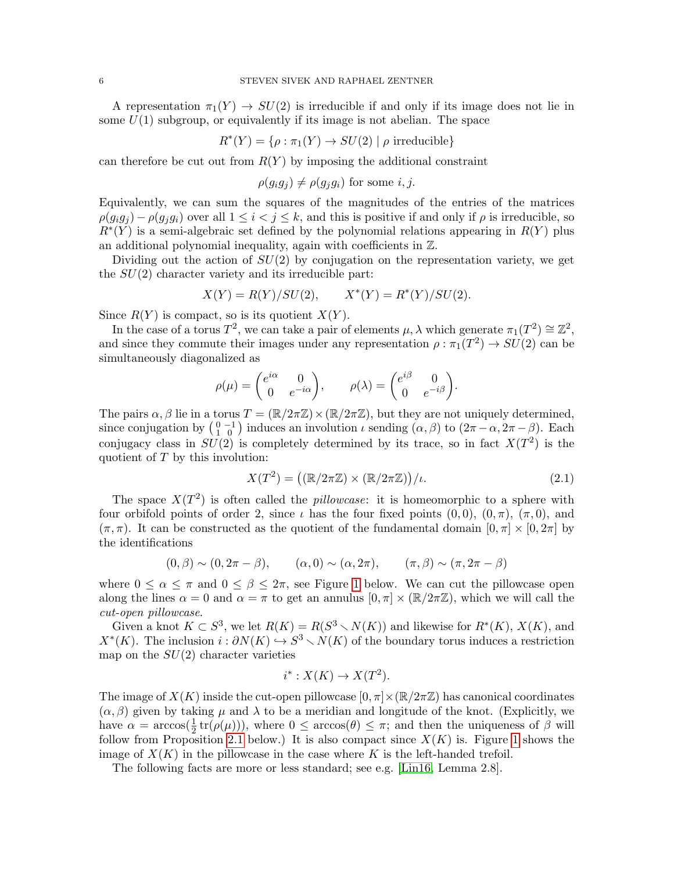A representation  $\pi_1(Y) \to SU(2)$  is irreducible if and only if its image does not lie in some  $U(1)$  subgroup, or equivalently if its image is not abelian. The space

$$
R^*(Y) = \{ \rho : \pi_1(Y) \to SU(2) \mid \rho \text{ irreducible} \}
$$

can therefore be cut out from  $R(Y)$  by imposing the additional constraint

 $\rho(q_iq_i) \neq \rho(q_iq_i)$  for some *i*, *j*.

Equivalently, we can sum the squares of the magnitudes of the entries of the matrices  $\rho(g_i g_j) - \rho(g_i g_i)$  over all  $1 \leq i < j \leq k$ , and this is positive if and only if  $\rho$  is irreducible, so  $R^*(Y)$  is a semi-algebraic set defined by the polynomial relations appearing in  $R(Y)$  plus an additional polynomial inequality, again with coefficients in Z.

Dividing out the action of  $SU(2)$  by conjugation on the representation variety, we get the  $SU(2)$  character variety and its irreducible part:

$$
X(Y) = R(Y)/SU(2),
$$
  $X^*(Y) = R^*(Y)/SU(2).$ 

Since  $R(Y)$  is compact, so is its quotient  $X(Y)$ .

In the case of a torus  $T^2$ , we can take a pair of elements  $\mu$ ,  $\lambda$  which generate  $\pi_1(T^2) \cong \mathbb{Z}^2$ , and since they commute their images under any representation  $\rho : \pi_1(T^2) \to SU(2)$  can be simultaneously diagonalized as

$$
\rho(\mu) = \begin{pmatrix} e^{i\alpha} & 0 \\ 0 & e^{-i\alpha} \end{pmatrix}, \qquad \rho(\lambda) = \begin{pmatrix} e^{i\beta} & 0 \\ 0 & e^{-i\beta} \end{pmatrix}.
$$

The pairs  $\alpha$ ,  $\beta$  lie in a torus  $T = (\mathbb{R}/2\pi\mathbb{Z}) \times (\mathbb{R}/2\pi\mathbb{Z})$ , but they are not uniquely determined, since conjugation by  $\begin{pmatrix} 0 & -1 \\ 1 & 0 \end{pmatrix}$  induces an involution  $\iota$  sending  $(\alpha, \beta)$  to  $(2\pi - \alpha, 2\pi - \beta)$ . Each conjugacy class in  $SU(2)$  is completely determined by its trace, so in fact  $X(T^2)$  is the quotient of  $T$  by this involution:

<span id="page-5-0"></span>
$$
X(T^2) = ((\mathbb{R}/2\pi\mathbb{Z}) \times (\mathbb{R}/2\pi\mathbb{Z}))/\iota.
$$
 (2.1)

The space  $X(T^2)$  is often called the *pillowcase*: it is homeomorphic to a sphere with four orbifold points of order 2, since  $\iota$  has the four fixed points  $(0,0), (0,\pi), (\pi,0)$ , and  $(\pi, \pi)$ . It can be constructed as the quotient of the fundamental domain  $[0, \pi] \times [0, 2\pi]$  by the identifications

$$
(0, \beta) \sim (0, 2\pi - \beta), \qquad (\alpha, 0) \sim (\alpha, 2\pi), \qquad (\pi, \beta) \sim (\pi, 2\pi - \beta)
$$

where  $0 \le \alpha \le \pi$  and  $0 \le \beta \le 2\pi$ , see Figure [1](#page-6-0) below. We can cut the pillowcase open along the lines  $\alpha = 0$  and  $\alpha = \pi$  to get an annulus  $[0, \pi] \times (\mathbb{R}/2\pi\mathbb{Z})$ , which we will call the cut-open pillowcase.

Given a knot  $K \subset S^3$ , we let  $R(K) = R(S^3 \setminus N(K))$  and likewise for  $R^*(K)$ ,  $X(K)$ , and  $X^*(K)$ . The inclusion  $i : \partial N(K) \hookrightarrow S^3 \setminus N(K)$  of the boundary torus induces a restriction map on the  $SU(2)$  character varieties

$$
i^* : X(K) \to X(T^2).
$$

The image of  $X(K)$  inside the cut-open pillowcase  $[0, \pi] \times (\mathbb{R}/2\pi\mathbb{Z})$  has canonical coordinates  $(\alpha, \beta)$  given by taking  $\mu$  and  $\lambda$  to be a meridian and longitude of the knot. (Explicitly, we have  $\alpha = \arccos(\frac{1}{2} tr(\rho(\mu)))$ , where  $0 \leq \arccos(\theta) \leq \pi$ ; and then the uniqueness of  $\beta$  will follow from Proposition [2.1](#page-6-1) below.) It is also compact since  $X(K)$  is. Figure [1](#page-6-0) shows the image of  $X(K)$  in the pillowcase in the case where K is the left-handed trefoil.

The following facts are more or less standard; see e.g. [\[Lin16,](#page-65-1) Lemma 2.8].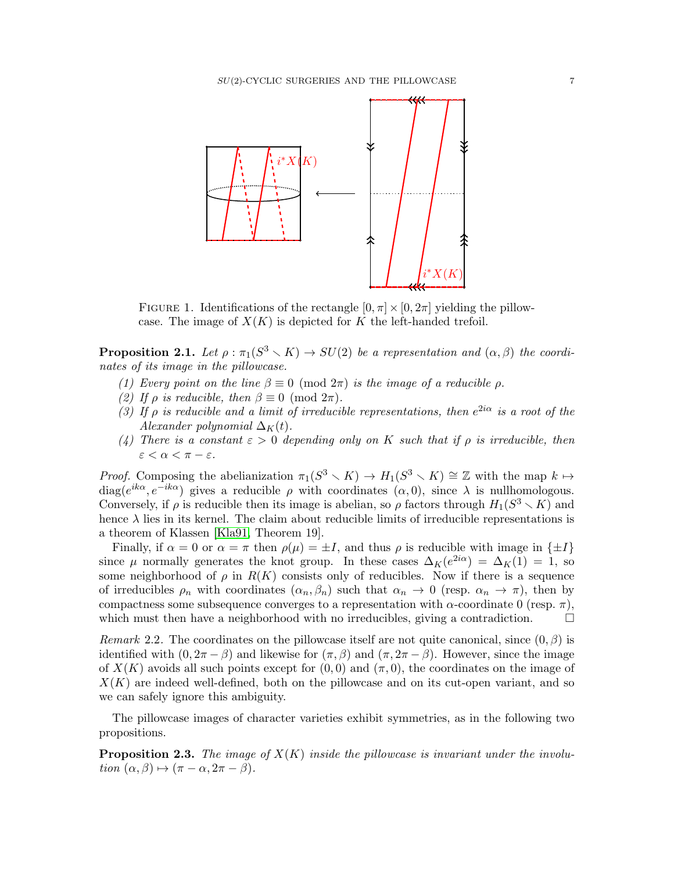

<span id="page-6-0"></span>FIGURE 1. Identifications of the rectangle  $[0, \pi] \times [0, 2\pi]$  yielding the pillowcase. The image of  $X(K)$  is depicted for K the left-handed trefoil.

<span id="page-6-1"></span>**Proposition 2.1.** Let  $\rho : \pi_1(S^3 \setminus K) \to SU(2)$  be a representation and  $(\alpha, \beta)$  the coordinates of its image in the pillowcase.

- (1) Every point on the line  $\beta \equiv 0 \pmod{2\pi}$  is the image of a reducible  $\rho$ .
- (2) If  $\rho$  is reducible, then  $\beta \equiv 0 \pmod{2\pi}$ .
- (3) If  $\rho$  is reducible and a limit of irreducible representations, then  $e^{2i\alpha}$  is a root of the Alexander polynomial  $\Delta_K(t)$ .
- (4) There is a constant  $\varepsilon > 0$  depending only on K such that if  $\rho$  is irreducible, then  $\varepsilon < \alpha < \pi - \varepsilon$ .

*Proof.* Composing the abelianization  $\pi_1(S^3 \setminus K) \to H_1(S^3 \setminus K) \cong \mathbb{Z}$  with the map  $k \mapsto$ diag( $e^{ik\alpha}, e^{-ik\alpha}$ ) gives a reducible  $\rho$  with coordinates  $(\alpha, 0)$ , since  $\lambda$  is nullhomologous. Conversely, if  $\rho$  is reducible then its image is abelian, so  $\rho$  factors through  $H_1(S^3 \setminus K)$  and hence  $\lambda$  lies in its kernel. The claim about reducible limits of irreducible representations is a theorem of Klassen [\[Kla91,](#page-64-7) Theorem 19].

Finally, if  $\alpha = 0$  or  $\alpha = \pi$  then  $\rho(\mu) = \pm I$ , and thus  $\rho$  is reducible with image in  $\{\pm I\}$ since  $\mu$  normally generates the knot group. In these cases  $\Delta_K(e^{2i\alpha}) = \Delta_K(1) = 1$ , so some neighborhood of  $\rho$  in  $R(K)$  consists only of reducibles. Now if there is a sequence of irreducibles  $\rho_n$  with coordinates  $(\alpha_n, \beta_n)$  such that  $\alpha_n \to 0$  (resp.  $\alpha_n \to \pi$ ), then by compactness some subsequence converges to a representation with  $\alpha$ -coordinate 0 (resp.  $\pi$ ), which must then have a neighborhood with no irreducibles, giving a contradiction.  $\square$ 

Remark 2.2. The coordinates on the pillowcase itself are not quite canonical, since  $(0, \beta)$  is identified with  $(0, 2\pi - \beta)$  and likewise for  $(\pi, \beta)$  and  $(\pi, 2\pi - \beta)$ . However, since the image of  $X(K)$  avoids all such points except for  $(0,0)$  and  $(\pi,0)$ , the coordinates on the image of  $X(K)$  are indeed well-defined, both on the pillowcase and on its cut-open variant, and so we can safely ignore this ambiguity.

The pillowcase images of character varieties exhibit symmetries, as in the following two propositions.

<span id="page-6-2"></span>**Proposition 2.3.** The image of  $X(K)$  inside the pillowcase is invariant under the involution  $(\alpha, \beta) \mapsto (\pi - \alpha, 2\pi - \beta).$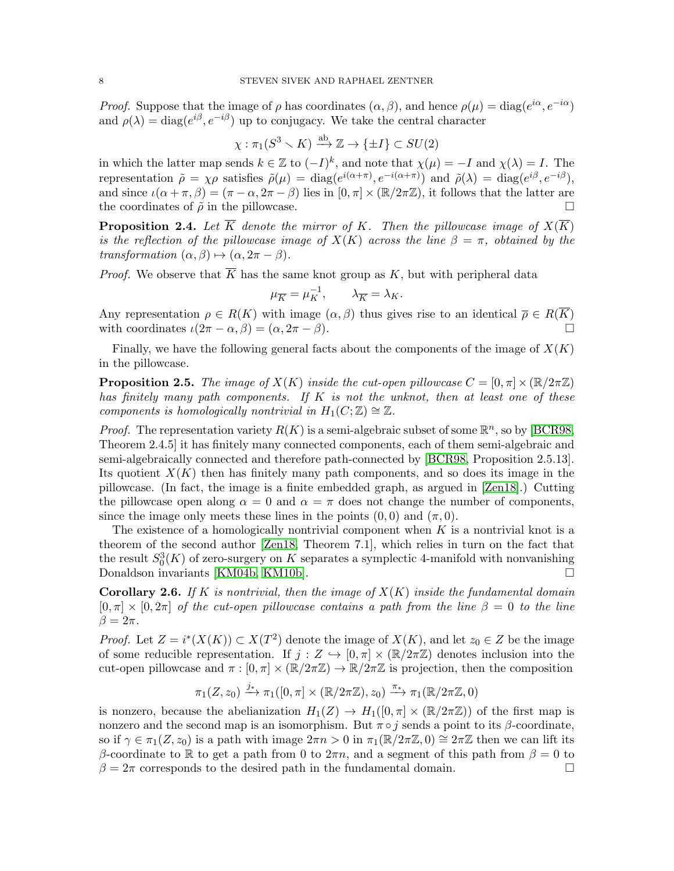*Proof.* Suppose that the image of  $\rho$  has coordinates  $(\alpha, \beta)$ , and hence  $\rho(\mu) = \text{diag}(e^{i\alpha}, e^{-i\alpha})$ and  $\rho(\lambda) = \text{diag}(e^{i\beta}, e^{-i\beta})$  up to conjugacy. We take the central character

$$
\chi : \pi_1(S^3 \setminus K) \xrightarrow{\text{ab}} \mathbb{Z} \to \{\pm I\} \subset SU(2)
$$

in which the latter map sends  $k \in \mathbb{Z}$  to  $(-I)^k$ , and note that  $\chi(\mu) = -I$  and  $\chi(\lambda) = I$ . The representation  $\tilde{\rho} = \chi \rho$  satisfies  $\tilde{\rho}(\mu) = \text{diag}(e^{i(\alpha + \pi)}, e^{-i(\alpha + \pi)})$  and  $\tilde{\rho}(\lambda) = \text{diag}(e^{i\beta}, e^{-i\beta}),$ and since  $\iota(\alpha + \pi, \beta) = (\pi - \alpha, 2\pi - \beta)$  lies in  $[0, \pi] \times (\mathbb{R}/2\pi\mathbb{Z})$ , it follows that the latter are the coordinates of  $\tilde{\rho}$  in the pillowcase.

<span id="page-7-2"></span>**Proposition 2.4.** Let  $\overline{K}$  denote the mirror of K. Then the pillowcase image of  $X(\overline{K})$ is the reflection of the pillowcase image of  $X(K)$  across the line  $\beta = \pi$ , obtained by the transformation  $(\alpha, \beta) \mapsto (\alpha, 2\pi - \beta)$ .

*Proof.* We observe that  $\overline{K}$  has the same knot group as K, but with peripheral data

$$
\mu_{\overline{K}} = \mu_K^{-1}, \qquad \lambda_{\overline{K}} = \lambda_K.
$$

Any representation  $\rho \in R(K)$  with image  $(\alpha, \beta)$  thus gives rise to an identical  $\overline{\rho} \in R(\overline{K})$ with coordinates  $\iota(2\pi - \alpha, \beta) = (\alpha, 2\pi - \beta).$ 

Finally, we have the following general facts about the components of the image of  $X(K)$ in the pillowcase.

<span id="page-7-1"></span>**Proposition 2.5.** The image of  $X(K)$  inside the cut-open pillowcase  $C = [0, \pi] \times (\mathbb{R}/2\pi\mathbb{Z})$ has finitely many path components. If  $K$  is not the unknot, then at least one of these components is homologically nontrivial in  $H_1(C;\mathbb{Z}) \cong \mathbb{Z}$ .

*Proof.* The representation variety  $R(K)$  is a semi-algebraic subset of some  $\mathbb{R}^n$ , so by [\[BCR98,](#page-63-3) Theorem 2.4.5] it has finitely many connected components, each of them semi-algebraic and semi-algebraically connected and therefore path-connected by [\[BCR98,](#page-63-3) Proposition 2.5.13]. Its quotient  $X(K)$  then has finitely many path components, and so does its image in the pillowcase. (In fact, the image is a finite embedded graph, as argued in [\[Zen18\]](#page-65-5).) Cutting the pillowcase open along  $\alpha = 0$  and  $\alpha = \pi$  does not change the number of components, since the image only meets these lines in the points  $(0,0)$  and  $(\pi, 0)$ .

The existence of a homologically nontrivial component when  $K$  is a nontrivial knot is a theorem of the second author [\[Zen18,](#page-65-5) Theorem 7.1], which relies in turn on the fact that the result  $S_0^3(K)$  of zero-surgery on K separates a symplectic 4-manifold with nonvanishing Donaldson invariants [\[KM04b,](#page-64-8) [KM10b\]](#page-65-4).

<span id="page-7-0"></span>**Corollary 2.6.** If K is nontrivial, then the image of  $X(K)$  inside the fundamental domain  $[0, \pi] \times [0, 2\pi]$  of the cut-open pillowcase contains a path from the line  $\beta = 0$  to the line  $\beta=2\pi$ .

*Proof.* Let  $Z = i^*(X(K)) \subset X(T^2)$  denote the image of  $X(K)$ , and let  $z_0 \in Z$  be the image of some reducible representation. If  $j : Z \hookrightarrow [0, \pi] \times (\mathbb{R}/2\pi\mathbb{Z})$  denotes inclusion into the cut-open pillowcase and  $\pi : [0, \pi] \times (\mathbb{R}/2\pi\mathbb{Z}) \to \mathbb{R}/2\pi\mathbb{Z}$  is projection, then the composition

$$
\pi_1(Z, z_0) \xrightarrow{j_*} \pi_1([0, \pi] \times (\mathbb{R}/2\pi\mathbb{Z}), z_0) \xrightarrow{\pi_*} \pi_1(\mathbb{R}/2\pi\mathbb{Z}, 0)
$$

is nonzero, because the abelianization  $H_1(Z) \to H_1([0, \pi] \times (\mathbb{R}/2\pi\mathbb{Z}))$  of the first map is nonzero and the second map is an isomorphism. But  $\pi \circ j$  sends a point to its  $\beta$ -coordinate, so if  $\gamma \in \pi_1(Z, z_0)$  is a path with image  $2\pi n > 0$  in  $\pi_1(\mathbb{R}/2\pi\mathbb{Z}, 0) \cong 2\pi\mathbb{Z}$  then we can lift its β-coordinate to R to get a path from 0 to  $2\pi n$ , and a segment of this path from  $\beta = 0$  to  $\beta = 2\pi$  corresponds to the desired path in the fundamental domain.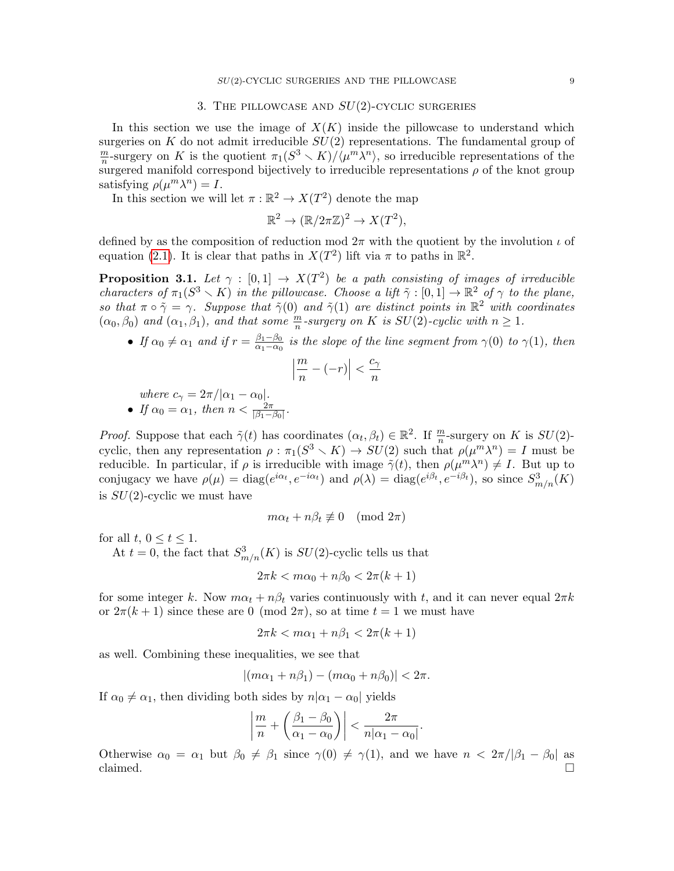## 3. THE PILLOWCASE AND  $SU(2)$ -CYCLIC SURGERIES

<span id="page-8-0"></span>In this section we use the image of  $X(K)$  inside the pillowcase to understand which surgeries on K do not admit irreducible  $SU(2)$  representations. The fundamental group of m  $\frac{m}{n}$ -surgery on K is the quotient  $\pi_1(S^3 \setminus K)/\langle \mu^m \lambda^n \rangle$ , so irreducible representations of the surgered manifold correspond bijectively to irreducible representations  $\rho$  of the knot group satisfying  $\rho(\mu^m \lambda^n) = I$ .

In this section we will let  $\pi : \mathbb{R}^2 \to X(T^2)$  denote the map

$$
\mathbb{R}^2 \to (\mathbb{R}/2\pi\mathbb{Z})^2 \to X(T^2),
$$

defined by as the composition of reduction mod  $2\pi$  with the quotient by the involution  $\iota$  of equation [\(2.1\)](#page-5-0). It is clear that paths in  $X(T^2)$  lift via  $\pi$  to paths in  $\mathbb{R}^2$ .

<span id="page-8-1"></span>**Proposition 3.1.** Let  $\gamma : [0,1] \rightarrow X(T^2)$  be a path consisting of images of irreducible characters of  $\pi_1(S^3 \setminus K)$  in the pillowcase. Choose a lift  $\tilde{\gamma}: [0,1] \to \mathbb{R}^2$  of  $\gamma$  to the plane, so that  $\pi \circ \tilde{\gamma} = \gamma$ . Suppose that  $\tilde{\gamma}(0)$  and  $\tilde{\gamma}(1)$  are distinct points in  $\mathbb{R}^2$  with coordinates  $(\alpha_0, \beta_0)$  and  $(\alpha_1, \beta_1)$ , and that some  $\frac{m}{n}$ -surgery on K is  $SU(2)$ -cyclic with  $n \geq 1$ .

• If  $\alpha_0 \neq \alpha_1$  and if  $r = \frac{\beta_1 - \beta_0}{\alpha_1 - \alpha_0}$  $\frac{\beta_1-\beta_0}{\alpha_1-\alpha_0}$  is the slope of the line segment from  $\gamma(0)$  to  $\gamma(1)$ , then  $\overline{\phantom{a}}$ m  $c_{\gamma}$ 

$$
\left|\frac{m}{n} - (-r)\right| < \frac{c_{\gamma}}{n}
$$

where  $c_{\gamma} = 2\pi/|\alpha_1 - \alpha_0|$ .

• If  $\alpha_0 = \alpha_1$ , then  $n < \frac{2\pi}{|\beta_1 - \beta_0|}$ .

*Proof.* Suppose that each  $\tilde{\gamma}(t)$  has coordinates  $(\alpha_t, \beta_t) \in \mathbb{R}^2$ . If  $\frac{m}{n}$ -surgery on K is  $SU(2)$ cyclic, then any representation  $\rho : \pi_1(S^3 \setminus K) \to SU(2)$  such that  $\rho(\mu^m \lambda^n) = I$  must be reducible. In particular, if  $\rho$  is irreducible with image  $\tilde{\gamma}(t)$ , then  $\rho(\mu^m \lambda^n) \neq I$ . But up to conjugacy we have  $\rho(\mu) = \text{diag}(e^{i\alpha_t}, e^{-i\alpha_t})$  and  $\rho(\lambda) = \text{diag}(e^{i\beta_t}, e^{-i\beta_t})$ , so since  $S^3_{m/n}(K)$ is  $SU(2)$ -cyclic we must have

$$
m\alpha_t + n\beta_t \not\equiv 0 \pmod{2\pi}
$$

for all  $t, 0 \le t \le 1$ .

At  $t = 0$ , the fact that  $S^3_{m/n}(K)$  is  $SU(2)$ -cyclic tells us that

$$
2\pi k < m\alpha_0 + n\beta_0 < 2\pi (k+1)
$$

for some integer k. Now  $m\alpha_t + n\beta_t$  varies continuously with t, and it can never equal  $2\pi k$ or  $2\pi(k+1)$  since these are 0 (mod  $2\pi$ ), so at time  $t=1$  we must have

$$
2\pi k < m\alpha_1 + n\beta_1 < 2\pi(k+1)
$$

as well. Combining these inequalities, we see that

$$
|(m\alpha_1+n\beta_1)-(m\alpha_0+n\beta_0)|<2\pi.
$$

If  $\alpha_0 \neq \alpha_1$ , then dividing both sides by  $n|\alpha_1 - \alpha_0|$  yields

$$
\left|\frac{m}{n} + \left(\frac{\beta_1 - \beta_0}{\alpha_1 - \alpha_0}\right)\right| < \frac{2\pi}{n|\alpha_1 - \alpha_0|}.
$$

Otherwise  $\alpha_0 = \alpha_1$  but  $\beta_0 \neq \beta_1$  since  $\gamma(0) \neq \gamma(1)$ , and we have  $n < 2\pi/|\beta_1 - \beta_0|$  as claimed.  $\Box$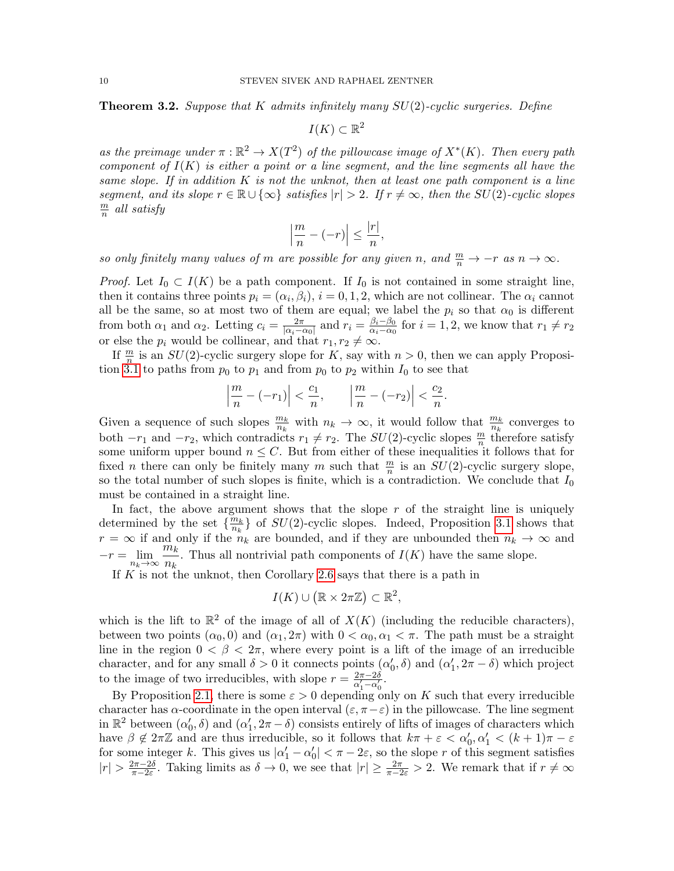<span id="page-9-0"></span>**Theorem 3.2.** Suppose that K admits infinitely many  $SU(2)$ -cyclic surgeries. Define

 $I(K) \subset \mathbb{R}^2$ 

as the preimage under  $\pi : \mathbb{R}^2 \to X(T^2)$  of the pillowcase image of  $X^*(K)$ . Then every path component of  $I(K)$  is either a point or a line segment, and the line segments all have the same slope. If in addition  $K$  is not the unknot, then at least one path component is a line segment, and its slope  $r \in \mathbb{R} \cup \{\infty\}$  satisfies  $|r| > 2$ . If  $r \neq \infty$ , then the SU(2)-cyclic slopes m  $\frac{m}{n}$  all satisfy

$$
\left|\frac{m}{n} - (-r)\right| \le \frac{|r|}{n},
$$

so only finitely many values of m are possible for any given n, and  $\frac{m}{n} \to -r$  as  $n \to \infty$ .

*Proof.* Let  $I_0 \subset I(K)$  be a path component. If  $I_0$  is not contained in some straight line, then it contains three points  $p_i = (\alpha_i, \beta_i), i = 0, 1, 2$ , which are not collinear. The  $\alpha_i$  cannot all be the same, so at most two of them are equal; we label the  $p_i$  so that  $\alpha_0$  is different from both  $\alpha_1$  and  $\alpha_2$ . Letting  $c_i = \frac{2\pi}{|\alpha_i - i|}$  $\frac{2\pi}{|\alpha_i-\alpha_0|}$  and  $r_i = \frac{\beta_i-\beta_0}{\alpha_i-\alpha_0}$  $\frac{\beta_i - \beta_0}{\alpha_i - \alpha_0}$  for  $i = 1, 2$ , we know that  $r_1 \neq r_2$ or else the  $p_i$  would be collinear, and that  $r_1, r_2 \neq \infty$ .

If  $\frac{m}{n}$  is an  $SU(2)$ -cyclic surgery slope for K, say with  $n > 0$ , then we can apply Proposi-tion [3.1](#page-8-1) to paths from  $p_0$  to  $p_1$  and from  $p_0$  to  $p_2$  within  $I_0$  to see that

$$
\left|\frac{m}{n}-(-r_1)\right|<\frac{c_1}{n},\qquad \left|\frac{m}{n}-(-r_2)\right|<\frac{c_2}{n}.
$$

Given a sequence of such slopes  $\frac{m_k}{n_k}$  with  $n_k \to \infty$ , it would follow that  $\frac{m_k}{n_k}$  converges to both  $-r_1$  and  $-r_2$ , which contradicts  $r_1 \neq r_2$ . The  $SU(2)$ -cyclic slopes  $\frac{m}{n}$  therefore satisfy some uniform upper bound  $n \leq C$ . But from either of these inequalities it follows that for fixed *n* there can only be finitely many *m* such that  $\frac{m}{n}$  is an  $SU(2)$ -cyclic surgery slope, so the total number of such slopes is finite, which is a contradiction. We conclude that  $I_0$ must be contained in a straight line.

In fact, the above argument shows that the slope  $r$  of the straight line is uniquely determined by the set  $\{\frac{m_k}{n_k}\}$  $\frac{m_k}{n_k}$  of  $SU(2)$ -cyclic slopes. Indeed, Proposition [3.1](#page-8-1) shows that  $r = \infty$  if and only if the  $n_k$  are bounded, and if they are unbounded then  $n_k \to \infty$  and  $-r = \lim_{n_k \to \infty} \frac{m_k}{n_k}$  $\frac{n_k}{n_k}$ . Thus all nontrivial path components of  $I(K)$  have the same slope.

If  $K$  is not the unknot, then Corollary [2.6](#page-7-0) says that there is a path in

$$
I(K) \cup (\mathbb{R} \times 2\pi \mathbb{Z}) \subset \mathbb{R}^2
$$

which is the lift to  $\mathbb{R}^2$  of the image of all of  $X(K)$  (including the reducible characters), between two points  $(\alpha_0, 0)$  and  $(\alpha_1, 2\pi)$  with  $0 < \alpha_0, \alpha_1 < \pi$ . The path must be a straight line in the region  $0 < \beta < 2\pi$ , where every point is a lift of the image of an irreducible character, and for any small  $\delta > 0$  it connects points  $(\alpha'_0, \delta)$  and  $(\alpha'_1, 2\pi - \delta)$  which project to the image of two irreducibles, with slope  $r = \frac{2\pi - 2\delta}{\alpha' - \alpha'}$  $\frac{2\pi-2\delta}{\alpha'_1-\alpha'_0}.$ 

By Proposition [2.1,](#page-6-1) there is some  $\varepsilon > 0$  depending only on K such that every irreducible character has  $\alpha$ -coordinate in the open interval  $(\varepsilon, \pi - \varepsilon)$  in the pillowcase. The line segment in  $\mathbb{R}^2$  between  $(\alpha'_0, \delta)$  and  $(\alpha'_1, 2\pi - \delta)$  consists entirely of lifts of images of characters which have  $\beta \notin 2\pi\mathbb{Z}$  and are thus irreducible, so it follows that  $k\pi + \varepsilon < \alpha'_0, \alpha'_1 < (k+1)\pi - \varepsilon$ for some integer k. This gives us  $|\alpha'_1 - \alpha'_0| < \pi - 2\varepsilon$ , so the slope r of this segment satisfies  $|r| > \frac{2\pi - 2\delta}{\pi - 2\epsilon}$  $\frac{2\pi-2\delta}{\pi-2\varepsilon}$ . Taking limits as  $\delta \to 0$ , we see that  $|r| \geq \frac{2\pi}{\pi-2\varepsilon} > 2$ . We remark that if  $r \neq \infty$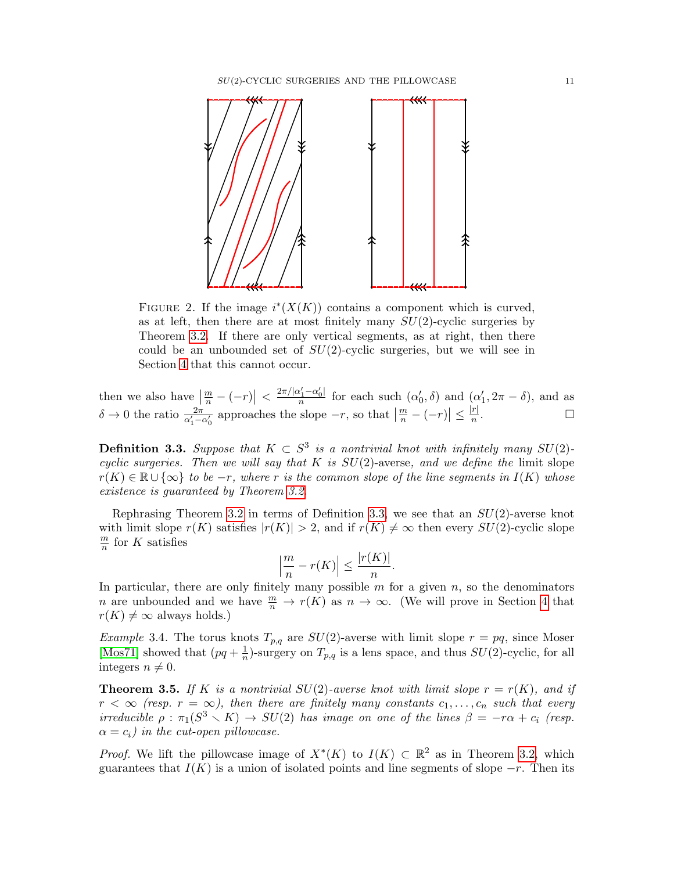

FIGURE 2. If the image  $i^*(X(K))$  contains a component which is curved, as at left, then there are at most finitely many  $SU(2)$ -cyclic surgeries by Theorem [3.2.](#page-9-0) If there are only vertical segments, as at right, then there could be an unbounded set of  $SU(2)$ -cyclic surgeries, but we will see in Section [4](#page-11-1) that this cannot occur.

then we also have  $\left|\frac{m}{n}-(-r)\right| < \frac{2\pi/|\alpha'_1-\alpha'_0|}{n}$  $\frac{\alpha'_1-\alpha'_0}{n}$  for each such  $(\alpha'_0,\delta)$  and  $(\alpha'_1,2\pi-\delta)$ , and as  $\delta \to 0$  the ratio  $\frac{2\pi}{\alpha'_1 - \alpha'_0}$  approaches the slope  $-r$ , so that  $\left|\frac{m}{n} - (-r)\right| \le \frac{|r|}{n}$  $\frac{r}{n}$ .

<span id="page-10-0"></span>**Definition 3.3.** Suppose that  $K \subset S^3$  is a nontrivial knot with infinitely many  $SU(2)$ cyclic surgeries. Then we will say that K is  $SU(2)$ -averse, and we define the limit slope  $r(K) \in \mathbb{R} \cup \{\infty\}$  to be  $-r$ , where r is the common slope of the line segments in  $I(K)$  whose existence is guaranteed by Theorem [3.2.](#page-9-0)

Rephrasing Theorem [3.2](#page-9-0) in terms of Definition [3.3,](#page-10-0) we see that an  $SU(2)$ -averse knot with limit slope  $r(K)$  satisfies  $|r(K)| > 2$ , and if  $r(K) \neq \infty$  then every  $SU(2)$ -cyclic slope m  $\frac{m}{n}$  for K satisfies

$$
\left|\frac{m}{n} - r(K)\right| \le \frac{|r(K)|}{n}.
$$

In particular, there are only finitely many possible  $m$  for a given  $n$ , so the denominators *n* are unbounded and we have  $\frac{m}{n} \to r(K)$  as  $n \to \infty$ . (We will prove in Section [4](#page-11-1) that  $r(K) \neq \infty$  always holds.)

Example 3.4. The torus knots  $T_{p,q}$  are  $SU(2)$ -averse with limit slope  $r = pq$ , since Moser [\[Mos71\]](#page-65-0) showed that  $(pq + \frac{1}{p})$  $\frac{1}{n}$ )-surgery on  $T_{p,q}$  is a lens space, and thus  $SU(2)$ -cyclic, for all integers  $n \neq 0$ .

<span id="page-10-1"></span>**Theorem 3.5.** If K is a nontrivial  $SU(2)$ -averse knot with limit slope  $r = r(K)$ , and if  $r < \infty$  (resp.  $r = \infty$ ), then there are finitely many constants  $c_1, \ldots, c_n$  such that every irreducible  $\rho : \pi_1(S^3 \times K) \to SU(2)$  has image on one of the lines  $\beta = -r\alpha + c_i$  (resp.  $\alpha = c_i$ ) in the cut-open pillowcase.

*Proof.* We lift the pillowcase image of  $X^*(K)$  to  $I(K) \subset \mathbb{R}^2$  as in Theorem [3.2,](#page-9-0) which guarantees that  $I(K)$  is a union of isolated points and line segments of slope  $-r$ . Then its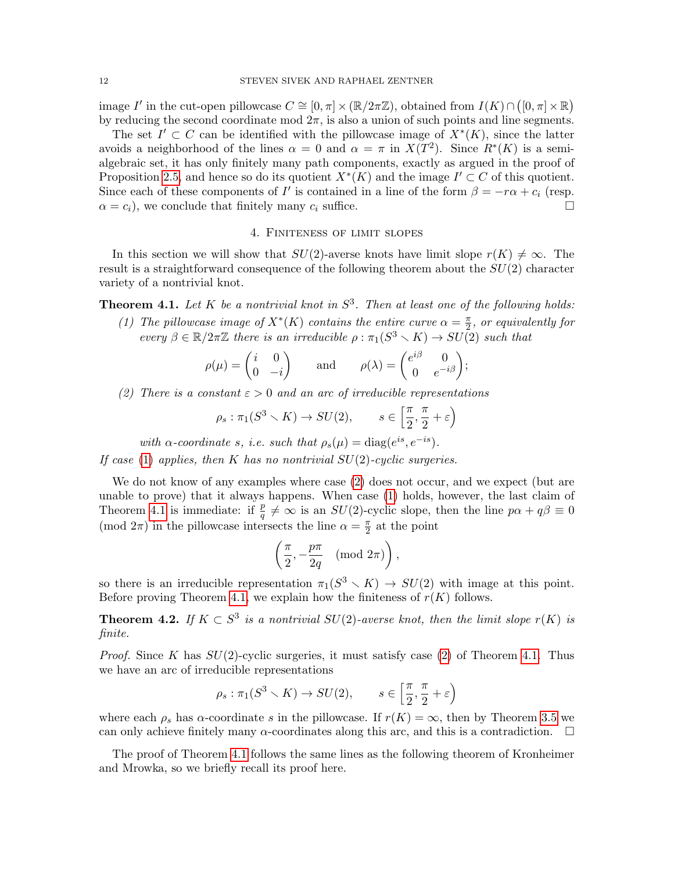image I' in the cut-open pillowcase  $C \cong [0, \pi] \times (\mathbb{R}/2\pi\mathbb{Z})$ , obtained from  $I(K) \cap ([0, \pi] \times \mathbb{R})$ by reducing the second coordinate mod  $2\pi$ , is also a union of such points and line segments.

The set  $I' \subset C$  can be identified with the pillowcase image of  $X^*(K)$ , since the latter avoids a neighborhood of the lines  $\alpha = 0$  and  $\alpha = \pi$  in  $X(T^2)$ . Since  $R^*(K)$  is a semialgebraic set, it has only finitely many path components, exactly as argued in the proof of Proposition [2.5,](#page-7-1) and hence so do its quotient  $X^*(K)$  and the image  $I' \subset C$  of this quotient. Since each of these components of I' is contained in a line of the form  $\beta = -r\alpha + c_i$  (resp.  $\alpha = c_i$ , we conclude that finitely many  $c_i$  suffice.

### 4. Finiteness of limit slopes

<span id="page-11-1"></span>In this section we will show that  $SU(2)$ -averse knots have limit slope  $r(K) \neq \infty$ . The result is a straightforward consequence of the following theorem about the  $SU(2)$  character variety of a nontrivial knot.

<span id="page-11-3"></span><span id="page-11-2"></span>**Theorem 4.1.** Let K be a nontrivial knot in  $S^3$ . Then at least one of the following holds:

(1) The pillowcase image of  $X^*(K)$  contains the entire curve  $\alpha = \frac{\pi}{2}$  $\frac{\pi}{2}$ , or equivalently for every  $\beta \in \mathbb{R}/2\pi\mathbb{Z}$  there is an irreducible  $\rho : \pi_1(S^3 \setminus K) \to SU(2)$  such that

$$
\rho(\mu) = \begin{pmatrix} i & 0 \\ 0 & -i \end{pmatrix} \quad \text{and} \quad \rho(\lambda) = \begin{pmatrix} e^{i\beta} & 0 \\ 0 & e^{-i\beta} \end{pmatrix};
$$

<span id="page-11-4"></span>(2) There is a constant  $\varepsilon > 0$  and an arc of irreducible representations

$$
\rho_s: \pi_1(S^3 \setminus K) \to SU(2), \qquad s \in \left[\frac{\pi}{2}, \frac{\pi}{2} + \varepsilon\right)
$$

with  $\alpha$ -coordinate s, i.e. such that  $\rho_s(\mu) = \text{diag}(e^{is}, e^{-is})$ .

If case [\(1\)](#page-11-3) applies, then K has no nontrivial  $SU(2)$ -cyclic surgeries.

We do not know of any examples where case  $(2)$  does not occur, and we expect (but are unable to prove) that it always happens. When case [\(1\)](#page-11-3) holds, however, the last claim of Theorem [4.1](#page-11-2) is immediate: if  $\frac{p}{q} \neq \infty$  is an  $SU(2)$ -cyclic slope, then the line  $p\alpha + q\beta \equiv 0$ (mod  $2\pi$ ) in the pillowcase intersects the line  $\alpha = \frac{\pi}{2}$  $\frac{\pi}{2}$  at the point

$$
\left(\frac{\pi}{2}, -\frac{p\pi}{2q} \pmod{2\pi}\right),\,
$$

so there is an irreducible representation  $\pi_1(S^3 \setminus K) \to SU(2)$  with image at this point. Before proving Theorem [4.1,](#page-11-2) we explain how the finiteness of  $r(K)$  follows.

<span id="page-11-0"></span>**Theorem 4.2.** If  $K \subset S^3$  is a nontrivial  $SU(2)$ -averse knot, then the limit slope  $r(K)$  is finite.

*Proof.* Since K has  $SU(2)$ -cyclic surgeries, it must satisfy case [\(2\)](#page-11-4) of Theorem [4.1.](#page-11-2) Thus we have an arc of irreducible representations

$$
\rho_s: \pi_1(S^3 \setminus K) \to SU(2), \qquad s \in \left[\frac{\pi}{2}, \frac{\pi}{2} + \varepsilon\right)
$$

where each  $\rho_s$  has  $\alpha$ -coordinate s in the pillowcase. If  $r(K) = \infty$ , then by Theorem [3.5](#page-10-1) we can only achieve finitely many  $\alpha$ -coordinates along this arc, and this is a contradiction.  $\Box$ 

The proof of Theorem [4.1](#page-11-2) follows the same lines as the following theorem of Kronheimer and Mrowka, so we briefly recall its proof here.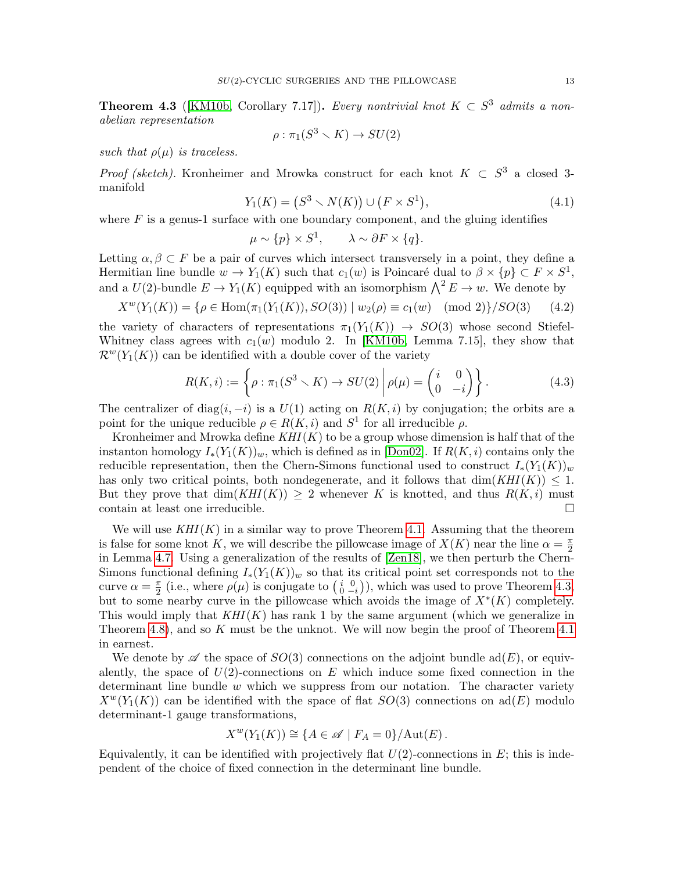<span id="page-12-0"></span>**Theorem 4.3** ([\[KM10b,](#page-65-4) Corollary 7.17]). Every nontrivial knot  $K \subset S^3$  admits a nonabelian representation

$$
\rho : \pi_1(S^3 \smallsetminus K) \to SU(2)
$$

such that  $\rho(\mu)$  is traceless.

*Proof (sketch)*. Kronheimer and Mrowka construct for each knot  $K \subset S^3$  a closed 3manifold

<span id="page-12-1"></span>
$$
Y_1(K) = (S^3 \setminus N(K)) \cup (F \times S^1), \tag{4.1}
$$

where  $F$  is a genus-1 surface with one boundary component, and the gluing identifies

$$
\mu \sim \{p\} \times S^1, \qquad \lambda \sim \partial F \times \{q\}.
$$

Letting  $\alpha, \beta \subset F$  be a pair of curves which intersect transversely in a point, they define a Hermitian line bundle  $w \to Y_1(K)$  such that  $c_1(w)$  is Poincaré dual to  $\beta \times \{p\} \subset F \times S^1$ , and a  $U(2)$ -bundle  $E \to Y_1(K)$  equipped with an isomorphism  $\bigwedge^2 E \to w$ . We denote by

$$
X^{w}(Y_1(K)) = \{ \rho \in \text{Hom}(\pi_1(Y_1(K)), SO(3)) \mid w_2(\rho) \equiv c_1(w) \pmod{2} \}/SO(3) \tag{4.2}
$$

the variety of characters of representations  $\pi_1(Y_1(K)) \to SO(3)$  whose second Stiefel-Whitney class agrees with  $c_1(w)$  modulo 2. In [\[KM10b,](#page-65-4) Lemma 7.15], they show that  $\mathcal{R}^{w}(Y_1(K))$  can be identified with a double cover of the variety

<span id="page-12-2"></span>
$$
R(K,i) := \left\{ \rho : \pi_1(S^3 \setminus K) \to SU(2) \middle| \rho(\mu) = \begin{pmatrix} i & 0 \\ 0 & -i \end{pmatrix} \right\}.
$$
 (4.3)

The centralizer of diag(i, -i) is a  $U(1)$  acting on  $R(K, i)$  by conjugation; the orbits are a point for the unique reducible  $\rho \in R(K, i)$  and  $S^1$  for all irreducible  $\rho$ .

Kronheimer and Mrowka define  $KHI(K)$  to be a group whose dimension is half that of the instanton homology  $I_*(Y_1(K))_w$ , which is defined as in [\[Don02\]](#page-64-9). If  $R(K, i)$  contains only the reducible representation, then the Chern-Simons functional used to construct  $I_*(Y_1(K))_w$ has only two critical points, both nondegenerate, and it follows that  $\dim(KHI(K)) \leq 1$ . But they prove that  $\dim(KHI(K)) \geq 2$  whenever K is knotted, and thus  $R(K, i)$  must contain at least one irreducible.  $\Box$ 

We will use  $KHI(K)$  in a similar way to prove Theorem [4.1.](#page-11-2) Assuming that the theorem is false for some knot K, we will describe the pillowcase image of  $X(K)$  near the line  $\alpha = \frac{\pi}{2}$ 2 in Lemma [4.7.](#page-16-0) Using a generalization of the results of [\[Zen18\]](#page-65-5), we then perturb the Chern-Simons functional defining  $I_*(Y_1(K))_w$  so that its critical point set corresponds not to the curve  $\alpha = \frac{\pi}{2}$  $\frac{\pi}{2}$  (i.e., where  $\rho(\mu)$  is conjugate to  $\left(\begin{smallmatrix} i & 0 \\ 0 & -i \end{smallmatrix}\right)$ ), which was used to prove Theorem [4.3,](#page-12-0) but to some nearby curve in the pillowcase which avoids the image of  $X^*(K)$  completely. This would imply that  $KHI(K)$  has rank 1 by the same argument (which we generalize in Theorem [4.8\)](#page-17-0), and so K must be the unknot. We will now begin the proof of Theorem [4.1](#page-11-2) in earnest.

We denote by  $\mathscr A$  the space of  $SO(3)$  connections on the adjoint bundle ad(E), or equivalently, the space of  $U(2)$ -connections on E which induce some fixed connection in the determinant line bundle  $w$  which we suppress from our notation. The character variety  $X^w(Y_1(K))$  can be identified with the space of flat  $SO(3)$  connections on ad(E) modulo determinant-1 gauge transformations,

$$
X^{w}(Y_1(K)) \cong \{ A \in \mathscr{A} \mid F_A = 0 \} / \text{Aut}(E) .
$$

Equivalently, it can be identified with projectively flat  $U(2)$ -connections in E; this is independent of the choice of fixed connection in the determinant line bundle.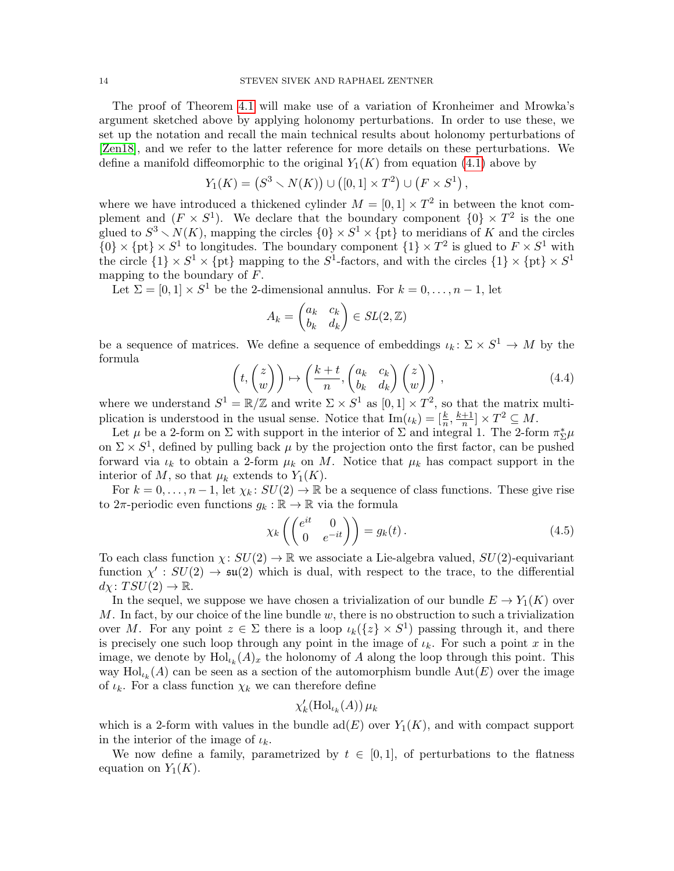The proof of Theorem [4.1](#page-11-2) will make use of a variation of Kronheimer and Mrowka's argument sketched above by applying holonomy perturbations. In order to use these, we set up the notation and recall the main technical results about holonomy perturbations of [\[Zen18\]](#page-65-5), and we refer to the latter reference for more details on these perturbations. We define a manifold diffeomorphic to the original  $Y_1(K)$  from equation [\(4.1\)](#page-12-1) above by

$$
Y_1(K) = (S^3 \setminus N(K)) \cup ([0,1] \times T^2) \cup (F \times S^1),
$$

where we have introduced a thickened cylinder  $M = [0, 1] \times T^2$  in between the knot complement and  $(F \times S^1)$ . We declare that the boundary component  $\{0\} \times T^2$  is the one glued to  $S^3 \setminus N(K)$ , mapping the circles  $\{0\} \times S^1 \times \{pt\}$  to meridians of K and the circles  ${0} \times {\text{pt}} \times S^1$  to longitudes. The boundary component  ${1} \times T^2$  is glued to  $F \times S^1$  with the circle  $\{1\} \times S^1 \times \{pt\}$  mapping to the  $S^1$ -factors, and with the circles  $\{1\} \times \{pt\} \times S^1$ mapping to the boundary of F.

Let  $\Sigma = [0, 1] \times S^1$  be the 2-dimensional annulus. For  $k = 0, \ldots, n - 1$ , let

$$
A_k = \begin{pmatrix} a_k & c_k \\ b_k & d_k \end{pmatrix} \in SL(2, \mathbb{Z})
$$

be a sequence of matrices. We define a sequence of embeddings  $\iota_k \colon \Sigma \times S^1 \to M$  by the formula  $\sim$ 

$$
\left(t, \begin{pmatrix} z \\ w \end{pmatrix}\right) \mapsto \left(\frac{k+t}{n}, \begin{pmatrix} a_k & c_k \\ b_k & d_k \end{pmatrix} \begin{pmatrix} z \\ w \end{pmatrix}\right),\tag{4.4}
$$

where we understand  $S^1 = \mathbb{R}/\mathbb{Z}$  and write  $\Sigma \times S^1$  as  $[0,1] \times T^2$ , so that the matrix multiplication is understood in the usual sense. Notice that  $\text{Im}(\iota_k) = [\frac{k}{n}, \frac{k+1}{n}]$  $\frac{+1}{n}$   $\times T^2 \subseteq M$ .

Let  $\mu$  be a 2-form on  $\Sigma$  with support in the interior of  $\Sigma$  and integral 1. The 2-form  $\pi_{\Sigma}^*\mu$ on  $\Sigma \times S^1$ , defined by pulling back  $\mu$  by the projection onto the first factor, can be pushed forward via  $\iota_k$  to obtain a 2-form  $\mu_k$  on M. Notice that  $\mu_k$  has compact support in the interior of M, so that  $\mu_k$  extends to  $Y_1(K)$ .

For  $k = 0, \ldots, n-1$ , let  $\chi_k : SU(2) \to \mathbb{R}$  be a sequence of class functions. These give rise to  $2\pi$ -periodic even functions  $g_k : \mathbb{R} \to \mathbb{R}$  via the formula

<span id="page-13-0"></span>
$$
\chi_k \left( \begin{pmatrix} e^{it} & 0 \\ 0 & e^{-it} \end{pmatrix} \right) = g_k(t). \tag{4.5}
$$

To each class function  $\chi: SU(2) \to \mathbb{R}$  we associate a Lie-algebra valued,  $SU(2)$ -equivariant function  $\chi': SU(2) \to \mathfrak{su}(2)$  which is dual, with respect to the trace, to the differential  $d\chi\colon TSU(2)\to \mathbb{R}.$ 

In the sequel, we suppose we have chosen a trivialization of our bundle  $E \to Y_1(K)$  over M. In fact, by our choice of the line bundle  $w$ , there is no obstruction to such a trivialization over M. For any point  $z \in \Sigma$  there is a loop  $\iota_k({z} \times S^1)$  passing through it, and there is precisely one such loop through any point in the image of  $\iota_k$ . For such a point x in the image, we denote by  $\text{Hol}_{\iota_k}(A)_x$  the holonomy of A along the loop through this point. This way  $\text{Hol}_{\iota_k}(A)$  can be seen as a section of the automorphism bundle  $\text{Aut}(E)$  over the image of  $\iota_k$ . For a class function  $\chi_k$  we can therefore define

$$
\chi'_{k}(\mathrm{Hol}_{\iota_{k}}(A))\,\mu_{k}
$$

which is a 2-form with values in the bundle  $\text{ad}(E)$  over  $Y_1(K)$ , and with compact support in the interior of the image of  $\iota_k$ .

We now define a family, parametrized by  $t \in [0,1]$ , of perturbations to the flatness equation on  $Y_1(K)$ .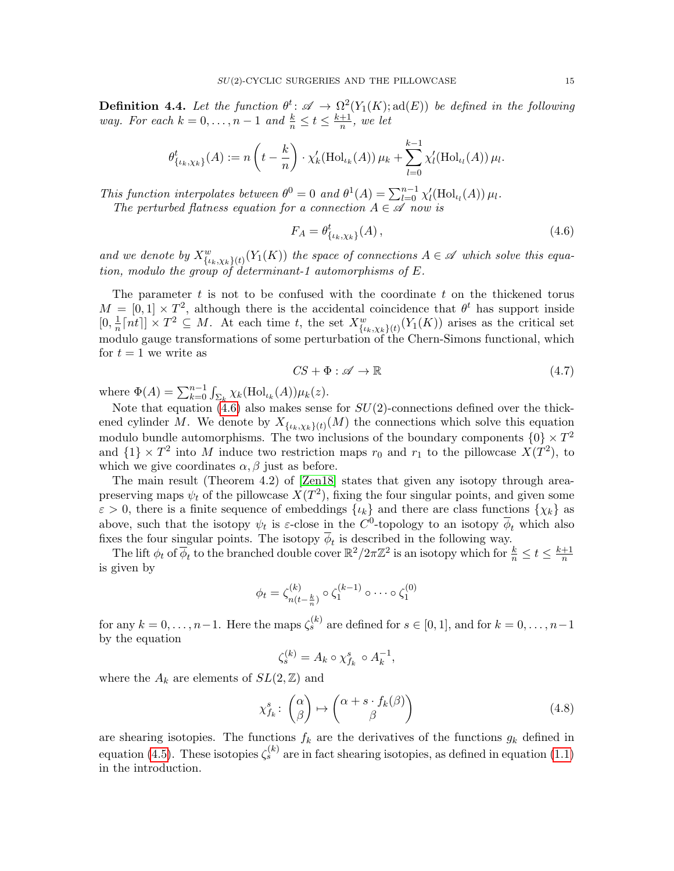<span id="page-14-1"></span>**Definition 4.4.** Let the function  $\theta^t \colon \mathscr{A} \to \Omega^2(Y_1(K); \text{ad}(E))$  be defined in the following way. For each  $k = 0, ..., n - 1$  and  $\frac{k}{n} \le t \le \frac{k+1}{n}$  $\frac{+1}{n}$ , we let

$$
\theta^t_{\{\iota_k,\chi_k\}}(A) := n\left(t - \frac{k}{n}\right) \cdot \chi'_k(\mathrm{Hol}_{\iota_k}(A)) \mu_k + \sum_{l=0}^{k-1} \chi'_l(\mathrm{Hol}_{\iota_l}(A)) \mu_l.
$$

This function interpolates between  $\theta^0 = 0$  and  $\theta^1(A) = \sum_{l=0}^{n-1} \chi'_l(\text{Hol}_{\iota_l}(A)) \mu_l$ . The perturbed flatness equation for a connection  $A \in \mathscr{A}$  now is

<span id="page-14-0"></span>
$$
F_A = \theta^t_{\{\iota_k, \chi_k\}}(A) \,,\tag{4.6}
$$

and we denote by  $X^w_{\{\iota_k,\chi_k\}(t)}(Y_1(K))$  the space of connections  $A \in \mathscr{A}$  which solve this equation, modulo the group of determinant-1 automorphisms of  $E$ .

The parameter  $t$  is not to be confused with the coordinate  $t$  on the thickened torus  $M = [0,1] \times T^2$ , although there is the accidental coincidence that  $\theta^t$  has support inside  $[0, \frac{1}{n}]$  $\frac{1}{n}[nt]] \times T^2 \subseteq M$ . At each time t, the set  $X^w_{\{\iota_k,\chi_k\}(t)}(Y_1(K))$  arises as the critical set modulo gauge transformations of some perturbation of the Chern-Simons functional, which for  $t = 1$  we write as

<span id="page-14-2"></span>
$$
CS + \Phi : \mathscr{A} \to \mathbb{R} \tag{4.7}
$$

where  $\Phi(A) = \sum_{k=0}^{n-1} \int_{\Sigma_k} \chi_k(\text{Hol}_{\iota_k}(A)) \mu_k(z)$ .

Note that equation  $(4.6)$  also makes sense for  $SU(2)$ -connections defined over the thickened cylinder M. We denote by  $X_{\{\iota_k,\chi_k\}(t)}(M)$  the connections which solve this equation modulo bundle automorphisms. The two inclusions of the boundary components  $\{0\} \times T^2$ and  $\{1\} \times T^2$  into M induce two restriction maps  $r_0$  and  $r_1$  to the pillowcase  $X(T^2)$ , to which we give coordinates  $\alpha$ ,  $\beta$  just as before.

The main result (Theorem 4.2) of [\[Zen18\]](#page-65-5) states that given any isotopy through areapreserving maps  $\psi_t$  of the pillowcase  $X(T^2)$ , fixing the four singular points, and given some  $\varepsilon > 0$ , there is a finite sequence of embeddings  $\{\iota_k\}$  and there are class functions  $\{\chi_k\}$  as above, such that the isotopy  $\psi_t$  is  $\varepsilon$ -close in the C<sup>0</sup>-topology to an isotopy  $\overline{\phi}_t$  which also fixes the four singular points. The isotopy  $\phi_t$  is described in the following way.

The lift  $\phi_t$  of  $\overline{\phi}_t$  to the branched double cover  $\mathbb{R}^2/2\pi\mathbb{Z}^2$  is an isotopy which for  $\frac{k}{n} \leq t \leq \frac{k+1}{n}$  $\overline{n}$ is given by

$$
\phi_t = \zeta_{n(t-\frac{k}{n})}^{(k)} \circ \zeta_1^{(k-1)} \circ \cdots \circ \zeta_1^{(0)}
$$

for any  $k = 0, \ldots, n-1$ . Here the maps  $\zeta_s^{(k)}$  are defined for  $s \in [0,1]$ , and for  $k = 0, \ldots, n-1$ by the equation

$$
\zeta_s^{(k)} = A_k \circ \chi_{f_k}^s \circ A_k^{-1},
$$

where the  $A_k$  are elements of  $SL(2, \mathbb{Z})$  and

$$
\chi_{f_k}^s \colon \begin{pmatrix} \alpha \\ \beta \end{pmatrix} \mapsto \begin{pmatrix} \alpha + s \cdot f_k(\beta) \\ \beta \end{pmatrix} \tag{4.8}
$$

are shearing isotopies. The functions  $f_k$  are the derivatives of the functions  $g_k$  defined in equation [\(4.5\)](#page-13-0). These isotopies  $\zeta_s^{(k)}$  are in fact shearing isotopies, as defined in equation [\(1.1\)](#page-3-0) in the introduction.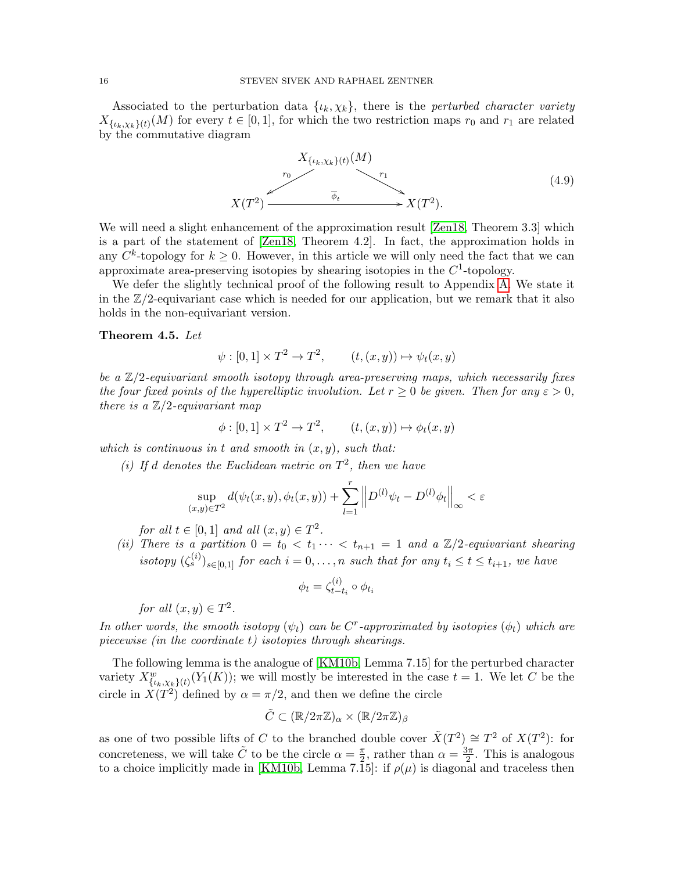Associated to the perturbation data  $\{\iota_k, \chi_k\}$ , there is the perturbed character variety  $X_{\{\iota_k,\chi_k\}(t)}(M)$  for every  $t \in [0,1]$ , for which the two restriction maps  $r_0$  and  $r_1$  are related by the commutative diagram

<span id="page-15-1"></span>
$$
X_{\{\iota_k,\chi_k\}(t)}(M)
$$
\n
$$
X(T^2)
$$
\n
$$
X(T^2)
$$
\n
$$
X(T^2)
$$
\n
$$
(4.9)
$$

We will need a slight enhancement of the approximation result [\[Zen18,](#page-65-5) Theorem 3.3] which is a part of the statement of [\[Zen18,](#page-65-5) Theorem 4.2]. In fact, the approximation holds in any  $C^k$ -topology for  $k \geq 0$ . However, in this article we will only need the fact that we can approximate area-preserving isotopies by shearing isotopies in the  $C<sup>1</sup>$ -topology.

We defer the slightly technical proof of the following result to Appendix [A.](#page-47-0) We state it in the  $\mathbb{Z}/2$ -equivariant case which is needed for our application, but we remark that it also holds in the non-equivariant version.

### <span id="page-15-0"></span>Theorem 4.5. Let

$$
\psi : [0,1] \times T^2 \to T^2, \qquad (t,(x,y)) \mapsto \psi_t(x,y)
$$

be a  $\mathbb{Z}/2$ -equivariant smooth isotopy through area-preserving maps, which necessarily fixes the four fixed points of the hyperelliptic involution. Let  $r \geq 0$  be given. Then for any  $\varepsilon > 0$ , there is a  $\mathbb{Z}/2$ -equivariant map

$$
\phi : [0,1] \times T^2 \to T^2, \qquad (t,(x,y)) \mapsto \phi_t(x,y)
$$

which is continuous in t and smooth in  $(x, y)$ , such that:

(i) If d denotes the Euclidean metric on  $T^2$ , then we have

$$
\sup_{(x,y)\in T^2} d(\psi_t(x,y), \phi_t(x,y)) + \sum_{l=1}^r \left\| D^{(l)} \psi_t - D^{(l)} \phi_t \right\|_{\infty} < \varepsilon
$$

for all  $t \in [0,1]$  and all  $(x,y) \in T^2$ .

(ii) There is a partition  $0 = t_0 < t_1 \cdots < t_{n+1} = 1$  and a  $\mathbb{Z}/2$ -equivariant shearing isotopy  $(\zeta_s^{(i)})_{s\in[0,1]}$  for each  $i=0,\ldots,n$  such that for any  $t_i\leq t\leq t_{i+1}$ , we have

$$
\phi_t = \zeta_{t-t_i}^{(i)} \circ \phi_{t_i}
$$

for all  $(x, y) \in T^2$ .

In other words, the smooth isotopy  $(\psi_t)$  can be  $C^r$ -approximated by isotopies  $(\phi_t)$  which are piecewise (in the coordinate t) isotopies through shearings.

The following lemma is the analogue of [\[KM10b,](#page-65-4) Lemma 7.15] for the perturbed character variety  $X_{\{\iota_k,\chi_k\}(t)}^w(Y_1(K))$ ; we will mostly be interested in the case  $t = 1$ . We let C be the circle in  $X(T^2)$  defined by  $\alpha = \pi/2$ , and then we define the circle

$$
\tilde{C} \subset (\mathbb{R}/2\pi\mathbb{Z})_{\alpha} \times (\mathbb{R}/2\pi\mathbb{Z})_{\beta}
$$

as one of two possible lifts of C to the branched double cover  $\tilde{X}(T^2) \cong T^2$  of  $X(T^2)$ : for concreteness, we will take  $\tilde{C}$  to be the circle  $\alpha = \frac{\pi}{2}$  $\frac{\pi}{2}$ , rather than  $\alpha = \frac{3\pi}{2}$  $\frac{3\pi}{2}$ . This is analogous to a choice implicitly made in [\[KM10b,](#page-65-4) Lemma 7.15]: if  $\rho(\mu)$  is diagonal and traceless then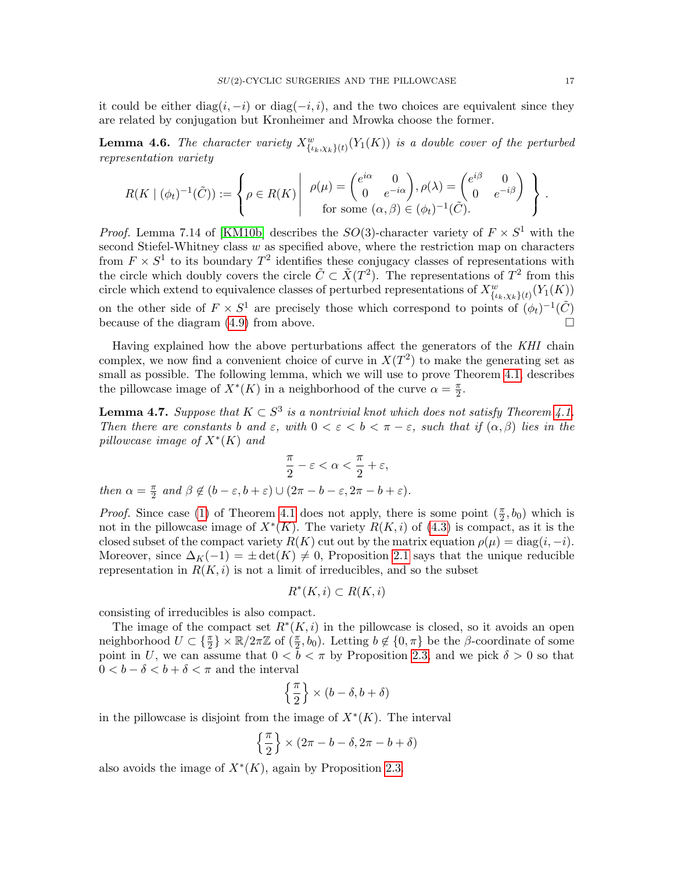it could be either diag $(i, -i)$  or diag $(-i, i)$ , and the two choices are equivalent since they are related by conjugation but Kronheimer and Mrowka choose the former.

<span id="page-16-1"></span>**Lemma 4.6.** The character variety  $X_{\{\iota_k,\chi_k\}(t)}^w(Y_1(K))$  is a double cover of the perturbed representation variety

$$
R(K \mid (\phi_t)^{-1}(\tilde{C})) := \left\{ \rho \in R(K) \middle| \begin{array}{c} \rho(\mu) = \begin{pmatrix} e^{i\alpha} & 0 \\ 0 & e^{-i\alpha} \end{pmatrix}, \rho(\lambda) = \begin{pmatrix} e^{i\beta} & 0 \\ 0 & e^{-i\beta} \end{pmatrix} \end{array} \right\}.
$$
  
for some  $(\alpha, \beta) \in (\phi_t)^{-1}(\tilde{C}).$ 

*Proof.* Lemma 7.14 of [\[KM10b\]](#page-65-4) describes the  $SO(3)$ -character variety of  $F \times S^1$  with the second Stiefel-Whitney class w as specified above, where the restriction map on characters from  $F \times S^1$  to its boundary  $T^2$  identifies these conjugacy classes of representations with the circle which doubly covers the circle  $\tilde{C} \subset \tilde{X}(T^2)$ . The representations of  $T^2$  from this circle which extend to equivalence classes of perturbed representations of  $X_{\{\iota_k,\chi_k\}(t)}^w(Y_1(K))$ on the other side of  $F \times S^1$  are precisely those which correspond to points of  $(\phi_t)^{-1}(\tilde{C})$ because of the diagram  $(4.9)$  from above.

Having explained how the above perturbations affect the generators of the KHI chain complex, we now find a convenient choice of curve in  $X(T^2)$  to make the generating set as small as possible. The following lemma, which we will use to prove Theorem [4.1,](#page-11-2) describes the pillowcase image of  $X^*(K)$  in a neighborhood of the curve  $\alpha = \frac{\pi}{2}$  $\frac{\pi}{2}$ .

<span id="page-16-0"></span>**Lemma 4.7.** Suppose that  $K \subset S^3$  is a nontrivial knot which does not satisfy Theorem [4.1.](#page-11-2) Then there are constants b and  $\varepsilon$ , with  $0 < \varepsilon < b < \pi - \varepsilon$ , such that if  $(\alpha, \beta)$  lies in the pillowcase image of  $X^*(K)$  and

$$
\frac{\pi}{2} - \varepsilon < \alpha < \frac{\pi}{2} + \varepsilon,
$$

then  $\alpha = \frac{\pi}{2}$  $\frac{\pi}{2}$  and  $\beta \notin (b-\varepsilon, b+\varepsilon) \cup (2\pi - b - \varepsilon, 2\pi - b + \varepsilon).$ 

*Proof.* Since case [\(1\)](#page-11-3) of Theorem [4.1](#page-11-2) does not apply, there is some point  $(\frac{\pi}{2}, b_0)$  which is not in the pillowcase image of  $X^*(K)$ . The variety  $R(K, i)$  of  $(4.3)$  is compact, as it is the closed subset of the compact variety  $R(K)$  cut out by the matrix equation  $\rho(\mu) = \text{diag}(i, -i)$ . Moreover, since  $\Delta_K(-1) = \pm \det(K) \neq 0$ , Proposition [2.1](#page-6-1) says that the unique reducible representation in  $R(K, i)$  is not a limit of irreducibles, and so the subset

$$
R^*(K,i) \subset R(K,i)
$$

consisting of irreducibles is also compact.

The image of the compact set  $R^*(K, i)$  in the pillowcase is closed, so it avoids an open neighborhood  $U \subset \{\frac{\pi}{2}\}\times\mathbb{R}/2\pi\mathbb{Z}$  of  $(\frac{\pi}{2},b_0)$ . Letting  $b \notin \{0,\pi\}$  be the  $\beta$ -coordinate of some point in U, we can assume that  $0 < \bar{b} < \pi$  by Proposition [2.3,](#page-6-2) and we pick  $\delta > 0$  so that  $0 < b - \delta < b + \delta < \pi$  and the interval

$$
\left\{\frac{\pi}{2}\right\}\times (b-\delta,b+\delta)
$$

in the pillowcase is disjoint from the image of  $X^*(K)$ . The interval

$$
\left\{\frac{\pi}{2}\right\}\times(2\pi-b-\delta,2\pi-b+\delta)
$$

also avoids the image of  $X^*(K)$ , again by Proposition [2.3.](#page-6-2)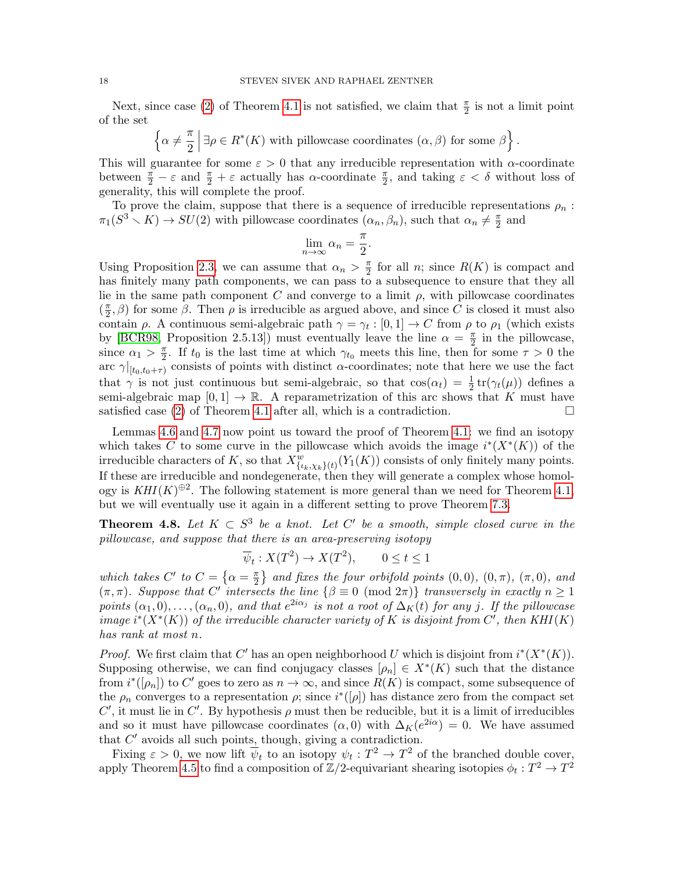Next, since case [\(2\)](#page-11-4) of Theorem [4.1](#page-11-2) is not satisfied, we claim that  $\frac{\pi}{2}$  is not a limit point of the set

 $\Big\{\alpha \neq \frac{\pi}{2}\Big\}$ 2  $\exists \rho \in R^*(K)$  with pillowcase coordinates  $(\alpha, \beta)$  for some  $\beta$ .

This will guarantee for some  $\varepsilon > 0$  that any irreducible representation with  $\alpha$ -coordinate between  $\frac{\pi}{2} - \varepsilon$  and  $\frac{\pi}{2} + \varepsilon$  actually has  $\alpha$ -coordinate  $\frac{\pi}{2}$ , and taking  $\varepsilon < \delta$  without loss of generality, this will complete the proof.

To prove the claim, suppose that there is a sequence of irreducible representations  $\rho_n$ :  $\pi_1(S^3 \setminus K) \to SU(2)$  with pillowcase coordinates  $(\alpha_n, \beta_n)$ , such that  $\alpha_n \neq \frac{\pi}{2}$  $\frac{\pi}{2}$  and

$$
\lim_{n \to \infty} \alpha_n = \frac{\pi}{2}.
$$

Using Proposition [2.3,](#page-6-2) we can assume that  $\alpha_n > \frac{\pi}{2}$  $\frac{\pi}{2}$  for all *n*; since  $R(K)$  is compact and has finitely many path components, we can pass to a subsequence to ensure that they all lie in the same path component  $C$  and converge to a limit  $\rho$ , with pillowcase coordinates  $\left(\frac{\pi}{2}\right)$  $(\frac{\pi}{2}, \beta)$  for some  $\beta$ . Then  $\rho$  is irreducible as argued above, and since C is closed it must also contain  $\rho$ . A continuous semi-algebraic path  $\gamma = \gamma_t : [0,1] \to C$  from  $\rho$  to  $\rho_1$  (which exists by [\[BCR98,](#page-63-3) Proposition 2.5.13]) must eventually leave the line  $\alpha = \frac{\pi}{2}$  $\frac{\pi}{2}$  in the pillowcase, since  $\alpha_1 > \frac{\pi}{2}$  $\frac{\pi}{2}$ . If  $t_0$  is the last time at which  $\gamma_{t_0}$  meets this line, then for some  $\tau > 0$  the arc  $\gamma|_{[t_0,t_0+\tau)}$  consists of points with distinct  $\alpha$ -coordinates; note that here we use the fact that  $\gamma$  is not just continuous but semi-algebraic, so that  $cos(\alpha_t) = \frac{1}{2} tr(\gamma_t(\mu))$  defines a semi-algebraic map  $[0, 1] \rightarrow \mathbb{R}$ . A reparametrization of this arc shows that K must have satisfied case [\(2\)](#page-11-4) of Theorem [4.1](#page-11-2) after all, which is a contradiction.  $\Box$ 

Lemmas [4.6](#page-16-1) and [4.7](#page-16-0) now point us toward the proof of Theorem [4.1:](#page-11-2) we find an isotopy which takes C to some curve in the pillowcase which avoids the image  $i^*(X^*(K))$  of the irreducible characters of K, so that  $X^w_{\{\iota_k,\chi_k\}(t)}(Y_1(K))$  consists of only finitely many points. If these are irreducible and nondegenerate, then they will generate a complex whose homology is  $KHI(K)^{\oplus 2}$ . The following statement is more general than we need for Theorem [4.1,](#page-11-2) but we will eventually use it again in a different setting to prove Theorem [7.3.](#page-31-0)

<span id="page-17-0"></span>**Theorem 4.8.** Let  $K \subset S^3$  be a knot. Let C' be a smooth, simple closed curve in the pillowcase, and suppose that there is an area-preserving isotopy

$$
\overline{\psi}_t : X(T^2) \to X(T^2), \qquad 0 \le t \le 1
$$

which takes  $C'$  to  $C = \{ \alpha = \frac{\pi}{2} \}$  $\{\fracpi}{2}\}$  and fixes the four orbifold points  $(0,0)$ ,  $(0,\pi)$ ,  $(\pi,0)$ , and  $(\pi, \pi)$ . Suppose that C' intersects the line  $\{\beta \equiv 0 \pmod{2\pi}\}$  transversely in exactly  $n \geq 1$ points  $(\alpha_1, 0), \ldots, (\alpha_n, 0)$ , and that  $e^{2i\alpha_j}$  is not a root of  $\Delta_K(t)$  for any j. If the pillowcase image  $i^*(X^*(K))$  of the irreducible character variety of K is disjoint from C', then KHI(K) has rank at most n.

*Proof.* We first claim that C' has an open neighborhood U which is disjoint from  $i^*(X^*(K))$ . Supposing otherwise, we can find conjugacy classes  $[\rho_n] \in X^*(K)$  such that the distance from  $i^*([\rho_n])$  to C' goes to zero as  $n \to \infty$ , and since  $R(K)$  is compact, some subsequence of the  $\rho_n$  converges to a representation  $\rho$ ; since  $i^*([\rho])$  has distance zero from the compact set C', it must lie in C'. By hypothesis  $\rho$  must then be reducible, but it is a limit of irreducibles and so it must have pillowcase coordinates  $(\alpha, 0)$  with  $\Delta_K(e^{2i\alpha}) = 0$ . We have assumed that  $C'$  avoids all such points, though, giving a contradiction.

Fixing  $\varepsilon > 0$ , we now lift  $\overline{\psi}_t$  to an isotopy  $\psi_t : T^2 \to T^2$  of the branched double cover, apply Theorem [4.5](#page-15-0) to find a composition of  $\mathbb{Z}/2$ -equivariant shearing isotopies  $\phi_t: T^2 \to T^2$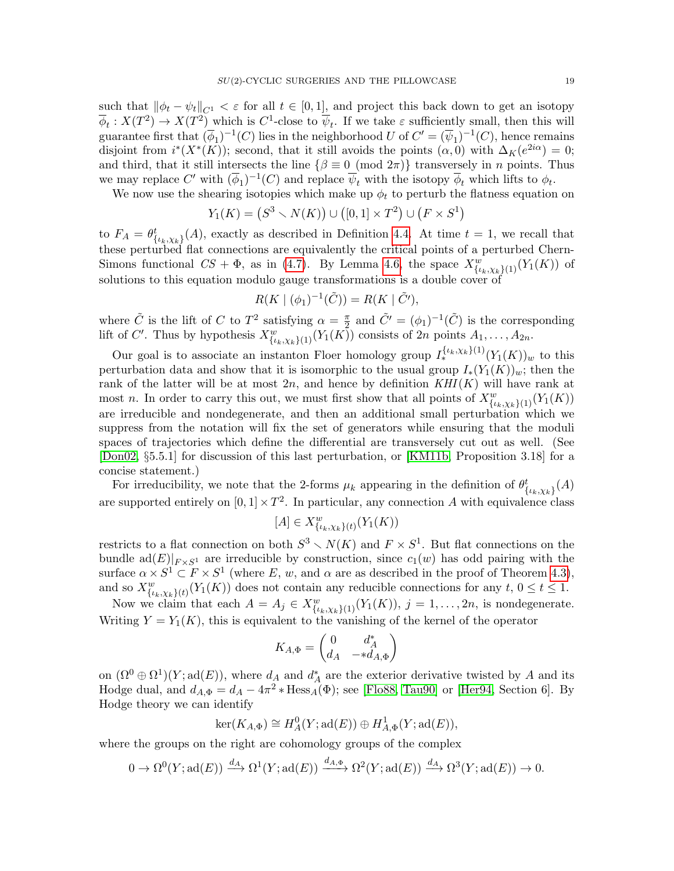such that  $\|\phi_t - \psi_t\|_{C^1} < \varepsilon$  for all  $t \in [0, 1]$ , and project this back down to get an isotopy  $\overline{\phi}_t: X(T^2) \to X(T^2)$  which is  $C^1$ -close to  $\overline{\psi}_t$ . If we take  $\varepsilon$  sufficiently small, then this will guarantee first that  $(\overline{\phi}_1)^{-1}(C)$  lies in the neighborhood U of  $C' = (\overline{\psi}_1)^{-1}(C)$ , hence remains disjoint from  $i^*(X^*(K))$ ; second, that it still avoids the points  $(\alpha,0)$  with  $\Delta_K(e^{2i\alpha})=0$ ; and third, that it still intersects the line  $\{\beta \equiv 0 \pmod{2\pi}\}$  transversely in n points. Thus we may replace  $C'$  with  $(\overline{\phi}_1)^{-1}(C)$  and replace  $\overline{\psi}_t$  with the isotopy  $\overline{\phi}_t$  which lifts to  $\phi_t$ .

We now use the shearing isotopies which make up  $\phi_t$  to perturb the flatness equation on

$$
Y_1(K) = (S^3 \setminus N(K)) \cup ([0,1] \times T^2) \cup (F \times S^1)
$$

to  $F_A = \theta_{\{\iota_k,\chi_k\}}^t(A)$ , exactly as described in Definition [4.4.](#page-14-1) At time  $t = 1$ , we recall that these perturbed flat connections are equivalently the critical points of a perturbed Chern-Simons functional  $CS + \Phi$ , as in [\(4.7\)](#page-14-2). By Lemma [4.6,](#page-16-1) the space  $X^w_{\{\iota_k,\chi_k\}(1)}(Y_1(K))$  of solutions to this equation modulo gauge transformations is a double cover of

$$
R(K \mid (\phi_1)^{-1}(\tilde{C})) = R(K \mid \tilde{C}'),
$$

where  $\tilde{C}$  is the lift of C to  $T^2$  satisfying  $\alpha = \frac{\pi}{2}$  $\frac{\pi}{2}$  and  $\tilde{C}' = (\phi_1)^{-1}(\tilde{C})$  is the corresponding lift of C'. Thus by hypothesis  $X_{\{\iota_k,\chi_k\}(1)}^w(Y_1(K))$  consists of  $2n$  points  $A_1,\ldots,A_{2n}$ .

Our goal is to associate an instanton Floer homology group  $I_{*}^{\{\iota_k,\chi_k\}(1)}(Y_1(K))_w$  to this perturbation data and show that it is isomorphic to the usual group  $I_*(Y_1(K))_w$ ; then the rank of the latter will be at most  $2n$ , and hence by definition  $KHI(K)$  will have rank at most *n*. In order to carry this out, we must first show that all points of  $X^w_{\{\iota_k,\chi_k\}(1)}(Y_1(K))$ are irreducible and nondegenerate, and then an additional small perturbation which we suppress from the notation will fix the set of generators while ensuring that the moduli spaces of trajectories which define the differential are transversely cut out as well. (See [\[Don02,](#page-64-9) §5.5.1] for discussion of this last perturbation, or [\[KM11b,](#page-65-6) Proposition 3.18] for a concise statement.)

For irreducibility, we note that the 2-forms  $\mu_k$  appearing in the definition of  $\theta^t_{\{\iota_k,\chi_k\}}(A)$ are supported entirely on  $[0,1] \times T^2$ . In particular, any connection A with equivalence class

$$
[A] \in X^w_{\{\iota_k, \chi_k\}(t)}(Y_1(K))
$$

restricts to a flat connection on both  $S^3 \setminus N(K)$  and  $F \times S^1$ . But flat connections on the bundle  $\text{ad}(E)|_{F \times S^1}$  are irreducible by construction, since  $c_1(w)$  has odd pairing with the surface  $\alpha \times S^1 \subset F \times S^1$  (where E, w, and  $\alpha$  are as described in the proof of Theorem [4.3\)](#page-12-0), and so  $X_{\{\iota_k,\chi_k\}(t)}^w(Y_1(K))$  does not contain any reducible connections for any  $t, 0 \le t \le 1$ .

Now we claim that each  $A = A_j \in X^w_{\{\iota_k,\chi_k\}(1)}(Y_1(K)), j = 1,\ldots,2n$ , is nondegenerate. Writing  $Y = Y_1(K)$ , this is equivalent to the vanishing of the kernel of the operator

$$
K_{A,\Phi} = \begin{pmatrix} 0 & d_A^* \\ d_A & -*d_{A,\Phi} \end{pmatrix}
$$

on  $(\Omega^0 \oplus \Omega^1)(Y; \text{ad}(E))$ , where  $d_A$  and  $d_A^*$  are the exterior derivative twisted by A and its Hodge dual, and  $d_{A,\Phi} = d_A - 4\pi^2 * \text{Hess}_A(\Phi)$ ; see [\[Flo88,](#page-64-10) [Tau90\]](#page-65-7) or [\[Her94,](#page-64-11) Section 6]. By Hodge theory we can identify

$$
\ker(K_{A,\Phi}) \cong H^0_A(Y; \mathrm{ad}(E)) \oplus H^1_{A,\Phi}(Y; \mathrm{ad}(E)),
$$

where the groups on the right are cohomology groups of the complex

$$
0 \to \Omega^0(Y; \text{ad}(E)) \xrightarrow{d_A} \Omega^1(Y; \text{ad}(E)) \xrightarrow{d_{A, \Phi}} \Omega^2(Y; \text{ad}(E)) \xrightarrow{d_A} \Omega^3(Y; \text{ad}(E)) \to 0.
$$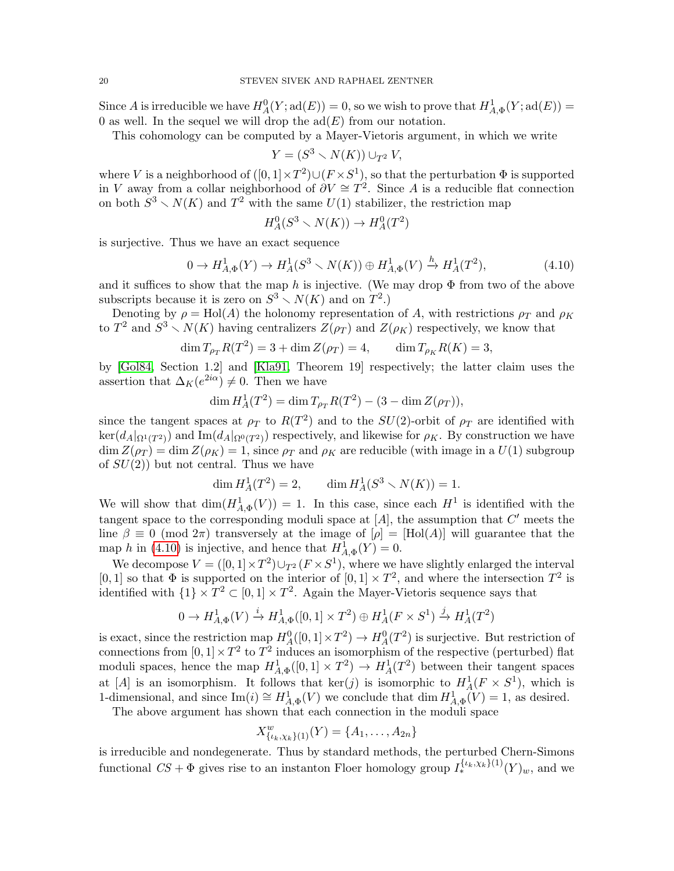Since A is irreducible we have  $H_A^0(Y; \text{ad}(E)) = 0$ , so we wish to prove that  $H_{A,\Phi}^1(Y; \text{ad}(E)) = 0$ 0 as well. In the sequel we will drop the  $\text{ad}(E)$  from our notation.

This cohomology can be computed by a Mayer-Vietoris argument, in which we write

$$
Y = (S^3 \smallsetminus N(K)) \cup_{T^2} V,
$$

where V is a neighborhood of  $([0,1] \times T^2) \cup (F \times S^1)$ , so that the perturbation  $\Phi$  is supported in V away from a collar neighborhood of  $\partial V \cong T^2$ . Since A is a reducible flat connection on both  $S^3 \setminus N(K)$  and  $T^2$  with the same  $U(1)$  stabilizer, the restriction map

$$
H_A^0(S^3 \smallsetminus N(K)) \to H_A^0(T^2)
$$

is surjective. Thus we have an exact sequence

<span id="page-19-0"></span>
$$
0 \to H_{A,\Phi}^1(Y) \to H_A^1(S^3 \smallsetminus N(K)) \oplus H_{A,\Phi}^1(V) \xrightarrow{h} H_A^1(T^2),\tag{4.10}
$$

and it suffices to show that the map h is injective. (We may drop  $\Phi$  from two of the above subscripts because it is zero on  $S^3 \setminus N(K)$  and on  $T^2$ .)

Denoting by  $\rho = Hol(A)$  the holonomy representation of A, with restrictions  $\rho_T$  and  $\rho_K$ to  $T^2$  and  $S^3 \setminus N(K)$  having centralizers  $Z(\rho_T)$  and  $Z(\rho_K)$  respectively, we know that

$$
\dim T_{\rho_T} R(T^2) = 3 + \dim Z(\rho_T) = 4, \qquad \dim T_{\rho_K} R(K) = 3,
$$

by [\[Gol84,](#page-64-12) Section 1.2] and [\[Kla91,](#page-64-7) Theorem 19] respectively; the latter claim uses the assertion that  $\Delta_K(e^{2i\alpha}) \neq 0$ . Then we have

$$
\dim H_A^1(T^2) = \dim T_{\rho_T} R(T^2) - (3 - \dim Z(\rho_T)),
$$

since the tangent spaces at  $\rho_T$  to  $R(T^2)$  and to the  $SU(2)$ -orbit of  $\rho_T$  are identified with  $\ker(d_A|_{\Omega^1(T^2)})$  and  $\text{Im}(d_A|_{\Omega^0(T^2)})$  respectively, and likewise for  $\rho_K$ . By construction we have  $\dim Z(\rho_T) = \dim Z(\rho_K) = 1$ , since  $\rho_T$  and  $\rho_K$  are reducible (with image in a  $U(1)$  subgroup of  $SU(2)$ ) but not central. Thus we have

$$
\dim H_A^1(T^2) = 2, \qquad \dim H_A^1(S^3 \smallsetminus N(K)) = 1.
$$

We will show that  $\dim(H_{A,\Phi}^1(V)) = 1$ . In this case, since each  $H^1$  is identified with the tangent space to the corresponding moduli space at  $[A]$ , the assumption that  $C'$  meets the line  $\beta \equiv 0 \pmod{2\pi}$  transversely at the image of  $[\rho] = [\text{Hol}(A)]$  will guarantee that the map h in [\(4.10\)](#page-19-0) is injective, and hence that  $H^1_{A,\Phi}(Y) = 0$ .

We decompose  $V = ([0, 1] \times T^2) \cup_{T^2} (F \times S^1)$ , where we have slightly enlarged the interval [0, 1] so that  $\Phi$  is supported on the interior of  $[0, 1] \times T^2$ , and where the intersection  $T^2$  is identified with  $\{1\} \times T^2 \subset [0,1] \times T^2$ . Again the Mayer-Vietoris sequence says that

$$
0 \to H^1_{A,\Phi}(V) \xrightarrow{i} H^1_{A,\Phi}([0,1] \times T^2) \oplus H^1_A(F \times S^1) \xrightarrow{j} H^1_A(T^2)
$$

is exact, since the restriction map  $H_A^0([0,1] \times T^2) \to H_A^0(T^2)$  is surjective. But restriction of connections from  $[0, 1] \times T^2$  to  $T^2$  induces an isomorphism of the respective (perturbed) flat moduli spaces, hence the map  $H_{A,\Phi}^1([0,1] \times T^2) \to H_A^1(T^2)$  between their tangent spaces at [A] is an isomorphism. It follows that  $\ker(j)$  is isomorphic to  $H^1_A(F \times S^1)$ , which is 1-dimensional, and since  $\text{Im}(i) \cong H_{A,\Phi}^1(V)$  we conclude that  $\dim H_{A,\Phi}^1(V) = 1$ , as desired.

The above argument has shown that each connection in the moduli space

$$
X_{\{\iota_k,\chi_k\}(1)}^w(Y) = \{A_1,\ldots,A_{2n}\}\
$$

is irreducible and nondegenerate. Thus by standard methods, the perturbed Chern-Simons functional  $CS + \Phi$  gives rise to an instanton Floer homology group  $I_*^{\{\iota_k,\chi_k\}(1)}(Y)_w$ , and we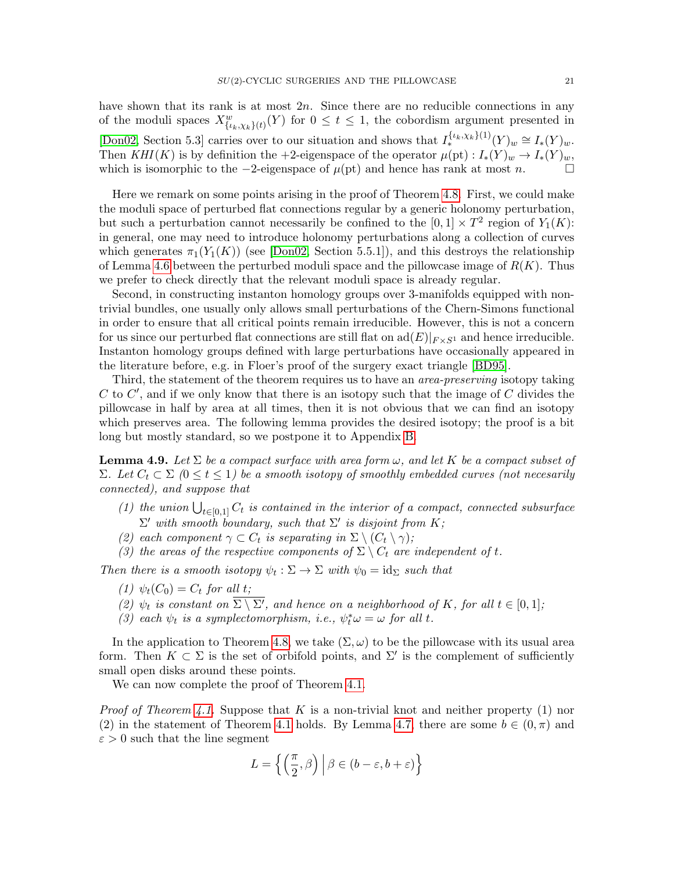have shown that its rank is at most  $2n$ . Since there are no reducible connections in any of the moduli spaces  $X_{\{\iota_k,\chi_k\}(t)}^w(Y)$  for  $0 \leq t \leq 1$ , the cobordism argument presented in [\[Don02,](#page-64-9) Section 5.3] carries over to our situation and shows that  $I_*^{\{\iota_k,\chi_k\}(1)}(Y)_w \cong I_*(Y)_w$ . Then  $KHI(K)$  is by definition the +2-eigenspace of the operator  $\mu(pt): I_*(Y)_w \to I_*(Y)_w$ , which is isomorphic to the  $-2$ -eigenspace of  $\mu(pt)$  and hence has rank at most n.

Here we remark on some points arising in the proof of Theorem [4.8.](#page-17-0) First, we could make the moduli space of perturbed flat connections regular by a generic holonomy perturbation, but such a perturbation cannot necessarily be confined to the  $[0,1] \times T^2$  region of  $Y_1(K)$ : in general, one may need to introduce holonomy perturbations along a collection of curves which generates  $\pi_1(Y_1(K))$  (see [\[Don02,](#page-64-9) Section 5.5.1]), and this destroys the relationship of Lemma [4.6](#page-16-1) between the perturbed moduli space and the pillowcase image of  $R(K)$ . Thus we prefer to check directly that the relevant moduli space is already regular.

Second, in constructing instanton homology groups over 3-manifolds equipped with nontrivial bundles, one usually only allows small perturbations of the Chern-Simons functional in order to ensure that all critical points remain irreducible. However, this is not a concern for us since our perturbed flat connections are still flat on  $\text{ad}(E)|_{F \times S^1}$  and hence irreducible. Instanton homology groups defined with large perturbations have occasionally appeared in the literature before, e.g. in Floer's proof of the surgery exact triangle [\[BD95\]](#page-63-4).

Third, the statement of the theorem requires us to have an *area-preserving* isotopy taking  $C$  to  $C'$ , and if we only know that there is an isotopy such that the image of  $C$  divides the pillowcase in half by area at all times, then it is not obvious that we can find an isotopy which preserves area. The following lemma provides the desired isotopy; the proof is a bit long but mostly standard, so we postpone it to Appendix [B.](#page-61-0)

<span id="page-20-0"></span>**Lemma 4.9.** Let  $\Sigma$  be a compact surface with area form  $\omega$ , and let K be a compact subset of Σ. Let  $C_t$  ⊂ Σ (0 ≤ t ≤ 1) be a smooth isotopy of smoothly embedded curves (not necesarily connected), and suppose that

- (1) the union  $\bigcup_{t\in[0,1]} C_t$  is contained in the interior of a compact, connected subsurface  $\Sigma'$  with smooth boundary, such that  $\Sigma'$  is disjoint from K;
- (2) each component  $\gamma \subset C_t$  is separating in  $\Sigma \setminus (C_t \setminus \gamma)$ ;
- (3) the areas of the respective components of  $\Sigma \setminus C_t$  are independent of t.

Then there is a smooth isotopy  $\psi_t : \Sigma \to \Sigma$  with  $\psi_0 = id_{\Sigma}$  such that

- (1)  $\psi_t(C_0) = C_t$  for all t;
- (2)  $\psi_t$  is constant on  $\Sigma \setminus \Sigma'$ , and hence on a neighborhood of K, for all  $t \in [0,1]$ ;
- (3) each  $\psi_t$  is a symplectomorphism, i.e.,  $\psi_t^* \omega = \omega$  for all t.

In the application to Theorem [4.8,](#page-17-0) we take  $(\Sigma, \omega)$  to be the pillowcase with its usual area form. Then  $K \subset \Sigma$  is the set of orbifold points, and  $\Sigma'$  is the complement of sufficiently small open disks around these points.

We can now complete the proof of Theorem [4.1.](#page-11-2)

*Proof of Theorem [4.1.](#page-11-2)* Suppose that K is a non-trivial knot and neither property (1) nor (2) in the statement of Theorem [4.1](#page-11-2) holds. By Lemma [4.7,](#page-16-0) there are some  $b \in (0, \pi)$  and  $\varepsilon > 0$  such that the line segment

$$
L = \left\{ \left( \frac{\pi}{2}, \beta \right) \middle| \beta \in (b - \varepsilon, b + \varepsilon) \right\}
$$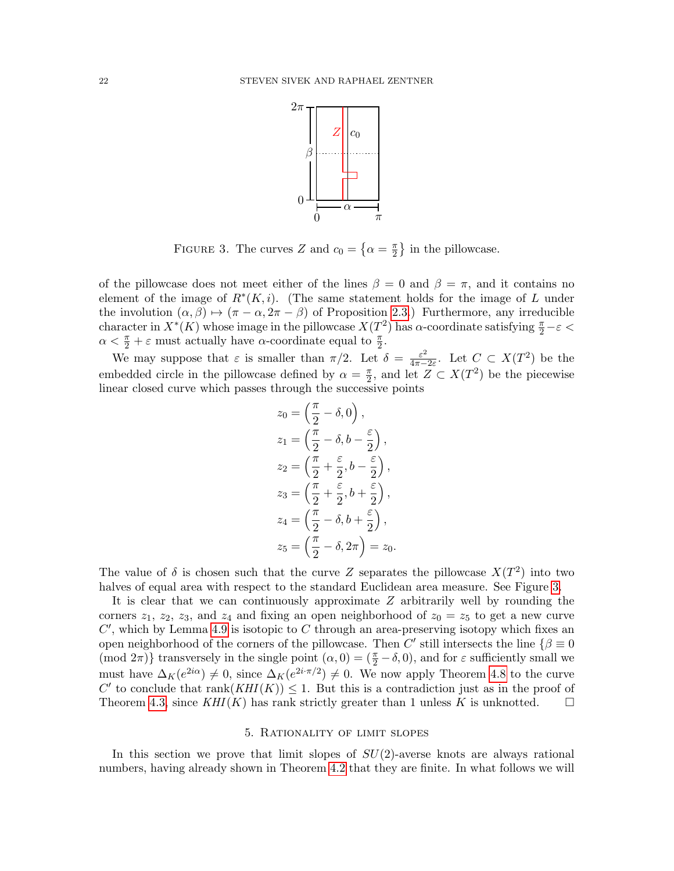

<span id="page-21-1"></span>FIGURE 3. The curves Z and  $c_0 = \{\alpha = \frac{\pi}{2} \}$  $\frac{\pi}{2}$  in the pillowcase.

of the pillowcase does not meet either of the lines  $\beta = 0$  and  $\beta = \pi$ , and it contains no element of the image of  $R^*(K, i)$ . (The same statement holds for the image of L under the involution  $(\alpha, \beta) \mapsto (\pi - \alpha, 2\pi - \beta)$  of Proposition [2.3.](#page-6-2)) Furthermore, any irreducible character in  $X^*(K)$  whose image in the pillowcase  $X(T^2)$  has  $\alpha$ -coordinate satisfying  $\frac{\pi}{2} - \varepsilon$  $\alpha < \frac{\pi}{2} + \varepsilon$  must actually have  $\alpha$ -coordinate equal to  $\frac{\pi}{2}$ . 2

We may suppose that  $\varepsilon$  is smaller than  $\pi/2$ . Let  $\delta = \frac{\varepsilon^2}{4\pi\epsilon}$  $\frac{\varepsilon^2}{4\pi - 2\varepsilon}$ . Let  $C \subset X(T^2)$  be the embedded circle in the pillowcase defined by  $\alpha = \frac{\pi}{2}$  $\frac{\pi}{2}$ , and let  $Z \subset X(T^2)$  be the piecewise linear closed curve which passes through the successive points

$$
z_0 = \left(\frac{\pi}{2} - \delta, 0\right),
$$
  
\n
$$
z_1 = \left(\frac{\pi}{2} - \delta, b - \frac{\varepsilon}{2}\right),
$$
  
\n
$$
z_2 = \left(\frac{\pi}{2} + \frac{\varepsilon}{2}, b - \frac{\varepsilon}{2}\right),
$$
  
\n
$$
z_3 = \left(\frac{\pi}{2} + \frac{\varepsilon}{2}, b + \frac{\varepsilon}{2}\right),
$$
  
\n
$$
z_4 = \left(\frac{\pi}{2} - \delta, b + \frac{\varepsilon}{2}\right),
$$
  
\n
$$
z_5 = \left(\frac{\pi}{2} - \delta, 2\pi\right) = z_0.
$$

The value of  $\delta$  is chosen such that the curve Z separates the pillowcase  $X(T^2)$  into two halves of equal area with respect to the standard Euclidean area measure. See Figure [3.](#page-21-1)

It is clear that we can continuously approximate Z arbitrarily well by rounding the corners  $z_1$ ,  $z_2$ ,  $z_3$ , and  $z_4$  and fixing an open neighborhood of  $z_0 = z_5$  to get a new curve  $C'$ , which by Lemma [4.9](#page-20-0) is isotopic to C through an area-preserving isotopy which fixes an open neighborhood of the corners of the pillowcase. Then C' still intersects the line  $\{\beta \equiv 0\}$ (mod  $2\pi$ )} transversely in the single point  $(\alpha, 0) = (\frac{\pi}{2} - \delta, 0)$ , and for  $\varepsilon$  sufficiently small we must have  $\Delta_K(e^{2i\alpha}) \neq 0$ , since  $\Delta_K(e^{2i\cdot\pi/2}) \neq 0$ . We now apply Theorem [4.8](#page-17-0) to the curve C' to conclude that  $rank(KHI(K)) \leq 1$ . But this is a contradiction just as in the proof of Theorem [4.3,](#page-12-0) since  $KHI(K)$  has rank strictly greater than 1 unless K is unknotted.  $\square$ 

### 5. Rationality of limit slopes

<span id="page-21-0"></span>In this section we prove that limit slopes of  $SU(2)$ -averse knots are always rational numbers, having already shown in Theorem [4.2](#page-11-0) that they are finite. In what follows we will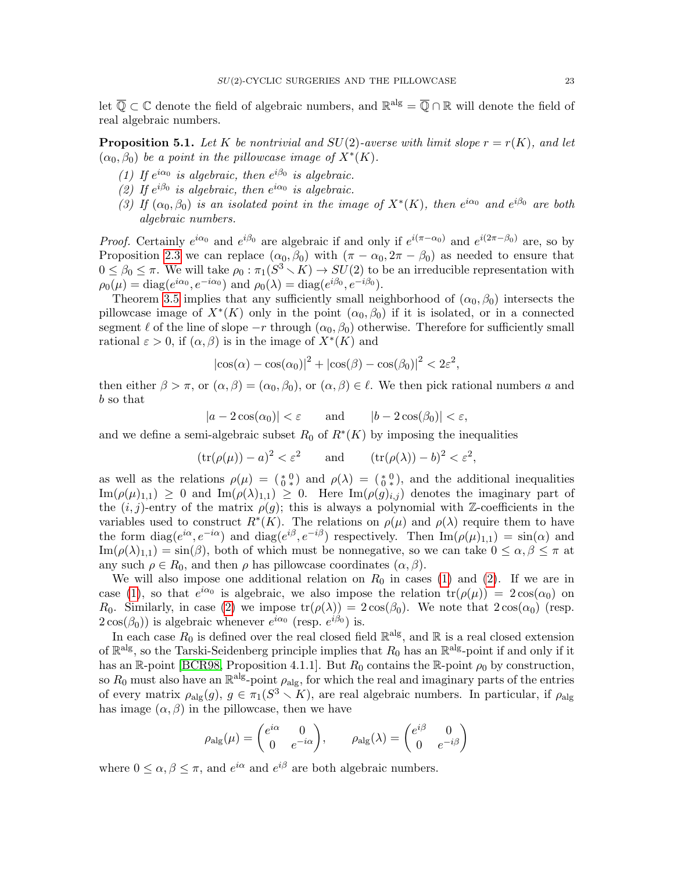let  $\overline{\mathbb{Q}} \subset \mathbb{C}$  denote the field of algebraic numbers, and  $\mathbb{R}^{\text{alg}} = \overline{\mathbb{Q}} \cap \mathbb{R}$  will denote the field of real algebraic numbers.

<span id="page-22-2"></span>**Proposition 5.1.** Let K be nontrivial and  $SU(2)$ -averse with limit slope  $r = r(K)$ , and let  $(\alpha_0, \beta_0)$  be a point in the pillowcase image of  $X^*(K)$ .

- <span id="page-22-0"></span>(1) If  $e^{i\alpha_0}$  is algebraic, then  $e^{i\beta_0}$  is algebraic.
- <span id="page-22-1"></span>(2) If  $e^{i\beta_0}$  is algebraic, then  $e^{i\alpha_0}$  is algebraic.
- (3) If  $(\alpha_0, \beta_0)$  is an isolated point in the image of  $X^*(K)$ , then  $e^{i\alpha_0}$  and  $e^{i\beta_0}$  are both algebraic numbers.

*Proof.* Certainly  $e^{i\alpha_0}$  and  $e^{i\beta_0}$  are algebraic if and only if  $e^{i(\pi-\alpha_0)}$  and  $e^{i(2\pi-\beta_0)}$  are, so by Proposition [2.3](#page-6-2) we can replace  $(\alpha_0, \beta_0)$  with  $(\pi - \alpha_0, 2\pi - \beta_0)$  as needed to ensure that  $0 \leq \beta_0 \leq \pi$ . We will take  $\rho_0 : \pi_1(S^3 \setminus K) \to SU(2)$  to be an irreducible representation with  $\rho_0(\mu) = \text{diag}(e^{i\alpha_0}, e^{-i\alpha_0})$  and  $\rho_0(\lambda) = \text{diag}(e^{i\beta_0}, e^{-i\beta_0}).$ 

Theorem [3.5](#page-10-1) implies that any sufficiently small neighborhood of  $(\alpha_0, \beta_0)$  intersects the pillowcase image of  $X^*(K)$  only in the point  $(\alpha_0, \beta_0)$  if it is isolated, or in a connected segment  $\ell$  of the line of slope  $-r$  through  $(\alpha_0, \beta_0)$  otherwise. Therefore for sufficiently small rational  $\varepsilon > 0$ , if  $(\alpha, \beta)$  is in the image of  $X^*(K)$  and

$$
|\cos(\alpha) - \cos(\alpha_0)|^2 + |\cos(\beta) - \cos(\beta_0)|^2 < 2\varepsilon^2,
$$

then either  $\beta > \pi$ , or  $(\alpha, \beta) = (\alpha_0, \beta_0)$ , or  $(\alpha, \beta) \in \ell$ . We then pick rational numbers a and b so that

$$
|a - 2\cos(\alpha_0)| < \varepsilon \qquad \text{and} \qquad |b - 2\cos(\beta_0)| < \varepsilon,
$$

and we define a semi-algebraic subset  $R_0$  of  $R^*(K)$  by imposing the inequalities

$$
(tr(\rho(\mu)) - a)^2 < \varepsilon^2
$$
 and  $(tr(\rho(\lambda)) - b)^2 < \varepsilon^2$ ,

as well as the relations  $\rho(\mu) = \binom{0}{0}$  and  $\rho(\lambda) = \binom{0}{0}$ , and the additional inequalities  $\text{Im}(\rho(\mu)_{1,1}) \geq 0$  and  $\text{Im}(\rho(\lambda)_{1,1}) \geq 0$ . Here  $\text{Im}(\rho(g)_{i,j})$  denotes the imaginary part of the  $(i, j)$ -entry of the matrix  $\rho(g)$ ; this is always a polynomial with Z-coefficients in the variables used to construct  $R^*(K)$ . The relations on  $\rho(\mu)$  and  $\rho(\lambda)$  require them to have the form  $diag(e^{i\alpha}, e^{-i\alpha})$  and  $diag(e^{i\beta}, e^{-i\beta})$  respectively. Then  $Im(\rho(\mu)_{1,1}) = sin(\alpha)$  and  $\text{Im}(\rho(\lambda)_{1,1}) = \sin(\beta)$ , both of which must be nonnegative, so we can take  $0 \leq \alpha, \beta \leq \pi$  at any such  $\rho \in R_0$ , and then  $\rho$  has pillowcase coordinates  $(\alpha, \beta)$ .

We will also impose one additional relation on  $R_0$  in cases [\(1\)](#page-22-0) and [\(2\)](#page-22-1). If we are in case [\(1\)](#page-22-0), so that  $e^{i\alpha_0}$  is algebraic, we also impose the relation  $tr(\rho(\mu)) = 2 cos(\alpha_0)$  on  $R_0$ . Similarly, in case [\(2\)](#page-22-1) we impose  $tr(\rho(\lambda)) = 2 cos(\beta_0)$ . We note that  $2 cos(\alpha_0)$  (resp.  $2\cos(\beta_0)$ ) is algebraic whenever  $e^{i\alpha_0}$  (resp.  $e^{i\beta_0}$ ) is.

In each case  $R_0$  is defined over the real closed field  $\mathbb{R}^{alg}$ , and  $\mathbb{R}$  is a real closed extension of  $\mathbb{R}^{alg}$ , so the Tarski-Seidenberg principle implies that  $R_0$  has an  $\mathbb{R}^{alg}$ -point if and only if it has an R-point [\[BCR98,](#page-63-3) Proposition 4.1.1]. But  $R_0$  contains the R-point  $\rho_0$  by construction, so  $R_0$  must also have an  $\mathbb{R}^{alg}$ -point  $\rho_{alg}$ , for which the real and imaginary parts of the entries of every matrix  $\rho_{\text{alg}}(g), g \in \pi_1(S^3 \setminus K)$ , are real algebraic numbers. In particular, if  $\rho_{\text{alg}}$ has image  $(\alpha, \beta)$  in the pillowcase, then we have

$$
\rho_{\rm alg}(\mu) = \begin{pmatrix} e^{i\alpha} & 0 \\ 0 & e^{-i\alpha} \end{pmatrix}, \qquad \rho_{\rm alg}(\lambda) = \begin{pmatrix} e^{i\beta} & 0 \\ 0 & e^{-i\beta} \end{pmatrix}
$$

where  $0 \leq \alpha, \beta \leq \pi$ , and  $e^{i\alpha}$  and  $e^{i\beta}$  are both algebraic numbers.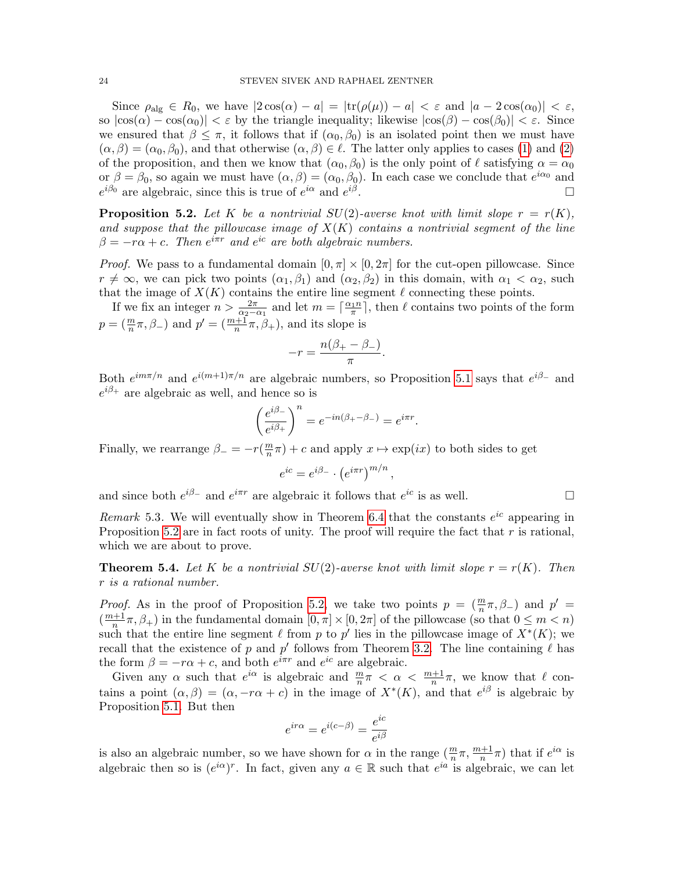Since  $\rho_{\text{alg}} \in R_0$ , we have  $|2 \cos(\alpha) - a| = |\text{tr}(\rho(\mu)) - a| < \varepsilon$  and  $|a - 2 \cos(\alpha_0)| < \varepsilon$ , so  $|\cos(\alpha) - \cos(\alpha_0)| < \varepsilon$  by the triangle inequality; likewise  $|\cos(\beta) - \cos(\beta_0)| < \varepsilon$ . Since we ensured that  $\beta \leq \pi$ , it follows that if  $(\alpha_0, \beta_0)$  is an isolated point then we must have  $(\alpha, \beta) = (\alpha_0, \beta_0)$ , and that otherwise  $(\alpha, \beta) \in \ell$ . The latter only applies to cases [\(1\)](#page-22-0) and [\(2\)](#page-22-1) of the proposition, and then we know that  $(\alpha_0, \beta_0)$  is the only point of  $\ell$  satisfying  $\alpha = \alpha_0$ or  $\beta = \beta_0$ , so again we must have  $(\alpha, \beta) = (\alpha_0, \beta_0)$ . In each case we conclude that  $e^{i\alpha_0}$  and  $e^{i\beta_0}$  are algebraic, since this is true of  $e^{i\alpha}$  and  $e^{i\beta}$ .

<span id="page-23-1"></span>**Proposition 5.2.** Let K be a nontrivial  $SU(2)$ -averse knot with limit slope  $r = r(K)$ , and suppose that the pillowcase image of  $X(K)$  contains a nontrivial segment of the line  $\beta = -r\alpha + c$ . Then  $e^{i\pi r}$  and  $e^{ic}$  are both algebraic numbers.

*Proof.* We pass to a fundamental domain  $[0, \pi] \times [0, 2\pi]$  for the cut-open pillowcase. Since  $r \neq \infty$ , we can pick two points  $(\alpha_1, \beta_1)$  and  $(\alpha_2, \beta_2)$  in this domain, with  $\alpha_1 < \alpha_2$ , such that the image of  $X(K)$  contains the entire line segment  $\ell$  connecting these points.

If we fix an integer  $n > \frac{2\pi}{\alpha_2 - \alpha_1}$  and let  $m = \lceil \frac{\alpha_1 n}{\pi} \rceil$ , then  $\ell$  contains two points of the form  $p = (\frac{m}{n}\pi, \beta)$  and  $p' = (\frac{m+1}{n}\pi, \beta)$ , and its slope is

$$
-r = \frac{n(\beta_+ - \beta_-)}{\pi}.
$$

Both  $e^{im\pi/n}$  and  $e^{i(m+1)\pi/n}$  are algebraic numbers, so Proposition [5.1](#page-22-2) says that  $e^{i\beta_-}$  and  $e^{i\beta_+}$  are algebraic as well, and hence so is

$$
\left(\frac{e^{i\beta_-}}{e^{i\beta_+}}\right)^n=e^{-in(\beta_+-\beta_-)}=e^{i\pi r}.
$$

Finally, we rearrange  $\beta_- = -r(\frac{m}{n})$  $\frac{m}{n}\pi$ ) + c and apply  $x \mapsto \exp(ix)$  to both sides to get

$$
e^{ic} = e^{i\beta_-} \cdot \left(e^{i\pi r}\right)^{m/n},
$$

and since both  $e^{i\beta_-}$  and  $e^{i\pi r}$  are algebraic it follows that  $e^{ic}$  is as well.

Remark 5.3. We will eventually show in Theorem [6.4](#page-27-1) that the constants  $e^{ic}$  appearing in Proposition [5.2](#page-23-1) are in fact roots of unity. The proof will require the fact that  $r$  is rational, which we are about to prove.

<span id="page-23-0"></span>**Theorem 5.4.** Let K be a nontrivial  $SU(2)$ -averse knot with limit slope  $r = r(K)$ . Then r is a rational number.

*Proof.* As in the proof of Proposition [5.2,](#page-23-1) we take two points  $p = (\frac{m}{n}\pi, \beta)$  and  $p' =$  $\left(\frac{m+1}{n}\right)$  $\frac{n+1}{n}\pi$ ,  $\beta$ <sub>+</sub>) in the fundamental domain  $[0, \pi] \times [0, 2\pi]$  of the pillowcase (so that  $0 \le m < n$ ) such that the entire line segment  $\ell$  from p to p' lies in the pillowcase image of  $X^*(K)$ ; we recall that the existence of p and p' follows from Theorem [3.2.](#page-9-0) The line containing  $\ell$  has the form  $\beta = -r\alpha + c$ , and both  $e^{i\pi r}$  and  $e^{ic}$  are algebraic.

Given any  $\alpha$  such that  $e^{i\alpha}$  is algebraic and  $\frac{m}{n}\pi < \alpha < \frac{m+1}{n}\pi$ , we know that  $\ell$  contains a point  $(\alpha, \beta) = (\alpha, -r\alpha + c)$  in the image of  $X^*(K)$ , and that  $e^{i\beta}$  is algebraic by Proposition [5.1.](#page-22-2) But then

$$
e^{i r \alpha} = e^{i(c - \beta)} = \frac{e^{i c}}{e^{i \beta}}
$$

is also an algebraic number, so we have shown for  $\alpha$  in the range  $(\frac{m}{n}\pi, \frac{m+1}{n}\pi)$  that if  $e^{i\alpha}$  is algebraic then so is  $(e^{i\alpha})^r$ . In fact, given any  $a \in \mathbb{R}$  such that  $e^{ia}$  is algebraic, we can let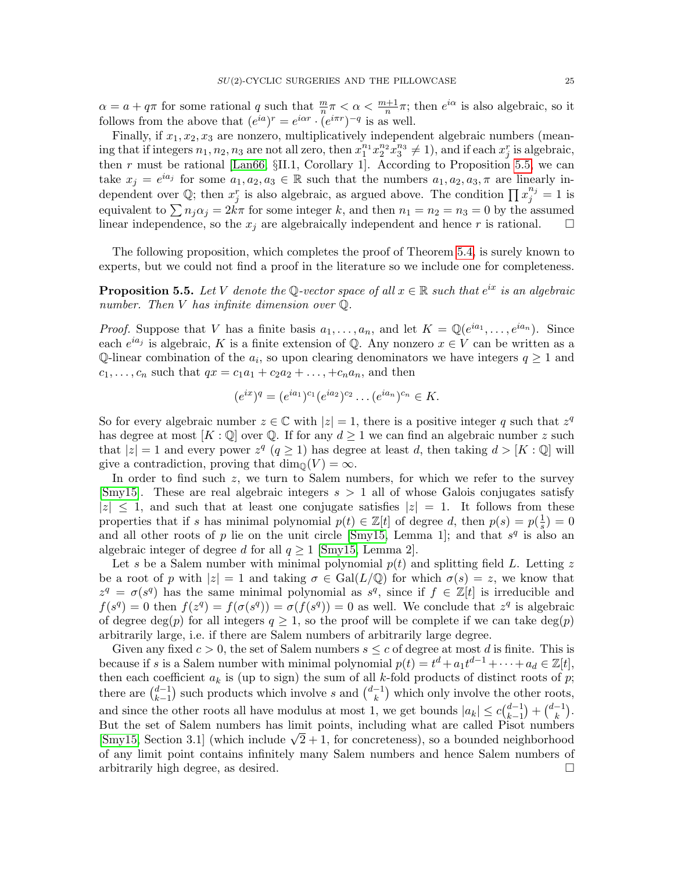$\alpha = a + q\pi$  for some rational q such that  $\frac{m}{n}\pi < \alpha < \frac{m+1}{n}\pi$ ; then  $e^{i\alpha}$  is also algebraic, so it follows from the above that  $(e^{ia})^r = e^{i\alpha r} \cdot (e^{i\pi r})^{-q}$  is as well.

Finally, if  $x_1, x_2, x_3$  are nonzero, multiplicatively independent algebraic numbers (meaning that if integers  $n_1, n_2, n_3$  are not all zero, then  $x_1^{n_1} x_2^{n_2} x_3^{n_3} \neq 1$ , and if each  $x_j^r$  is algebraic, then r must be rational [\[Lan66,](#page-65-8)  $\S II.1$ , Corollary 1]. According to Proposition [5.5,](#page-24-0) we can take  $x_j = e^{ia_j}$  for some  $a_1, a_2, a_3 \in \mathbb{R}$  such that the numbers  $a_1, a_2, a_3, \pi$  are linearly independent over  $\mathbb{Q}$ ; then  $x_j^r$  is also algebraic, as argued above. The condition  $\prod x_j^{n_j} = 1$  is equivalent to  $\sum n_i \alpha_i = 2k\pi$  for some integer k, and then  $n_1 = n_2 = n_3 = 0$  by the assumed linear independence, so the  $x_j$  are algebraically independent and hence r is rational.  $\square$ 

The following proposition, which completes the proof of Theorem [5.4,](#page-23-0) is surely known to experts, but we could not find a proof in the literature so we include one for completeness.

<span id="page-24-0"></span>**Proposition 5.5.** Let V denote the Q-vector space of all  $x \in \mathbb{R}$  such that  $e^{ix}$  is an algebraic number. Then V has infinite dimension over  $\mathbb{O}$ .

*Proof.* Suppose that V has a finite basis  $a_1, \ldots, a_n$ , and let  $K = \mathbb{Q}(e^{ia_1}, \ldots, e^{ia_n})$ . Since each  $e^{ia_j}$  is algebraic, K is a finite extension of Q. Any nonzero  $x \in V$  can be written as a Q-linear combination of the  $a_i$ , so upon clearing denominators we have integers  $q \geq 1$  and  $c_1, ..., c_n$  such that  $qx = c_1a_1 + c_2a_2 + ..., +c_na_n$ , and then

$$
(e^{ix})^q = (e^{ia_1})^{c_1} (e^{ia_2})^{c_2} \dots (e^{ia_n})^{c_n} \in K.
$$

So for every algebraic number  $z \in \mathbb{C}$  with  $|z|=1$ , there is a positive integer q such that  $z^q$ has degree at most  $[K : \mathbb{Q}]$  over  $\mathbb{Q}$ . If for any  $d \geq 1$  we can find an algebraic number z such that  $|z|=1$  and every power  $z^q$   $(q \geq 1)$  has degree at least d, then taking  $d > [K:\mathbb{Q}]$  will give a contradiction, proving that  $\dim_{\mathbb{Q}}(V) = \infty$ .

In order to find such z, we turn to Salem numbers, for which we refer to the survey [\[Smy15\]](#page-65-9). These are real algebraic integers  $s > 1$  all of whose Galois conjugates satisfy  $|z| \leq 1$ , and such that at least one conjugate satisfies  $|z| = 1$ . It follows from these properties that if s has minimal polynomial  $p(t) \in \mathbb{Z}[t]$  of degree d, then  $p(s) = p(\frac{1}{s})$  $\frac{1}{s})=0$ and all other roots of p lie on the unit circle [\[Smy15,](#page-65-9) Lemma 1]; and that  $s<sup>q</sup>$  is also an algebraic integer of degree d for all  $q \ge 1$  [\[Smy15,](#page-65-9) Lemma 2].

Let s be a Salem number with minimal polynomial  $p(t)$  and splitting field L. Letting z be a root of p with  $|z|=1$  and taking  $\sigma \in \text{Gal}(L/\mathbb{Q})$  for which  $\sigma(s)=z$ , we know that  $z^q = \sigma(s^q)$  has the same minimal polynomial as  $s^q$ , since if  $f \in \mathbb{Z}[t]$  is irreducible and  $f(s^q) = 0$  then  $f(z^q) = f(\sigma(s^q)) = \sigma(f(s^q)) = 0$  as well. We conclude that  $z^q$  is algebraic of degree deg(p) for all integers  $q \ge 1$ , so the proof will be complete if we can take  $deg(p)$ arbitrarily large, i.e. if there are Salem numbers of arbitrarily large degree.

Given any fixed  $c > 0$ , the set of Salem numbers  $s \leq c$  of degree at most d is finite. This is because if s is a Salem number with minimal polynomial  $p(t) = t^d + a_1 t^{d-1} + \cdots + a_d \in \mathbb{Z}[t],$ then each coefficient  $a_k$  is (up to sign) the sum of all k-fold products of distinct roots of p; there are  $\binom{d-1}{k-1}$  $\binom{d-1}{k-1}$  such products which involve s and  $\binom{d-1}{k}$  $\binom{-1}{k}$  which only involve the other roots, and since the other roots all have modulus at most 1, we get bounds  $|a_k| \leq c \binom{d-1}{k-1}$  $\binom{d-1}{k+1} + \binom{d-1}{k}$  $\binom{-1}{k}$ . But the set of Salem numbers has limit points, including what are called Pisot numbers But the set of Salem numbers has limit points, including what are called Pisot numbers<br>[\[Smy15,](#page-65-9) Section 3.1] (which include  $\sqrt{2}+1$ , for concreteness), so a bounded neighborhood of any limit point contains infinitely many Salem numbers and hence Salem numbers of arbitrarily high degree, as desired.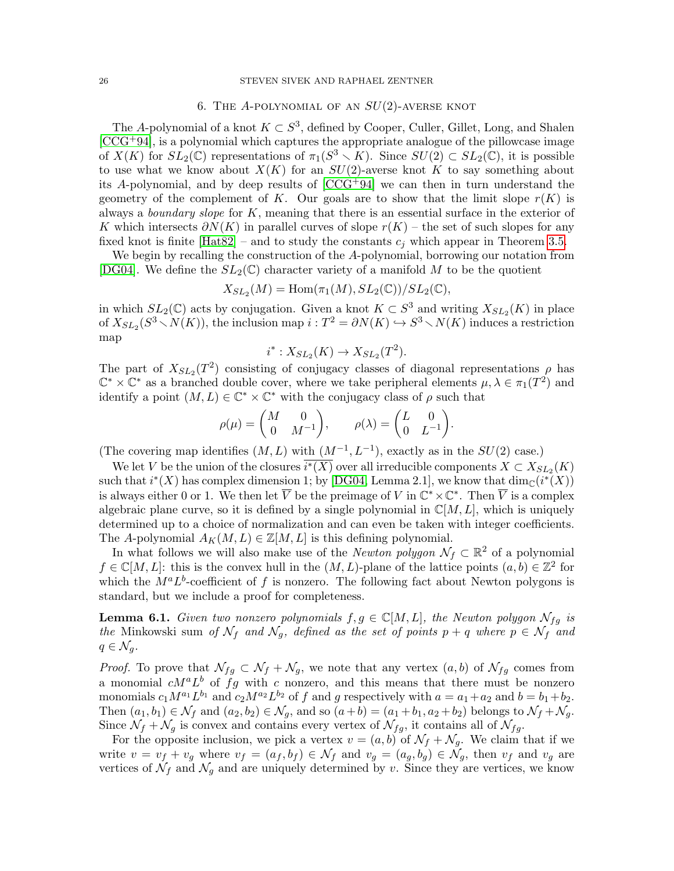#### 26 STEVEN SIVEK AND RAPHAEL ZENTNER

# 6. THE A-POLYNOMIAL OF AN  $SU(2)$ -AVERSE KNOT

<span id="page-25-0"></span>The A-polynomial of a knot  $K \subset S^3$ , defined by Cooper, Culler, Gillet, Long, and Shalen  $[CCG^+94]$  $[CCG^+94]$ , is a polynomial which captures the appropriate analogue of the pillowcase image of  $X(K)$  for  $SL_2(\mathbb{C})$  representations of  $\pi_1(S^3 \setminus K)$ . Since  $SU(2) \subset SL_2(\mathbb{C})$ , it is possible to use what we know about  $X(K)$  for an  $SU(2)$ -averse knot K to say something about its A-polynomial, and by deep results of  $[CCG+94]$  we can then in turn understand the geometry of the complement of K. Our goals are to show that the limit slope  $r(K)$  is always a *boundary slope* for  $K$ , meaning that there is an essential surface in the exterior of K which intersects  $\partial N(K)$  in parallel curves of slope  $r(K)$  – the set of such slopes for any fixed knot is finite  $[\text{Hat82}]$  – and to study the constants  $c_i$  which appear in Theorem [3.5.](#page-10-1)

We begin by recalling the construction of the A-polynomial, borrowing our notation from [\[DG04\]](#page-64-14). We define the  $SL_2(\mathbb{C})$  character variety of a manifold M to be the quotient

$$
X_{SL_2}(M) = \text{Hom}(\pi_1(M), SL_2(\mathbb{C})) / SL_2(\mathbb{C}),
$$

in which  $SL_2(\mathbb{C})$  acts by conjugation. Given a knot  $K \subset S^3$  and writing  $X_{SL_2}(K)$  in place of  $X_{SL_2}(S^3 \setminus N(K))$ , the inclusion map  $i : T^2 = \partial N(K) \hookrightarrow S^3 \setminus N(K)$  induces a restriction map

$$
i^*: X_{SL_2}(K) \to X_{SL_2}(T^2).
$$

The part of  $X_{SL_2}(T^2)$  consisting of conjugacy classes of diagonal representations  $\rho$  has  $\mathbb{C}^* \times \mathbb{C}^*$  as a branched double cover, where we take peripheral elements  $\mu, \lambda \in \pi_1(T^2)$  and identify a point  $(M, L) \in \mathbb{C}^* \times \mathbb{C}^*$  with the conjugacy class of  $\rho$  such that

$$
\rho(\mu) = \begin{pmatrix} M & 0 \\ 0 & M^{-1} \end{pmatrix}, \qquad \rho(\lambda) = \begin{pmatrix} L & 0 \\ 0 & L^{-1} \end{pmatrix}.
$$

(The covering map identifies  $(M, L)$  with  $(M^{-1}, L^{-1})$ , exactly as in the  $SU(2)$  case.)

We let V be the union of the closures  $\overline{i^*(X)}$  over all irreducible components  $X \subset X_{SL_2}(K)$ such that  $i^*(X)$  has complex dimension 1; by [\[DG04,](#page-64-14) Lemma 2.1], we know that  $\dim_{\mathbb{C}}(i^*(X))$ is always either 0 or 1. We then let  $\overline{V}$  be the preimage of V in  $\mathbb{C}^* \times \mathbb{C}^*$ . Then  $\overline{V}$  is a complex algebraic plane curve, so it is defined by a single polynomial in  $\mathbb{C}[M, L]$ , which is uniquely determined up to a choice of normalization and can even be taken with integer coefficients. The A-polynomial  $A_K(M, L) \in \mathbb{Z}[M, L]$  is this defining polynomial.

In what follows we will also make use of the *Newton polygon*  $\mathcal{N}_f \subset \mathbb{R}^2$  of a polynomial  $f \in \mathbb{C}[M,L]$ : this is the convex hull in the  $(M,L)$ -plane of the lattice points  $(a,b) \in \mathbb{Z}^2$  for which the  $M^a L^b$ -coefficient of f is nonzero. The following fact about Newton polygons is standard, but we include a proof for completeness.

<span id="page-25-1"></span>**Lemma 6.1.** Given two nonzero polynomials  $f, g \in \mathbb{C}[M, L]$ , the Newton polygon  $\mathcal{N}_{fg}$  is the Minkowski sum of  $\mathcal{N}_f$  and  $\mathcal{N}_g$ , defined as the set of points  $p + q$  where  $p \in \mathcal{N}_f$  and  $q \in \mathcal{N}_q$ .

*Proof.* To prove that  $\mathcal{N}_{fg} \subset \mathcal{N}_f + \mathcal{N}_g$ , we note that any vertex  $(a, b)$  of  $\mathcal{N}_{fg}$  comes from a monomial  $cM^aL^b$  of fg with c nonzero, and this means that there must be nonzero monomials  $c_1 M^{a_1} L^{b_1}$  and  $c_2 M^{a_2} L^{b_2}$  of f and g respectively with  $a = a_1 + a_2$  and  $b = b_1 + b_2$ . Then  $(a_1, b_1) \in \mathcal{N}_f$  and  $(a_2, b_2) \in \mathcal{N}_g$ , and so  $(a+b) = (a_1+b_1, a_2+b_2)$  belongs to  $\mathcal{N}_f + \mathcal{N}_g$ . Since  $\mathcal{N}_f + \mathcal{N}_g$  is convex and contains every vertex of  $\mathcal{N}_{fg}$ , it contains all of  $\mathcal{N}_{fg}$ .

For the opposite inclusion, we pick a vertex  $v = (a, b)$  of  $\mathcal{N}_f + \mathcal{N}_g$ . We claim that if we write  $v = v_f + v_g$  where  $v_f = (a_f, b_f) \in \mathcal{N}_f$  and  $v_g = (a_g, b_g) \in \mathcal{N}_g$ , then  $v_f$  and  $v_g$  are vertices of  $\mathcal{N}_f$  and  $\mathcal{N}_g$  and are uniquely determined by v. Since they are vertices, we know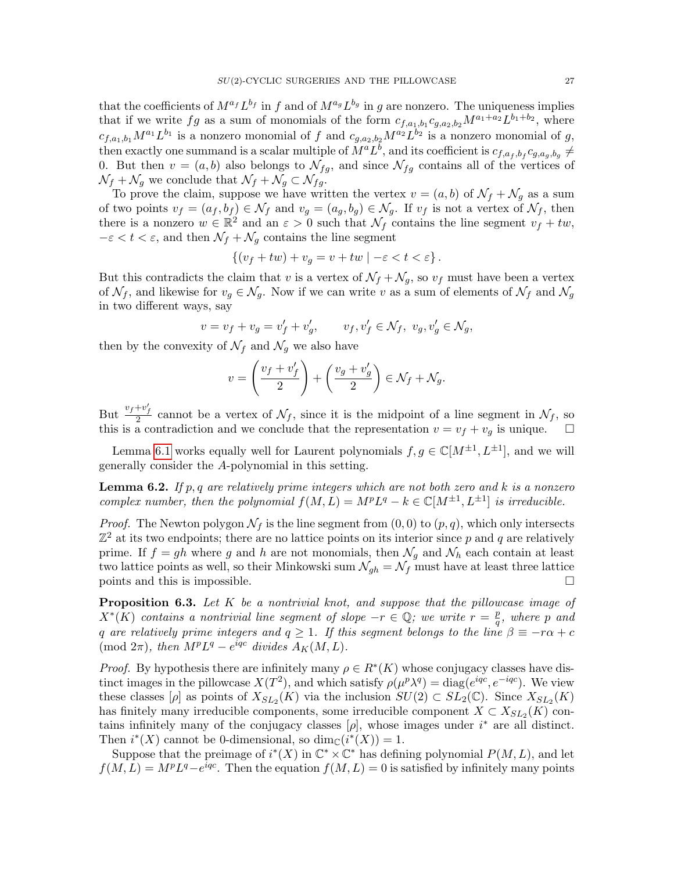that the coefficients of  $M^{a_f}L^{b_f}$  in f and of  $M^{a_g}L^{b_g}$  in g are nonzero. The uniqueness implies that if we write  $fg$  as a sum of monomials of the form  $c_{f,a_1,b_1}c_{g,a_2,b_2}M^{a_1+a_2}L^{b_1+b_2}$ , where  $c_{f,a_1,b_1}M^{a_1}L^{b_1}$  is a nonzero monomial of f and  $c_{g,a_2,b_2}M^{a_2}L^{b_2}$  is a nonzero monomial of g, then exactly one summand is a scalar multiple of  $M^a L^b$ , and its coefficient is  $c_{f,a_f,b_f} c_{g,a_g,b_g} \neq$ 0. But then  $v = (a, b)$  also belongs to  $\mathcal{N}_{fg}$ , and since  $\mathcal{N}_{fg}$  contains all of the vertices of  $\mathcal{N}_f + \mathcal{N}_g$  we conclude that  $\mathcal{N}_f + \mathcal{N}_g \subset \mathcal{N}_{fg}$ .

To prove the claim, suppose we have written the vertex  $v = (a, b)$  of  $\mathcal{N}_f + \mathcal{N}_g$  as a sum of two points  $v_f = (a_f, b_f) \in \mathcal{N}_f$  and  $v_g = (a_g, b_g) \in \mathcal{N}_g$ . If  $v_f$  is not a vertex of  $\mathcal{N}_f$ , then there is a nonzero  $w \in \mathbb{R}^2$  and an  $\varepsilon > 0$  such that  $\mathcal{N}_f$  contains the line segment  $v_f + tw$ ,  $-\varepsilon < t < \varepsilon$ , and then  $\mathcal{N}_f + \mathcal{N}_g$  contains the line segment

$$
\{(v_f+tw)+v_g=v+tw\mid -\varepsilon
$$

But this contradicts the claim that v is a vertex of  $\mathcal{N}_f + \mathcal{N}_q$ , so  $v_f$  must have been a vertex of  $\mathcal{N}_f$ , and likewise for  $v_g \in \mathcal{N}_g$ . Now if we can write v as a sum of elements of  $\mathcal{N}_f$  and  $\mathcal{N}_g$ in two different ways, say

$$
v=v_f+v_g=v'_f+v'_g,\qquad v_f,v'_f\in \mathcal{N}_f,\ v_g,v'_g\in \mathcal{N}_g,
$$

then by the convexity of  $\mathcal{N}_f$  and  $\mathcal{N}_g$  we also have

$$
v = \left(\frac{v_f + v'_f}{2}\right) + \left(\frac{v_g + v'_g}{2}\right) \in \mathcal{N}_f + \mathcal{N}_g.
$$

But  $\frac{v_f + v'_f}{2}$  cannot be a vertex of  $\mathcal{N}_f$ , since it is the midpoint of a line segment in  $\mathcal{N}_f$ , so this is a contradiction and we conclude that the representation  $v = v_f + v_g$  is unique.

Lemma [6.1](#page-25-1) works equally well for Laurent polynomials  $f, g \in \mathbb{C}[M^{\pm 1}, L^{\pm 1}]$ , and we will generally consider the A-polynomial in this setting.

<span id="page-26-0"></span>**Lemma 6.2.** If p, q are relatively prime integers which are not both zero and k is a nonzero complex number, then the polynomial  $f(M, L) = M^p L^q - k \in \mathbb{C}[M^{\pm 1}, L^{\pm 1}]$  is irreducible.

*Proof.* The Newton polygon  $\mathcal{N}_f$  is the line segment from  $(0, 0)$  to  $(p, q)$ , which only intersects  $\mathbb{Z}^2$  at its two endpoints; there are no lattice points on its interior since p and q are relatively prime. If  $f = gh$  where g and h are not monomials, then  $\mathcal{N}_g$  and  $\mathcal{N}_h$  each contain at least two lattice points as well, so their Minkowski sum  $\mathcal{N}_{gh} = \mathcal{N}_f$  must have at least three lattice points and this is impossible.  $\Box$ 

<span id="page-26-1"></span>**Proposition 6.3.** Let  $K$  be a nontrivial knot, and suppose that the pillowcase image of  $X^*(\overline{K})$  contains a nontrivial line segment of slope  $-r \in \mathbb{Q}$ ; we write  $r = \frac{p}{q}$  $\frac{p}{q},\,$  where  $p\,$  and q are relatively prime integers and  $q \ge 1$ . If this segment belongs to the line  $\beta \equiv -r\alpha + c$ (mod  $2\pi$ ), then  $M^pL^q - e^{iqc}$  divides  $A_K(M, L)$ .

*Proof.* By hypothesis there are infinitely many  $\rho \in R^*(K)$  whose conjugacy classes have distinct images in the pillowcase  $X(T^2)$ , and which satisfy  $\rho(\mu^p \lambda^q) = \text{diag}(e^{iqc}, e^{-iqc})$ . We view these classes  $[\rho]$  as points of  $X_{SL_2}(K)$  via the inclusion  $SU(2) \subset SL_2(\mathbb{C})$ . Since  $X_{SL_2}(K)$ has finitely many irreducible components, some irreducible component  $X \subset X_{SL_2}(K)$  contains infinitely many of the conjugacy classes  $[\rho]$ , whose images under  $i^*$  are all distinct. Then  $i^*(X)$  cannot be 0-dimensional, so  $\dim_{\mathbb{C}}(i^*(X)) = 1$ .

Suppose that the preimage of  $i^*(X)$  in  $\mathbb{C}^* \times \mathbb{C}^*$  has defining polynomial  $P(M, L)$ , and let  $f(M, L) = M^p L^q - e^{iqc}$ . Then the equation  $f(M, L) = 0$  is satisfied by infinitely many points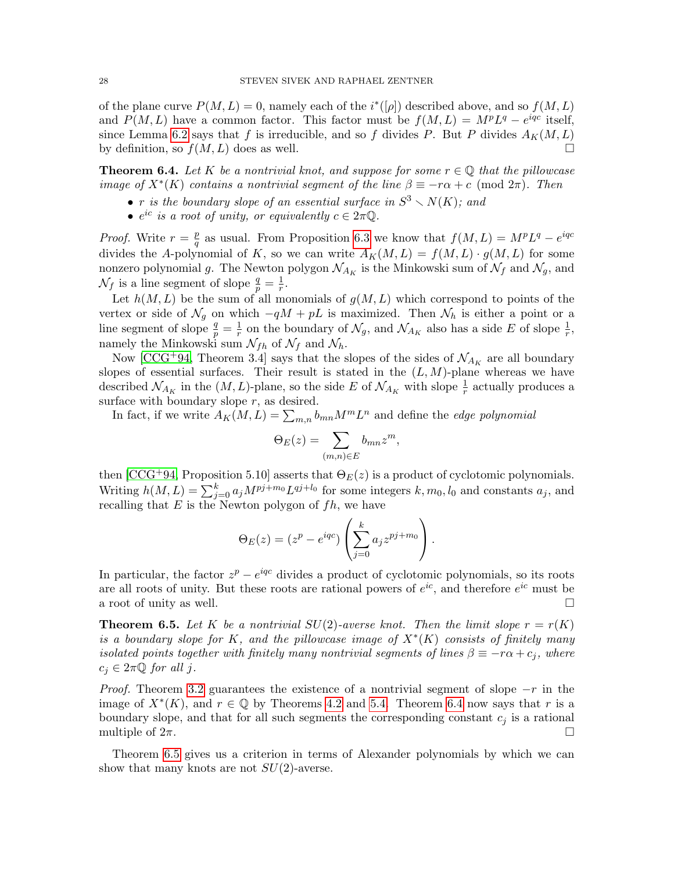of the plane curve  $P(M, L) = 0$ , namely each of the  $i^*([\rho])$  described above, and so  $f(M, L)$ and  $P(M, L)$  have a common factor. This factor must be  $f(M, L) = M^p L^q - e^{iqc}$  itself, since Lemma [6.2](#page-26-0) says that f is irreducible, and so f divides P. But P divides  $A_K(M, L)$ by definition, so  $f(M, L)$  does as well.

<span id="page-27-1"></span>**Theorem 6.4.** Let K be a nontrivial knot, and suppose for some  $r \in \mathbb{Q}$  that the pillowcase image of  $X^*(K)$  contains a nontrivial segment of the line  $\beta \equiv -r\alpha + c \pmod{2\pi}$ . Then

- r is the boundary slope of an essential surface in  $S^3 \setminus N(K)$ ; and
- $e^{ic}$  is a root of unity, or equivalently  $c \in 2\pi\mathbb{Q}$ .

*Proof.* Write  $r = \frac{p}{q}$  $\frac{p}{q}$  as usual. From Proposition [6.3](#page-26-1) we know that  $f(M, L) = M^p L^q - e^{iqc}$ divides the A-polynomial of K, so we can write  $A_K(M, L) = f(M, L) \cdot g(M, L)$  for some nonzero polynomial g. The Newton polygon  $\mathcal{N}_{A_K}$  is the Minkowski sum of  $\mathcal{N}_f$  and  $\mathcal{N}_g$ , and  $\mathcal{N}_f$  is a line segment of slope  $\frac{q}{p} = \frac{1}{r}$  $\frac{1}{r}$ .

Let  $h(M, L)$  be the sum of all monomials of  $g(M, L)$  which correspond to points of the vertex or side of  $\mathcal{N}_q$  on which  $-qM + pL$  is maximized. Then  $\mathcal{N}_h$  is either a point or a line segment of slope  $\frac{q}{p} = \frac{1}{r}$  $\frac{1}{r}$  on the boundary of  $\mathcal{N}_g$ , and  $\mathcal{N}_{A_K}$  also has a side E of slope  $\frac{1}{r}$ , namely the Minkowski sum  $\mathcal{N}_{fh}$  of  $\mathcal{N}_f$  and  $\mathcal{N}_h$ .

Now [\[CCG](#page-63-1)<sup>+</sup>94, Theorem 3.4] says that the slopes of the sides of  $\mathcal{N}_{A_K}$  are all boundary slopes of essential surfaces. Their result is stated in the  $(L, M)$ -plane whereas we have described  $\mathcal{N}_{A_K}$  in the  $(M, L)$ -plane, so the side E of  $\mathcal{N}_{A_K}$  with slope  $\frac{1}{r}$  actually produces a surface with boundary slope  $r$ , as desired.

In fact, if we write  $A_K(M, L) = \sum_{m,n} b_{mn} M^m L^n$  and define the *edge polynomial* 

$$
\Theta_E(z) = \sum_{(m,n)\in E} b_{mn} z^m,
$$

then  $[CCG+94,$  Proposition 5.10] asserts that  $\Theta_E(z)$  is a product of cyclotomic polynomials. Writing  $h(M, L) = \sum_{j=0}^{k} a_j M^{pj+m_0} L^{qj+l_0}$  for some integers  $k, m_0, l_0$  and constants  $a_j$ , and recalling that  $E$  is the Newton polygon of  $fh$ , we have

$$
\Theta_E(z) = (z^p - e^{iqc}) \left( \sum_{j=0}^k a_j z^{pj+m_0} \right).
$$

In particular, the factor  $z^p - e^{iqc}$  divides a product of cyclotomic polynomials, so its roots are all roots of unity. But these roots are rational powers of  $e^{ic}$ , and therefore  $e^{ic}$  must be a root of unity as well.  $\Box$ 

<span id="page-27-0"></span>**Theorem 6.5.** Let K be a nontrivial  $SU(2)$ -averse knot. Then the limit slope  $r = r(K)$ is a boundary slope for K, and the pillowcase image of  $X^*(K)$  consists of finitely many isolated points together with finitely many nontrivial segments of lines  $\beta \equiv -r\alpha + c_j$ , where  $c_j \in 2\pi\mathbb{Q}$  for all j.

*Proof.* Theorem [3.2](#page-9-0) guarantees the existence of a nontrivial segment of slope  $-r$  in the image of  $X^*(K)$ , and  $r \in \mathbb{Q}$  by Theorems [4.2](#page-11-0) and [5.4.](#page-23-0) Theorem [6.4](#page-27-1) now says that r is a boundary slope, and that for all such segments the corresponding constant  $c_j$  is a rational multiple of  $2\pi$ .

Theorem [6.5](#page-27-0) gives us a criterion in terms of Alexander polynomials by which we can show that many knots are not  $SU(2)$ -averse.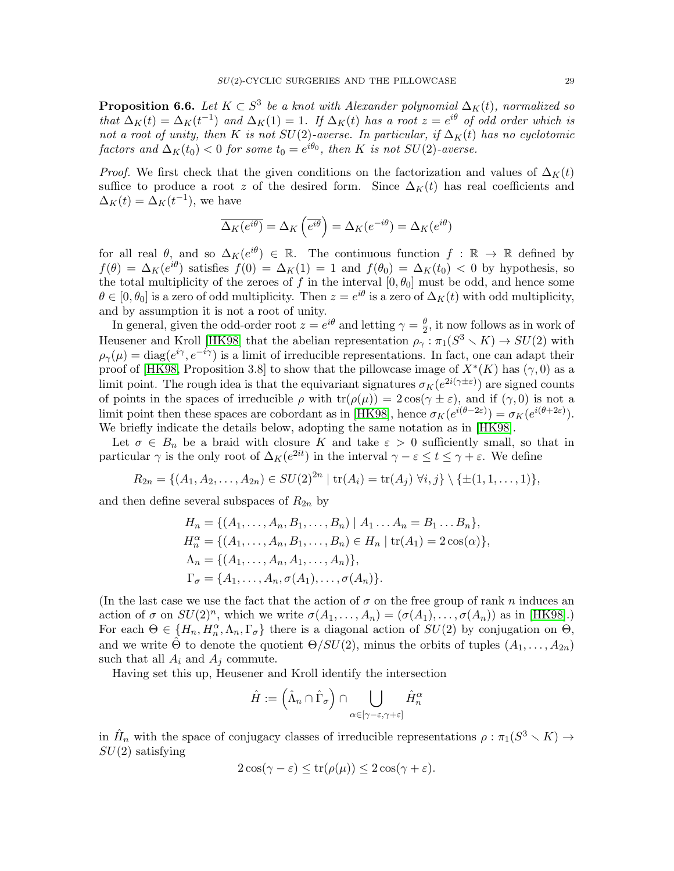<span id="page-28-0"></span>**Proposition 6.6.** Let  $K \subset S^3$  be a knot with Alexander polynomial  $\Delta_K(t)$ , normalized so that  $\Delta_K(t) = \Delta_K(t^{-1})$  and  $\Delta_K(1) = 1$ . If  $\Delta_K(t)$  has a root  $z = e^{i\theta}$  of odd order which is not a root of unity, then K is not  $SU(2)$ -averse. In particular, if  $\Delta_K(t)$  has no cyclotomic factors and  $\Delta_K(t_0) < 0$  for some  $t_0 = e^{i\theta_0}$ , then K is not SU(2)-averse.

*Proof.* We first check that the given conditions on the factorization and values of  $\Delta_K(t)$ suffice to produce a root z of the desired form. Since  $\Delta_K(t)$  has real coefficients and  $\Delta_K(t) = \Delta_K(t^{-1}),$  we have

$$
\overline{\Delta_K(e^{i\theta})} = \Delta_K\left(\overline{e^{i\theta}}\right) = \Delta_K(e^{-i\theta}) = \Delta_K(e^{i\theta})
$$

for all real  $\theta$ , and so  $\Delta_K(e^{i\theta}) \in \mathbb{R}$ . The continuous function  $f : \mathbb{R} \to \mathbb{R}$  defined by  $f(\theta) = \Delta_K(e^{i\theta})$  satisfies  $f(0) = \Delta_K(1) = 1$  and  $f(\theta_0) = \Delta_K(t_0) < 0$  by hypothesis, so the total multiplicity of the zeroes of f in the interval  $[0, \theta_0]$  must be odd, and hence some  $\theta \in [0, \theta_0]$  is a zero of odd multiplicity. Then  $z = e^{i\theta}$  is a zero of  $\Delta_K(t)$  with odd multiplicity, and by assumption it is not a root of unity.

In general, given the odd-order root  $z = e^{i\theta}$  and letting  $\gamma = \frac{\theta}{2}$  $\frac{\theta}{2}$ , it now follows as in work of Heusener and Kroll [\[HK98\]](#page-64-5) that the abelian representation  $\rho_{\gamma} : \pi_1(S^3 \setminus K) \to SU(2)$  with  $\rho_{\gamma}(\mu) = \text{diag}(e^{i\gamma}, e^{-i\gamma})$  is a limit of irreducible representations. In fact, one can adapt their proof of [\[HK98,](#page-64-5) Proposition 3.8] to show that the pillowcase image of  $X^*(K)$  has  $(\gamma,0)$  as a limit point. The rough idea is that the equivariant signatures  $\sigma_K(e^{2i(\gamma \pm \varepsilon)})$  are signed counts of points in the spaces of irreducible  $\rho$  with  $tr(\rho(\mu)) = 2 \cos(\gamma \pm \varepsilon)$ , and if  $(\gamma, 0)$  is not a limit point then these spaces are cobordant as in [\[HK98\]](#page-64-5), hence  $\sigma_K(e^{i(\theta-2\varepsilon)}) = \sigma_K(e^{i(\theta+2\varepsilon)})$ . We briefly indicate the details below, adopting the same notation as in [\[HK98\]](#page-64-5).

Let  $\sigma \in B_n$  be a braid with closure K and take  $\varepsilon > 0$  sufficiently small, so that in particular  $\gamma$  is the only root of  $\Delta_K(e^{2it})$  in the interval  $\gamma - \varepsilon \le t \le \gamma + \varepsilon$ . We define

$$
R_{2n} = \{ (A_1, A_2, \ldots, A_{2n}) \in SU(2)^{2n} \mid \text{tr}(A_i) = \text{tr}(A_j) \ \forall i, j \} \setminus \{ \pm (1, 1, \ldots, 1) \},
$$

and then define several subspaces of  $R_{2n}$  by

$$
H_n = \{ (A_1, ..., A_n, B_1, ..., B_n) | A_1 ... A_n = B_1 ... B_n \},
$$
  
\n
$$
H_n^{\alpha} = \{ (A_1, ..., A_n, B_1, ..., B_n) \in H_n | tr(A_1) = 2 cos(\alpha) \},
$$
  
\n
$$
\Lambda_n = \{ (A_1, ..., A_n, A_1, ..., A_n) \},
$$
  
\n
$$
\Gamma_{\sigma} = \{ A_1, ..., A_n, \sigma(A_1), ..., \sigma(A_n) \}.
$$

(In the last case we use the fact that the action of  $\sigma$  on the free group of rank n induces an action of  $\sigma$  on  $SU(2)^n$ , which we write  $\sigma(A_1,\ldots,A_n)=(\sigma(A_1),\ldots,\sigma(A_n))$  as in [\[HK98\]](#page-64-5).) For each  $\Theta \in \{H_n, H_n^{\alpha}, \Lambda_n, \Gamma_{\sigma}\}\$  there is a diagonal action of  $SU(2)$  by conjugation on  $\Theta$ , and we write  $\hat{\Theta}$  to denote the quotient  $\Theta/SU(2)$ , minus the orbits of tuples  $(A_1, \ldots, A_{2n})$ such that all  $A_i$  and  $A_j$  commute.

Having set this up, Heusener and Kroll identify the intersection

$$
\hat{H} := \left(\hat{\Lambda}_n \cap \hat{\Gamma}_\sigma\right) \cap \bigcup_{\alpha \in [\gamma - \varepsilon, \gamma + \varepsilon]} \hat{H}_n^\alpha
$$

in  $\hat{H}_n$  with the space of conjugacy classes of irreducible representations  $\rho : \pi_1(S^3 \setminus K) \to$  $SU(2)$  satisfying

$$
2\cos(\gamma - \varepsilon) \le \text{tr}(\rho(\mu)) \le 2\cos(\gamma + \varepsilon).
$$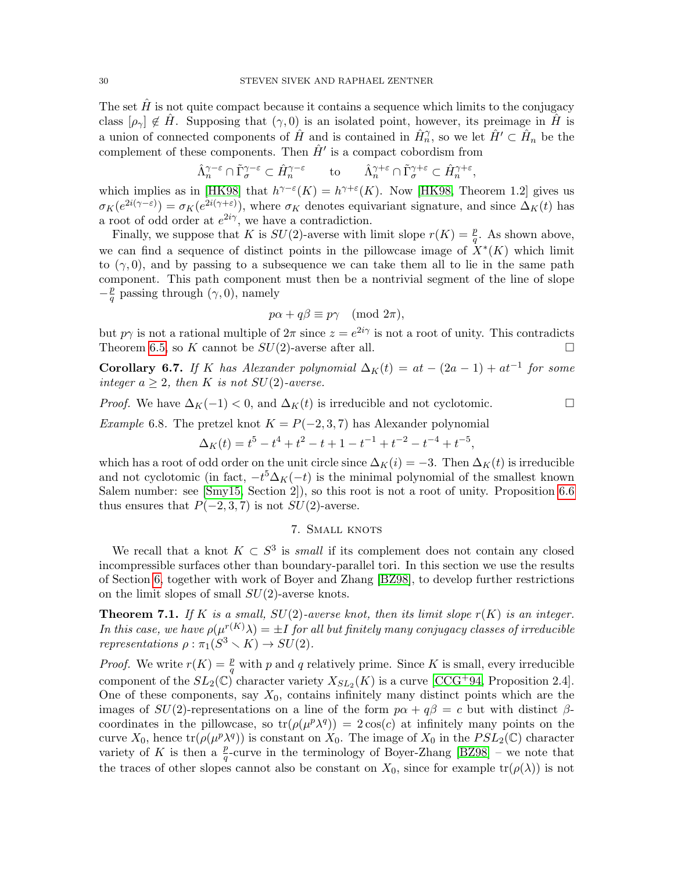The set  $H$  is not quite compact because it contains a sequence which limits to the conjugacy class  $[\rho_{\gamma}] \notin \hat{H}$ . Supposing that  $(\gamma, 0)$  is an isolated point, however, its preimage in  $\hat{H}$  is a union of connected components of  $\hat{H}$  and is contained in  $\hat{H}_n^{\gamma}$ , so we let  $\hat{H}' \subset \hat{H}_n$  be the complement of these components. Then  $\hat{H}'$  is a compact cobordism from

$$
\hat{\Lambda}^{\gamma-\varepsilon}_n\cap \tilde{\Gamma}^{\gamma-\varepsilon}_\sigma\subset \hat{H}^{\gamma-\varepsilon}_n\qquad\text{to}\qquad \hat{\Lambda}^{\gamma+\varepsilon}_n\cap \tilde{\Gamma}^{\gamma+\varepsilon}_\sigma\subset \hat{H}^{\gamma+\varepsilon}_n,
$$

which implies as in [\[HK98\]](#page-64-5) that  $h^{\gamma-\varepsilon}(K) = h^{\gamma+\varepsilon}(K)$ . Now [\[HK98,](#page-64-5) Theorem 1.2] gives us  $\sigma_K(e^{2i(\gamma-\varepsilon)}) = \sigma_K(e^{2i(\gamma+\varepsilon)})$ , where  $\sigma_K$  denotes equivariant signature, and since  $\Delta_K(t)$  has a root of odd order at  $e^{2i\gamma}$ , we have a contradiction.

Finally, we suppose that K is  $SU(2)$ -averse with limit slope  $r(K) = \frac{p}{q}$ . As shown above, we can find a sequence of distinct points in the pillowcase image of  $\hat{X}^*(K)$  which limit to  $(\gamma, 0)$ , and by passing to a subsequence we can take them all to lie in the same path component. This path component must then be a nontrivial segment of the line of slope  $-\frac{p}{a}$  $\frac{p}{q}$  passing through  $(\gamma, 0)$ , namely

$$
p\alpha + q\beta \equiv p\gamma \pmod{2\pi},
$$

but  $p\gamma$  is not a rational multiple of  $2\pi$  since  $z = e^{2i\gamma}$  is not a root of unity. This contradicts Theorem [6.5,](#page-27-0) so K cannot be  $SU(2)$ -averse after all.

Corollary 6.7. If K has Alexander polynomial  $\Delta_K(t) = at - (2a - 1) + at^{-1}$  for some integer  $a > 2$ , then K is not  $SU(2)$ -averse.

*Proof.* We have  $\Delta_K(-1) < 0$ , and  $\Delta_K(t)$  is irreducible and not cyclotomic.

<span id="page-29-0"></span>Example 6.8. The pretzel knot  $K = P(-2, 3, 7)$  has Alexander polynomial

$$
\Delta_K(t) = t^5 - t^4 + t^2 - t + 1 - t^{-1} + t^{-2} - t^{-4} + t^{-5},
$$

which has a root of odd order on the unit circle since  $\Delta_K(i) = -3$ . Then  $\Delta_K(i)$  is irreducible and not cyclotomic (in fact,  $-t^5\Delta_K(-t)$  is the minimal polynomial of the smallest known Salem number: see [\[Smy15,](#page-65-9) Section 2]), so this root is not a root of unity. Proposition [6.6](#page-28-0) thus ensures that  $P(-2, 3, 7)$  is not  $SU(2)$ -averse.

# 7. SMALL KNOTS

<span id="page-29-2"></span>We recall that a knot  $K \subset S^3$  is *small* if its complement does not contain any closed incompressible surfaces other than boundary-parallel tori. In this section we use the results of Section [6,](#page-25-0) together with work of Boyer and Zhang [\[BZ98\]](#page-63-2), to develop further restrictions on the limit slopes of small  $SU(2)$ -averse knots.

<span id="page-29-1"></span>**Theorem 7.1.** If K is a small,  $SU(2)$ -averse knot, then its limit slope  $r(K)$  is an integer. In this case, we have  $\rho(\mu^{r(K)}\lambda) = \pm I$  for all but finitely many conjugacy classes of irreducible representations  $\rho : \pi_1(S^3 \setminus K) \to SU(2)$ .

*Proof.* We write  $r(K) = \frac{p}{q}$  with p and q relatively prime. Since K is small, every irreducible component of the  $SL_2(\mathbb{C})$  character variety  $X_{SL_2}(K)$  is a curve [\[CCG](#page-63-1)<sup>+</sup>94, Proposition 2.4]. One of these components, say  $X_0$ , contains infinitely many distinct points which are the images of  $SU(2)$ -representations on a line of the form  $p\alpha + q\beta = c$  but with distinct  $\beta$ coordinates in the pillowcase, so  $tr(\rho(\mu^p \lambda^q)) = 2cos(c)$  at infinitely many points on the curve  $X_0$ , hence  $\text{tr}(\rho(\mu^p \lambda^q))$  is constant on  $X_0$ . The image of  $X_0$  in the  $PSL_2(\mathbb{C})$  character variety of K is then a  $\frac{p}{q}$ -curve in the terminology of Boyer-Zhang [\[BZ98\]](#page-63-2) – we note that the traces of other slopes cannot also be constant on  $X_0$ , since for example  $tr(\rho(\lambda))$  is not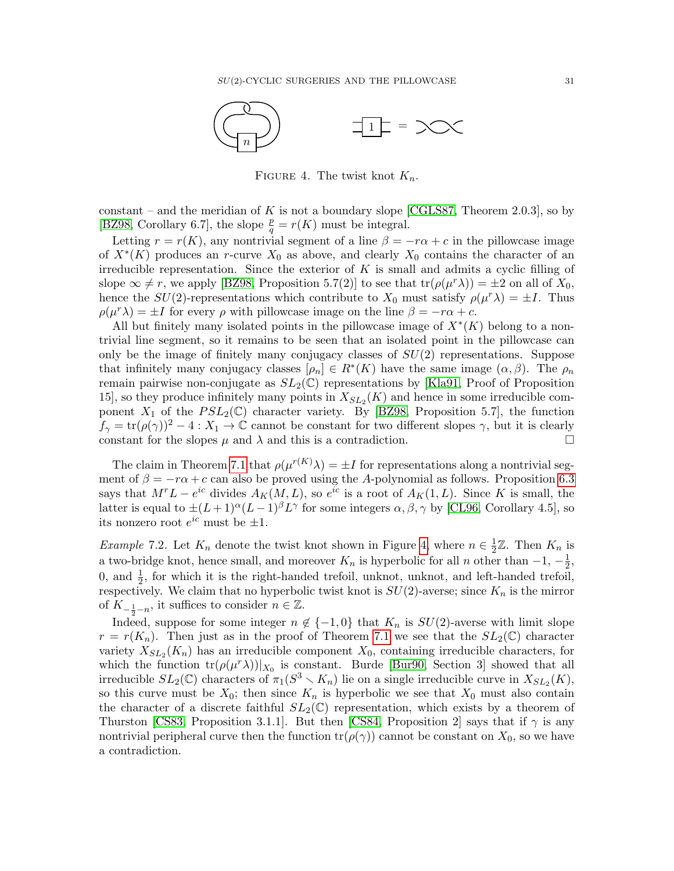

<span id="page-30-0"></span>FIGURE 4. The twist knot  $K_n$ .

constant – and the meridian of K is not a boundary slope [\[CGLS87,](#page-64-0) Theorem 2.0.3], so by [\[BZ98,](#page-63-2) Corollary 6.7], the slope  $\frac{p}{q} = r(K)$  must be integral.

Letting  $r = r(K)$ , any nontrivial segment of a line  $\beta = -r\alpha + c$  in the pillowcase image of  $X^*(K)$  produces an r-curve  $X_0$  as above, and clearly  $X_0$  contains the character of an irreducible representation. Since the exterior of  $K$  is small and admits a cyclic filling of slope  $\infty \neq r$ , we apply [\[BZ98,](#page-63-2) Proposition 5.7(2)] to see that  $tr(\rho(\mu^r \lambda)) = \pm 2$  on all of  $X_0$ , hence the  $SU(2)$ -representations which contribute to  $X_0$  must satisfy  $\rho(\mu^r \lambda) = \pm I$ . Thus  $\rho(\mu^r \lambda) = \pm I$  for every  $\rho$  with pillowcase image on the line  $\beta = -r\alpha + c$ .

All but finitely many isolated points in the pillowcase image of  $X^*(K)$  belong to a nontrivial line segment, so it remains to be seen that an isolated point in the pillowcase can only be the image of finitely many conjugacy classes of  $SU(2)$  representations. Suppose that infinitely many conjugacy classes  $[\rho_n] \in R^*(K)$  have the same image  $(\alpha, \beta)$ . The  $\rho_n$ remain pairwise non-conjugate as  $SL_2(\mathbb{C})$  representations by [\[Kla91,](#page-64-7) Proof of Proposition 15, so they produce infinitely many points in  $X_{SL_2}(K)$  and hence in some irreducible component  $X_1$  of the  $PSL_2(\mathbb{C})$  character variety. By [\[BZ98,](#page-63-2) Proposition 5.7], the function  $f_{\gamma} = \text{tr}(\rho(\gamma))^2 - 4 : X_1 \to \mathbb{C}$  cannot be constant for two different slopes  $\gamma$ , but it is clearly constant for the slopes  $\mu$  and  $\lambda$  and this is a contradiction.

The claim in Theorem [7.1](#page-29-1) that  $\rho(\mu^{r(K)}\lambda) = \pm I$  for representations along a nontrivial segment of  $\beta = -r\alpha + c$  can also be proved using the A-polynomial as follows. Proposition [6.3](#page-26-1) says that  $M^r L - e^{ic}$  divides  $A_K(M, L)$ , so  $e^{ic}$  is a root of  $A_K(1, L)$ . Since K is small, the latter is equal to  $\pm (L+1)^\alpha (L-1)^\beta L^\gamma$  for some integers  $\alpha, \beta, \gamma$  by [\[CL96,](#page-64-15) Corollary 4.5], so its nonzero root  $e^{ic}$  must be  $\pm 1$ .

<span id="page-30-1"></span>*Example 7.2.* Let  $K_n$  denote the twist knot shown in Figure [4,](#page-30-0) where  $n \in \frac{1}{2}$  $\frac{1}{2}\mathbb{Z}$ . Then  $K_n$  is a two-bridge knot, hence small, and moreover  $K_n$  is hyperbolic for all n other than  $-1, -\frac{1}{2}$  $\frac{1}{2}$ , 0, and  $\frac{1}{2}$ , for which it is the right-handed trefoil, unknot, unknot, and left-handed trefoil, respectively. We claim that no hyperbolic twist knot is  $SU(2)$ -averse; since  $K_n$  is the mirror of  $K_{-\frac{1}{2}-n}$ , it suffices to consider  $n \in \mathbb{Z}$ .

Indeed, suppose for some integer  $n \notin \{-1, 0\}$  that  $K_n$  is  $SU(2)$ -averse with limit slope  $r = r(K_n)$ . Then just as in the proof of Theorem [7.1](#page-29-1) we see that the  $SL_2(\mathbb{C})$  character variety  $X_{SL_2}(K_n)$  has an irreducible component  $X_0$ , containing irreducible characters, for which the function  $tr(\rho(\mu^r \lambda))|_{X_0}$  is constant. Burde [\[Bur90,](#page-63-5) Section 3] showed that all irreducible  $SL_2(\mathbb{C})$  characters of  $\pi_1(S^3 \setminus K_n)$  lie on a single irreducible curve in  $X_{SL_2}(K)$ , so this curve must be  $X_0$ ; then since  $K_n$  is hyperbolic we see that  $X_0$  must also contain the character of a discrete faithful  $SL_2(\mathbb{C})$  representation, which exists by a theorem of Thurston [\[CS83,](#page-64-16) Proposition 3.1.1]. But then [\[CS84,](#page-64-17) Proposition 2] says that if  $\gamma$  is any nontrivial peripheral curve then the function  $tr(\rho(\gamma))$  cannot be constant on  $X_0$ , so we have a contradiction.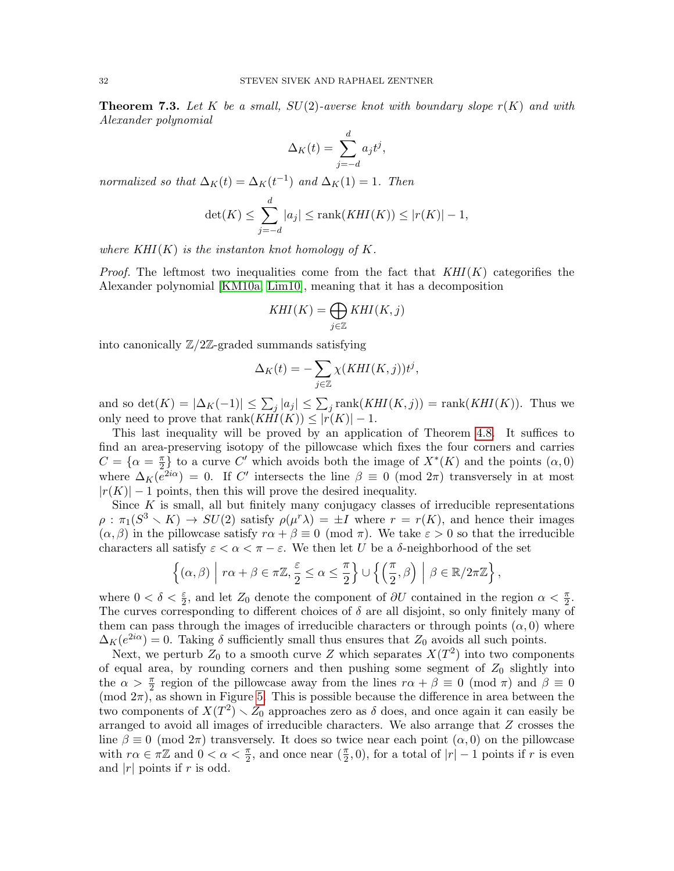<span id="page-31-0"></span>**Theorem 7.3.** Let K be a small,  $SU(2)$ -averse knot with boundary slope  $r(K)$  and with Alexander polynomial

$$
\Delta_K(t) = \sum_{j=-d}^d a_j t^j,
$$

normalized so that  $\Delta_K(t) = \Delta_K(t^{-1})$  and  $\Delta_K(1) = 1$ . Then

$$
\det(K) \le \sum_{j=-d}^{d} |a_j| \le \operatorname{rank}(KHI(K)) \le |r(K)| - 1,
$$

where  $KHI(K)$  is the instanton knot homology of K.

*Proof.* The leftmost two inequalities come from the fact that  $KHI(K)$  categorifies the Alexander polynomial [\[KM10a,](#page-64-18) [Lim10\]](#page-65-10), meaning that it has a decomposition

$$
KHI(K) = \bigoplus_{j \in \mathbb{Z}} KHI(K, j)
$$

into canonically  $\mathbb{Z}/2\mathbb{Z}$ -graded summands satisfying

$$
\Delta_K(t) = -\sum_{j \in \mathbb{Z}} \chi(KHI(K,j)) t^j,
$$

and so  $\det(K) = |\Delta_K(-1)| \leq \sum_j |a_j| \leq \sum_j \text{rank}(KHI(K,j)) = \text{rank}(KHI(K)).$  Thus we only need to prove that  $rank(KHI(K)) \leq |r(K)| - 1$ .

This last inequality will be proved by an application of Theorem [4.8.](#page-17-0) It suffices to find an area-preserving isotopy of the pillowcase which fixes the four corners and carries  $C = \{\alpha = \frac{\pi}{2}$  $\left(\frac{\pi}{2}\right)$  to a curve C' which avoids both the image of  $X^*(K)$  and the points  $(\alpha,0)$ where  $\Delta_K(e^{2i\alpha}) = 0$ . If C' intersects the line  $\beta \equiv 0 \pmod{2\pi}$  transversely in at most  $|r(K)| - 1$  points, then this will prove the desired inequality.

Since  $K$  is small, all but finitely many conjugacy classes of irreducible representations  $\rho : \pi_1(S^3 \setminus K) \to SU(2)$  satisfy  $\rho(\mu^r \lambda) = \pm I$  where  $r = r(K)$ , and hence their images  $(\alpha, \beta)$  in the pillowcase satisfy  $r\alpha + \beta \equiv 0 \pmod{\pi}$ . We take  $\varepsilon > 0$  so that the irreducible characters all satisfy  $\varepsilon < \alpha < \pi - \varepsilon$ . We then let U be a  $\delta$ -neighborhood of the set

$$
\left\{(\alpha,\beta)\,\Big|\, r\alpha+\beta\in\pi\mathbb{Z}, \frac{\varepsilon}{2}\leq\alpha\leq\frac{\pi}{2}\right\}\cup\left\{\left(\frac{\pi}{2},\beta\right)\,\Big|\,\,\beta\in\mathbb{R}/2\pi\mathbb{Z}\right\},\,
$$

where  $0 < \delta < \frac{\varepsilon}{2}$ , and let  $Z_0$  denote the component of  $\partial U$  contained in the region  $\alpha < \frac{\pi}{2}$ . The curves corresponding to different choices of  $\delta$  are all disjoint, so only finitely many of them can pass through the images of irreducible characters or through points  $(\alpha, 0)$  where  $\Delta_K(e^{2i\alpha}) = 0$ . Taking  $\delta$  sufficiently small thus ensures that  $Z_0$  avoids all such points.

Next, we perturb  $Z_0$  to a smooth curve Z which separates  $X(T^2)$  into two components of equal area, by rounding corners and then pushing some segment of  $Z_0$  slightly into the  $\alpha > \frac{\pi}{2}$  region of the pillowcase away from the lines  $r\alpha + \beta \equiv 0 \pmod{\pi}$  and  $\beta \equiv 0$  $(mod 2\pi)$ , as shown in Figure [5.](#page-32-0) This is possible because the difference in area between the two components of  $X(T^2) \setminus Z_0$  approaches zero as  $\delta$  does, and once again it can easily be arranged to avoid all images of irreducible characters. We also arrange that Z crosses the line  $\beta \equiv 0 \pmod{2\pi}$  transversely. It does so twice near each point  $(\alpha, 0)$  on the pillowcase with  $r\alpha \in \pi \mathbb{Z}$  and  $0 < \alpha < \frac{\pi}{2}$ , and once near  $(\frac{\pi}{2}, 0)$ , for a total of  $|r| - 1$  points if r is even and  $|r|$  points if r is odd.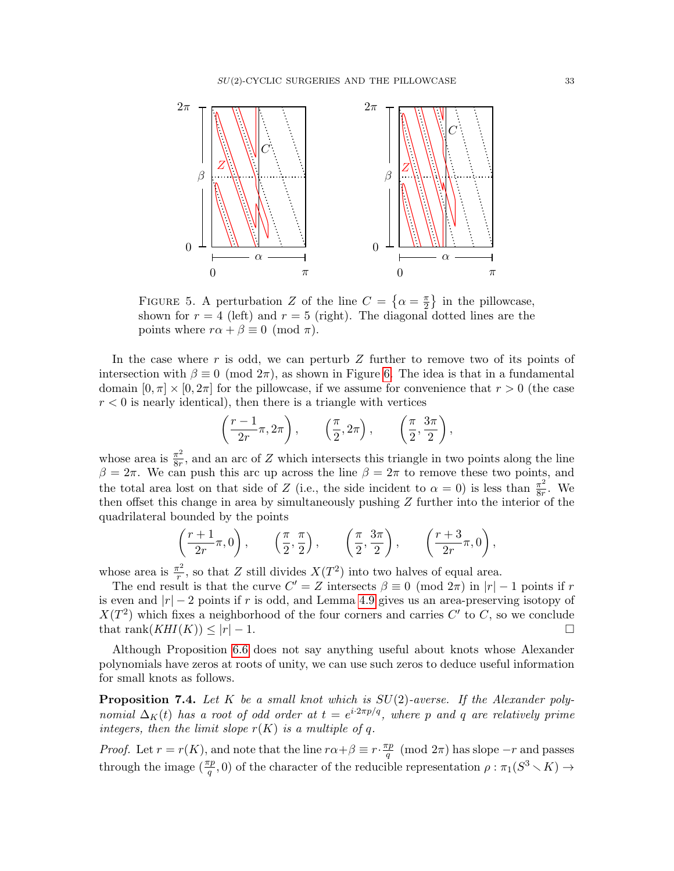

<span id="page-32-0"></span>FIGURE 5. A perturbation Z of the line  $C = \{ \alpha = \frac{\pi}{2} \}$  $\frac{\pi}{2}$  in the pillowcase, shown for  $r = 4$  (left) and  $r = 5$  (right). The diagonal dotted lines are the points where  $r\alpha + \beta \equiv 0 \pmod{\pi}$ .

In the case where r is odd, we can perturb  $Z$  further to remove two of its points of intersection with  $\beta \equiv 0 \pmod{2\pi}$ , as shown in Figure [6.](#page-33-2) The idea is that in a fundamental domain  $[0, \pi] \times [0, 2\pi]$  for the pillowcase, if we assume for convenience that  $r > 0$  (the case  $r < 0$  is nearly identical), then there is a triangle with vertices

$$
\left(\frac{r-1}{2r}\pi, 2\pi\right), \qquad \left(\frac{\pi}{2}, 2\pi\right), \qquad \left(\frac{\pi}{2}, \frac{3\pi}{2}\right),
$$

whose area is  $\frac{\pi^2}{8r}$  $\frac{\pi^2}{8r}$ , and an arc of Z which intersects this triangle in two points along the line  $β = 2π$ . We can push this arc up across the line  $β = 2π$  to remove these two points, and the total area lost on that side of Z (i.e., the side incident to  $\alpha = 0$ ) is less than  $\frac{\pi^2}{8r}$  $\frac{\pi^2}{8r}$ . We then offset this change in area by simultaneously pushing  $Z$  further into the interior of the quadrilateral bounded by the points

$$
\left(\frac{r+1}{2r}\pi,0\right), \qquad \left(\frac{\pi}{2},\frac{\pi}{2}\right), \qquad \left(\frac{\pi}{2},\frac{3\pi}{2}\right), \qquad \left(\frac{r+3}{2r}\pi,0\right),
$$

whose area is  $\frac{\pi^2}{r}$  $\frac{\pi^2}{r}$ , so that Z still divides  $X(T^2)$  into two halves of equal area.

The end result is that the curve  $C' = Z$  intersects  $\beta \equiv 0 \pmod{2\pi}$  in  $|r| - 1$  points if r is even and  $|r| - 2$  points if r is odd, and Lemma [4.9](#page-20-0) gives us an area-preserving isotopy of  $X(T^2)$  which fixes a neighborhood of the four corners and carries C' to C, so we conclude that rank $(KHI(K)) \leq |r| - 1$ .

Although Proposition [6.6](#page-28-0) does not say anything useful about knots whose Alexander polynomials have zeros at roots of unity, we can use such zeros to deduce useful information for small knots as follows.

<span id="page-32-1"></span>**Proposition 7.4.** Let K be a small knot which is  $SU(2)$ -averse. If the Alexander polynomial  $\Delta_K(t)$  has a root of odd order at  $t = e^{i \cdot 2\pi p/q}$ , where p and q are relatively prime integers, then the limit slope  $r(K)$  is a multiple of q.

*Proof.* Let  $r = r(K)$ , and note that the line  $r \alpha + \beta \equiv r \cdot \frac{\pi p}{g}$  $\frac{p}{q} \pmod{2\pi}$  has slope  $-r$  and passes through the image  $(\frac{\pi p}{q}, 0)$  of the character of the reducible representation  $\rho : \pi_1(S^3 \setminus K) \to$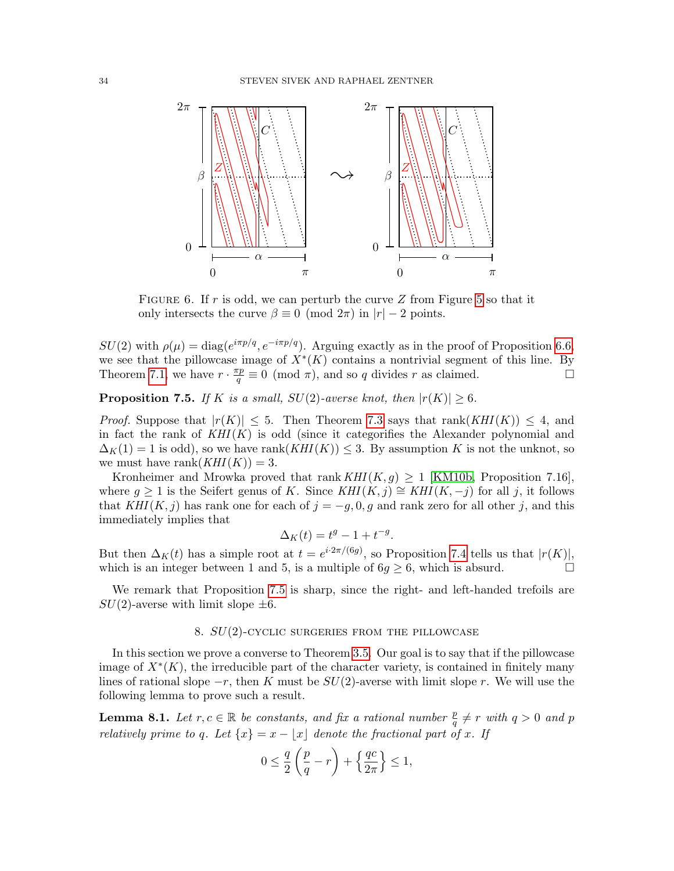

<span id="page-33-2"></span>FIGURE 6. If r is odd, we can perturb the curve Z from Figure [5](#page-32-0) so that it only intersects the curve  $\beta \equiv 0 \pmod{2\pi}$  in  $|r| - 2$  points.

 $SU(2)$  with  $\rho(\mu) = \text{diag}(e^{i\pi p/q}, e^{-i\pi p/q})$ . Arguing exactly as in the proof of Proposition [6.6,](#page-28-0) we see that the pillowcase image of  $X^*(K)$  contains a nontrivial segment of this line. By Theorem [7.1,](#page-29-1) we have  $r \cdot \frac{\pi p}{q}$  $\frac{dp}{q} \equiv 0 \pmod{\pi}$ , and so q divides r as claimed.

<span id="page-33-0"></span>**Proposition 7.5.** If K is a small,  $SU(2)$ -averse knot, then  $|r(K)| \geq 6$ .

*Proof.* Suppose that  $|r(K)| \leq 5$ . Then Theorem [7.3](#page-31-0) says that rank  $(KHI(K)) \leq 4$ , and in fact the rank of  $KHI(K)$  is odd (since it categorifies the Alexander polynomial and  $\Delta_K(1) = 1$  is odd), so we have rank $(KHI(K)) \leq 3$ . By assumption K is not the unknot, so we must have rank $(KHI(K)) = 3$ .

Kronheimer and Mrowka proved that rank  $KHI(K, g) \geq 1$  [\[KM10b,](#page-65-4) Proposition 7.16], where  $q \ge 1$  is the Seifert genus of K. Since  $KHI(K, j) \cong KHI(K, -j)$  for all j, it follows that  $KHI(K, j)$  has rank one for each of  $j = -g, 0, g$  and rank zero for all other j, and this immediately implies that

$$
\Delta_K(t) = t^g - 1 + t^{-g}.
$$

But then  $\Delta_K(t)$  has a simple root at  $t = e^{i2\pi/(6g)}$ , so Proposition [7.4](#page-32-1) tells us that  $|r(K)|$ , which is an integer between 1 and 5, is a multiple of  $6g \ge 6$ , which is absurd.

We remark that Proposition [7.5](#page-33-0) is sharp, since the right- and left-handed trefoils are  $SU(2)$ -averse with limit slope  $\pm 6$ .

### 8.  $SU(2)$ -CYCLIC SURGERIES FROM THE PILLOWCASE

<span id="page-33-1"></span>In this section we prove a converse to Theorem [3.5.](#page-10-1) Our goal is to say that if the pillowcase image of  $X^*(K)$ , the irreducible part of the character variety, is contained in finitely many lines of rational slope  $-r$ , then K must be  $SU(2)$ -averse with limit slope r. We will use the following lemma to prove such a result.

<span id="page-33-3"></span>**Lemma 8.1.** Let  $r, c \in \mathbb{R}$  be constants, and fix a rational number  $\frac{p}{q} \neq r$  with  $q > 0$  and p relatively prime to q. Let  $\{x\} = x - \lfloor x \rfloor$  denote the fractional part of x. If

$$
0 \le \frac{q}{2} \left( \frac{p}{q} - r \right) + \left\{ \frac{qc}{2\pi} \right\} \le 1,
$$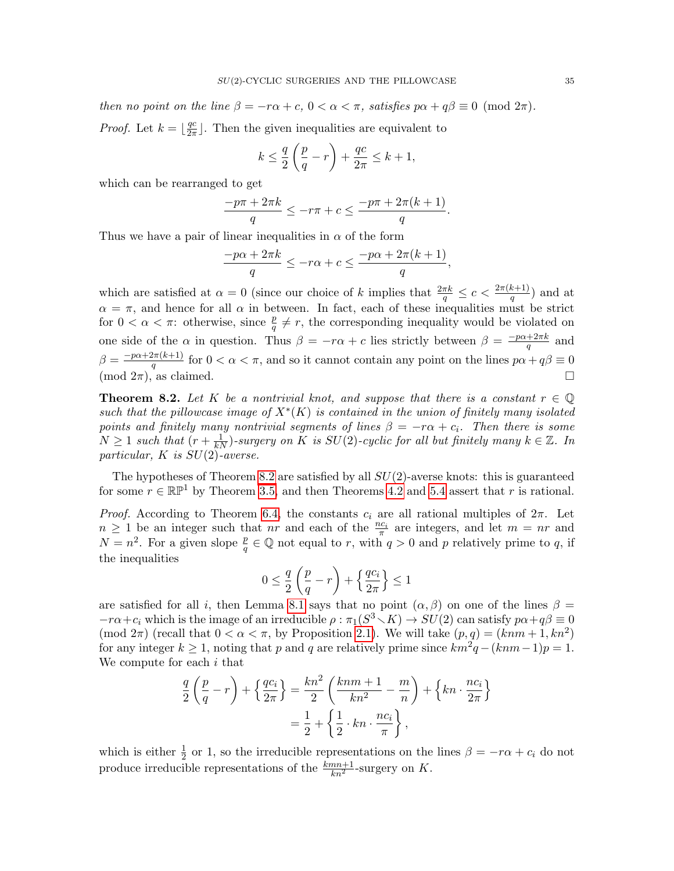then no point on the line  $\beta = -r\alpha + c$ ,  $0 < \alpha < \pi$ , satisfies  $p\alpha + q\beta \equiv 0 \pmod{2\pi}$ . *Proof.* Let  $k = \frac{qc}{2\pi}$  $\frac{qc}{2\pi}$ . Then the given inequalities are equivalent to

$$
k \le \frac{q}{2} \left( \frac{p}{q} - r \right) + \frac{qc}{2\pi} \le k + 1,
$$

which can be rearranged to get

$$
\frac{-p\pi + 2\pi k}{q} \le -r\pi + c \le \frac{-p\pi + 2\pi (k+1)}{q}.
$$

Thus we have a pair of linear inequalities in  $\alpha$  of the form

$$
\frac{-p\alpha + 2\pi k}{q} \le -r\alpha + c \le \frac{-p\alpha + 2\pi (k+1)}{q},
$$

which are satisfied at  $\alpha = 0$  (since our choice of k implies that  $\frac{2\pi k}{q} \leq c < \frac{2\pi (k+1)}{q}$ ) and at  $\alpha = \pi$ , and hence for all  $\alpha$  in between. In fact, each of these inequalities must be strict for  $0 < \alpha < \pi$ : otherwise, since  $\frac{p}{q} \neq r$ , the corresponding inequality would be violated on one side of the  $\alpha$  in question. Thus  $\beta = -r\alpha + c$  lies strictly between  $\beta = \frac{-p\alpha + 2\pi k}{a}$  $rac{+2\pi k}{q}$  and  $\beta = \frac{-p\alpha + 2\pi(k+1)}{q}$  $\frac{d\pi(k+1)}{q}$  for  $0 < \alpha < \pi$ , and so it cannot contain any point on the lines  $p\alpha + q\beta \equiv 0$  $(\text{mod } 2\pi)$ , as claimed.

<span id="page-34-0"></span>**Theorem 8.2.** Let K be a nontrivial knot, and suppose that there is a constant  $r \in \mathbb{Q}$ such that the pillowcase image of  $X^*(K)$  is contained in the union of finitely many isolated points and finitely many nontrivial segments of lines  $\beta = -r\alpha + c_i$ . Then there is some  $N \geq 1$  such that  $(r + \frac{1}{kN})$ -surgery on K is  $SU(2)$ -cyclic for all but finitely many  $k \in \mathbb{Z}$ . In particular,  $K$  is  $SU(2)$ -averse.

The hypotheses of Theorem [8.2](#page-34-0) are satisfied by all  $SU(2)$ -averse knots: this is guaranteed for some  $r \in \mathbb{RP}^1$  by Theorem [3.5,](#page-10-1) and then Theorems [4.2](#page-11-0) and [5.4](#page-23-0) assert that r is rational.

*Proof.* According to Theorem [6.4,](#page-27-1) the constants  $c_i$  are all rational multiples of  $2\pi$ . Let  $n \geq 1$  be an integer such that nr and each of the  $\frac{nc_i}{\pi}$  are integers, and let  $m = nr$  and  $N = n^2$ . For a given slope  $\frac{p}{q} \in \mathbb{Q}$  not equal to r, with  $q > 0$  and p relatively prime to q, if the inequalities

$$
0 \le \frac{q}{2} \left( \frac{p}{q} - r \right) + \left\{ \frac{qc_i}{2\pi} \right\} \le 1
$$

are satisfied for all i, then Lemma [8.1](#page-33-3) says that no point  $(\alpha, \beta)$  on one of the lines  $\beta =$  $-r\alpha+c_i$  which is the image of an irreducible  $\rho:\pi_1(S^3\setminus K)\to SU(2)$  can satisfy  $p\alpha+q\beta\equiv 0$ (mod  $2\pi$ ) (recall that  $0 < \alpha < \pi$ , by Proposition [2.1\)](#page-6-1). We will take  $(p, q) = (kmm + 1, kn^2)$ for any integer  $k \geq 1$ , noting that p and q are relatively prime since  $km^2q - (kmn-1)p = 1$ . We compute for each i that

$$
\frac{q}{2}\left(\frac{p}{q}-r\right) + \left\{\frac{qc_i}{2\pi}\right\} = \frac{kn^2}{2}\left(\frac{knm+1}{kn^2} - \frac{m}{n}\right) + \left\{kn \cdot \frac{nc_i}{2\pi}\right\}
$$

$$
= \frac{1}{2} + \left\{\frac{1}{2} \cdot kn \cdot \frac{nc_i}{\pi}\right\},
$$

which is either  $\frac{1}{2}$  or 1, so the irreducible representations on the lines  $\beta = -r\alpha + c_i$  do not produce irreducible representations of the  $\frac{kmn+1}{kn^2}$ -surgery on K.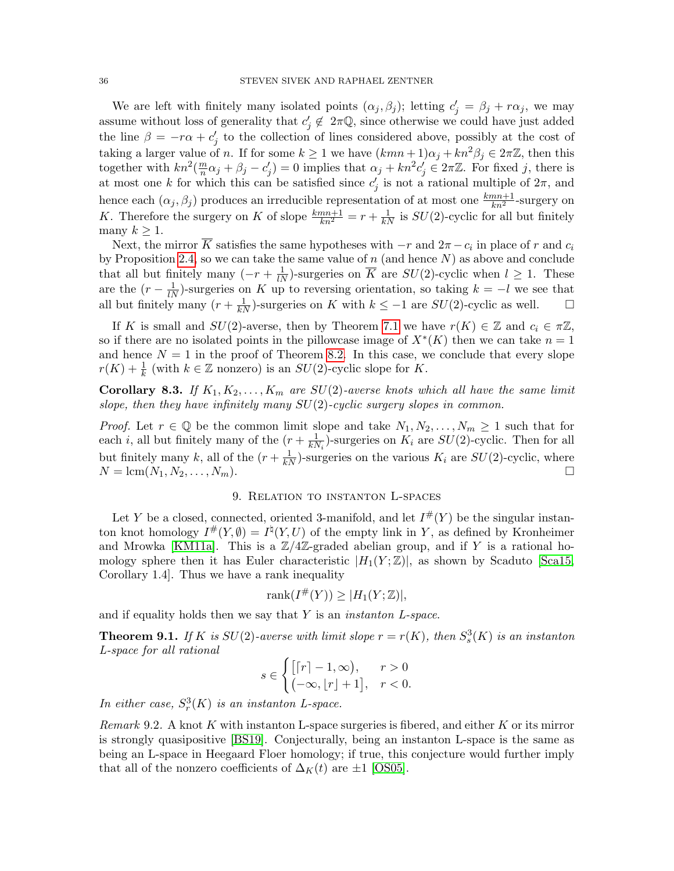We are left with finitely many isolated points  $(\alpha_j, \beta_j)$ ; letting  $c'_j = \beta_j + r\alpha_j$ , we may assume without loss of generality that  $c_j \notin 2\pi\mathbb{Q}$ , since otherwise we could have just added the line  $\beta = -r\alpha + c'_j$  to the collection of lines considered above, possibly at the cost of taking a larger value of n. If for some  $k \ge 1$  we have  $(kmn+1)\alpha_j + kn^2\beta_j \in 2\pi\mathbb{Z}$ , then this together with  $kn^2(\frac{m}{n})$  $\frac{m}{n}\alpha_j + \beta_j - c'_j = 0$  implies that  $\alpha_j + kn^2c'_j \in 2\pi\mathbb{Z}$ . For fixed j, there is at most one k for which this can be satisfied since  $c_j'$  is not a rational multiple of  $2\pi$ , and hence each  $(\alpha_j, \beta_j)$  produces an irreducible representation of at most one  $\frac{kmn+1}{kn^2}$ -surgery on K. Therefore the surgery on K of slope  $\frac{kmn+1}{kn^2} = r + \frac{1}{kN}$  is  $SU(2)$ -cyclic for all but finitely many  $k \geq 1$ .

Next, the mirror  $\overline{K}$  satisfies the same hypotheses with  $-r$  and  $2\pi - c_i$  in place of r and  $c_i$ by Proposition [2.4,](#page-7-2) so we can take the same value of  $n$  (and hence  $N$ ) as above and conclude that all but finitely many  $(-r + \frac{1}{lN})$ -surgeries on  $\overline{K}$  are  $SU(2)$ -cyclic when  $l \geq 1$ . These are the  $(r - \frac{1}{lN})$ -surgeries on K up to reversing orientation, so taking  $k = -l$  we see that all but finitely many  $(r + \frac{1}{kN})$ -surgeries on K with  $k \leq -1$  are  $SU(2)$ -cyclic as well. □

If K is small and  $SU(2)$ -averse, then by Theorem [7.1](#page-29-1) we have  $r(K) \in \mathbb{Z}$  and  $c_i \in \pi \mathbb{Z}$ , so if there are no isolated points in the pillowcase image of  $X^*(K)$  then we can take  $n = 1$ and hence  $N = 1$  in the proof of Theorem [8.2.](#page-34-0) In this case, we conclude that every slope  $r(K) + \frac{1}{k}$  (with  $k \in \mathbb{Z}$  nonzero) is an  $SU(2)$ -cyclic slope for K.

**Corollary 8.3.** If  $K_1, K_2, \ldots, K_m$  are  $SU(2)$ -averse knots which all have the same limit slope, then they have infinitely many  $SU(2)$ -cyclic surgery slopes in common.

*Proof.* Let  $r \in \mathbb{Q}$  be the common limit slope and take  $N_1, N_2, \ldots, N_m \geq 1$  such that for each *i*, all but finitely many of the  $(r + \frac{1}{kN})$  $\frac{1}{kN_i}$ )-surgeries on  $K_i$  are  $SU(2)$ -cyclic. Then for all but finitely many k, all of the  $(r + \frac{1}{kN})$ -surgeries on the various  $K_i$  are  $SU(2)$ -cyclic, where  $N = \text{lcm}(N_1, N_2, \dots, N_m).$ 

# 9. Relation to instanton L-spaces

<span id="page-35-1"></span>Let Y be a closed, connected, oriented 3-manifold, and let  $I^{\#}(Y)$  be the singular instanton knot homology  $I^{\#}(Y, \emptyset) = I^{\natural}(Y, U)$  of the empty link in Y, as defined by Kronheimer and Mrowka [\[KM11a\]](#page-65-2). This is a  $\mathbb{Z}/4\mathbb{Z}$ -graded abelian group, and if Y is a rational homology sphere then it has Euler characteristic  $|H_1(Y;\mathbb{Z})|$ , as shown by Scaduto [\[Sca15,](#page-65-11) Corollary 1.4]. Thus we have a rank inequality

$$
rank(I^{\#}(Y)) \ge |H_1(Y;\mathbb{Z})|,
$$

and if equality holds then we say that Y is an *instanton L-space*.

<span id="page-35-0"></span>**Theorem 9.1.** If K is  $SU(2)$ -averse with limit slope  $r = r(K)$ , then  $S_s^3(K)$  is an instanton L-space for all rational

$$
s \in \begin{cases} \left[ \lceil r \rceil - 1, \infty \right), & r > 0 \\ \left( -\infty, \lfloor r \rfloor + 1 \right], & r < 0. \end{cases}
$$

In either case,  $S_r^3(K)$  is an instanton L-space.

Remark 9.2. A knot  $K$  with instanton L-space surgeries is fibered, and either  $K$  or its mirror is strongly quasipositive [\[BS19\]](#page-63-0). Conjecturally, being an instanton L-space is the same as being an L-space in Heegaard Floer homology; if true, this conjecture would further imply that all of the nonzero coefficients of  $\Delta_K(t)$  are  $\pm 1$  [\[OS05\]](#page-65-12).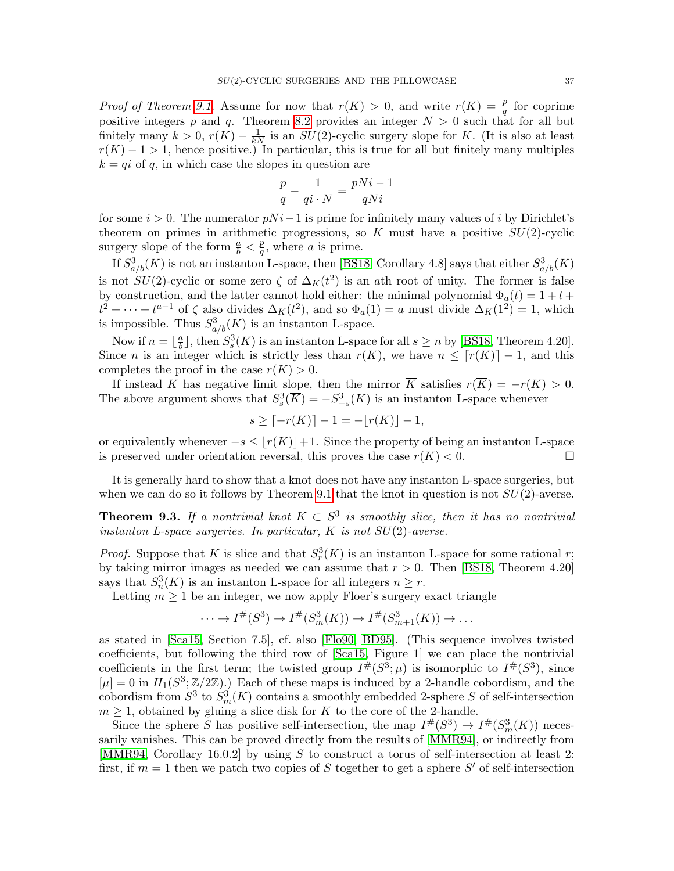*Proof of Theorem [9.1.](#page-35-0)* Assume for now that  $r(K) > 0$ , and write  $r(K) = \frac{p}{q}$  for coprime positive integers p and q. Theorem [8.2](#page-34-0) provides an integer  $N > 0$  such that for all but finitely many  $k > 0$ ,  $r(K) - \frac{1}{kN}$  is an  $SU(2)$ -cyclic surgery slope for K. (It is also at least  $r(K) - 1 > 1$ , hence positive.) In particular, this is true for all but finitely many multiples  $k = qi$  of q, in which case the slopes in question are

$$
\frac{p}{q} - \frac{1}{qi \cdot N} = \frac{pNi - 1}{qNi}
$$

for some  $i > 0$ . The numerator  $pNi-1$  is prime for infinitely many values of i by Dirichlet's theorem on primes in arithmetic progressions, so K must have a positive  $SU(2)$ -cyclic surgery slope of the form  $\frac{a}{b} < \frac{p}{q}$  $\frac{p}{q}$ , where *a* is prime.

If  $S^3_{a/b}(K)$  is not an instanton L-space, then [\[BS18,](#page-63-6) Corollary 4.8] says that either  $S^3_{a/b}(K)$ is not  $SU(2)$ -cyclic or some zero  $\zeta$  of  $\Delta_K(t^2)$  is an ath root of unity. The former is false by construction, and the latter cannot hold either: the minimal polynomial  $\Phi_a(t) = 1 + t +$  $t^2 + \cdots + t^{a-1}$  of  $\zeta$  also divides  $\Delta_K(t^2)$ , and so  $\Phi_a(1) = a$  must divide  $\Delta_K(1^2) = 1$ , which is impossible. Thus  $S^3_{a/b}(K)$  is an instanton L-space.

Now if  $n = \frac{a}{b}$  $\frac{a}{b}$ , then  $S_s^3(K)$  is an instanton L-space for all  $s \geq n$  by [\[BS18,](#page-63-6) Theorem 4.20]. Since *n* is an integer which is strictly less than  $r(K)$ , we have  $n \leq \lceil r(K) \rceil - 1$ , and this completes the proof in the case  $r(K) > 0$ .

If instead K has negative limit slope, then the mirror  $\overline{K}$  satisfies  $r(\overline{K}) = -r(K) > 0$ . The above argument shows that  $S_s^3(\overline{K}) = -S_{-s}^3(K)$  is an instanton L-space whenever

$$
s \ge \lceil -r(K) \rceil - 1 = -\lfloor r(K) \rfloor - 1,
$$

or equivalently whenever  $-s \leq |r(K)|+1$ . Since the property of being an instanton L-space is preserved under orientation reversal, this proves the case  $r(K) < 0$ .

It is generally hard to show that a knot does not have any instanton L-space surgeries, but when we can do so it follows by Theorem [9.1](#page-35-0) that the knot in question is not  $SU(2)$ -averse.

<span id="page-36-0"></span>**Theorem 9.3.** If a nontrivial knot  $K \subset S^3$  is smoothly slice, then it has no nontrivial instanton L-space surgeries. In particular,  $K$  is not  $SU(2)$ -averse.

*Proof.* Suppose that K is slice and that  $S_r^3(K)$  is an instanton L-space for some rational r; by taking mirror images as needed we can assume that  $r > 0$ . Then [\[BS18,](#page-63-6) Theorem 4.20] says that  $S_n^3(K)$  is an instanton L-space for all integers  $n \geq r$ .

Letting  $m \geq 1$  be an integer, we now apply Floer's surgery exact triangle

$$
\cdots \to I^{\#}(S^3) \to I^{\#}(S^3_m(K)) \to I^{\#}(S^3_{m+1}(K)) \to \dots
$$

as stated in [\[Sca15,](#page-65-11) Section 7.5], cf. also [\[Flo90,](#page-64-19) [BD95\]](#page-63-4). (This sequence involves twisted coefficients, but following the third row of [\[Sca15,](#page-65-11) Figure 1] we can place the nontrivial coefficients in the first term; the twisted group  $I^{\#}(S^3; \mu)$  is isomorphic to  $I^{\#}(S^3)$ , since  $[\mu] = 0$  in  $H_1(S^3; \mathbb{Z}/2\mathbb{Z})$ .) Each of these maps is induced by a 2-handle cobordism, and the cobordism from  $S^3$  to  $S^3_m(K)$  contains a smoothly embedded 2-sphere S of self-intersection  $m \geq 1$ , obtained by gluing a slice disk for K to the core of the 2-handle.

Since the sphere S has positive self-intersection, the map  $I^{\#}(S^3) \to I^{\#}(S^3_m(K))$  necessarily vanishes. This can be proved directly from the results of [\[MMR94\]](#page-65-13), or indirectly from [\[MMR94,](#page-65-13) Corollary 16.0.2] by using S to construct a torus of self-intersection at least 2: first, if  $m = 1$  then we patch two copies of S together to get a sphere S' of self-intersection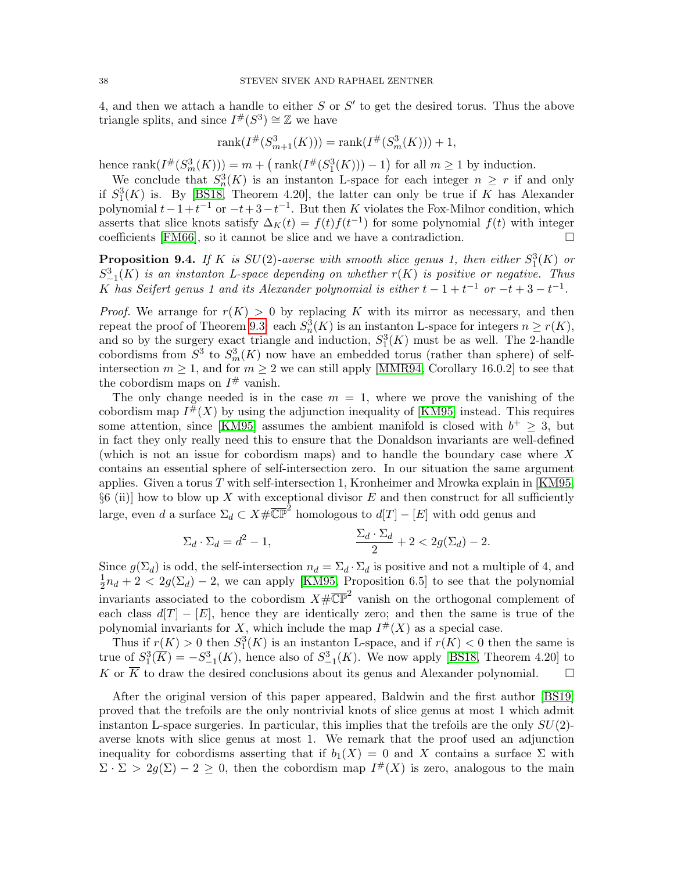4, and then we attach a handle to either  $S$  or  $S'$  to get the desired torus. Thus the above triangle splits, and since  $I^{\#}(S^3) \cong \mathbb{Z}$  we have

$$
rank(I^{\#}(S^3_{m+1}(K))) = rank(I^{\#}(S^3_m(K))) + 1,
$$

hence  $rank(I^{\#}(S_m^3(K))) = m + (rank(I^{\#}(S_1^3(K))) - 1)$  for all  $m \ge 1$  by induction.

We conclude that  $S_n^3(K)$  is an instanton L-space for each integer  $n \geq r$  if and only if  $S_1^3(K)$  is. By [\[BS18,](#page-63-6) Theorem 4.20], the latter can only be true if K has Alexander polynomial  $t-1+t^{-1}$  or  $-t+3-t^{-1}$ . But then K violates the Fox-Milnor condition, which asserts that slice knots satisfy  $\Delta_K(t) = f(t)f(t^{-1})$  for some polynomial  $f(t)$  with integer coefficients [\[FM66\]](#page-64-20), so it cannot be slice and we have a contradiction.  $\Box$ 

<span id="page-37-0"></span>**Proposition 9.4.** If K is  $SU(2)$ -averse with smooth slice genus 1, then either  $S_1^3(K)$  or  $S^3_{-1}(K)$  is an instanton L-space depending on whether  $r(K)$  is positive or negative. Thus K has Seifert genus 1 and its Alexander polynomial is either  $t-1+t^{-1}$  or  $-t+3-t^{-1}$ .

*Proof.* We arrange for  $r(K) > 0$  by replacing K with its mirror as necessary, and then repeat the proof of Theorem [9.3:](#page-36-0) each  $S_n^3(K)$  is an instanton L-space for integers  $n \ge r(K)$ , and so by the surgery exact triangle and induction,  $S_1^3(K)$  must be as well. The 2-handle cobordisms from  $S^3$  to  $S_m^3(K)$  now have an embedded torus (rather than sphere) of selfintersection  $m \geq 1$ , and for  $m \geq 2$  we can still apply [\[MMR94,](#page-65-13) Corollary 16.0.2] to see that the cobordism maps on  $I^{\#}$  vanish.

The only change needed is in the case  $m = 1$ , where we prove the vanishing of the cobordism map  $I^{\#}(X)$  by using the adjunction inequality of [\[KM95\]](#page-64-21) instead. This requires some attention, since [\[KM95\]](#page-64-21) assumes the ambient manifold is closed with  $b^+ \geq 3$ , but in fact they only really need this to ensure that the Donaldson invariants are well-defined (which is not an issue for cobordism maps) and to handle the boundary case where X contains an essential sphere of self-intersection zero. In our situation the same argument applies. Given a torus  $T$  with self-intersection 1, Kronheimer and Mrowka explain in [\[KM95,](#page-64-21)  $\S6$  (ii)] how to blow up X with exceptional divisor E and then construct for all sufficiently large, even d a surface  $\Sigma_d \subset X \# \overline{\mathbb{CP}}^2$  homologous to  $d[T] - [E]$  with odd genus and

$$
\Sigma_d \cdot \Sigma_d = d^2 - 1, \qquad \qquad \frac{\Sigma_d \cdot \Sigma_d}{2} + 2 < 2g(\Sigma_d) - 2.
$$

Since  $g(\Sigma_d)$  is odd, the self-intersection  $n_d = \Sigma_d \cdot \Sigma_d$  is positive and not a multiple of 4, and 1  $\frac{1}{2}n_d + 2 < 2g(\Sigma_d) - 2$ , we can apply [\[KM95,](#page-64-21) Proposition 6.5] to see that the polynomial invariants associated to the cobordism  $X \# \overline{\mathbb{CP}}^2$  vanish on the orthogonal complement of each class  $d[T] - [E]$ , hence they are identically zero; and then the same is true of the polynomial invariants for X, which include the map  $I^{\#}(X)$  as a special case.

Thus if  $r(K) > 0$  then  $S_1^3(K)$  is an instanton L-space, and if  $r(K) < 0$  then the same is true of  $S_1^3(\overline{K}) = -S_{-1}^3(K)$ , hence also of  $S_{-1}^3(K)$ . We now apply [\[BS18,](#page-63-6) Theorem 4.20] to K or  $\overline{K}$  to draw the desired conclusions about its genus and Alexander polynomial.  $\square$ 

After the original version of this paper appeared, Baldwin and the first author [\[BS19\]](#page-63-0) proved that the trefoils are the only nontrivial knots of slice genus at most 1 which admit instanton L-space surgeries. In particular, this implies that the trefoils are the only  $SU(2)$ averse knots with slice genus at most 1. We remark that the proof used an adjunction inequality for cobordisms asserting that if  $b_1(X) = 0$  and X contains a surface  $\Sigma$  with  $\Sigma \cdot \Sigma > 2g(\Sigma) - 2 \geq 0$ , then the cobordism map  $I^{\#}(X)$  is zero, analogous to the main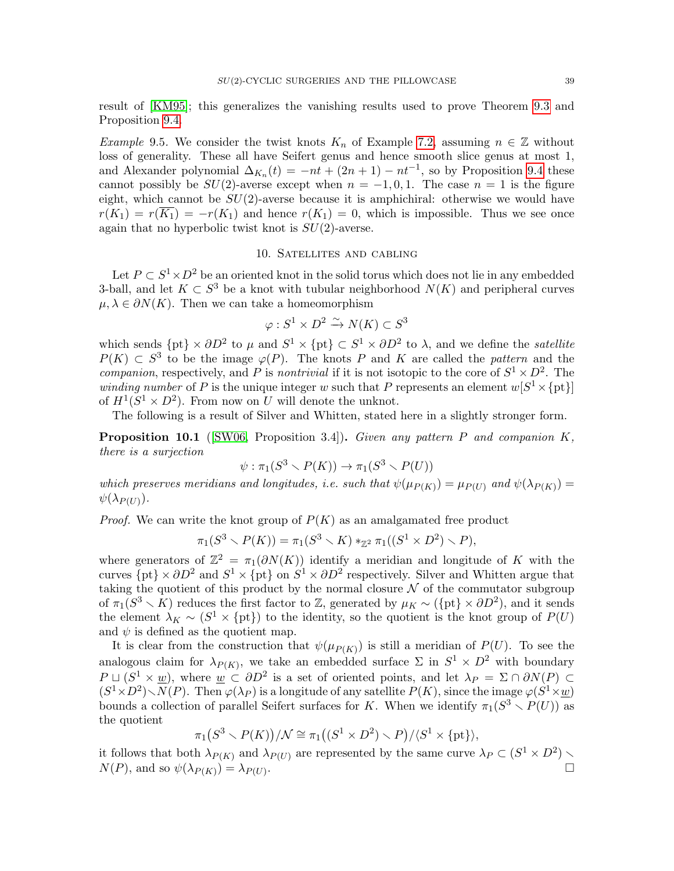result of [\[KM95\]](#page-64-21); this generalizes the vanishing results used to prove Theorem [9.3](#page-36-0) and Proposition [9.4.](#page-37-0)

Example 9.5. We consider the twist knots  $K_n$  of Example [7.2,](#page-30-1) assuming  $n \in \mathbb{Z}$  without loss of generality. These all have Seifert genus and hence smooth slice genus at most 1, and Alexander polynomial  $\Delta_{K_n}(t) = -nt + (2n + 1) - nt^{-1}$ , so by Proposition [9.4](#page-37-0) these cannot possibly be  $SU(2)$ -averse except when  $n = -1, 0, 1$ . The case  $n = 1$  is the figure eight, which cannot be  $SU(2)$ -averse because it is amphichiral: otherwise we would have  $r(K_1) = r(\overline{K_1}) = -r(K_1)$  and hence  $r(K_1) = 0$ , which is impossible. Thus we see once again that no hyperbolic twist knot is  $SU(2)$ -averse.

## 10. Satellites and cabling

<span id="page-38-0"></span>Let  $P \subset S^1 \times D^2$  be an oriented knot in the solid torus which does not lie in any embedded 3-ball, and let  $K \subset S^3$  be a knot with tubular neighborhood  $N(K)$  and peripheral curves  $\mu, \lambda \in \partial N(K)$ . Then we can take a homeomorphism

$$
\varphi: S^1 \times D^2 \xrightarrow{\sim} N(K) \subset S^3
$$

which sends  $\{pt\}\times \partial D^2$  to  $\mu$  and  $S^1\times \{pt\}\subset S^1\times \partial D^2$  to  $\lambda$ , and we define the *satellite*  $P(K) \subset S^3$  to be the image  $\varphi(P)$ . The knots P and K are called the pattern and the *companion*, respectively, and P is *nontrivial* if it is not isotopic to the core of  $S^1 \times D^2$ . The *winding number* of P is the unique integer w such that P represents an element  $w[S^1 \times \{pt\}]$ of  $H^1(S^1 \times D^2)$ . From now on U will denote the unknot.

The following is a result of Silver and Whitten, stated here in a slightly stronger form.

<span id="page-38-1"></span>Proposition 10.1 ([\[SW06,](#page-65-14) Proposition 3.4]). Given any pattern P and companion K, there is a surjection

$$
\psi : \pi_1(S^3 \setminus P(K)) \to \pi_1(S^3 \setminus P(U))
$$

which preserves meridians and longitudes, i.e. such that  $\psi(\mu_{P(K)}) = \mu_{P(U)}$  and  $\psi(\lambda_{P(K)}) =$  $\psi(\lambda_{P(U)}).$ 

*Proof.* We can write the knot group of  $P(K)$  as an amalgamated free product

$$
\pi_1(S^3 \setminus P(K)) = \pi_1(S^3 \setminus K) *_{\mathbb{Z}^2} \pi_1((S^1 \times D^2) \setminus P),
$$

where generators of  $\mathbb{Z}^2 = \pi_1(\partial N(K))$  identify a meridian and longitude of K with the curves  $\{pt\}\times \partial D^2$  and  $S^1\times \{pt\}$  on  $S^1\times \partial D^2$  respectively. Silver and Whitten argue that taking the quotient of this product by the normal closure  $\mathcal N$  of the commutator subgroup of  $\pi_1(S^3 \setminus K)$  reduces the first factor to Z, generated by  $\mu_K \sim (\{\text{pt}\}\times \partial D^2)$ , and it sends the element  $\lambda_K \sim (S^1 \times \{\text{pt}\})$  to the identity, so the quotient is the knot group of  $P(U)$ and  $\psi$  is defined as the quotient map.

It is clear from the construction that  $\psi(\mu_{P(K)})$  is still a meridian of  $P(U)$ . To see the analogous claim for  $\lambda_{P(K)}$ , we take an embedded surface  $\Sigma$  in  $S^1 \times D^2$  with boundary  $P \sqcup (S^1 \times \underline{w})$ , where  $\underline{w} \subset \partial D^2$  is a set of oriented points, and let  $\lambda_P = \Sigma \cap \partial N(P) \subset$  $(S^1\times D^2)\diagdown N(P).$  Then  $\varphi(\lambda_P)$  is a longitude of any satellite  $P(K)$ , since the image  $\varphi(S^1\times \underline{w})$ bounds a collection of parallel Seifert surfaces for K. When we identify  $\pi_1(S^3 \setminus P(U))$  as the quotient

$$
\pi_1(S^3 \setminus P(K))/\mathcal{N} \cong \pi_1((S^1 \times D^2) \setminus P)/\langle S^1 \times \{\text{pt}\}\rangle,
$$

it follows that both  $\lambda_{P(K)}$  and  $\lambda_{P(U)}$  are represented by the same curve  $\lambda_P \subset (S^1 \times D^2)$  $N(P)$ , and so  $\psi(\lambda_{P(K)}) = \lambda_{P(U)}$ .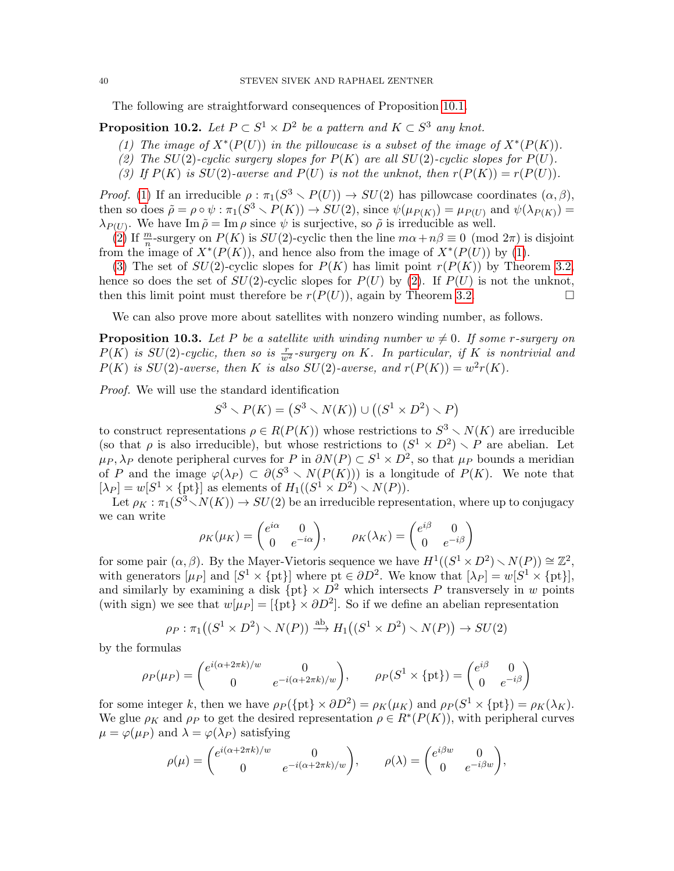The following are straightforward consequences of Proposition [10.1.](#page-38-1)

<span id="page-39-2"></span><span id="page-39-0"></span>**Proposition 10.2.** Let  $P \subset S^1 \times D^2$  be a pattern and  $K \subset S^3$  any knot.

- (1) The image of  $X^*(P(U))$  in the pillowcase is a subset of the image of  $X^*(P(K))$ .
- <span id="page-39-3"></span>(2) The SU(2)-cyclic surgery slopes for  $P(K)$  are all SU(2)-cyclic slopes for  $P(U)$ .
- <span id="page-39-4"></span>(3) If  $P(K)$  is  $SU(2)$ -averse and  $P(U)$  is not the unknot, then  $r(P(K)) = r(P(U))$ .

*Proof.* [\(1\)](#page-39-2) If an irreducible  $\rho : \pi_1(S^3 \setminus P(U)) \to SU(2)$  has pillowcase coordinates  $(\alpha, \beta)$ , then so does  $\tilde{\rho} = \rho \circ \psi : \pi_1(S^3 \setminus P(K)) \to SU(2)$ , since  $\psi(\mu_{P(K)}) = \mu_{P(U)}$  and  $\psi(\lambda_{P(K)}) =$  $\lambda_{P(U)}$ . We have Im  $\tilde{\rho} = \text{Im } \rho$  since  $\psi$  is surjective, so  $\tilde{\rho}$  is irreducible as well.

[\(2\)](#page-39-3) If  $\frac{m}{n}$ -surgery on  $P(K)$  is  $SU(2)$ -cyclic then the line  $m\alpha + n\beta \equiv 0 \pmod{2\pi}$  is disjoint from the image of  $X^*(P(K))$ , and hence also from the image of  $X^*(P(U))$  by [\(1\)](#page-39-2).

[\(3\)](#page-39-4) The set of  $SU(2)$ -cyclic slopes for  $P(K)$  has limit point  $r(P(K))$  by Theorem [3.2,](#page-9-0) hence so does the set of  $SU(2)$ -cyclic slopes for  $P(U)$  by [\(2\)](#page-39-3). If  $P(U)$  is not the unknot, then this limit point must therefore be  $r(P(U))$ , again by Theorem [3.2.](#page-9-0)

We can also prove more about satellites with nonzero winding number, as follows.

<span id="page-39-1"></span>**Proposition 10.3.** Let P be a satellite with winding number  $w \neq 0$ . If some r-surgery on  $P(K)$  is  $SU(2)$ -cyclic, then so is  $\frac{r}{w^2}$ -surgery on K. In particular, if K is nontrivial and  $P(K)$  is  $SU(2)$ -averse, then K is also  $SU(2)$ -averse, and  $r(P(K)) = w^2r(K)$ .

Proof. We will use the standard identification

$$
S^3 \setminus P(K) = (S^3 \setminus N(K)) \cup ((S^1 \times D^2) \setminus P)
$$

to construct representations  $\rho \in R(P(K))$  whose restrictions to  $S^3 \setminus N(K)$  are irreducible (so that  $\rho$  is also irreducible), but whose restrictions to  $(S^1 \times D^2) \setminus P$  are abelian. Let  $\mu_P, \lambda_P$  denote peripheral curves for P in  $\partial N(P) \subset S^1 \times D^2$ , so that  $\mu_P$  bounds a meridian of P and the image  $\varphi(\lambda_P) \subset \partial(S^3 \setminus N(P(K)))$  is a longitude of  $P(K)$ . We note that  $[\lambda_P] = w[S^1 \times \{\text{pt}\}]$  as elements of  $H_1((S^1 \times D^2) \setminus N(P)).$ 

Let  $\rho_K : \pi_1(S^3 \setminus N(K)) \to SU(2)$  be an irreducible representation, where up to conjugacy we can write

$$
\rho_K(\mu_K) = \begin{pmatrix} e^{i\alpha} & 0 \\ 0 & e^{-i\alpha} \end{pmatrix}, \qquad \rho_K(\lambda_K) = \begin{pmatrix} e^{i\beta} & 0 \\ 0 & e^{-i\beta} \end{pmatrix}
$$

for some pair  $(\alpha, \beta)$ . By the Mayer-Vietoris sequence we have  $H^1((S^1 \times D^2) \setminus N(P)) \cong \mathbb{Z}^2$ , with generators  $[\mu_P]$  and  $[S^1 \times \{\text{pt}\}]$  where  $\text{pt} \in \partial D^2$ . We know that  $[\lambda_P] = w[S^1 \times \{\text{pt}\}]$ , and similarly by examining a disk  $\{pt\} \times D^2$  which intersects P transversely in w points (with sign) we see that  $w[\mu_P] = {\text{pt}} \times \partial D^2$ . So if we define an abelian representation

$$
\rho_P : \pi_1((S^1 \times D^2) \setminus N(P)) \xrightarrow{\text{ab}} H_1((S^1 \times D^2) \setminus N(P)) \to SU(2)
$$

by the formulas

$$
\rho_P(\mu_P) = \begin{pmatrix} e^{i(\alpha + 2\pi k)/w} & 0\\ 0 & e^{-i(\alpha + 2\pi k)/w} \end{pmatrix}, \qquad \rho_P(S^1 \times \{\text{pt}\}) = \begin{pmatrix} e^{i\beta} & 0\\ 0 & e^{-i\beta} \end{pmatrix}
$$

for some integer k, then we have  $\rho_P(\{\text{pt}\}\times \partial D^2) = \rho_K(\mu_K)$  and  $\rho_P(S^1\times \{\text{pt}\}) = \rho_K(\lambda_K)$ . We glue  $\rho_K$  and  $\rho_P$  to get the desired representation  $\rho \in R^*(P(K))$ , with peripheral curves  $\mu = \varphi(\mu_P)$  and  $\lambda = \varphi(\lambda_P)$  satisfying

$$
\rho(\mu) = \begin{pmatrix} e^{i(\alpha + 2\pi k)/w} & 0 \\ 0 & e^{-i(\alpha + 2\pi k)/w} \end{pmatrix}, \qquad \rho(\lambda) = \begin{pmatrix} e^{i\beta w} & 0 \\ 0 & e^{-i\beta w} \end{pmatrix},
$$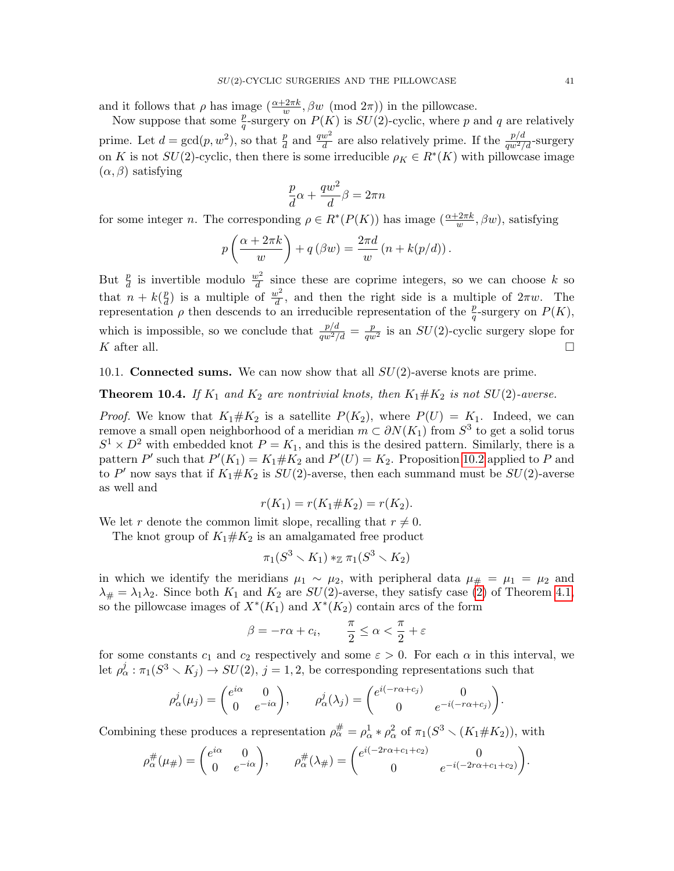and it follows that  $\rho$  has image  $(\frac{\alpha+2\pi k}{w}, \beta w \pmod{2\pi})$  in the pillowcase.

Now suppose that some  $\frac{p}{q}$ -surgery on  $P(K)$  is  $SU(2)$ -cyclic, where p and q are relatively prime. Let  $d = \gcd(p, w^2)$ , so that  $\frac{p}{d}$  and  $\frac{qw^2}{d}$  are also relatively prime. If the  $\frac{p/d}{qw^2/d}$ -surgery on K is not  $SU(2)$ -cyclic, then there is some irreducible  $\rho_K \in R^*(K)$  with pillowcase image  $(\alpha, \beta)$  satisfying

$$
\frac{p}{d}\alpha + \frac{qw^2}{d}\beta = 2\pi n
$$

for some integer *n*. The corresponding  $\rho \in R^*(P(K))$  has image  $\left(\frac{\alpha+2\pi k}{w}, \beta w\right)$ , satisfying

$$
p\left(\frac{\alpha+2\pi k}{w}\right)+q\left(\beta w\right)=\frac{2\pi d}{w}\left(n+k(p/d)\right).
$$

But  $\frac{p}{d}$  is invertible modulo  $\frac{w^2}{d}$  since these are coprime integers, so we can choose k so that  $n + k(\frac{p}{d})$  $\frac{p}{d}$ ) is a multiple of  $\frac{w^2}{d}$ , and then the right side is a multiple of  $2\pi w$ . The representation  $\rho$  then descends to an irreducible representation of the  $\frac{p}{q}$ -surgery on  $P(K)$ , which is impossible, so we conclude that  $\frac{p/d}{qw^2/d} = \frac{p}{qw^2}$  is an  $SU(2)$ -cyclic surgery slope for K after all.

10.1. **Connected sums.** We can now show that all  $SU(2)$ -averse knots are prime.

<span id="page-40-0"></span>**Theorem 10.4.** If  $K_1$  and  $K_2$  are nontrivial knots, then  $K_1 \# K_2$  is not  $SU(2)$ -averse.

*Proof.* We know that  $K_1 \# K_2$  is a satellite  $P(K_2)$ , where  $P(U) = K_1$ . Indeed, we can remove a small open neighborhood of a meridian  $m \subset \partial N(K_1)$  from  $S^3$  to get a solid torus  $S^1 \times D^2$  with embedded knot  $P = K_1$ , and this is the desired pattern. Similarly, there is a pattern P' such that  $P'(K_1) = K_1 \# K_2$  and  $P'(U) = K_2$ . Proposition [10.2](#page-39-0) applied to P and to P' now says that if  $K_1 \# K_2$  is  $SU(2)$ -averse, then each summand must be  $SU(2)$ -averse as well and

$$
r(K_1) = r(K_1 \# K_2) = r(K_2).
$$

We let r denote the common limit slope, recalling that  $r \neq 0$ .

The knot group of  $K_1 \# K_2$  is an amalgamated free product

$$
\pi_1(S^3 \smallsetminus K_1) \ast_\mathbb{Z} \pi_1(S^3 \smallsetminus K_2)
$$

in which we identify the meridians  $\mu_1 \sim \mu_2$ , with peripheral data  $\mu_{\#} = \mu_1 = \mu_2$  and  $\lambda_{\#} = \lambda_1 \lambda_2$ . Since both  $K_1$  and  $K_2$  are  $SU(2)$ -averse, they satisfy case [\(2\)](#page-11-4) of Theorem [4.1,](#page-11-2) so the pillowcase images of  $X^*(K_1)$  and  $X^*(K_2)$  contain arcs of the form

$$
\beta = -r\alpha + c_i, \qquad \frac{\pi}{2} \le \alpha < \frac{\pi}{2} + \varepsilon
$$

for some constants  $c_1$  and  $c_2$  respectively and some  $\varepsilon > 0$ . For each  $\alpha$  in this interval, we let  $\rho^j_\alpha : \pi_1(S^3 \setminus K_j) \to SU(2), j = 1, 2$ , be corresponding representations such that

$$
\rho^j_\alpha(\mu_j) = \begin{pmatrix} e^{i\alpha} & 0 \\ 0 & e^{-i\alpha} \end{pmatrix}, \qquad \rho^j_\alpha(\lambda_j) = \begin{pmatrix} e^{i(-r\alpha + c_j)} & 0 \\ 0 & e^{-i(-r\alpha + c_j)} \end{pmatrix}.
$$

Combining these produces a representation  $\rho_{\alpha}^{\#} = \rho_{\alpha}^{1} * \rho_{\alpha}^{2}$  of  $\pi_1(S^3 \setminus (K_1 \# K_2))$ , with

$$
\rho_{\alpha}^{\#}(\mu_{\#}) = \begin{pmatrix} e^{i\alpha} & 0 \\ 0 & e^{-i\alpha} \end{pmatrix}, \qquad \rho_{\alpha}^{\#}(\lambda_{\#}) = \begin{pmatrix} e^{i(-2r\alpha + c_1 + c_2)} & 0 \\ 0 & e^{-i(-2r\alpha + c_1 + c_2)} \end{pmatrix}.
$$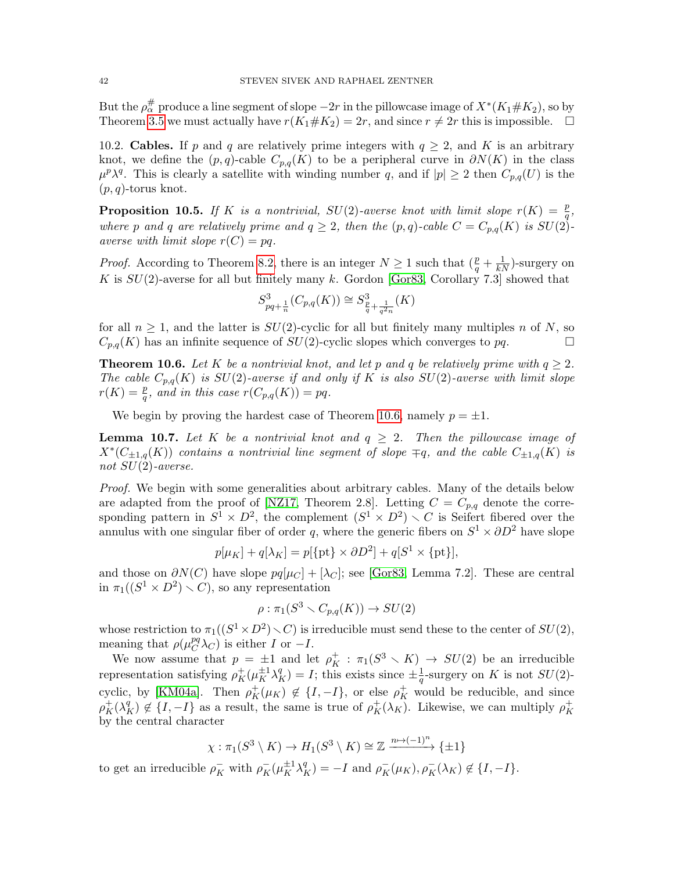But the  $\rho^{\#}_{\alpha}$  produce a line segment of slope  $-2r$  in the pillowcase image of  $X^*(K_1\# K_2),$  so by Theorem [3.5](#page-10-1) we must actually have  $r(K_1 \# K_2) = 2r$ , and since  $r \neq 2r$  this is impossible.  $\Box$ 

10.2. Cables. If p and q are relatively prime integers with  $q \geq 2$ , and K is an arbitrary knot, we define the  $(p, q)$ -cable  $C_{p,q}(K)$  to be a peripheral curve in  $\partial N(K)$  in the class  $\mu^p \lambda^q$ . This is clearly a satellite with winding number q, and if  $|p| \geq 2$  then  $C_{p,q}(U)$  is the  $(p, q)$ -torus knot.

<span id="page-41-0"></span>**Proposition 10.5.** If K is a nontrivial, SU(2)-averse knot with limit slope  $r(K) = \frac{p}{q}$ , where p and q are relatively prime and  $q \geq 2$ , then the  $(p,q)$ -cable  $C = C_{p,q}(K)$  is  $SU(2)$ averse with limit slope  $r(C) = pq$ .

*Proof.* According to Theorem [8.2,](#page-34-0) there is an integer  $N \geq 1$  such that  $(\frac{p}{q} + \frac{1}{kN})$ -surgery on K is  $SU(2)$ -averse for all but finitely many k. Gordon [\[Gor83,](#page-64-22) Corollary 7.3] showed that

$$
S_{pq+\frac{1}{n}}^{3}(C_{p,q}(K)) \cong S_{\frac{p}{q}+\frac{1}{q^{2}n}}^{3}(K)
$$

for all  $n \geq 1$ , and the latter is  $SU(2)$ -cyclic for all but finitely many multiples n of N, so  $C_{p,q}(K)$  has an infinite sequence of  $SU(2)$ -cyclic slopes which converges to  $pq$ .

<span id="page-41-1"></span>**Theorem 10.6.** Let K be a nontrivial knot, and let p and q be relatively prime with  $q \geq 2$ . The cable  $C_{p,q}(K)$  is  $SU(2)$ -averse if and only if K is also  $SU(2)$ -averse with limit slope  $r(K) = \frac{p}{q}$ , and in this case  $r(C_{p,q}(K)) = pq$ .

We begin by proving the hardest case of Theorem [10.6,](#page-41-1) namely  $p = \pm 1$ .

<span id="page-41-2"></span>**Lemma 10.7.** Let K be a nontrivial knot and  $q \geq 2$ . Then the pillowcase image of  $X^*(C_{\pm 1,q}(K))$  contains a nontrivial line segment of slope  $\mp q$ , and the cable  $C_{\pm 1,q}(K)$  is not  $SU(2)$ -averse.

Proof. We begin with some generalities about arbitrary cables. Many of the details below are adapted from the proof of [\[NZ17,](#page-65-15) Theorem 2.8]. Letting  $C = C_{p,q}$  denote the corresponding pattern in  $S^1 \times D^2$ , the complement  $(S^1 \times D^2) \times C$  is Seifert fibered over the annulus with one singular fiber of order q, where the generic fibers on  $S^1 \times \partial D^2$  have slope

$$
p[\mu_K] + q[\lambda_K] = p[\{\text{pt}\} \times \partial D^2] + q[S^1 \times \{\text{pt}\}],
$$

and those on  $\partial N(C)$  have slope  $pq[\mu_C] + [\lambda_C]$ ; see [\[Gor83,](#page-64-22) Lemma 7.2]. These are central in  $\pi_1((S^1 \times D^2) \setminus C)$ , so any representation

$$
\rho : \pi_1(S^3 \smallsetminus C_{p,q}(K)) \to SU(2)
$$

whose restriction to  $\pi_1((S^1 \times D^2) \setminus C)$  is irreducible must send these to the center of  $SU(2)$ , meaning that  $\rho(\mu_C^{pq}\lambda_C)$  is either I or  $-I$ .

We now assume that  $p = \pm 1$  and let  $\rho_K^+ : \pi_1(S^3 \setminus K) \to SU(2)$  be an irreducible representation satisfying  $\rho_K^+(\mu_K^{\pm 1}\lambda_K^q) = I$ ; this exists since  $\pm \frac{1}{q}$  $\frac{1}{q}$ -surgery on K is not  $SU(2)$ -cyclic, by [\[KM04a\]](#page-64-1). Then  $\rho_K^+(\mu_K) \notin \{I, -I\}$ , or else  $\rho_K^+$  would be reducible, and since  $\rho_K^+(\lambda_K^q) \notin \{I, -I\}$  as a result, the same is true of  $\rho_K^+(\lambda_K)$ . Likewise, we can multiply  $\rho_K^+$ K by the central character

$$
\chi: \pi_1(S^3 \setminus K) \to H_1(S^3 \setminus K) \cong \mathbb{Z} \xrightarrow{n \mapsto (-1)^n} {\{\pm 1\}}
$$

to get an irreducible  $\rho_K^-$  with  $\rho_K^- (\mu_K^{\pm 1} \lambda_K^q) = -I$  and  $\rho_K^- (\mu_K), \rho_K^- (\lambda_K) \notin \{I, -I\}$ .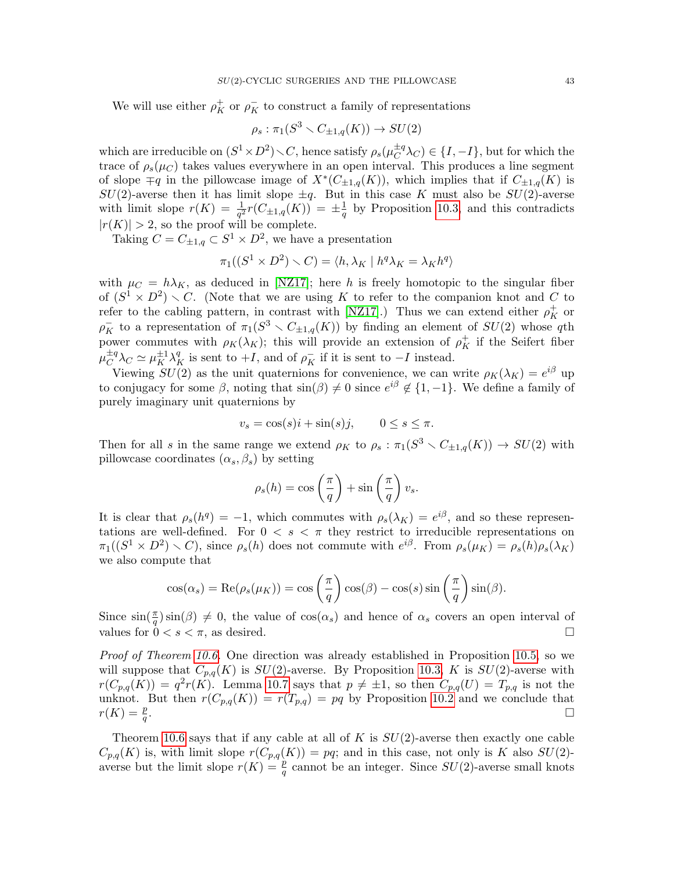We will use either  $\rho_K^+$  or  $\rho_K^-$  to construct a family of representations

$$
\rho_s: \pi_1(S^3 \smallsetminus C_{\pm 1,q}(K)) \to SU(2)
$$

which are irreducible on  $(S^1 \times D^2) \setminus C$ , hence satisfy  $\rho_s(\mu_C^{\pm q})$  $\mathcal{L}^{H}_{C}(\lambda_{C}) \in \{I, -I\},\$  but for which the trace of  $\rho_s(\mu_C)$  takes values everywhere in an open interval. This produces a line segment of slope  $\mp q$  in the pillowcase image of  $X^*(C_{\pm 1,q}(K))$ , which implies that if  $C_{\pm 1,q}(K)$  is  $SU(2)$ -averse then it has limit slope  $\pm q$ . But in this case K must also be  $SU(2)$ -averse with limit slope  $r(K) = \frac{1}{q^2}r(C_{\pm 1,q}(K)) = \pm \frac{1}{q}$  $\frac{1}{q}$  by Proposition [10.3,](#page-39-1) and this contradicts  $|r(K)| > 2$ , so the proof will be complete.

Taking  $C = C_{\pm 1,q} \subset S^1 \times D^2$ , we have a presentation

$$
\pi_1((S^1 \times D^2) \smallsetminus C) = \langle h, \lambda_K \mid h^q \lambda_K = \lambda_K h^q \rangle
$$

with  $\mu_C = h\lambda_K$ , as deduced in [\[NZ17\]](#page-65-15); here h is freely homotopic to the singular fiber of  $(S^1 \times D^2) \setminus C$ . (Note that we are using K to refer to the companion knot and C to refer to the cabling pattern, in contrast with [\[NZ17\]](#page-65-15).) Thus we can extend either  $\rho_K^+$  or  $\rho_K^-$  to a representation of  $\pi_1(S^3 \setminus C_{\pm 1,q}(K))$  by finding an element of  $SU(2)$  whose qth power commutes with  $\rho_K(\lambda_K)$ ; this will provide an extension of  $\rho_K^+$  if the Seifert fiber  $\mu_C^{\pm q}$  $\frac{d^2q}{C} \lambda_C \simeq \mu_K^{\pm 1} \lambda_K^q$  is sent to  $+I$ , and of  $\rho_K^-$  if it is sent to  $-I$  instead.

Viewing  $SU(2)$  as the unit quaternions for convenience, we can write  $\rho_K(\lambda_K) = e^{i\beta}$  up to conjugacy for some  $\beta$ , noting that  $\sin(\beta) \neq 0$  since  $e^{i\beta} \notin \{1, -1\}$ . We define a family of purely imaginary unit quaternions by

$$
v_s = \cos(s)i + \sin(s)j, \qquad 0 \le s \le \pi.
$$

Then for all s in the same range we extend  $\rho_K$  to  $\rho_s : \pi_1(S^3 \setminus C_{\pm 1,q}(K)) \to SU(2)$  with pillowcase coordinates  $(\alpha_s, \beta_s)$  by setting

$$
\rho_s(h) = \cos\left(\frac{\pi}{q}\right) + \sin\left(\frac{\pi}{q}\right)v_s.
$$

It is clear that  $\rho_s(h^q) = -1$ , which commutes with  $\rho_s(\lambda_K) = e^{i\beta}$ , and so these representations are well-defined. For  $0 < s < \pi$  they restrict to irreducible representations on  $\pi_1((S^1 \times D^2) \setminus C)$ , since  $\rho_s(h)$  does not commute with  $e^{i\beta}$ . From  $\rho_s(\mu_K) = \rho_s(h)\rho_s(\lambda_K)$ we also compute that

$$
\cos(\alpha_s) = \text{Re}(\rho_s(\mu_K)) = \cos\left(\frac{\pi}{q}\right)\cos(\beta) - \cos(s)\sin\left(\frac{\pi}{q}\right)\sin(\beta).
$$

Since  $\sin(\frac{\pi}{q})\sin(\beta) \neq 0$ , the value of  $\cos(\alpha_s)$  and hence of  $\alpha_s$  covers an open interval of values for  $0 < s < \pi$ , as desired.

*Proof of Theorem [10.6.](#page-41-1)* One direction was already established in Proposition [10.5,](#page-41-0) so we will suppose that  $C_{p,q}(K)$  is  $SU(2)$ -averse. By Proposition [10.3,](#page-39-1) K is  $SU(2)$ -averse with  $r(C_{p,q}(K)) = q^2r(K)$ . Lemma [10.7](#page-41-2) says that  $p \neq \pm 1$ , so then  $C_{p,q}(U) = T_{p,q}$  is not the unknot. But then  $r(C_{p,q}(K)) = r(T_{p,q}) = pq$  by Proposition [10.2](#page-39-0) and we conclude that  $r(K) = \frac{p}{q}$ .  $\Box$ 

Theorem [10.6](#page-41-1) says that if any cable at all of K is  $SU(2)$ -averse then exactly one cable  $C_{p,q}(K)$  is, with limit slope  $r(C_{p,q}(K)) = pq$ ; and in this case, not only is K also  $SU(2)$ averse but the limit slope  $r(K) = \frac{p}{q}$  cannot be an integer. Since  $SU(2)$ -averse small knots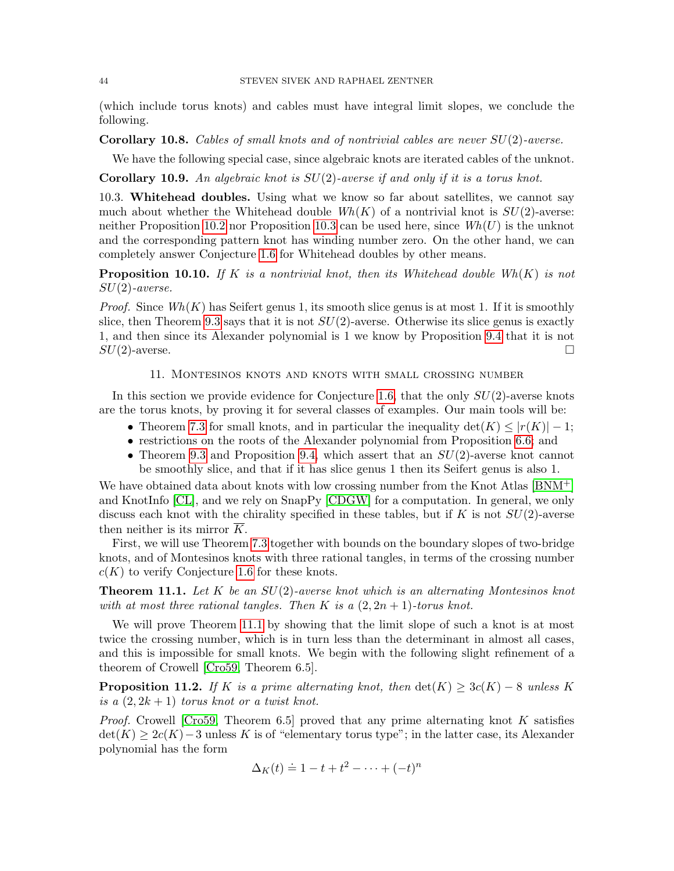(which include torus knots) and cables must have integral limit slopes, we conclude the following.

**Corollary 10.8.** Cables of small knots and of nontrivial cables are never  $SU(2)$ -averse.

We have the following special case, since algebraic knots are iterated cables of the unknot.

<span id="page-43-1"></span>**Corollary 10.9.** An algebraic knot is  $SU(2)$ -averse if and only if it is a torus knot.

10.3. Whitehead doubles. Using what we know so far about satellites, we cannot say much about whether the Whitehead double  $Wh(K)$  of a nontrivial knot is  $SU(2)$ -averse: neither Proposition [10.2](#page-39-0) nor Proposition [10.3](#page-39-1) can be used here, since  $Wh(U)$  is the unknot and the corresponding pattern knot has winding number zero. On the other hand, we can completely answer Conjecture [1.6](#page-2-0) for Whitehead doubles by other means.

**Proposition 10.10.** If K is a nontrivial knot, then its Whitehead double  $Wh(K)$  is not  $SU(2)$ -averse.

*Proof.* Since  $Wh(K)$  has Seifert genus 1, its smooth slice genus is at most 1. If it is smoothly slice, then Theorem [9.3](#page-36-0) says that it is not  $SU(2)$ -averse. Otherwise its slice genus is exactly 1, and then since its Alexander polynomial is 1 we know by Proposition [9.4](#page-37-0) that it is not  $SU(2)$ -averse.

#### 11. Montesinos knots and knots with small crossing number

<span id="page-43-0"></span>In this section we provide evidence for Conjecture [1.6,](#page-2-0) that the only  $SU(2)$ -averse knots are the torus knots, by proving it for several classes of examples. Our main tools will be:

- Theorem [7.3](#page-31-0) for small knots, and in particular the inequality  $\det(K) \leq |r(K)| 1$ ;
- restrictions on the roots of the Alexander polynomial from Proposition [6.6;](#page-28-0) and
- Theorem [9.3](#page-36-0) and Proposition [9.4,](#page-37-0) which assert that an  $SU(2)$ -averse knot cannot be smoothly slice, and that if it has slice genus 1 then its Seifert genus is also 1.

We have obtained data about knots with low crossing number from the Knot Atlas [\[BNM](#page-63-7)+] and KnotInfo [\[CL\]](#page-64-23), and we rely on SnapPy [\[CDGW\]](#page-64-24) for a computation. In general, we only discuss each knot with the chirality specified in these tables, but if K is not  $SU(2)$ -averse then neither is its mirror K.

First, we will use Theorem [7.3](#page-31-0) together with bounds on the boundary slopes of two-bridge knots, and of Montesinos knots with three rational tangles, in terms of the crossing number  $c(K)$  to verify Conjecture [1.6](#page-2-0) for these knots.

<span id="page-43-3"></span>**Theorem 11.1.** Let  $K$  be an  $SU(2)$ -averse knot which is an alternating Montesinos knot with at most three rational tangles. Then K is a  $(2, 2n + 1)$ -torus knot.

We will prove Theorem [11.1](#page-43-3) by showing that the limit slope of such a knot is at most twice the crossing number, which is in turn less than the determinant in almost all cases, and this is impossible for small knots. We begin with the following slight refinement of a theorem of Crowell [\[Cro59,](#page-64-6) Theorem 6.5].

<span id="page-43-2"></span>**Proposition 11.2.** If K is a prime alternating knot, then  $det(K) \geq 3c(K) - 8$  unless K is a  $(2, 2k + 1)$  torus knot or a twist knot.

*Proof.* Crowell [\[Cro59,](#page-64-6) Theorem 6.5] proved that any prime alternating knot K satisfies  $\det(K) \geq 2c(K) - 3$  unless K is of "elementary torus type"; in the latter case, its Alexander polynomial has the form

$$
\Delta_K(t) \doteq 1 - t + t^2 - \dots + (-t)^n
$$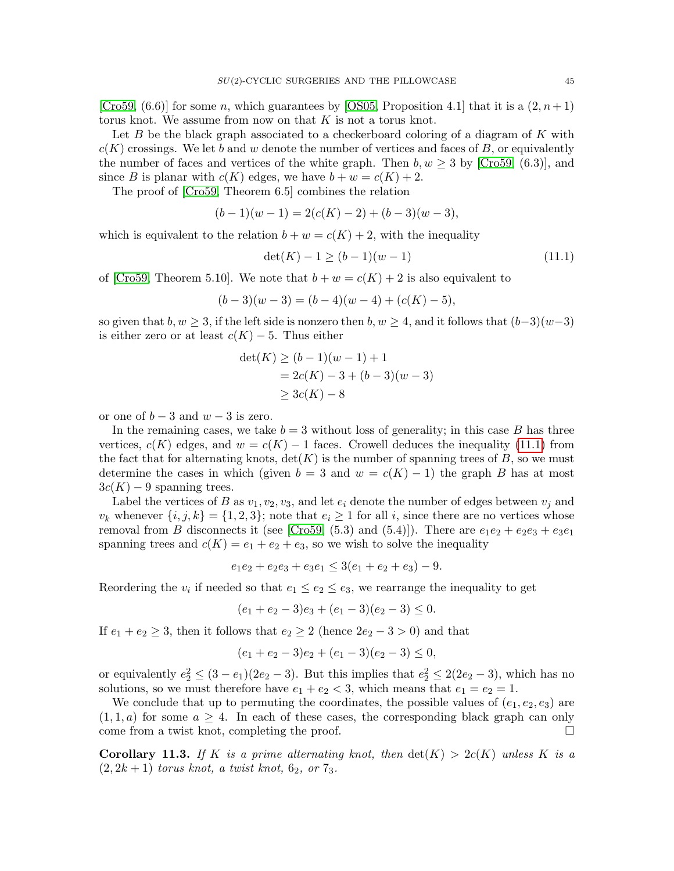[\[Cro59,](#page-64-6)  $(6.6)$ ] for some n, which guarantees by [\[OS05,](#page-65-12) Proposition 4.1] that it is a  $(2, n+1)$ torus knot. We assume from now on that  $K$  is not a torus knot.

Let  $B$  be the black graph associated to a checkerboard coloring of a diagram of  $K$  with  $c(K)$  crossings. We let b and w denote the number of vertices and faces of B, or equivalently the number of faces and vertices of the white graph. Then  $b, w \geq 3$  by [\[Cro59,](#page-64-6) (6.3)], and since B is planar with  $c(K)$  edges, we have  $b + w = c(K) + 2$ .

The proof of [\[Cro59,](#page-64-6) Theorem 6.5] combines the relation

$$
(b-1)(w-1) = 2(c(K) - 2) + (b-3)(w-3),
$$

which is equivalent to the relation  $b + w = c(K) + 2$ , with the inequality

<span id="page-44-0"></span>
$$
\det(K) - 1 \ge (b - 1)(w - 1) \tag{11.1}
$$

of [\[Cro59,](#page-64-6) Theorem 5.10]. We note that  $b + w = c(K) + 2$  is also equivalent to

$$
(b-3)(w-3) = (b-4)(w-4) + (c(K) - 5),
$$

so given that  $b, w \geq 3$ , if the left side is nonzero then  $b, w \geq 4$ , and it follows that  $(b-3)(w-3)$ is either zero or at least  $c(K) - 5$ . Thus either

$$
det(K) \ge (b-1)(w-1) + 1
$$
  
= 2c(K) - 3 + (b-3)(w-3)  

$$
\ge 3c(K) - 8
$$

or one of  $b-3$  and  $w-3$  is zero.

In the remaining cases, we take  $b = 3$  without loss of generality; in this case B has three vertices,  $c(K)$  edges, and  $w = c(K) - 1$  faces. Crowell deduces the inequality [\(11.1\)](#page-44-0) from the fact that for alternating knots,  $det(K)$  is the number of spanning trees of B, so we must determine the cases in which (given  $b = 3$  and  $w = c(K) - 1$ ) the graph B has at most  $3c(K) - 9$  spanning trees.

Label the vertices of B as  $v_1, v_2, v_3$ , and let  $e_i$  denote the number of edges between  $v_j$  and  $v_k$  whenever  $\{i, j, k\} = \{1, 2, 3\}$ ; note that  $e_i \geq 1$  for all i, since there are no vertices whose removal from B disconnects it (see [\[Cro59,](#page-64-6) (5.3) and (5.4)]). There are  $e_1e_2 + e_2e_3 + e_3e_1$ spanning trees and  $c(K) = e_1 + e_2 + e_3$ , so we wish to solve the inequality

$$
e_1e_2 + e_2e_3 + e_3e_1 \le 3(e_1 + e_2 + e_3) - 9.
$$

Reordering the  $v_i$  if needed so that  $e_1 \le e_2 \le e_3$ , we rearrange the inequality to get

$$
(e_1 + e_2 - 3)e_3 + (e_1 - 3)(e_2 - 3) \le 0.
$$

If  $e_1 + e_2 \geq 3$ , then it follows that  $e_2 \geq 2$  (hence  $2e_2 - 3 > 0$ ) and that

$$
(e_1 + e_2 - 3)e_2 + (e_1 - 3)(e_2 - 3) \le 0,
$$

or equivalently  $e_2^2 \leq (3 - e_1)(2e_2 - 3)$ . But this implies that  $e_2^2 \leq 2(2e_2 - 3)$ , which has no solutions, so we must therefore have  $e_1 + e_2 < 3$ , which means that  $e_1 = e_2 = 1$ .

We conclude that up to permuting the coordinates, the possible values of  $(e_1, e_2, e_3)$  are  $(1, 1, a)$  for some  $a \geq 4$ . In each of these cases, the corresponding black graph can only come from a twist knot, completing the proof.  $\Box$ 

<span id="page-44-1"></span>**Corollary 11.3.** If K is a prime alternating knot, then  $\det(K) > 2c(K)$  unless K is a  $(2, 2k + 1)$  torus knot, a twist knot,  $6_2$ , or  $7_3$ .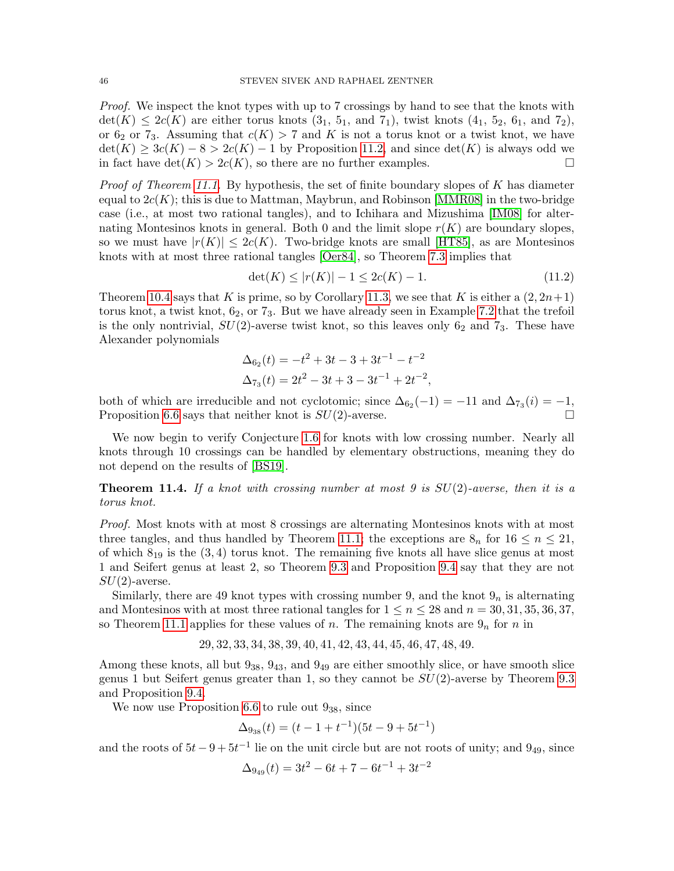Proof. We inspect the knot types with up to 7 crossings by hand to see that the knots with  $\det(K) \leq 2c(K)$  are either torus knots  $(3_1, 5_1, 3_1, 5_1)$ , twist knots  $(4_1, 5_2, 6_1, 3_1, 7_2)$ , or  $6_2$  or  $7_3$ . Assuming that  $c(K) > 7$  and K is not a torus knot or a twist knot, we have  $\det(K) \geq 3c(K) - 8 > 2c(K) - 1$  by Proposition [11.2,](#page-43-2) and since  $\det(K)$  is always odd we in fact have  $\det(K) > 2c(K)$ , so there are no further examples.

*Proof of Theorem [11.1.](#page-43-3)* By hypothesis, the set of finite boundary slopes of K has diameter equal to  $2c(K)$ ; this is due to Mattman, Maybrun, and Robinson [\[MMR08\]](#page-65-16) in the two-bridge case (i.e., at most two rational tangles), and to Ichihara and Mizushima [\[IM08\]](#page-64-25) for alternating Montesinos knots in general. Both 0 and the limit slope  $r(K)$  are boundary slopes, so we must have  $|r(K)| \leq 2c(K)$ . Two-bridge knots are small [\[HT85\]](#page-64-2), as are Montesinos knots with at most three rational tangles [\[Oer84\]](#page-65-3), so Theorem [7.3](#page-31-0) implies that

$$
\det(K) \le |r(K)| - 1 \le 2c(K) - 1. \tag{11.2}
$$

Theorem [10.4](#page-40-0) says that K is prime, so by Corollary [11.3,](#page-44-1) we see that K is either a  $(2, 2n+1)$ torus knot, a twist knot,  $6<sub>2</sub>$ , or  $7<sub>3</sub>$ . But we have already seen in Example [7.2](#page-30-1) that the trefoil is the only nontrivial,  $SU(2)$ -averse twist knot, so this leaves only  $6<sub>2</sub>$  and  $7<sub>3</sub>$ . These have Alexander polynomials

$$
\Delta_{6_2}(t) = -t^2 + 3t - 3 + 3t^{-1} - t^{-2}
$$
  

$$
\Delta_{7_3}(t) = 2t^2 - 3t + 3 - 3t^{-1} + 2t^{-2},
$$

both of which are irreducible and not cyclotomic; since  $\Delta_{6_2}(-1) = -11$  and  $\Delta_{7_3}(i) = -1$ , Proposition [6.6](#page-28-0) says that neither knot is  $SU(2)$ -averse.

We now begin to verify Conjecture [1.6](#page-2-0) for knots with low crossing number. Nearly all knots through 10 crossings can be handled by elementary obstructions, meaning they do not depend on the results of [\[BS19\]](#page-63-0).

**Theorem 11.4.** If a knot with crossing number at most 9 is  $SU(2)$ -averse, then it is a torus knot.

Proof. Most knots with at most 8 crossings are alternating Montesinos knots with at most three tangles, and thus handled by Theorem [11.1;](#page-43-3) the exceptions are  $8<sub>n</sub>$  for  $16 \le n \le 21$ , of which  $8_{19}$  is the  $(3, 4)$  torus knot. The remaining five knots all have slice genus at most 1 and Seifert genus at least 2, so Theorem [9.3](#page-36-0) and Proposition [9.4](#page-37-0) say that they are not  $SU(2)$ -averse.

Similarly, there are 49 knot types with crossing number 9, and the knot  $9<sub>n</sub>$  is alternating and Montesinos with at most three rational tangles for  $1 \le n \le 28$  and  $n = 30, 31, 35, 36, 37$ , so Theorem [11.1](#page-43-3) applies for these values of n. The remaining knots are  $9<sub>n</sub>$  for n in

29, 32, 33, 34, 38, 39, 40, 41, 42, 43, 44, 45, 46, 47, 48, 49.

Among these knots, all but  $9_{38}$ ,  $9_{43}$ , and  $9_{49}$  are either smoothly slice, or have smooth slice genus 1 but Seifert genus greater than 1, so they cannot be  $SU(2)$ -averse by Theorem [9.3](#page-36-0) and Proposition [9.4.](#page-37-0)

We now use Proposition [6.6](#page-28-0) to rule out  $9_{38}$ , since

$$
\Delta_{9_{38}}(t) = (t - 1 + t^{-1})(5t - 9 + 5t^{-1})
$$

and the roots of  $5t - 9 + 5t^{-1}$  lie on the unit circle but are not roots of unity; and  $9_{49}$ , since

$$
\Delta_{9_{49}}(t) = 3t^2 - 6t + 7 - 6t^{-1} + 3t^{-2}
$$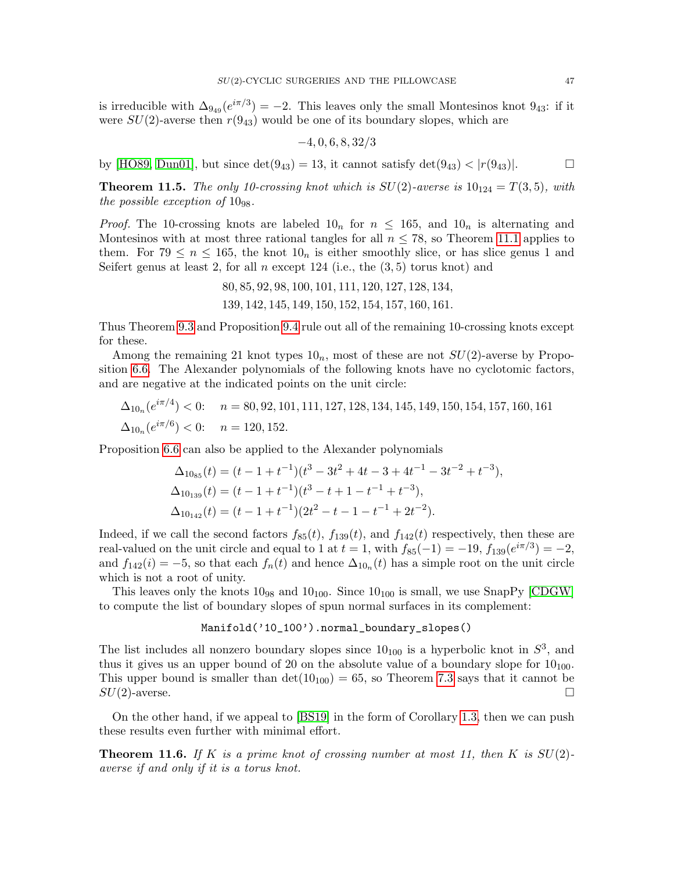is irreducible with  $\Delta_{9_{49}}(e^{i\pi/3}) = -2$ . This leaves only the small Montesinos knot  $9_{43}$ : if it were  $SU(2)$ -averse then  $r(9_{43})$  would be one of its boundary slopes, which are

$$
-4,0,6,8,32/3
$$

by [\[HO89,](#page-64-26) [Dun01\]](#page-64-27), but since  $\det(9_{43}) = 13$ , it cannot satisfy  $\det(9_{43}) < |r(9_{43})|$ .

<span id="page-46-0"></span>**Theorem 11.5.** The only 10-crossing knot which is  $SU(2)$ -averse is  $10_{124} = T(3, 5)$ , with the possible exception of  $10_{98}$ .

*Proof.* The 10-crossing knots are labeled  $10<sub>n</sub>$  for  $n \le 165$ , and  $10<sub>n</sub>$  is alternating and Montesinos with at most three rational tangles for all  $n \leq 78$ , so Theorem [11.1](#page-43-3) applies to them. For 79  $\leq n \leq 165$ , the knot  $10<sub>n</sub>$  is either smoothly slice, or has slice genus 1 and Seifert genus at least 2, for all n except 124 (i.e., the  $(3, 5)$  torus knot) and

> 80, 85, 92, 98, 100, 101, 111, 120, 127, 128, 134, 139, 142, 145, 149, 150, 152, 154, 157, 160, 161.

Thus Theorem [9.3](#page-36-0) and Proposition [9.4](#page-37-0) rule out all of the remaining 10-crossing knots except for these.

Among the remaining 21 knot types  $10<sub>n</sub>$ , most of these are not  $SU(2)$ -averse by Proposition [6.6.](#page-28-0) The Alexander polynomials of the following knots have no cyclotomic factors, and are negative at the indicated points on the unit circle:

$$
\Delta_{10_n}(e^{i\pi/4}) < 0; \quad n = 80, 92, 101, 111, 127, 128, 134, 145, 149, 150, 154, 157, 160, 161
$$
\n
$$
\Delta_{10_n}(e^{i\pi/6}) < 0; \quad n = 120, 152.
$$

Proposition [6.6](#page-28-0) can also be applied to the Alexander polynomials

$$
\Delta_{10_{85}}(t) = (t - 1 + t^{-1})(t^3 - 3t^2 + 4t - 3 + 4t^{-1} - 3t^{-2} + t^{-3}),
$$
  
\n
$$
\Delta_{10_{139}}(t) = (t - 1 + t^{-1})(t^3 - t + 1 - t^{-1} + t^{-3}),
$$
  
\n
$$
\Delta_{10_{142}}(t) = (t - 1 + t^{-1})(2t^2 - t - 1 - t^{-1} + 2t^{-2}).
$$

Indeed, if we call the second factors  $f_{85}(t)$ ,  $f_{139}(t)$ , and  $f_{142}(t)$  respectively, then these are real-valued on the unit circle and equal to 1 at  $t = 1$ , with  $f_{85}(-1) = -19$ ,  $f_{139}(e^{i\pi/3}) = -2$ , and  $f_{142}(i) = -5$ , so that each  $f_n(t)$  and hence  $\Delta_{10_n}(t)$  has a simple root on the unit circle which is not a root of unity.

This leaves only the knots  $10_{98}$  and  $10_{100}$ . Since  $10_{100}$  is small, we use SnapPy [\[CDGW\]](#page-64-24) to compute the list of boundary slopes of spun normal surfaces in its complement:

# Manifold('10\_100').normal\_boundary\_slopes()

The list includes all nonzero boundary slopes since  $10_{100}$  is a hyperbolic knot in  $S^3$ , and thus it gives us an upper bound of 20 on the absolute value of a boundary slope for  $10_{100}$ . This upper bound is smaller than  $det(10_{100}) = 65$ , so Theorem [7.3](#page-31-0) says that it cannot be  $SU(2)$ -averse.

On the other hand, if we appeal to [\[BS19\]](#page-63-0) in the form of Corollary [1.3,](#page-1-1) then we can push these results even further with minimal effort.

**Theorem 11.6.** If K is a prime knot of crossing number at most 11, then K is  $SU(2)$ averse if and only if it is a torus knot.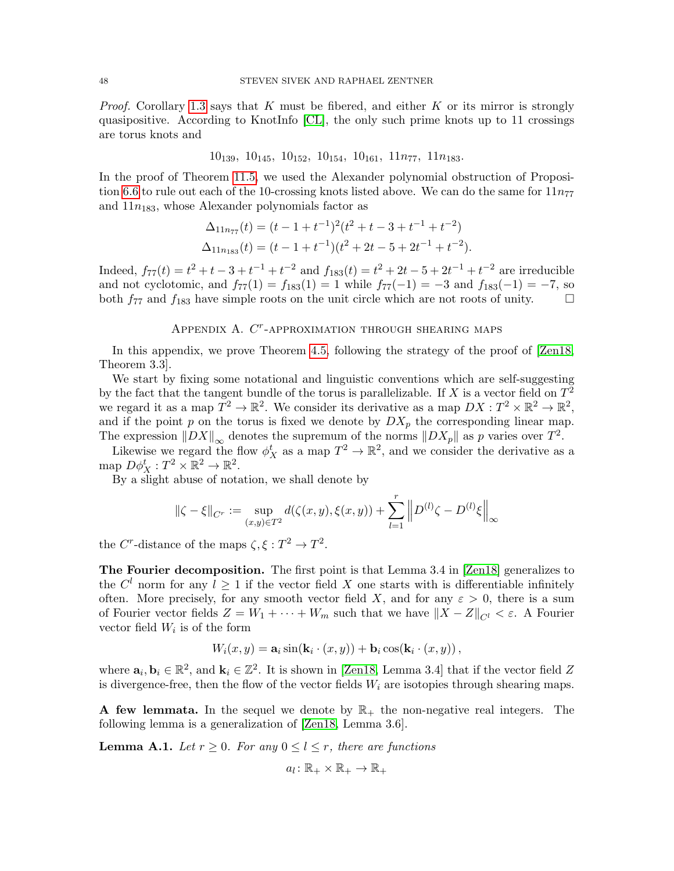*Proof.* Corollary [1.3](#page-1-1) says that  $K$  must be fibered, and either  $K$  or its mirror is strongly quasipositive. According to KnotInfo [\[CL\]](#page-64-23), the only such prime knots up to 11 crossings are torus knots and

 $10_{139}$ ,  $10_{145}$ ,  $10_{152}$ ,  $10_{154}$ ,  $10_{161}$ ,  $11n_{77}$ ,  $11n_{183}$ .

In the proof of Theorem [11.5,](#page-46-0) we used the Alexander polynomial obstruction of Proposi-tion [6.6](#page-28-0) to rule out each of the 10-crossing knots listed above. We can do the same for  $11n_{77}$ and  $11n_{183}$ , whose Alexander polynomials factor as

$$
\Delta_{11n_{77}}(t) = (t - 1 + t^{-1})^2 (t^2 + t - 3 + t^{-1} + t^{-2})
$$
  

$$
\Delta_{11n_{183}}(t) = (t - 1 + t^{-1})(t^2 + 2t - 5 + 2t^{-1} + t^{-2}).
$$

Indeed,  $f_{77}(t) = t^2 + t - 3 + t^{-1} + t^{-2}$  and  $f_{183}(t) = t^2 + 2t - 5 + 2t^{-1} + t^{-2}$  are irreducible and not cyclotomic, and  $f_{77}(1) = f_{183}(1) = 1$  while  $f_{77}(-1) = -3$  and  $f_{183}(-1) = -7$ , so both  $f_{77}$  and  $f_{183}$  have simple roots on the unit circle which are not roots of unity.

# APPENDIX A.  $C<sup>r</sup>$ -APPROXIMATION THROUGH SHEARING MAPS

<span id="page-47-0"></span>In this appendix, we prove Theorem [4.5,](#page-15-0) following the strategy of the proof of [\[Zen18,](#page-65-5) Theorem 3.3].

We start by fixing some notational and linguistic conventions which are self-suggesting by the fact that the tangent bundle of the torus is parallelizable. If X is a vector field on  $T^2$ we regard it as a map  $T^2 \to \mathbb{R}^2$ . We consider its derivative as a map  $DX: T^2 \times \mathbb{R}^2 \to \mathbb{R}^2$ , and if the point  $p$  on the torus is fixed we denote by  $DX_p$  the corresponding linear map. The expression  $||DX||_{\infty}$  denotes the supremum of the norms  $||DX_p||$  as p varies over  $T^2$ .

Likewise we regard the flow  $\phi_X^t$  as a map  $T^2 \to \mathbb{R}^2$ , and we consider the derivative as a map  $D\phi_X^t : T^2 \times \mathbb{R}^2 \to \mathbb{R}^2$ .

By a slight abuse of notation, we shall denote by

$$
\|\zeta - \xi\|_{C^r} := \sup_{(x,y) \in T^2} d(\zeta(x,y), \xi(x,y)) + \sum_{l=1}^r \left\| D^{(l)} \zeta - D^{(l)} \xi \right\|_{\infty}
$$

the C<sup>r</sup>-distance of the maps  $\zeta, \xi : T^2 \to T^2$ .

The Fourier decomposition. The first point is that Lemma 3.4 in [\[Zen18\]](#page-65-5) generalizes to the  $C^{l}$  norm for any  $l \geq 1$  if the vector field X one starts with is differentiable infinitely often. More precisely, for any smooth vector field X, and for any  $\varepsilon > 0$ , there is a sum of Fourier vector fields  $Z = W_1 + \cdots + W_m$  such that we have  $||X - Z||_{C^l} < \varepsilon$ . A Fourier vector field  $W_i$  is of the form

$$
W_i(x, y) = \mathbf{a}_i \sin(\mathbf{k}_i \cdot (x, y)) + \mathbf{b}_i \cos(\mathbf{k}_i \cdot (x, y)),
$$

where  $\mathbf{a}_i, \mathbf{b}_i \in \mathbb{R}^2$ , and  $\mathbf{k}_i \in \mathbb{Z}^2$ . It is shown in [\[Zen18,](#page-65-5) Lemma 3.4] that if the vector field Z is divergence-free, then the flow of the vector fields  $W_i$  are isotopies through shearing maps.

A few lemmata. In the sequel we denote by  $\mathbb{R}_+$  the non-negative real integers. The following lemma is a generalization of [\[Zen18,](#page-65-5) Lemma 3.6].

<span id="page-47-1"></span>**Lemma A.1.** Let  $r \geq 0$ . For any  $0 \leq l \leq r$ , there are functions

$$
a_l\colon\mathbb{R}_+\times\mathbb{R}_+\to\mathbb{R}_+
$$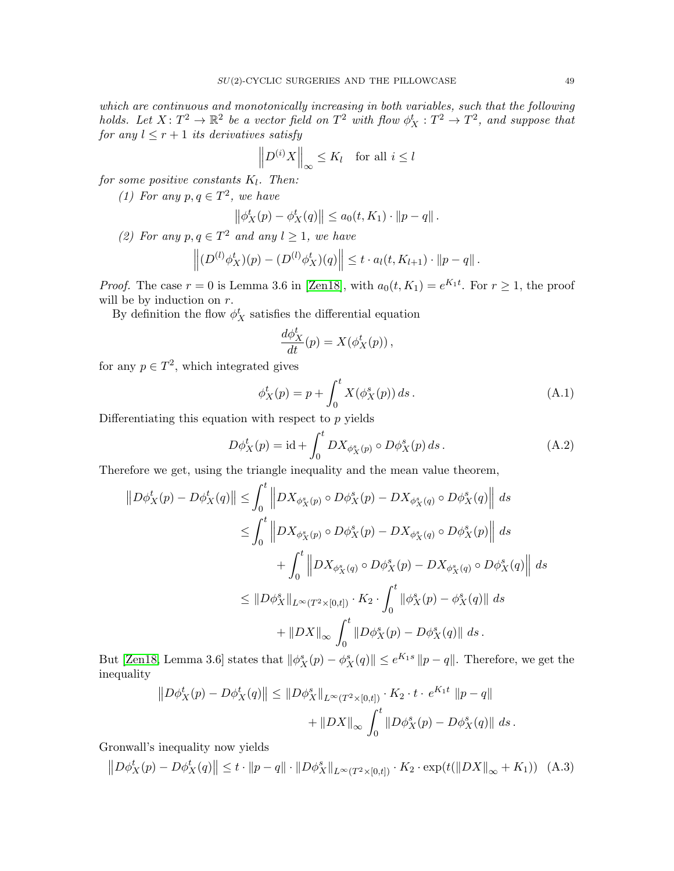which are continuous and monotonically increasing in both variables, such that the following holds. Let  $X: T^2 \to \mathbb{R}^2$  be a vector field on  $T^2$  with flow  $\phi_X^t: T^2 \to T^2$ , and suppose that for any  $l \leq r+1$  its derivatives satisfy

$$
\left\| D^{(i)} X \right\|_{\infty} \le K_l \quad \text{for all } i \le l
$$

for some positive constants  $K_l$ . Then:

(1) For any  $p, q \in T^2$ , we have

$$
\left\|\phi_X^t(p) - \phi_X^t(q)\right\| \le a_0(t, K_1) \cdot \|p - q\|.
$$

(2) For any  $p, q \in T^2$  and any  $l \geq 1$ , we have

$$
\left\| (D^{(l)} \phi_X^t)(p) - (D^{(l)} \phi_X^t)(q) \right\| \leq t \cdot a_l(t, K_{l+1}) \cdot \|p - q\|.
$$

*Proof.* The case  $r = 0$  is Lemma 3.6 in [\[Zen18\]](#page-65-5), with  $a_0(t, K_1) = e^{K_1 t}$ . For  $r \ge 1$ , the proof will be by induction on  $r$ .

By definition the flow  $\phi_X^t$  satisfies the differential equation

$$
\frac{d\phi_X^t}{dt}(p) = X(\phi_X^t(p)),
$$

for any  $p \in T^2$ , which integrated gives

$$
\phi_X^t(p) = p + \int_0^t X(\phi_X^s(p)) ds.
$$
 (A.1)

Differentiating this equation with respect to  $p$  yields

<span id="page-48-0"></span>
$$
D\phi_X^t(p) = \mathrm{id} + \int_0^t DX_{\phi_X^s(p)} \circ D\phi_X^s(p) ds. \tag{A.2}
$$

Therefore we get, using the triangle inequality and the mean value theorem,

$$
||D\phi_{X}^{t}(p) - D\phi_{X}^{t}(q)|| \leq \int_{0}^{t} ||DX_{\phi_{X}^{s}(p)} \circ D\phi_{X}^{s}(p) - DX_{\phi_{X}^{s}(q)} \circ D\phi_{X}^{s}(q)|| ds
$$
  
\n
$$
\leq \int_{0}^{t} ||DX_{\phi_{X}^{s}(p)} \circ D\phi_{X}^{s}(p) - DX_{\phi_{X}^{s}(q)} \circ D\phi_{X}^{s}(p)|| ds
$$
  
\n
$$
+ \int_{0}^{t} ||DX_{\phi_{X}^{s}(q)} \circ D\phi_{X}^{s}(p) - DX_{\phi_{X}^{s}(q)} \circ D\phi_{X}^{s}(q)|| ds
$$
  
\n
$$
\leq ||D\phi_{X}^{s}||_{L^{\infty}(T^{2}\times[0,t])} \cdot K_{2} \cdot \int_{0}^{t} ||\phi_{X}^{s}(p) - \phi_{X}^{s}(q)|| ds
$$
  
\n
$$
+ ||DX||_{\infty} \int_{0}^{t} ||D\phi_{X}^{s}(p) - D\phi_{X}^{s}(q)|| ds.
$$

But [\[Zen18,](#page-65-5) Lemma 3.6] states that  $\|\phi_X^s(p) - \phi_X^s(q)\| \le e^{K_1 s} \|p - q\|$ . Therefore, we get the inequality

$$
||D\phi_X^t(p) - D\phi_X^t(q)|| \le ||D\phi_X^s||_{L^{\infty}(T^2 \times [0,t])} \cdot K_2 \cdot t \cdot e^{K_1 t} ||p - q||
$$
  
+ 
$$
||DX||_{\infty} \int_0^t ||D\phi_X^s(p) - D\phi_X^s(q)|| ds.
$$

Gronwall's inequality now yields

<span id="page-48-1"></span>
$$
||D\phi_X^t(p) - D\phi_X^t(q)|| \le t \cdot ||p - q|| \cdot ||D\phi_X^s||_{L^\infty(T^2 \times [0,t])} \cdot K_2 \cdot \exp(t(||DX||_{\infty} + K_1)) \quad (A.3)
$$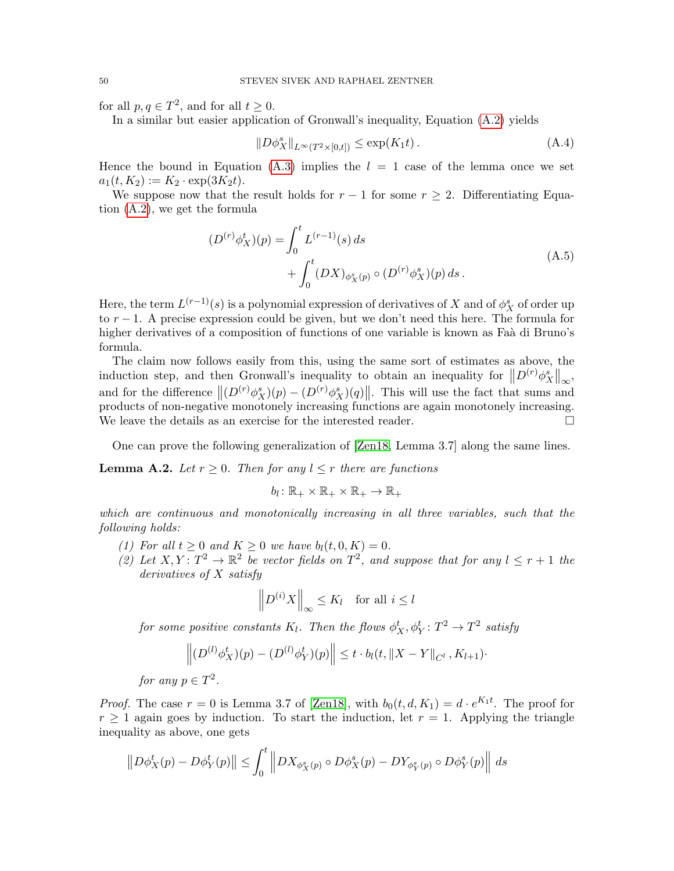for all  $p, q \in T^2$ , and for all  $t \geq 0$ .

In a similar but easier application of Gronwall's inequality, Equation [\(A.2\)](#page-48-0) yields

<span id="page-49-0"></span>
$$
||D\phi_X^s||_{L^{\infty}(T^2 \times [0,t])} \le \exp(K_1 t). \tag{A.4}
$$

Hence the bound in Equation [\(A.3\)](#page-48-1) implies the  $l = 1$  case of the lemma once we set  $a_1(t, K_2) := K_2 \cdot \exp(3K_2t).$ 

We suppose now that the result holds for  $r-1$  for some  $r \geq 2$ . Differentiating Equation [\(A.2\)](#page-48-0), we get the formula

$$
(D^{(r)}\phi_X^t)(p) = \int_0^t L^{(r-1)}(s) ds + \int_0^t (DX)_{\phi_X^s(p)} \circ (D^{(r)}\phi_X^s)(p) ds.
$$
 (A.5)

<span id="page-49-1"></span>Here, the term  $L^{(r-1)}(s)$  is a polynomial expression of derivatives of X and of  $\phi_X^s$  of order up to  $r - 1$ . A precise expression could be given, but we don't need this here. The formula for higher derivatives of a composition of functions of one variable is known as Faà di Bruno's formula.

The claim now follows easily from this, using the same sort of estimates as above, the induction step, and then Gronwall's inequality to obtain an inequality for  $||D^{(r)}\phi_X^s||_{\infty}$ , and for the difference  $\|(D^{(r)}\phi_X^s)(p) - (D^{(r)}\phi_X^s)(q)\|$ . This will use the fact that sums and products of non-negative monotonely increasing functions are again monotonely increasing. We leave the details as an exercise for the interested reader.

One can prove the following generalization of [\[Zen18,](#page-65-5) Lemma 3.7] along the same lines.

<span id="page-49-2"></span>**Lemma A.2.** Let  $r \geq 0$ . Then for any  $l \leq r$  there are functions

$$
b_l\colon\mathbb{R}_+\times\mathbb{R}_+\times\mathbb{R}_+\to\mathbb{R}_+
$$

which are continuous and monotonically increasing in all three variables, such that the following holds:

- (1) For all  $t \geq 0$  and  $K \geq 0$  we have  $b_l(t, 0, K) = 0$ .
- (2) Let  $X, Y: T^2 \to \mathbb{R}^2$  be vector fields on  $T^2$ , and suppose that for any  $l \leq r+1$  the derivatives of X satisfy

$$
\left\| D^{(i)} X \right\|_{\infty} \le K_l \quad \text{for all } i \le l
$$

for some positive constants  $K_l$ . Then the flows  $\phi^t_X, \phi^t_Y \colon T^2 \to T^2$  satisfy

$$
\left\| (D^{(l)} \phi_X^t)(p) - (D^{(l)} \phi_Y^t)(p) \right\| \leq t \cdot b_l(t, \|X - Y\|_{C^l}, K_{l+1})
$$

for any  $p \in T^2$ .

*Proof.* The case  $r = 0$  is Lemma 3.7 of [\[Zen18\]](#page-65-5), with  $b_0(t, d, K_1) = d \cdot e^{K_1 t}$ . The proof for  $r \geq 1$  again goes by induction. To start the induction, let  $r = 1$ . Applying the triangle inequality as above, one gets

$$
||D\phi_X^t(p) - D\phi_Y^t(p)|| \leq \int_0^t ||DX_{\phi_X^s(p)} \circ D\phi_X^s(p) - DY_{\phi_Y^s(p)} \circ D\phi_Y^s(p)|| ds
$$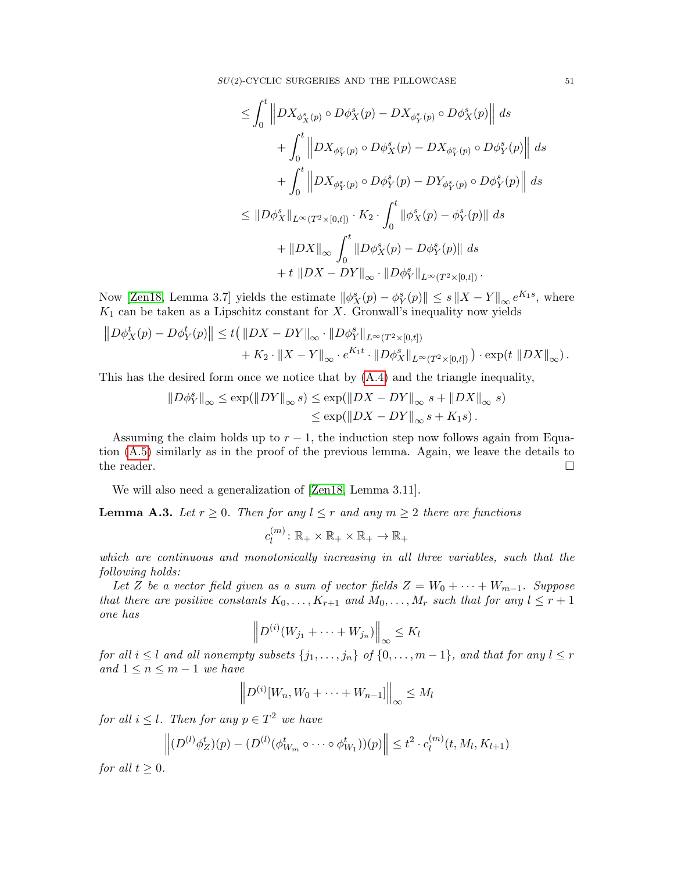SU(2)-CYCLIC SURGERIES AND THE PILLOWCASE 51

$$
\leq \int_0^t \left\|DX_{\phi_X^s(p)} \circ D\phi_X^s(p) - DX_{\phi_Y^s(p)} \circ D\phi_X^s(p)\right\| ds
$$
  
+ 
$$
\int_0^t \left\|DX_{\phi_Y^s(p)} \circ D\phi_X^s(p) - DX_{\phi_Y^s(p)} \circ D\phi_Y^s(p)\right\| ds
$$
  
+ 
$$
\int_0^t \left\|DX_{\phi_Y^s(p)} \circ D\phi_Y^s(p) - DY_{\phi_Y^s(p)} \circ D\phi_Y^s(p)\right\| ds
$$
  

$$
\leq \|D\phi_X^s\|_{L^{\infty}(T^2 \times [0,t])} \cdot K_2 \cdot \int_0^t \left\|\phi_X^s(p) - \phi_Y^s(p)\right\| ds
$$
  
+ 
$$
\|DX\|_{\infty} \int_0^t \left\|D\phi_X^s(p) - D\phi_Y^s(p)\right\| ds
$$
  
+ 
$$
t \left\|DX - DY\right\|_{\infty} \cdot \left\|D\phi_Y^s\right\|_{L^{\infty}(T^2 \times [0,t])}.
$$

Now [\[Zen18,](#page-65-5) Lemma 3.7] yields the estimate  $\|\phi_X^s(p) - \phi_Y^s(p)\| \leq s \|X - Y\|_{\infty} e^{K_1 s}$ , where  $K_1$  can be taken as a Lipschitz constant for X. Gronwall's inequality now yields

$$
||D\phi_X^t(p) - D\phi_Y^t(p)|| \le t(||DX - DY||_{\infty} \cdot ||D\phi_Y^s||_{L^{\infty}(T^2 \times [0,t])} + K_2 \cdot ||X - Y||_{\infty} \cdot e^{K_1 t} \cdot ||D\phi_X^s||_{L^{\infty}(T^2 \times [0,t])}) \cdot \exp(t ||DX||_{\infty}).
$$

This has the desired form once we notice that by [\(A.4\)](#page-49-0) and the triangle inequality,

$$
||D\phi_Y^s||_{\infty} \le \exp(||DY||_{\infty} s) \le \exp(||DX - DY||_{\infty} s + ||DX||_{\infty} s)
$$
  

$$
\le \exp(||DX - DY||_{\infty} s + K_1 s).
$$

Assuming the claim holds up to  $r - 1$ , the induction step now follows again from Equation [\(A.5\)](#page-49-1) similarly as in the proof of the previous lemma. Again, we leave the details to the reader.  $\Box$ 

We will also need a generalization of [\[Zen18,](#page-65-5) Lemma 3.11].

<span id="page-50-0"></span>**Lemma A.3.** Let  $r \geq 0$ . Then for any  $l \leq r$  and any  $m \geq 2$  there are functions

$$
c_l^{(m)}\colon \mathbb{R}_+\times\mathbb{R}_+\times\mathbb{R}_+\to\mathbb{R}_+
$$

which are continuous and monotonically increasing in all three variables, such that the following holds:

Let Z be a vector field given as a sum of vector fields  $Z = W_0 + \cdots + W_{m-1}$ . Suppose that there are positive constants  $K_0, \ldots, K_{r+1}$  and  $M_0, \ldots, M_r$  such that for any  $l \leq r+1$ one has

$$
\left\|D^{(i)}(W_{j_1} + \cdots + W_{j_n})\right\|_{\infty} \leq K_l
$$

for all  $i \leq l$  and all nonempty subsets  $\{j_1, \ldots, j_n\}$  of  $\{0, \ldots, m-1\}$ , and that for any  $l \leq r$ and  $1 \leq n \leq m-1$  we have

$$
\left\|D^{(i)}[W_n, W_0 + \cdots + W_{n-1}]\right\|_{\infty} \le M_l
$$

for all  $i \leq l$ . Then for any  $p \in T^2$  we have

$$
\left\| (D^{(l)} \phi_Z^t)(p) - (D^{(l)} (\phi_{W_m}^t \circ \cdots \circ \phi_{W_1}^t))(p) \right\| \leq t^2 \cdot c_l^{(m)}(t, M_l, K_{l+1})
$$

for all  $t \geq 0$ .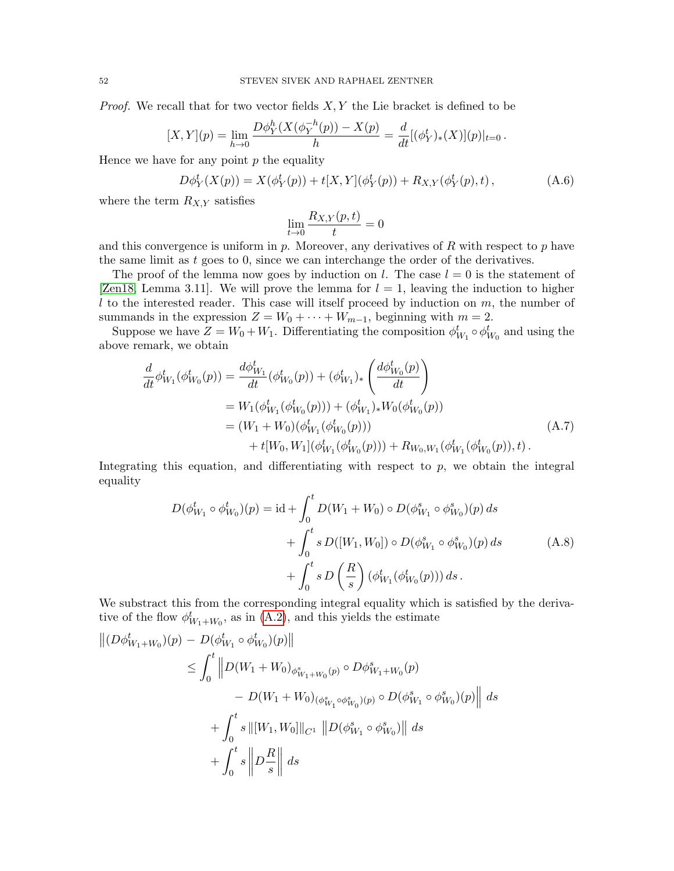*Proof.* We recall that for two vector fields  $X, Y$  the Lie bracket is defined to be

$$
[X,Y](p) = \lim_{h \to 0} \frac{D\phi_Y^h(X(\phi_Y^{-h}(p)) - X(p))}{h} = \frac{d}{dt} [(\phi_Y^t)_*(X)](p)|_{t=0}.
$$

Hence we have for any point  $p$  the equality

<span id="page-51-0"></span>
$$
D\phi_Y^t(X(p)) = X(\phi_Y^t(p)) + t[X, Y](\phi_Y^t(p)) + R_{X,Y}(\phi_Y^t(p), t), \qquad (A.6)
$$

where the term  $R_{X,Y}$  satisfies

$$
\lim_{t \to 0} \frac{R_{X,Y}(p,t)}{t} = 0
$$

and this convergence is uniform in p. Moreover, any derivatives of R with respect to p have the same limit as  $t$  goes to  $0$ , since we can interchange the order of the derivatives.

The proof of the lemma now goes by induction on l. The case  $l = 0$  is the statement of [\[Zen18,](#page-65-5) Lemma 3.11]. We will prove the lemma for  $l = 1$ , leaving the induction to higher  $l$  to the interested reader. This case will itself proceed by induction on  $m$ , the number of summands in the expression  $Z = W_0 + \cdots + W_{m-1}$ , beginning with  $m = 2$ .

Suppose we have  $Z = W_0 + W_1$ . Differentiating the composition  $\phi_{W_1}^t \circ \phi_{W_0}^t$  and using the above remark, we obtain

$$
\frac{d}{dt}\phi_{W_1}^t(\phi_{W_0}^t(p)) = \frac{d\phi_{W_1}^t}{dt}(\phi_{W_0}^t(p)) + (\phi_{W_1}^t)_*\left(\frac{d\phi_{W_0}^t(p)}{dt}\right)
$$
\n
$$
= W_1(\phi_{W_1}^t(\phi_{W_0}^t(p))) + (\phi_{W_1}^t)_*W_0(\phi_{W_0}^t(p))
$$
\n
$$
= (W_1 + W_0)(\phi_{W_1}^t(\phi_{W_0}^t(p))) + R_{W_0,W_1}(\phi_{W_1}^t(\phi_{W_0}^t(p)), t).
$$
\n(A.7)

Integrating this equation, and differentiating with respect to  $p$ , we obtain the integral equality

$$
D(\phi_{W_1}^t \circ \phi_{W_0}^t)(p) = id + \int_0^t D(W_1 + W_0) \circ D(\phi_{W_1}^s \circ \phi_{W_0}^s)(p) ds + \int_0^t s D([W_1, W_0]) \circ D(\phi_{W_1}^s \circ \phi_{W_0}^s)(p) ds + \int_0^t s D\left(\frac{R}{s}\right) (\phi_{W_1}^t(\phi_{W_0}^t(p))) ds.
$$
 (A.8)

We substract this from the corresponding integral equality which is satisfied by the derivative of the flow  $\phi_{W_1+W_0}^t$ , as in [\(A.2\)](#page-48-0), and this yields the estimate

$$
\begin{aligned} \left\| (D\phi_{W_1+W_0}^t)(p) - D(\phi_{W_1}^t \circ \phi_{W_0}^t)(p) \right\| \\ &\leq \int_0^t \left\| D(W_1+W_0)_{\phi_{W_1+W_0}^s(p)} \circ D\phi_{W_1+W_0}^s(p) \right. \\ &\left. - D(W_1+W_0)_{(\phi_{W_1}^s \circ \phi_{W_0}^s)(p)} \circ D(\phi_{W_1}^s \circ \phi_{W_0}^s)(p) \right\| \, ds \\ &\quad + \int_0^t s \left\| [W_1, W_0] \right\|_{C^1} \left\| D(\phi_{W_1}^s \circ \phi_{W_0}^s) \right\| \, ds \\ &\quad + \int_0^t s \left\| D\frac{R}{s} \right\| \, ds \end{aligned}
$$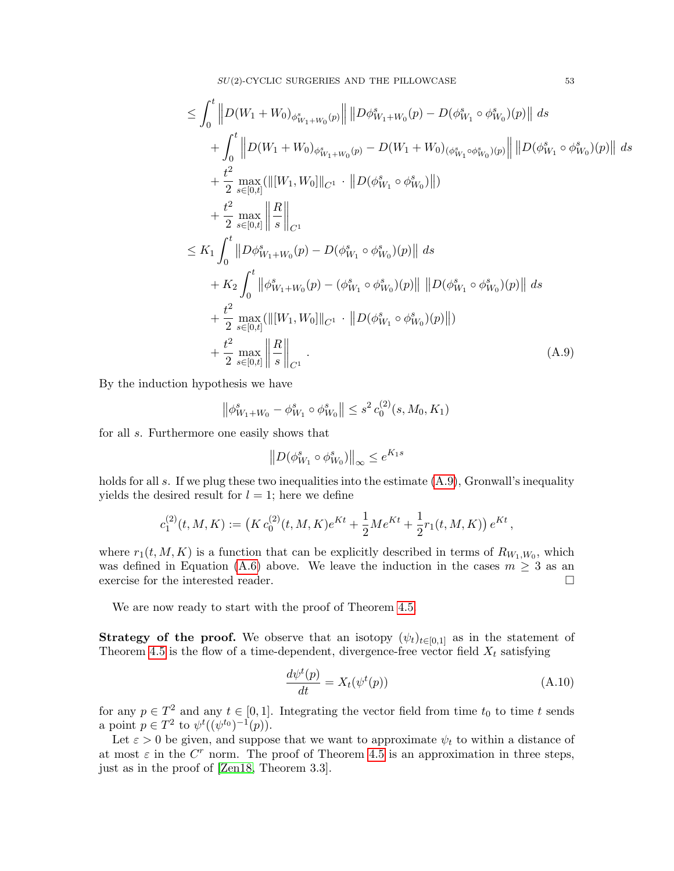$SU(2)$ -CYCLIC SURGERIES AND THE PILLOWCASE  $53$ 

$$
\leq \int_{0}^{t} \left\| D(W_{1} + W_{0})_{\phi_{W_{1}+W_{0}}^{s}(p)} \right\| \left\| D\phi_{W_{1}+W_{0}}^{s}(p) - D(\phi_{W_{1}}^{s} \circ \phi_{W_{0}}^{s})(p) \right\| ds \n+ \int_{0}^{t} \left\| D(W_{1} + W_{0})_{\phi_{W_{1}+W_{0}}^{s}(p)} - D(W_{1} + W_{0})_{(\phi_{W_{1}}^{s} \circ \phi_{W_{0}}^{s})(p)} \right\| \left\| D(\phi_{W_{1}}^{s} \circ \phi_{W_{0}}^{s})(p) \right\| ds \n+ \frac{t^{2}}{2} \max_{s \in [0,t]} (\left\| [W_{1}, W_{0}] \right\|_{C^{1}} \cdot \left\| D(\phi_{W_{1}}^{s} \circ \phi_{W_{0}}^{s})(\left\| ) \right\| ) \n+ \frac{t^{2}}{2} \max_{s \in [0,t]} \left\| \frac{R}{s} \right\|_{C^{1}} \n\leq K_{1} \int_{0}^{t} \left\| D\phi_{W_{1}+W_{0}}^{s}(p) - D(\phi_{W_{1}}^{s} \circ \phi_{W_{0}}^{s})(p) \right\| ds \n+ K_{2} \int_{0}^{t} \left\| \phi_{W_{1}+W_{0}}^{s}(p) - (\phi_{W_{1}}^{s} \circ \phi_{W_{0}}^{s})(p) \right\| \left\| D(\phi_{W_{1}}^{s} \circ \phi_{W_{0}}^{s})(p) \right\| ds \n+ \frac{t^{2}}{2} \max_{s \in [0,t]} (\left\| [W_{1}, W_{0}] \right\|_{C^{1}} \cdot \left\| D(\phi_{W_{1}}^{s} \circ \phi_{W_{0}}^{s})(p) \right\| ) \n+ \frac{t^{2}}{2} \max_{s \in [0,t]} \left\| \frac{R}{s} \right\|_{C^{1}}.
$$
\n(A.9)

By the induction hypothesis we have

$$
\left\|\phi_{W_1+W_0}^s - \phi_{W_1}^s \circ \phi_{W_0}^s\right\| \le s^2 c_0^{(2)}(s, M_0, K_1)
$$

for all s. Furthermore one easily shows that

$$
\left\|D(\phi_{W_1}^s\circ\phi_{W_0}^s)\right\|_\infty\leq e^{K_1s}
$$

holds for all s. If we plug these two inequalities into the estimate  $(A.9)$ , Gronwall's inequality yields the desired result for  $l = 1$ ; here we define

$$
c_1^{(2)}(t,M,K) := \left( K c_0^{(2)}(t,M,K) e^{Kt} + \frac{1}{2} M e^{Kt} + \frac{1}{2} r_1(t,M,K) \right) e^{Kt},
$$

where  $r_1(t, M, K)$  is a function that can be explicitly described in terms of  $R_{W_1, W_0}$ , which was defined in Equation [\(A.6\)](#page-51-0) above. We leave the induction in the cases  $m \geq 3$  as an exercise for the interested reader.

We are now ready to start with the proof of Theorem [4.5.](#page-15-0)

**Strategy of the proof.** We observe that an isotopy  $(\psi_t)_{t\in[0,1]}$  as in the statement of Theorem [4.5](#page-15-0) is the flow of a time-dependent, divergence-free vector field  $X_t$  satisfying

$$
\frac{d\psi^t(p)}{dt} = X_t(\psi^t(p))\tag{A.10}
$$

for any  $p \in T^2$  and any  $t \in [0, 1]$ . Integrating the vector field from time  $t_0$  to time t sends a point  $p \in T^2$  to  $\psi^t((\psi^{t_0})^{-1}(p))$ .

Let  $\varepsilon > 0$  be given, and suppose that we want to approximate  $\psi_t$  to within a distance of at most  $\varepsilon$  in the  $C<sup>r</sup>$  norm. The proof of Theorem [4.5](#page-15-0) is an approximation in three steps, just as in the proof of [\[Zen18,](#page-65-5) Theorem 3.3].

<span id="page-52-0"></span>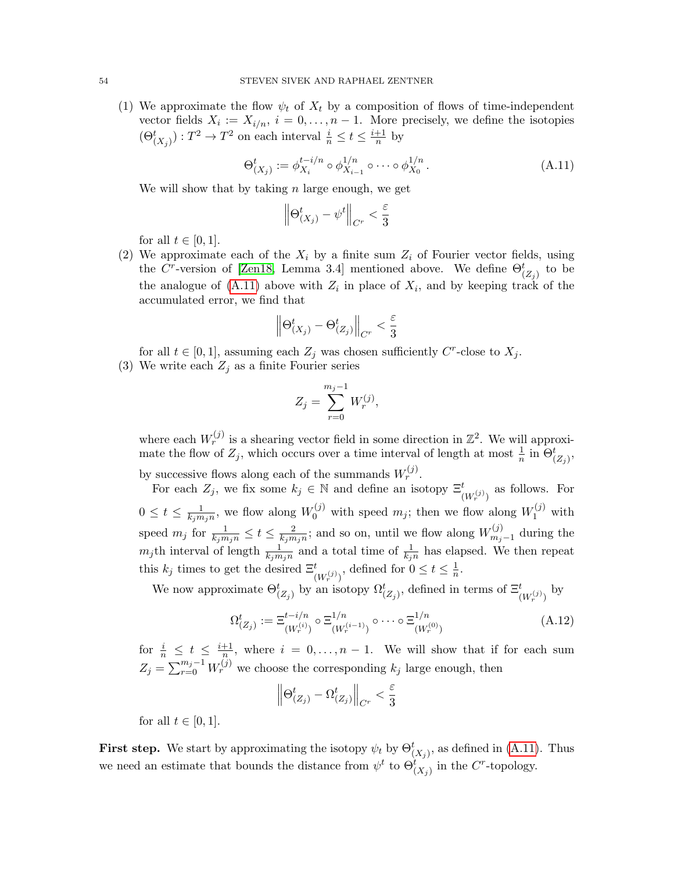(1) We approximate the flow  $\psi_t$  of  $X_t$  by a composition of flows of time-independent vector fields  $X_i := X_{i/n}, i = 0, \ldots, n-1$ . More precisely, we define the isotopies  $(\Theta_{(X_j)}^t) : T^2 \to T^2$  on each interval  $\frac{i}{n} \leq t \leq \frac{i+1}{n}$  $\frac{+1}{n}$  by

<span id="page-53-0"></span>
$$
\Theta_{(X_j)}^t := \phi_{X_i}^{t-i/n} \circ \phi_{X_{i-1}}^{1/n} \circ \cdots \circ \phi_{X_0}^{1/n}.
$$
\n(A.11)

We will show that by taking  $n$  large enough, we get

$$
\left\|\Theta_{(X_j)}^t - \psi^t \right\|_{C^r} < \frac{\varepsilon}{3}
$$

for all  $t \in [0, 1]$ .

(2) We approximate each of the  $X_i$  by a finite sum  $Z_i$  of Fourier vector fields, using the C<sup>r</sup>-version of [\[Zen18,](#page-65-5) Lemma 3.4] mentioned above. We define  $\Theta_{(Z_j)}^t$  to be the analogue of  $(A.11)$  above with  $Z_i$  in place of  $X_i$ , and by keeping track of the accumulated error, we find that

$$
\left\|\Theta_{(X_j)}^t-\Theta_{(Z_j)}^t\right\|_{C^r}<\frac{\varepsilon}{3}
$$

for all  $t \in [0, 1]$ , assuming each  $Z_j$  was chosen sufficiently C<sup>r</sup>-close to  $X_j$ .

<span id="page-53-1"></span>(3) We write each  $Z_j$  as a finite Fourier series

$$
Z_j = \sum_{r=0}^{m_j - 1} W_r^{(j)},
$$

where each  $W_r^{(j)}$  is a shearing vector field in some direction in  $\mathbb{Z}^2$ . We will approximate the flow of  $Z_j$ , which occurs over a time interval of length at most  $\frac{1}{n}$  in  $\Theta_{(Z_j)}^t$ , by successive flows along each of the summands  $W_r^{(j)}$ .

For each  $Z_j$ , we fix some  $k_j \in \mathbb{N}$  and define an isotopy  $\Xi^t_{(W_r^{(j)})}$  as follows. For  $0 \leq t \leq \frac{1}{k \cdot m}$  $\frac{1}{k_j m_j n}$ , we flow along  $W_0^{(j)}$  with speed  $m_j$ ; then we flow along  $W_1^{(j)}$  with speed  $m_j$  for  $\frac{1}{k_j m_j n} \leq t \leq \frac{2}{k_j m}$  $\frac{2}{k_j m_j n}$ ; and so on, until we flow along  $W_{m_j}^{(j)}$  $m_{j-1}^{(j)}$  during the  $m_j$ th interval of length  $\frac{1}{k_j m_j n}$  and a total time of  $\frac{1}{k_j n}$  has elapsed. We then repeat this  $k_j$  times to get the desired  $\Xi^t_{(W_r^{(j)})}$ , defined for  $0 \le t \le \frac{1}{n}$  $\frac{1}{n}$ .

We now approximate  $\Theta_{(Z_j)}^t$  by an isotopy  $\Omega_{(Z_j)}^t$ , defined in terms of  $\Xi_{(W_r^{(j)})}^t$  by

<span id="page-53-2"></span>
$$
\Omega_{(Z_j)}^t := \Xi_{(W_r^{(i)})}^{t-i/n} \circ \Xi_{(W_r^{(i-1)})}^{1/n} \circ \cdots \circ \Xi_{(W_r^{(0)})}^{1/n}
$$
\n(A.12)

for  $\frac{i}{n} \leq t \leq \frac{i+1}{n}$  $\frac{+1}{n}$ , where  $i = 0, \ldots, n-1$ . We will show that if for each sum  $Z_j = \sum_{r=0}^{m_j-1} W_r^{(j)}$  we choose the corresponding  $k_j$  large enough, then

$$
\left\|\Theta_{(Z_j)}^t-\Omega_{(Z_j)}^t\right\|_{C^r}<\frac{\varepsilon}{3}
$$

for all  $t \in [0,1]$ .

**First step.** We start by approximating the isotopy  $\psi_t$  by  $\Theta_{(X_j)}^t$ , as defined in [\(A.11\)](#page-53-0). Thus we need an estimate that bounds the distance from  $\psi^t$  to  $\Theta_{(X_j)}^t$  in the C<sup>r</sup>-topology.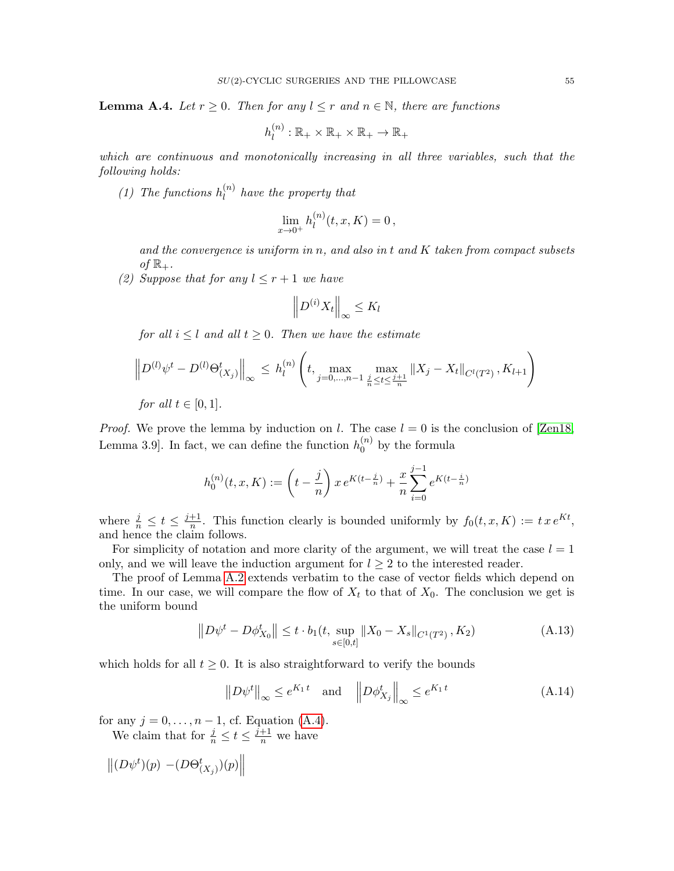<span id="page-54-4"></span>**Lemma A.4.** Let  $r \geq 0$ . Then for any  $l \leq r$  and  $n \in \mathbb{N}$ , there are functions

$$
h_l^{(n)}:\mathbb{R}_+\times\mathbb{R}_+\times\mathbb{R}_+\to\mathbb{R}_+
$$

which are continuous and monotonically increasing in all three variables, such that the following holds:

<span id="page-54-3"></span>(1) The functions  $h_l^{(n)}$  $\binom{n}{l}$  have the property that

$$
\lim_{x \to 0^+} h_l^{(n)}(t, x, K) = 0,
$$

and the convergence is uniform in n, and also in  $t$  and  $K$  taken from compact subsets of  $\mathbb{R}_+$ .

<span id="page-54-2"></span>(2) Suppose that for any  $l \leq r+1$  we have

$$
\left\| D^{(i)} X_t \right\|_{\infty} \leq K_l
$$

for all  $i \leq l$  and all  $t \geq 0$ . Then we have the estimate

$$
\left\| D^{(l)} \psi^t - D^{(l)} \Theta_{(X_j)}^t \right\|_{\infty} \le h_l^{(n)} \left( t, \max_{j=0,\dots,n-1} \max_{\frac{j}{n} \le t \le \frac{j+1}{n}} \|X_j - X_t\|_{C^l(T^2)}, K_{l+1} \right)
$$

*for all*  $t \in [0, 1]$ .

*Proof.* We prove the lemma by induction on l. The case  $l = 0$  is the conclusion of [\[Zen18,](#page-65-5) Lemma 3.9. In fact, we can define the function  $h_0^{(n)}$  $\binom{n}{0}$  by the formula

$$
h_0^{(n)}(t,x,K):=\left(t-\frac{j}{n}\right)x\,e^{K(t-\frac{j}{n})}+\frac{x}{n}\sum_{i=0}^{j-1}e^{K(t-\frac{i}{n})}
$$

where  $\frac{j}{n} \leq t \leq \frac{j+1}{n}$  $\frac{+1}{n}$ . This function clearly is bounded uniformly by  $f_0(t, x, K) := t x e^{Kt}$ , and hence the claim follows.

For simplicity of notation and more clarity of the argument, we will treat the case  $l = 1$ only, and we will leave the induction argument for  $l \geq 2$  to the interested reader.

The proof of Lemma [A.2](#page-49-2) extends verbatim to the case of vector fields which depend on time. In our case, we will compare the flow of  $X_t$  to that of  $X_0$ . The conclusion we get is the uniform bound

<span id="page-54-0"></span>
$$
||D\psi^t - D\phi^t_{X_0}|| \le t \cdot b_1(t, \sup_{s \in [0,t]} ||X_0 - X_s||_{C^1(T^2)}, K_2)
$$
\n(A.13)

which holds for all  $t \geq 0$ . It is also straightforward to verify the bounds

<span id="page-54-1"></span>
$$
||D\psi^t||_{\infty} \le e^{K_1 t} \quad \text{and} \quad \left||D\phi^t_{X_j}||_{\infty} \le e^{K_1 t} \tag{A.14}
$$

for any  $j = 0, \ldots, n - 1$ , cf. Equation [\(A.4\)](#page-49-0).

We claim that for  $\frac{j}{n} \leq t \leq \frac{j+1}{n}$  we have

$$
\left\| (D\psi^t)(p) - (D\Theta^t_{(X_j)})(p) \right\|
$$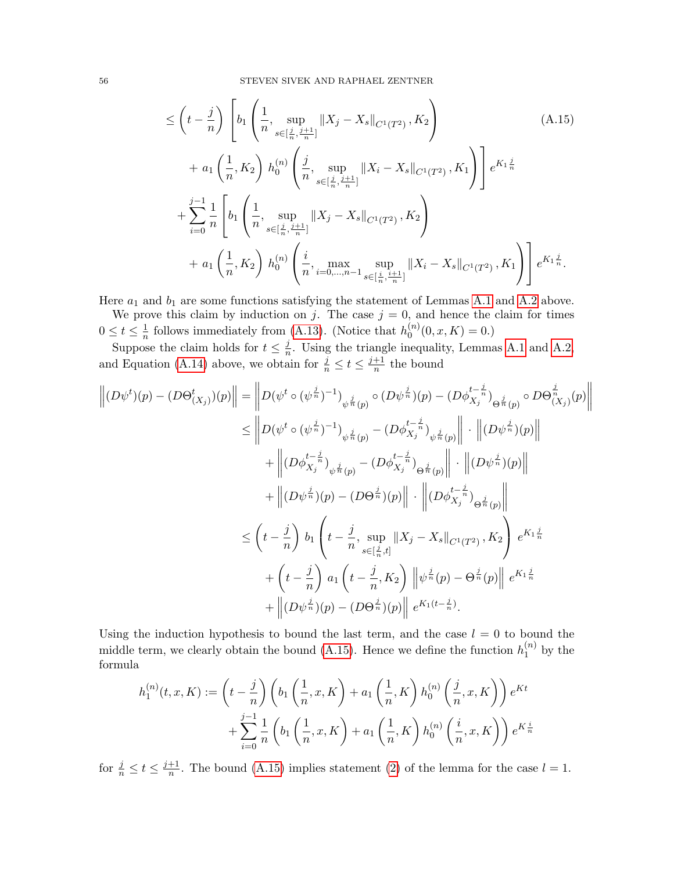<span id="page-55-0"></span>
$$
\leq \left(t - \frac{j}{n}\right) \left[ b_1 \left( \frac{1}{n}, \sup_{s \in [\frac{j}{n}, \frac{j+1}{n}]} \|X_j - X_s\|_{C^1(T^2)}, K_2 \right) \right]
$$
\n
$$
+ a_1 \left( \frac{1}{n}, K_2 \right) h_0^{(n)} \left( \frac{j}{n}, \sup_{s \in [\frac{j}{n}, \frac{j+1}{n}]} \|X_i - X_s\|_{C^1(T^2)}, K_1 \right) \right] e^{K_1 \frac{j}{n}}
$$
\n
$$
+ \sum_{i=0}^{j-1} \frac{1}{n} \left[ b_1 \left( \frac{1}{n}, \sup_{s \in [\frac{j}{n}, \frac{j+1}{n}]} \|X_j - X_s\|_{C^1(T^2)}, K_2 \right) + a_1 \left( \frac{1}{n}, K_2 \right) h_0^{(n)} \left( \frac{i}{n}, \max_{i=0,\dots,n-1} \sup_{s \in [\frac{i}{n}, \frac{j+1}{n}]} \|X_i - X_s\|_{C^1(T^2)}, K_1 \right) \right] e^{K_1 \frac{j}{n}}.
$$
\n(A.15)

Here  $a_1$  and  $b_1$  are some functions satisfying the statement of Lemmas [A.1](#page-47-1) and [A.2](#page-49-2) above.

We prove this claim by induction on j. The case  $j = 0$ , and hence the claim for times  $0\leq t\leq \frac{1}{n}$  $\frac{1}{n}$  follows immediately from [\(A.13\)](#page-54-0). (Notice that  $h_0^{(n)}$  $\binom{n}{0}(0, x, K) = 0.$ 

Suppose the claim holds for  $t \leq \frac{j}{n}$  $\frac{1}{n}$ . Using the triangle inequality, Lemmas [A.1](#page-47-1) and [A.2,](#page-49-2) and Equation [\(A.14\)](#page-54-1) above, we obtain for  $\frac{j}{n} \le t \le \frac{j+1}{n}$  $\frac{+1}{n}$  the bound

$$
\left\| (D\psi^{t})(p) - (D\Theta_{(X_{j})}^{t})(p) \right\| = \left\| D(\psi^{t} \circ (\psi^{\frac{j}{n}})^{-1})_{\psi^{\frac{j}{n}}(p)} \circ (D\psi^{\frac{j}{n}})(p) - (D\phi_{X_{j}}^{t-\frac{j}{n}})_{\Theta^{\frac{j}{n}}(p)} \circ D\Theta_{(X_{j})}^{\frac{j}{n}}(p) \right\|
$$
  
\n
$$
\leq \left\| D(\psi^{t} \circ (\psi^{\frac{j}{n}})^{-1})_{\psi^{\frac{j}{n}}(p)} - (D\phi_{X_{j}}^{t-\frac{j}{n}})_{\psi^{\frac{j}{n}}(p)} \right\| \cdot \left\| (D\psi^{\frac{j}{n}})(p) \right\|
$$
  
\n
$$
+ \left\| (D\phi_{X_{j}}^{t-\frac{j}{n}})_{\psi^{\frac{j}{n}}(p)} - (D\phi_{X_{j}}^{t-\frac{j}{n}})_{\Theta^{\frac{j}{n}}(p)} \right\| \cdot \left\| (D\psi^{\frac{j}{n}})(p) \right\|
$$
  
\n
$$
+ \left\| (D\psi^{\frac{j}{n}})(p) - (D\Theta^{\frac{j}{n}})(p) \right\| \cdot \left\| (D\phi_{X_{j}}^{t-\frac{j}{n}})_{\Theta^{\frac{j}{n}}(p)} \right\|
$$
  
\n
$$
\leq \left( t - \frac{j}{n} \right) b_{1} \left( t - \frac{j}{n}, \sup_{s \in [\frac{j}{n}, t]} \|X_{j} - X_{s}\|_{C^{1}(T^{2})}, K_{2} \right) e^{K_{1}\frac{j}{n}}
$$
  
\n
$$
+ \left( t - \frac{j}{n} \right) a_{1} \left( t - \frac{j}{n}, K_{2} \right) \left\| \psi^{\frac{j}{n}}(p) - \Theta^{\frac{j}{n}}(p) \right\| e^{K_{1}\frac{j}{n}}
$$
  
\n
$$
+ \left\| (D\psi^{\frac{j}{n}})(p) - (D\Theta^{\frac{j}{n}})(p) \right\| e^{K_{1}(t-\frac{j}{n})}.
$$

Using the induction hypothesis to bound the last term, and the case  $l = 0$  to bound the middle term, we clearly obtain the bound [\(A.15\)](#page-55-0). Hence we define the function  $h_1^{(n)}$  $j^{(n)}$  by the formula

$$
h_1^{(n)}(t,x,K) := \left(t - \frac{j}{n}\right) \left(b_1\left(\frac{1}{n},x,K\right) + a_1\left(\frac{1}{n},K\right)h_0^{(n)}\left(\frac{j}{n},x,K\right)\right)e^{Kt}
$$

$$
+ \sum_{i=0}^{j-1} \frac{1}{n} \left(b_1\left(\frac{1}{n},x,K\right) + a_1\left(\frac{1}{n},K\right)h_0^{(n)}\left(\frac{i}{n},x,K\right)\right)e^{K\frac{i}{n}}
$$

for  $\frac{j}{n} \leq t \leq \frac{j+1}{n}$  $\frac{+1}{n}$ . The bound [\(A.15\)](#page-55-0) implies statement [\(2\)](#page-54-2) of the lemma for the case  $l = 1$ .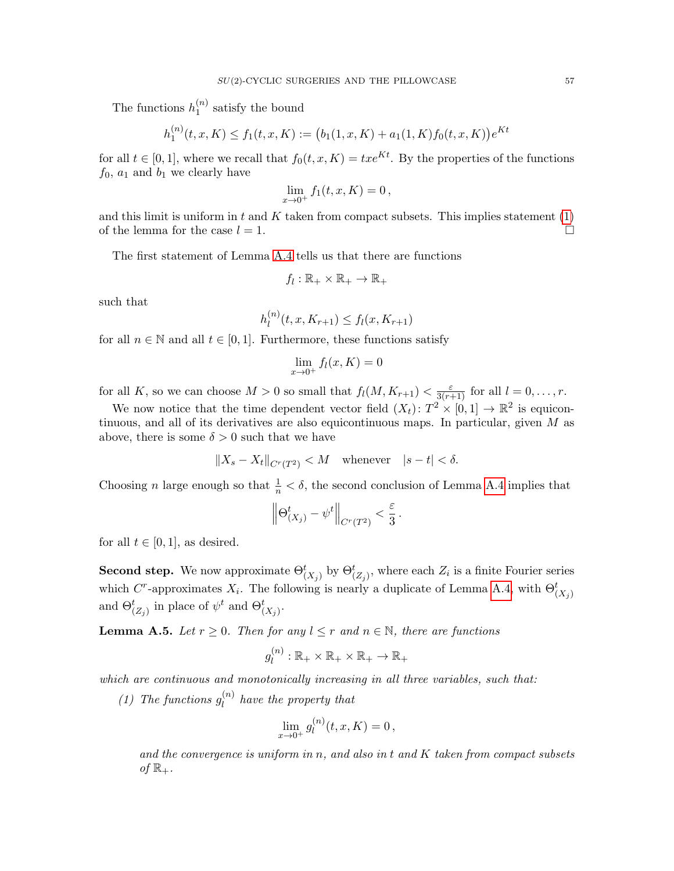The functions  $h_1^{(n)}$  $1^{(n)}$  satisfy the bound

$$
h_1^{(n)}(t, x, K) \le f_1(t, x, K) := (b_1(1, x, K) + a_1(1, K)f_0(t, x, K))e^{Kt}
$$

for all  $t \in [0, 1]$ , where we recall that  $f_0(t, x, K) = txe^{Kt}$ . By the properties of the functions  $f_0$ ,  $a_1$  and  $b_1$  we clearly have

$$
\lim_{x \to 0^+} f_1(t, x, K) = 0,
$$

and this limit is uniform in t and  $K$  taken from compact subsets. This implies statement  $(1)$ of the lemma for the case  $l = 1$ .

The first statement of Lemma [A.4](#page-54-4) tells us that there are functions

$$
f_l:\mathbb{R}_+\times\mathbb{R}_+\to\mathbb{R}_+
$$

such that

$$
h_l^{(n)}(t, x, K_{r+1}) \le f_l(x, K_{r+1})
$$

for all  $n \in \mathbb{N}$  and all  $t \in [0,1]$ . Furthermore, these functions satisfy

$$
\lim_{x \to 0^+} f_l(x, K) = 0
$$

for all K, so we can choose  $M > 0$  so small that  $f_l(M, K_{r+1}) < \frac{\varepsilon}{3(r+1)}$  for all  $l = 0, \ldots, r$ .

We now notice that the time dependent vector field  $(X_t)$ :  $T^2 \times [0,1] \to \mathbb{R}^2$  is equicontinuous, and all of its derivatives are also equicontinuous maps. In particular, given M as above, there is some  $\delta > 0$  such that we have

$$
||X_s - X_t||_{C^r(T^2)} < M \quad \text{whenever} \quad |s - t| < \delta.
$$

Choosing *n* large enough so that  $\frac{1}{n} < \delta$ , the second conclusion of Lemma [A.4](#page-54-4) implies that

$$
\left\|\Theta_{(X_j)}^t - \psi^t\right\|_{C^r(T^2)} < \frac{\varepsilon}{3}.
$$

for all  $t \in [0, 1]$ , as desired.

**Second step.** We now approximate  $\Theta^t_{(X_j)}$  by  $\Theta^t_{(Z_j)}$ , where each  $Z_i$  is a finite Fourier series which C<sup>r</sup>-approximates  $X_i$ . The following is nearly a duplicate of Lemma [A.4,](#page-54-4) with  $\Theta_{(X_i)}^t$ and  $\Theta_{(Z_j)}^t$  in place of  $\psi^t$  and  $\Theta_{(X_j)}^t$ .

<span id="page-56-0"></span>**Lemma A.5.** Let  $r \geq 0$ . Then for any  $l \leq r$  and  $n \in \mathbb{N}$ , there are functions

$$
g_l^{(n)}:\mathbb{R}_+\times\mathbb{R}_+\times\mathbb{R}_+\to\mathbb{R}_+
$$

which are continuous and monotonically increasing in all three variables, such that:

(1) The functions  $g_l^{(n)}$  $\binom{n}{l}$  have the property that

$$
\lim_{x \to 0^+} g_l^{(n)}(t, x, K) = 0,
$$

and the convergence is uniform in n, and also in t and K taken from compact subsets of  $\mathbb{R}_+$ .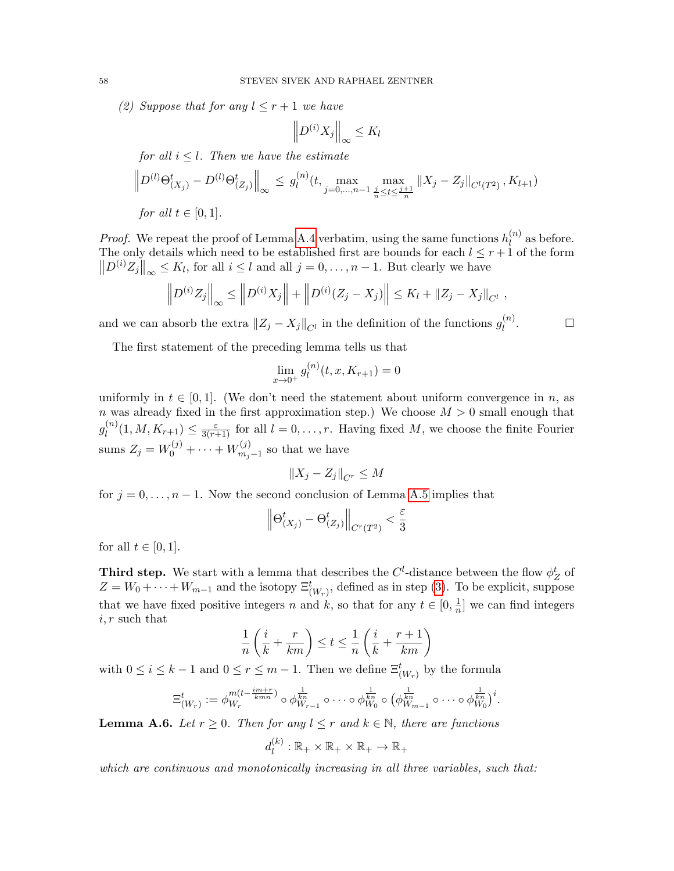(2) Suppose that for any  $l \leq r+1$  we have

$$
\left\| D^{(i)} X_j \right\|_{\infty} \leq K_l
$$

for all  $i \leq l$ . Then we have the estimate

$$
\left\| D^{(l)} \Theta_{(X_j)}^t - D^{(l)} \Theta_{(Z_j)}^t \right\|_{\infty} \le g_l^{(n)}(t, \max_{j=0,\dots,n-1} \max_{\frac{j}{n} \le t \le \frac{j+1}{n}} \|X_j - Z_j\|_{C^l(T^2)}, K_{l+1})
$$

for all  $t \in [0, 1]$ .

*Proof.* We repeat the proof of Lemma [A.4](#page-54-4) verbatim, using the same functions  $h_l^{(n)}$  $\binom{n}{l}$  as before. The only details which need to be established first are bounds for each  $l \leq r+1$  of the form  $||D^{(i)}Z_j||_{\infty} \leq K_l$ , for all  $i \leq l$  and all  $j = 0, \ldots, n - 1$ . But clearly we have

$$
\left\| D^{(i)} Z_j \right\|_{\infty} \le \left\| D^{(i)} X_j \right\| + \left\| D^{(i)} (Z_j - X_j) \right\| \le K_l + \|Z_j - X_j\|_{C^l},
$$

 $\Box$ 

and we can absorb the extra  $||Z_j - X_j||_{C^l}$  in the definition of the functions  $g_l^{(n)}$ l

The first statement of the preceding lemma tells us that

$$
\lim_{x \to 0^+} g_l^{(n)}(t, x, K_{r+1}) = 0
$$

uniformly in  $t \in [0, 1]$ . (We don't need the statement about uniform convergence in n, as n was already fixed in the first approximation step.) We choose  $M > 0$  small enough that  $g_l^{(n)}$  $\ell_l^{(n)}(1,M,K_{r+1}) \leq \frac{\varepsilon}{3(r+1)}$  for all  $l=0,\ldots,r$ . Having fixed M, we choose the finite Fourier sums  $Z_j = W_0^{(j)} + \cdots + W_{m_j}^{(j)}$  $\sum_{m_j-1}^{(j)}$  so that we have

$$
\left\|X_j - Z_j\right\|_{C^r} \le M
$$

for  $j = 0, \ldots, n - 1$ . Now the second conclusion of Lemma [A.5](#page-56-0) implies that

$$
\left\|\Theta_{(X_j)}^t-\Theta_{(Z_j)}^t\right\|_{C^r(T^2)} < \frac{\varepsilon}{3}
$$

for all  $t \in [0, 1]$ .

**Third step.** We start with a lemma that describes the  $C^l$ -distance between the flow  $\phi_Z^t$  of  $Z = W_0 + \cdots + W_{m-1}$  and the isotopy  $\Xi^t_{(W_r)}$ , defined as in step [\(3\)](#page-53-1). To be explicit, suppose that we have fixed positive integers n and k, so that for any  $t \in [0, \frac{1}{n}]$  $\frac{1}{n}$  we can find integers  $i, r$  such that

$$
\frac{1}{n}\left(\frac{i}{k} + \frac{r}{km}\right) \le t \le \frac{1}{n}\left(\frac{i}{k} + \frac{r+1}{km}\right)
$$

with  $0 \leq i \leq k-1$  and  $0 \leq r \leq m-1$ . Then we define  $\Xi_{(W_r)}^t$  by the formula

$$
\Xi_{(W_r)}^t := \phi_{W_r}^{m(t-\frac{im+r}{kmn})} \circ \phi_{W_{r-1}}^{\frac{1}{kn}} \circ \cdots \circ \phi_{W_0}^{\frac{1}{kn}} \circ (\phi_{W_{m-1}}^{\frac{1}{kn}} \circ \cdots \circ \phi_{W_0}^{\frac{1}{kn}})^i.
$$

<span id="page-57-0"></span>**Lemma A.6.** Let  $r \geq 0$ . Then for any  $l \leq r$  and  $k \in \mathbb{N}$ , there are functions

$$
d_l^{(k)}:\mathbb{R}_+\times\mathbb{R}_+\times\mathbb{R}_+\to\mathbb{R}_+
$$

which are continuous and monotonically increasing in all three variables, such that: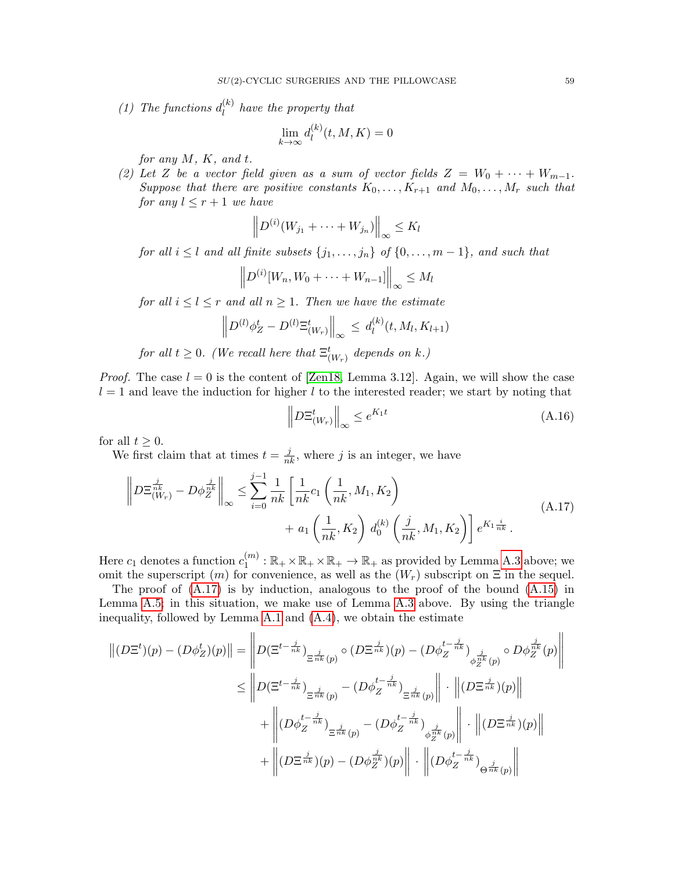(1) The functions  $d_l^{(k)}$  $\binom{K}{l}$  have the property that

$$
\lim_{k \to \infty} d_l^{(k)}(t, M, K) = 0
$$

for any M, K, and t.

(2) Let Z be a vector field given as a sum of vector fields  $Z = W_0 + \cdots + W_{m-1}$ . Suppose that there are positive constants  $K_0, \ldots, K_{r+1}$  and  $M_0, \ldots, M_r$  such that for any  $l \leq r+1$  we have

$$
\left\|D^{(i)}(W_{j_1} + \cdots + W_{j_n})\right\|_{\infty} \leq K_l
$$

for all  $i \leq l$  and all finite subsets  $\{j_1, \ldots, j_n\}$  of  $\{0, \ldots, m-1\}$ , and such that

$$
\left\|D^{(i)}[W_n, W_0 + \cdots + W_{n-1}]\right\|_{\infty} \le M_l
$$

for all  $i \leq l \leq r$  and all  $n \geq 1$ . Then we have the estimate

$$
\left\| D^{(l)} \phi_Z^t - D^{(l)} \Xi_{(W_r)}^t \right\|_{\infty} \leq d_l^{(k)}(t, M_l, K_{l+1})
$$

for all  $t \geq 0$ . (We recall here that  $\Xi_{(W_r)}^t$  depends on k.)

*Proof.* The case  $l = 0$  is the content of [\[Zen18,](#page-65-5) Lemma 3.12]. Again, we will show the case  $l = 1$  and leave the induction for higher l to the interested reader; we start by noting that

$$
\left\| D\Xi_{(W_r)}^t \right\|_{\infty} \le e^{K_1 t} \tag{A.16}
$$

for all  $t \geq 0$ .

We first claim that at times  $t = \frac{j}{nk}$ , where j is an integer, we have

<span id="page-58-0"></span>
$$
\left\| D\Xi_{(W_r)}^{\frac{j}{nk}} - D\phi_Z^{\frac{j}{nk}} \right\|_{\infty} \le \sum_{i=0}^{j-1} \frac{1}{nk} \left[ \frac{1}{nk} c_1 \left( \frac{1}{nk}, M_1, K_2 \right) + a_1 \left( \frac{1}{nk}, K_2 \right) d_0^{(k)} \left( \frac{j}{nk}, M_1, K_2 \right) \right] e^{K_1 \frac{i}{nk}}.
$$
\n(A.17)

Here  $c_1$  denotes a function  $c_1^{(m)}$  $\mathbb{R}^{(m)}_1 : \mathbb{R}_+ \times \mathbb{R}_+ \times \mathbb{R}_+ \to \mathbb{R}_+$  as provided by Lemma [A.3](#page-50-0) above; we omit the superscript  $(m)$  for convenience, as well as the  $(W<sub>r</sub>)$  subscript on  $\Xi$  in the sequel.

The proof of  $(A.17)$  is by induction, analogous to the proof of the bound  $(A.15)$  in Lemma [A.5;](#page-56-0) in this situation, we make use of Lemma [A.3](#page-50-0) above. By using the triangle inequality, followed by Lemma [A.1](#page-47-1) and [\(A.4\)](#page-49-0), we obtain the estimate

$$
\| (D\Xi^{t})(p) - (D\phi^{t}_{Z})(p) \| = \left\| D(\Xi^{t-\frac{j}{nk}})_{\Xi^{\frac{j}{nk}}(p)} \circ (D\Xi^{\frac{j}{nk}})(p) - (D\phi^{t-\frac{j}{nk}}_{Z})_{\phi^{\frac{j}{nk}}_{Z}(p)} \circ D\phi^{\frac{j}{nk}}_{Z}(p) \right\|
$$
  

$$
\leq \left\| D(\Xi^{t-\frac{j}{nk}})_{\Xi^{\frac{j}{nk}}(p)} - (D\phi^{t-\frac{j}{nk}}_{Z})_{\Xi^{\frac{j}{nk}}(p)} \right\| \cdot \left\| (D\Xi^{\frac{j}{nk}})(p) \right\|
$$
  

$$
+ \left\| (D\phi^{t-\frac{j}{nk}}_{Z})_{\Xi^{\frac{j}{nk}}(p)} - (D\phi^{t-\frac{j}{nk}}_{Z})_{\phi^{\frac{j}{nk}}_{Z}(p)} \right\| \cdot \left\| (D\Xi^{\frac{j}{nk}})(p) \right\|
$$
  

$$
+ \left\| (D\Xi^{\frac{j}{nk}})(p) - (D\phi^{\frac{j}{nk}}_{Z})(p) \right\| \cdot \left\| (D\phi^{t-\frac{j}{nk}}_{Z})_{\Theta^{\frac{j}{nk}}(p)} \right\|
$$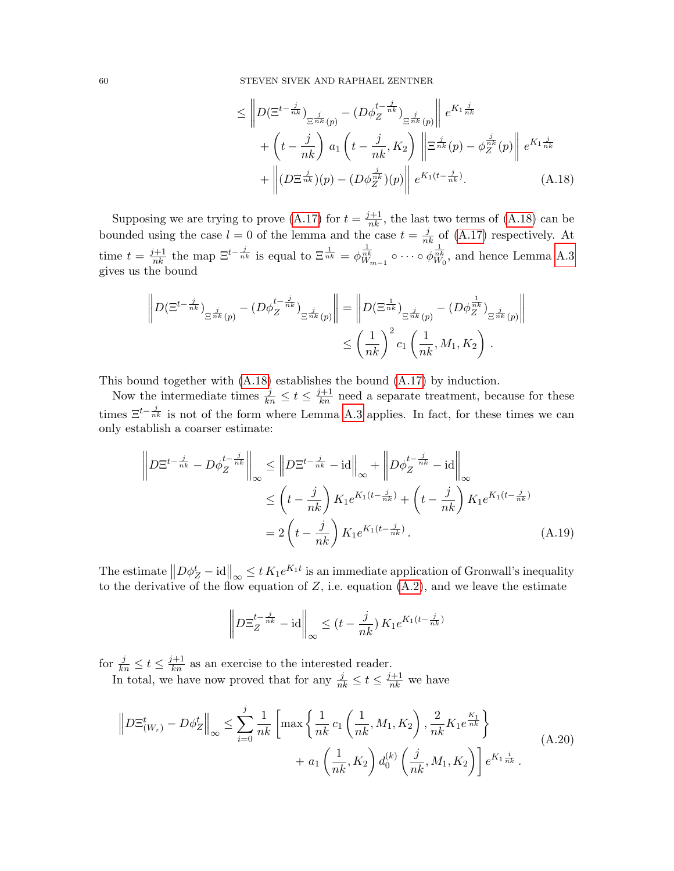<span id="page-59-0"></span>
$$
\leq \left\| D(\Xi^{t-\frac{j}{nk}})_{\Xi^{\frac{j}{nk}}(p)} - (D\phi_Z^{t-\frac{j}{nk}})_{\Xi^{\frac{j}{nk}}(p)} \right\| e^{K_1 \frac{j}{nk}} + \left( t - \frac{j}{nk} \right) a_1 \left( t - \frac{j}{nk}, K_2 \right) \left\| \Xi^{\frac{j}{nk}}(p) - \phi_Z^{\frac{j}{nk}}(p) \right\| e^{K_1 \frac{j}{nk}} + \left\| (D\Xi^{\frac{j}{nk}})(p) - (D\phi_Z^{\frac{j}{nk}})(p) \right\| e^{K_1(t-\frac{j}{nk})}.
$$
\n(A.18)

Supposing we are trying to prove [\(A.17\)](#page-58-0) for  $t = \frac{j+1}{nk}$ , the last two terms of [\(A.18\)](#page-59-0) can be bounded using the case  $l = 0$  of the lemma and the case  $t = \frac{j}{nk}$  of [\(A.17\)](#page-58-0) respectively. At time  $t = \frac{j+1}{nk}$  the map  $\Xi^{t-\frac{j}{nk}}$  is equal to  $\Xi^{\frac{1}{nk}}_{nk} = \phi_{W_{m-1}}^{\frac{1}{nk}} \circ \cdots \circ \phi_{W_0}^{\frac{1}{nk}}$ , and hence Lemma [A.3](#page-50-0) gives us the bound

$$
\left\| D(\Xi^{t-\frac{j}{nk}})_{\Xi^{\frac{j}{nk}}(p)} - (D\phi_Z^{t-\frac{j}{nk}})_{\Xi^{\frac{j}{nk}}(p)} \right\| = \left\| D(\Xi^{\frac{1}{nk}})_{\Xi^{\frac{j}{nk}}(p)} - (D\phi_Z^{\frac{1}{nk}})_{\Xi^{\frac{j}{nk}}(p)} \right\|
$$
  

$$
\leq \left(\frac{1}{nk}\right)^2 c_1 \left(\frac{1}{nk}, M_1, K_2\right).
$$

This bound together with [\(A.18\)](#page-59-0) establishes the bound [\(A.17\)](#page-58-0) by induction.

Now the intermediate times  $\frac{j}{kn} \leq t \leq \frac{j+1}{kn}$  need a separate treatment, because for these times  $\Xi^{t-\frac{j}{nk}}$  is not of the form where Lemma [A.3](#page-50-0) applies. In fact, for these times we can only establish a coarser estimate:

$$
\left\| D\Xi^{t-\frac{j}{nk}} - D\phi_Z^{t-\frac{j}{nk}} \right\|_{\infty} \le \left\| D\Xi^{t-\frac{j}{nk}} - \mathrm{id} \right\|_{\infty} + \left\| D\phi_Z^{t-\frac{j}{nk}} - \mathrm{id} \right\|_{\infty}
$$
  

$$
\le \left( t - \frac{j}{nk} \right) K_1 e^{K_1(t-\frac{j}{nk})} + \left( t - \frac{j}{nk} \right) K_1 e^{K_1(t-\frac{j}{nk})}
$$
  

$$
= 2 \left( t - \frac{j}{nk} \right) K_1 e^{K_1(t-\frac{j}{nk})}.
$$
 (A.19)

The estimate  $||D\phi_Z^t - id||_{\infty} \le t K_1 e^{K_1 t}$  is an immediate application of Gronwall's inequality to the derivative of the flow equation of Z, i.e. equation  $(A.2)$ , and we leave the estimate

$$
\left\| D\Xi_Z^{t-\frac{j}{nk}} - \mathrm{id} \right\|_{\infty} \le (t - \frac{j}{nk}) K_1 e^{K_1(t-\frac{j}{nk})}
$$

for  $\frac{j}{kn} \leq t \leq \frac{j+1}{kn}$  as an exercise to the interested reader.

In total, we have now proved that for any  $\frac{j}{nk} \le t \le \frac{j+1}{nk}$  we have

$$
\left\| D\Xi_{(W_r)}^t - D\phi_Z^t \right\|_{\infty} \le \sum_{i=0}^j \frac{1}{nk} \left[ \max \left\{ \frac{1}{nk} c_1 \left( \frac{1}{nk}, M_1, K_2 \right), \frac{2}{nk} K_1 e^{\frac{K_1}{nk}} \right\} + a_1 \left( \frac{1}{nk}, K_2 \right) d_0^{(k)} \left( \frac{j}{nk}, M_1, K_2 \right) \right] e^{K_1 \frac{i}{nk}}.
$$
\n(A.20)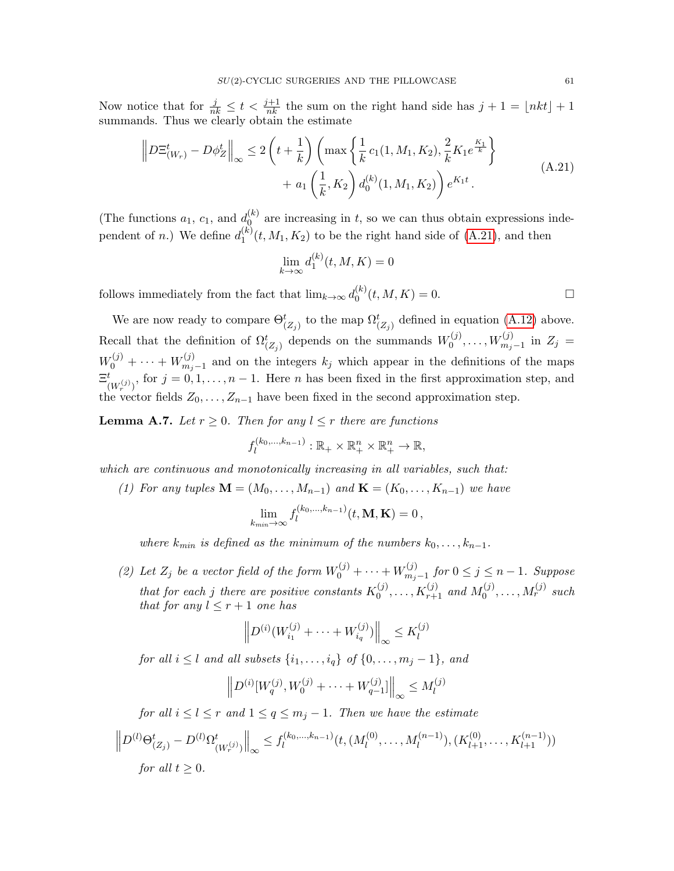Now notice that for  $\frac{j}{nk} \leq t < \frac{j+1}{nk}$  the sum on the right hand side has  $j+1 = \lfloor nkt \rfloor + 1$ summands. Thus we clearly obtain the estimate

<span id="page-60-0"></span>
$$
\left\| D\Xi_{(W_r)}^t - D\phi_Z^t \right\|_{\infty} \le 2\left( t + \frac{1}{k} \right) \left( \max\left\{ \frac{1}{k} c_1(1, M_1, K_2), \frac{2}{k} K_1 e^{\frac{K_1}{k}} \right\} + a_1 \left( \frac{1}{k}, K_2 \right) d_0^{(k)}(1, M_1, K_2) \right) e^{K_1 t}.
$$
\n(A.21)

(The functions  $a_1, c_1$ , and  $d_0^{(k)}$  $_{0}^{(\kappa)}$  are increasing in t, so we can thus obtain expressions independent of *n*.) We define  $d_1^{(k)}$  $1^{(k)}(t, M_1, K_2)$  to be the right hand side of [\(A.21\)](#page-60-0), and then

$$
\lim_{k \to \infty} d_1^{(k)}(t, M, K) = 0
$$

follows immediately from the fact that  $\lim_{k\to\infty} d_0^{(k)}$  $\binom{k}{0}(t, M, K) = 0.$ 

We are now ready to compare  $\Theta_{(Z_j)}^t$  to the map  $\Omega_{(Z_j)}^t$  defined in equation [\(A.12\)](#page-53-2) above. Recall that the definition of  $\Omega_{(Z_j)}^t$  depends on the summands  $W_0^{(j)}$  $W_0^{(j)}, \ldots, W_{m_j-1}^{(j)}$  in  $Z_j =$  $W_0^{(j)} + \cdots + W_{m_j}^{(j)}$  $\sum_{m_j-1}^{(j)}$  and on the integers  $k_j$  which appear in the definitions of the maps  $\Xi^t$  $\binom{t}{(W_r^{(j)})}$ , for  $j = 0, 1, \ldots, n - 1$ . Here *n* has been fixed in the first approximation step, and the vector fields  $Z_0, \ldots, Z_{n-1}$  have been fixed in the second approximation step.

<span id="page-60-1"></span>**Lemma A.7.** Let  $r \geq 0$ . Then for any  $l \leq r$  there are functions

$$
f_l^{(k_0,\ldots,k_{n-1})}: \mathbb{R}_+ \times \mathbb{R}_+^n \times \mathbb{R}_+^n \to \mathbb{R},
$$

which are continuous and monotonically increasing in all variables, such that:

(1) For any tuples  $\mathbf{M} = (M_0, \ldots, M_{n-1})$  and  $\mathbf{K} = (K_0, \ldots, K_{n-1})$  we have

$$
\lim_{k_{min}\to\infty}f_l^{(k_0,\ldots,k_{n-1})}(t,\mathbf{M},\mathbf{K})=0\,,
$$

where  $k_{min}$  is defined as the minimum of the numbers  $k_0, \ldots, k_{n-1}$ .

(2) Let  $Z_j$  be a vector field of the form  $W_0^{(j)} + \cdots + W_{m_j}^{(j)}$  $\sum_{m_j-1}^{(j)}$  for  $0 \leq j \leq n-1$ . Suppose that for each j there are positive constants  $K_0^{(j)}$  $X_0^{(j)}, \ldots, K_{r+1}^{(j)}$  and  $M_0^{(j)}$  $\mathcal{M}_0^{(j)}, \ldots, \mathcal{M}_r^{(j)}$  such that for any  $l \leq r+1$  one has

$$
\left\| D^{(i)}(W_{i_1}^{(j)} + \dots + W_{i_q}^{(j)}) \right\|_{\infty} \leq K_l^{(j)}
$$

for all  $i \leq l$  and all subsets  $\{i_1, \ldots, i_q\}$  of  $\{0, \ldots, m_j - 1\}$ , and

$$
\left\| D^{(i)}[W_q^{(j)}, W_0^{(j)} + \cdots + W_{q-1}^{(j)}] \right\|_{\infty} \le M_l^{(j)}
$$

for all  $i \leq l \leq r$  and  $1 \leq q \leq m_j - 1$ . Then we have the estimate

$$
\left\| D^{(l)} \Theta_{(Z_j)}^t - D^{(l)} \Omega_{(W_r^{(j)})}^t \right\|_{\infty} \le f_l^{(k_0, \dots, k_{n-1})} (t, (M_l^{(0)}, \dots, M_l^{(n-1)}), (K_{l+1}^{(0)}, \dots, K_{l+1}^{(n-1)}))
$$
  
for all  $t \ge 0$ .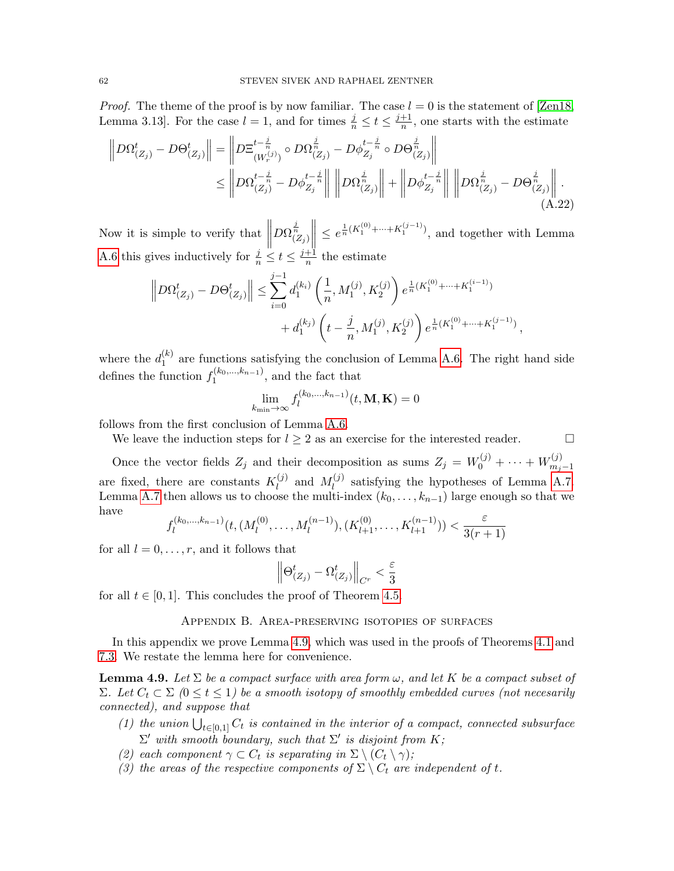*Proof.* The theme of the proof is by now familiar. The case  $l = 0$  is the statement of [\[Zen18,](#page-65-5) Lemma 3.13]. For the case  $l = 1$ , and for times  $\frac{j}{n} \le t \le \frac{j+1}{n}$  $\frac{+1}{n}$ , one starts with the estimate

$$
\|D\Omega_{(Z_j)}^t - D\Theta_{(Z_j)}^t\| = \left\| D\Xi_{(W_r^{(j)})}^{t-\frac{j}{n}} \circ D\Omega_{(Z_j)}^{\frac{j}{n}} - D\phi_{Z_j}^{t-\frac{j}{n}} \circ D\Theta_{(Z_j)}^{\frac{j}{n}} \right\| \n\leq \left\| D\Omega_{(Z_j)}^{t-\frac{j}{n}} - D\phi_{Z_j}^{t-\frac{j}{n}} \right\| \left\| D\Omega_{(Z_j)}^{\frac{j}{n}} \right\| + \left\| D\phi_{Z_j}^{t-\frac{j}{n}} \right\| \left\| D\Omega_{(Z_j)}^{\frac{j}{n}} - D\Theta_{(Z_j)}^{\frac{j}{n}} \right\|.
$$
\n(A.22)

Now it is simple to verify that  $\left\| \right\|$  $D\Omega^{\frac{j}{n}}_{(Z_j)}$   $\leq e^{\frac{1}{n}(K_1^{(0)}+\cdots+K_1^{(j-1)})}$ , and together with Lemma [A.6](#page-57-0) this gives inductively for  $\frac{j}{n} \le t \le \frac{j+1}{n}$  $\frac{+1}{n}$  the estimate

$$
\left\|D\Omega_{(Z_j)}^t - D\Theta_{(Z_j)}^t\right\| \le \sum_{i=0}^{j-1} d_1^{(k_i)} \left(\frac{1}{n}, M_1^{(j)}, K_2^{(j)}\right) e^{\frac{1}{n}(K_1^{(0)} + \dots + K_1^{(i-1)})} + d_1^{(k_j)} \left(t - \frac{j}{n}, M_1^{(j)}, K_2^{(j)}\right) e^{\frac{1}{n}(K_1^{(0)} + \dots + K_1^{(j-1)})},
$$

where the  $d_1^{(k)}$  $1 \choose 1$  are functions satisfying the conclusion of Lemma [A.6.](#page-57-0) The right hand side defines the function  $f_1^{(k_0,...,k_{n-1})}$  $1^{(k_0,\ldots,k_{n-1})}$ , and the fact that

$$
\lim_{k_{\min}\to\infty} f_l^{(k_0,\dots,k_{n-1})}(t,\mathbf{M},\mathbf{K}) = 0
$$

follows from the first conclusion of Lemma [A.6.](#page-57-0)

We leave the induction steps for  $l \geq 2$  as an exercise for the interested reader.

Once the vector fields  $Z_j$  and their decomposition as sums  $Z_j = W_0^{(j)} + \cdots + W_{m_j}^{(j)}$  $m_j-1$ are fixed, there are constants  $K_l^{(j)}$  $\mathcal{M}_l^{(j)}$  and  $M_l^{(j)}$  $\ell_l^{(J)}$  satisfying the hypotheses of Lemma [A.7.](#page-60-1) Lemma [A.7](#page-60-1) then allows us to choose the multi-index  $(k_0, \ldots, k_{n-1})$  large enough so that we have

$$
f_l^{(k_0,\ldots,k_{n-1})}(t, (M_l^{(0)},\ldots,M_l^{(n-1)}),(K_{l+1}^{(0)},\ldots,K_{l+1}^{(n-1)})) < \frac{\varepsilon}{3(r+1)}
$$

for all  $l = 0, \ldots, r$ , and it follows that

$$
\left\|\Theta_{\left(Z_j\right)}^t-\Omega_{\left(Z_j\right)}^t\right\|_{C^r}<\frac{\varepsilon}{3}
$$

<span id="page-61-0"></span>for all  $t \in [0, 1]$ . This concludes the proof of Theorem [4.5.](#page-15-0)

### Appendix B. Area-preserving isotopies of surfaces

In this appendix we prove Lemma [4.9,](#page-20-0) which was used in the proofs of Theorems [4.1](#page-11-2) and [7.3.](#page-31-0) We restate the lemma here for convenience.

**Lemma 4.9.** Let  $\Sigma$  be a compact surface with area form  $\omega$ , and let K be a compact subset of Σ. Let  $C_t$  ⊂ Σ (0 ≤ t ≤ 1) be a smooth isotopy of smoothly embedded curves (not necesarily connected), and suppose that

- (1) the union  $\bigcup_{t\in[0,1]} C_t$  is contained in the interior of a compact, connected subsurface  $\Sigma'$  with smooth boundary, such that  $\Sigma'$  is disjoint from K;
- <span id="page-61-1"></span>(2) each component  $\gamma \subset C_t$  is separating in  $\Sigma \setminus (C_t \setminus \gamma)$ ;
- (3) the areas of the respective components of  $\Sigma \setminus C_t$  are independent of t.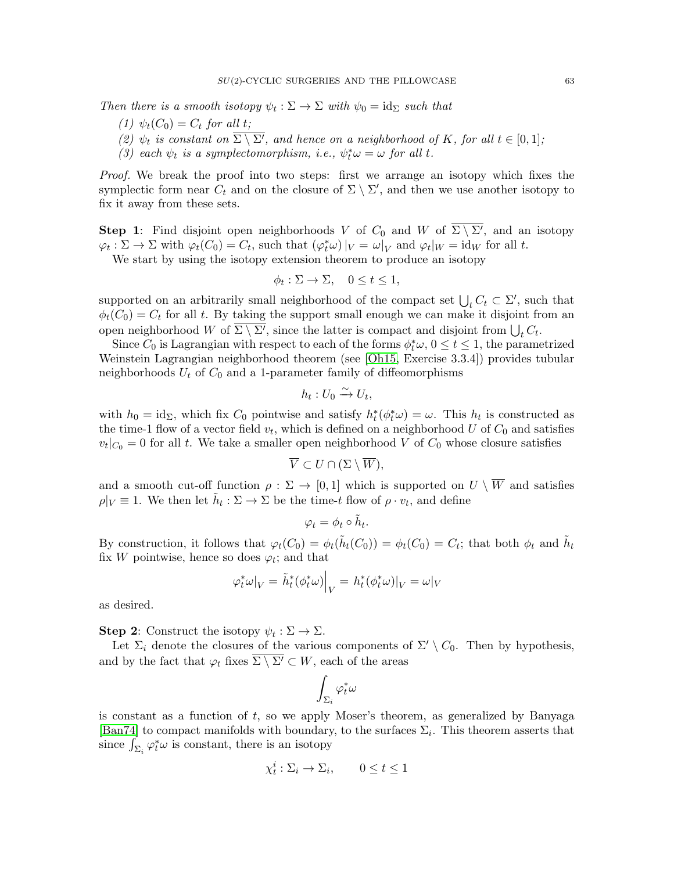Then there is a smooth isotopy  $\psi_t : \Sigma \to \Sigma$  with  $\psi_0 = id_{\Sigma}$  such that

- (1)  $\psi_t(C_0) = C_t$  for all t;
- (2)  $\psi_t$  is constant on  $\Sigma \setminus \Sigma'$ , and hence on a neighborhood of K, for all  $t \in [0,1]$ ;
- (3) each  $\psi_t$  is a symplectomorphism, i.e.,  $\psi_t^* \omega = \omega$  for all t.

Proof. We break the proof into two steps: first we arrange an isotopy which fixes the symplectic form near  $C_t$  and on the closure of  $\Sigma \setminus \Sigma'$ , and then we use another isotopy to fix it away from these sets.

**Step 1**: Find disjoint open neighborhoods V of  $C_0$  and W of  $\overline{\Sigma \setminus \Sigma'}$ , and an isotopy  $\varphi_t : \Sigma \to \Sigma$  with  $\varphi_t(C_0) = C_t$ , such that  $(\varphi_t^*\omega)|_V = \omega|_V$  and  $\varphi_t|_W = id_W$  for all t.

We start by using the isotopy extension theorem to produce an isotopy

$$
\phi_t : \Sigma \to \Sigma, \quad 0 \le t \le 1,
$$

supported on an arbitrarily small neighborhood of the compact set  $\bigcup_t C_t \subset \Sigma'$ , such that  $\phi_t(C_0) = C_t$  for all t. By taking the support small enough we can make it disjoint from an open neighborhood W of  $\Sigma \setminus \Sigma'$ , since the latter is compact and disjoint from  $\bigcup_t C_t$ .

Since  $C_0$  is Lagrangian with respect to each of the forms  $\phi_t^* \omega$ ,  $0 \le t \le 1$ , the parametrized Weinstein Lagrangian neighborhood theorem (see [\[Oh15,](#page-65-17) Exercise 3.3.4]) provides tubular neighborhoods  $U_t$  of  $C_0$  and a 1-parameter family of diffeomorphisms

$$
h_t: U_0 \xrightarrow{\sim} U_t,
$$

with  $h_0 = id_{\Sigma}$ , which fix  $C_0$  pointwise and satisfy  $h_t^*(\phi_t^*\omega) = \omega$ . This  $h_t$  is constructed as the time-1 flow of a vector field  $v_t$ , which is defined on a neighborhood U of  $C_0$  and satisfies  $v_t|_{C_0} = 0$  for all t. We take a smaller open neighborhood V of  $C_0$  whose closure satisfies

$$
\overline{V} \subset U \cap (\Sigma \setminus \overline{W}),
$$

and a smooth cut-off function  $\rho : \Sigma \to [0,1]$  which is supported on  $U \setminus \overline{W}$  and satisfies  $\rho|_V \equiv 1$ . We then let  $\tilde{h}_t : \Sigma \to \Sigma$  be the time-t flow of  $\rho \cdot v_t$ , and define

$$
\varphi_t = \phi_t \circ \tilde{h}_t.
$$

By construction, it follows that  $\varphi_t(C_0) = \phi_t(\tilde{h}_t(C_0)) = \phi_t(C_0) = C_t$ ; that both  $\phi_t$  and  $\tilde{h}_t$ fix W pointwise, hence so does  $\varphi_t$ ; and that

$$
\varphi_t^*\omega|_V=\left.\tilde{h}_t^*(\phi_t^*\omega)\right|_V=h_t^*(\phi_t^*\omega)|_V=\omega|_V
$$

as desired.

**Step 2:** Construct the isotopy  $\psi_t : \Sigma \to \Sigma$ .

Let  $\Sigma_i$  denote the closures of the various components of  $\Sigma' \setminus C_0$ . Then by hypothesis, and by the fact that  $\varphi_t$  fixes  $\overline{\Sigma \setminus \Sigma'} \subset W$ , each of the areas

$$
\int_{\Sigma_i} \varphi_t^*\omega
$$

is constant as a function of t, so we apply Moser's theorem, as generalized by Banyaga [\[Ban74\]](#page-63-8) to compact manifolds with boundary, to the surfaces  $\Sigma_i$ . This theorem asserts that since  $\int_{\Sigma_i} \varphi_t^* \omega$  is constant, there is an isotopy

$$
\chi_t^i : \Sigma_i \to \Sigma_i, \qquad 0 \le t \le 1
$$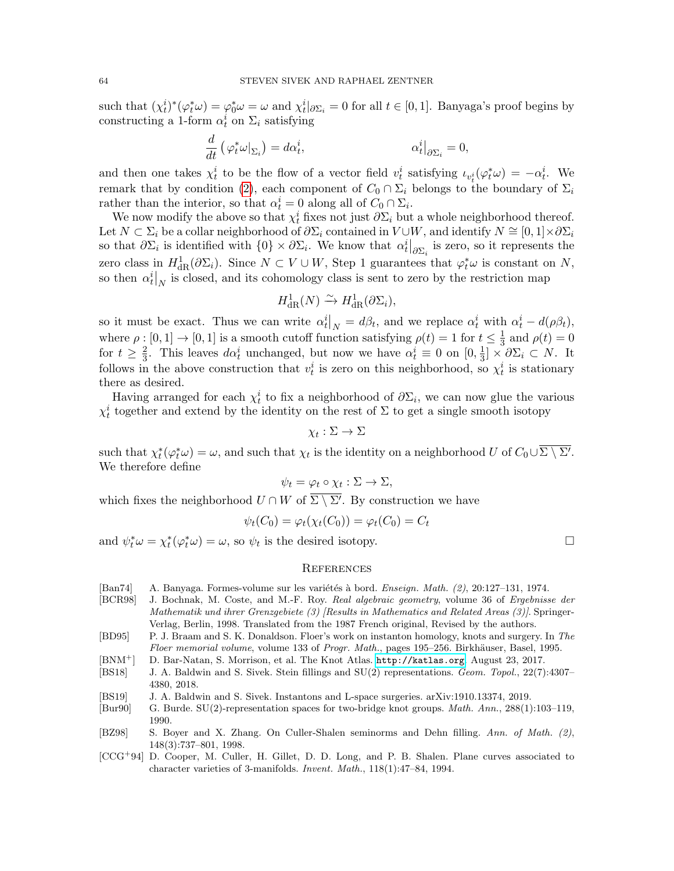such that  $(\chi_t^i)^*(\varphi_t^*\omega) = \varphi_0^*\omega = \omega$  and  $\chi_t^i|_{\partial \Sigma_i} = 0$  for all  $t \in [0,1]$ . Banyaga's proof begins by constructing a 1-form  $\alpha_t^i$  on  $\Sigma_i$  satisfying

$$
\frac{d}{dt} \left( \varphi_t^* \omega|_{\Sigma_i} \right) = d\alpha_t^i, \qquad \alpha_t^i|_{\partial \Sigma_i} = 0,
$$

and then one takes  $\chi_t^i$  to be the flow of a vector field  $v_t^i$  satisfying  $\iota_{v_t^i}(\varphi_t^*\omega) = -\alpha_t^i$ . We remark that by condition [\(2\)](#page-61-1), each component of  $C_0 \cap \Sigma_i$  belongs to the boundary of  $\Sigma_i$ rather than the interior, so that  $\alpha_t^i = 0$  along all of  $C_0 \cap \Sigma_i$ .

We now modify the above so that  $\chi_t^i$  fixes not just  $\partial \Sigma_i$  but a whole neighborhood thereof. Let  $N \subset \Sigma_i$  be a collar neighborhood of  $\partial \Sigma_i$  contained in  $V \cup W$ , and identify  $N \cong [0,1] \times \partial \Sigma_i$ so that  $\partial \Sigma_i$  is identified with  $\{0\} \times \partial \Sigma_i$ . We know that  $\alpha_t^i\big|_{\partial \Sigma_i}$  is zero, so it represents the zero class in  $H^1_{\text{dR}}(\partial \Sigma_i)$ . Since  $N \subset V \cup W$ , Step 1 guarantees that  $\varphi_t^* \omega$  is constant on N, so then  $\alpha_t^i|_N$  is closed, and its cohomology class is sent to zero by the restriction map

$$
H^1_{\rm dR}(N) \xrightarrow{\sim} H^1_{\rm dR}(\partial \Sigma_i),
$$

so it must be exact. Thus we can write  $\alpha_t^i\big|_N = d\beta_t$ , and we replace  $\alpha_t^i$  with  $\alpha_t^i - d(\rho \beta_t)$ , where  $\rho : [0,1] \to [0,1]$  is a smooth cutoff function satisfying  $\rho(t) = 1$  for  $t \leq \frac{1}{3}$  $\frac{1}{3}$  and  $\rho(t) = 0$ for  $t \geq \frac{2}{3}$  $\frac{2}{3}$ . This leaves  $d\alpha_t^i$  unchanged, but now we have  $\alpha_t^i \equiv 0$  on  $[0, \frac{1}{3}]$  $\frac{1}{3}]\times\partial\Sigma_i\subset N.$  It follows in the above construction that  $v_t^i$  is zero on this neighborhood, so  $\chi_t^i$  is stationary there as desired.

Having arranged for each  $\chi_t^i$  to fix a neighborhood of  $\partial \Sigma_i$ , we can now glue the various  $\chi_t^i$  together and extend by the identity on the rest of  $\Sigma$  to get a single smooth isotopy

$$
\chi_t : \Sigma \to \Sigma
$$

such that  $\chi_t^*(\varphi_t^*\omega) = \omega$ , and such that  $\chi_t$  is the identity on a neighborhood U of  $C_0 \cup \overline{\Sigma \setminus \Sigma'}$ . We therefore define

$$
\psi_t = \varphi_t \circ \chi_t : \Sigma \to \Sigma,
$$

which fixes the neighborhood  $U \cap W$  of  $\overline{\Sigma \setminus \Sigma'}$ . By construction we have

$$
\psi_t(C_0) = \varphi_t(\chi_t(C_0)) = \varphi_t(C_0) = C_t
$$

and  $\psi_t^* \omega = \chi_t^* (\varphi_t^* \omega) = \omega$ , so  $\psi_t$  is the desired isotopy.

#### **REFERENCES**

- <span id="page-63-8"></span>[Ban74] A. Banyaga. Formes-volume sur les variétés à bord. Enseign. Math. (2), 20:127–131, 1974.
- <span id="page-63-3"></span>[BCR98] J. Bochnak, M. Coste, and M.-F. Roy. Real algebraic geometry, volume 36 of Ergebnisse der Mathematik und ihrer Grenzgebiete (3) [Results in Mathematics and Related Areas (3)]. Springer-Verlag, Berlin, 1998. Translated from the 1987 French original, Revised by the authors.
- <span id="page-63-4"></span>[BD95] P. J. Braam and S. K. Donaldson. Floer's work on instanton homology, knots and surgery. In The Floer memorial volume, volume 133 of Progr. Math., pages 195–256. Birkhäuser, Basel, 1995.
- <span id="page-63-7"></span>[BNM<sup>+</sup>] D. Bar-Natan, S. Morrison, et al. The Knot Atlas. <http://katlas.org>. August 23, 2017.
- <span id="page-63-6"></span>[BS18] J. A. Baldwin and S. Sivek. Stein fillings and SU(2) representations. Geom. Topol., 22(7):4307– 4380, 2018.
- <span id="page-63-0"></span>[BS19] J. A. Baldwin and S. Sivek. Instantons and L-space surgeries. arXiv:1910.13374, 2019.
- <span id="page-63-5"></span>[Bur90] G. Burde. SU(2)-representation spaces for two-bridge knot groups. Math. Ann., 288(1):103–119, 1990.
- <span id="page-63-2"></span>[BZ98] S. Boyer and X. Zhang. On Culler-Shalen seminorms and Dehn filling. Ann. of Math. (2), 148(3):737–801, 1998.
- <span id="page-63-1"></span>[CCG<sup>+</sup>94] D. Cooper, M. Culler, H. Gillet, D. D. Long, and P. B. Shalen. Plane curves associated to character varieties of 3-manifolds. Invent. Math., 118(1):47–84, 1994.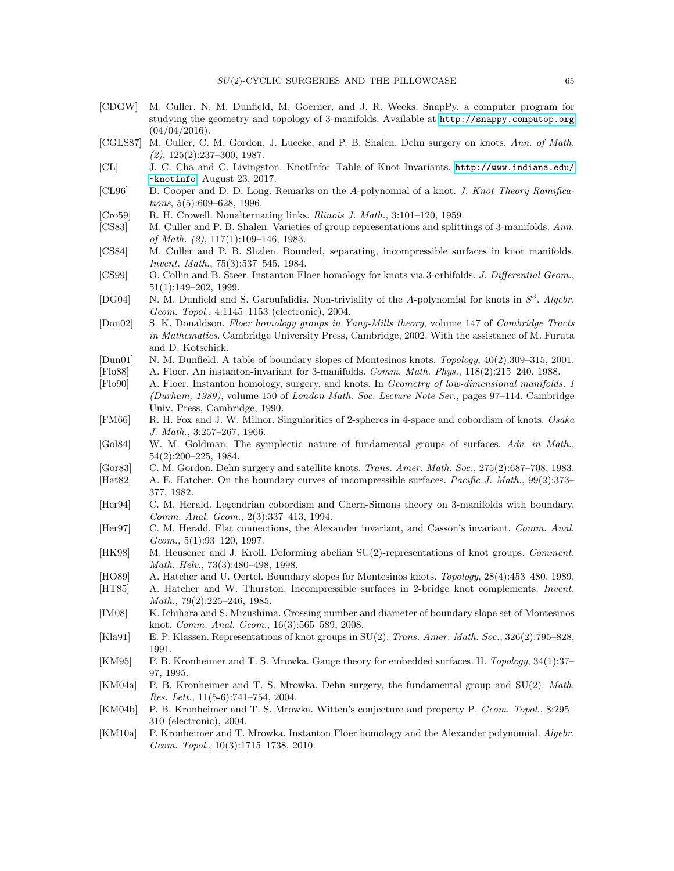- <span id="page-64-24"></span>[CDGW] M. Culler, N. M. Dunfield, M. Goerner, and J. R. Weeks. SnapPy, a computer program for studying the geometry and topology of 3-manifolds. Available at <http://snappy.computop.org>  $(04/04/2016).$
- <span id="page-64-0"></span>[CGLS87] M. Culler, C. M. Gordon, J. Luecke, and P. B. Shalen. Dehn surgery on knots. Ann. of Math.  $(2), 125(2): 237-300, 1987.$
- <span id="page-64-23"></span>[CL] J. C. Cha and C. Livingston. KnotInfo: Table of Knot Invariants. [http://www.indiana.edu/](http://www.indiana.edu/~knotinfo) [~knotinfo](http://www.indiana.edu/~knotinfo). August 23, 2017.
- <span id="page-64-15"></span>[CL96] D. Cooper and D. D. Long. Remarks on the A-polynomial of a knot. J. Knot Theory Ramifications, 5(5):609–628, 1996.
- <span id="page-64-6"></span>[Cro59] R. H. Crowell. Nonalternating links. Illinois J. Math., 3:101–120, 1959.
- <span id="page-64-16"></span>[CS83] M. Culler and P. B. Shalen. Varieties of group representations and splittings of 3-manifolds. Ann. of Math. (2), 117(1):109–146, 1983.
- <span id="page-64-17"></span>[CS84] M. Culler and P. B. Shalen. Bounded, separating, incompressible surfaces in knot manifolds. Invent. Math., 75(3):537–545, 1984.
- <span id="page-64-4"></span>[CS99] O. Collin and B. Steer. Instanton Floer homology for knots via 3-orbifolds. J. Differential Geom., 51(1):149–202, 1999.
- <span id="page-64-14"></span>[DG04] N. M. Dunfield and S. Garoufalidis. Non-triviality of the A-polynomial for knots in  $S^3$ . Algebr. Geom. Topol., 4:1145–1153 (electronic), 2004.
- <span id="page-64-9"></span>[Don02] S. K. Donaldson. Floer homology groups in Yang-Mills theory, volume 147 of Cambridge Tracts in Mathematics. Cambridge University Press, Cambridge, 2002. With the assistance of M. Furuta and D. Kotschick.
- <span id="page-64-27"></span>[Dun01] N. M. Dunfield. A table of boundary slopes of Montesinos knots. Topology, 40(2):309–315, 2001.
- <span id="page-64-10"></span>[Flo88] A. Floer. An instanton-invariant for 3-manifolds. Comm. Math. Phys., 118(2):215–240, 1988.
- <span id="page-64-19"></span>[Flo90] A. Floer. Instanton homology, surgery, and knots. In Geometry of low-dimensional manifolds, 1 (Durham, 1989), volume 150 of London Math. Soc. Lecture Note Ser., pages 97–114. Cambridge Univ. Press, Cambridge, 1990.
- <span id="page-64-20"></span>[FM66] R. H. Fox and J. W. Milnor. Singularities of 2-spheres in 4-space and cobordism of knots. Osaka J. Math., 3:257–267, 1966.
- <span id="page-64-12"></span>[Gol84] W. M. Goldman. The symplectic nature of fundamental groups of surfaces. Adv. in Math., 54(2):200–225, 1984.
- <span id="page-64-22"></span>[Gor83] C. M. Gordon. Dehn surgery and satellite knots. Trans. Amer. Math. Soc., 275(2):687–708, 1983.
- <span id="page-64-13"></span>[Hat82] A. E. Hatcher. On the boundary curves of incompressible surfaces. *Pacific J. Math.*, 99(2):373– 377, 1982.
- <span id="page-64-11"></span>[Her94] C. M. Herald. Legendrian cobordism and Chern-Simons theory on 3-manifolds with boundary. Comm. Anal. Geom., 2(3):337–413, 1994.
- <span id="page-64-3"></span>[Her97] C. M. Herald. Flat connections, the Alexander invariant, and Casson's invariant. Comm. Anal. Geom., 5(1):93–120, 1997.
- <span id="page-64-5"></span>[HK98] M. Heusener and J. Kroll. Deforming abelian SU(2)-representations of knot groups. Comment. Math. Helv., 73(3):480–498, 1998.
- <span id="page-64-26"></span>[HO89] A. Hatcher and U. Oertel. Boundary slopes for Montesinos knots. Topology, 28(4):453–480, 1989.
- <span id="page-64-2"></span>[HT85] A. Hatcher and W. Thurston. Incompressible surfaces in 2-bridge knot complements. Invent. Math., 79(2):225–246, 1985.
- <span id="page-64-25"></span>[IM08] K. Ichihara and S. Mizushima. Crossing number and diameter of boundary slope set of Montesinos knot. Comm. Anal. Geom., 16(3):565–589, 2008.
- <span id="page-64-7"></span>[Kla91] E. P. Klassen. Representations of knot groups in SU(2). Trans. Amer. Math. Soc., 326(2):795–828, 1991.
- <span id="page-64-21"></span>[KM95] P. B. Kronheimer and T. S. Mrowka. Gauge theory for embedded surfaces. II. Topology, 34(1):37– 97, 1995.
- <span id="page-64-1"></span>[KM04a] P. B. Kronheimer and T. S. Mrowka. Dehn surgery, the fundamental group and SU(2). Math. Res. Lett., 11(5-6):741–754, 2004.
- <span id="page-64-8"></span>[KM04b] P. B. Kronheimer and T. S. Mrowka. Witten's conjecture and property P. Geom. Topol., 8:295– 310 (electronic), 2004.
- <span id="page-64-18"></span>[KM10a] P. Kronheimer and T. Mrowka. Instanton Floer homology and the Alexander polynomial. Algebr. Geom. Topol., 10(3):1715–1738, 2010.